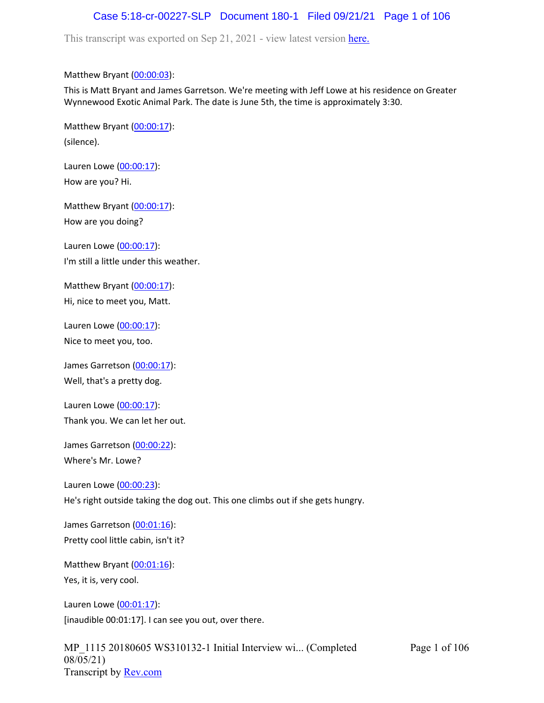# Case 5:18-cr-00227-SLP Document 180-1 Filed 09/21/21 Page 1 of 106

This transcript was exported on Sep 21, 2021 - view latest version [here.](https://www.rev.com/transcript-editor/Edit?token=amZQ9HHFTut_NOLFoO1lSR86cptioQiBp-VVq9f_BePwrTlAl64zFPqcRkwVvmM6GaAv4S7BniclRE4xdf7JBzULLcE&loadFrom=DocumentHeaderDeepLink)

#### Matthew Bryant ([00:00:03](https://www.rev.com/transcript-editor/Edit?token=jI8J_FbR9RvYSWPDTXG35lgZXLZD6UtZfghKhZ-HQl236qNJ3simnEHl2WjIsrqBTPFaAxzgE-nQ8aGmK0VPEuO2Xpg&loadFrom=DocumentDeeplink&ts=3.14)):

This is Matt Bryant and James Garretson. We're meeting with Jeff Lowe at his residence on Greater Wynnewood Exotic Animal Park. The date is June 5th, the time is approximately 3:30.

Matthew Bryant ([00:00:17](https://www.rev.com/transcript-editor/Edit?token=FCzskqHao9Uzx_4WMtshCOIVpJrZFQgg2LGb1dHzPDXktHeYPT3SvDOMd4qh_PqWvu9IZuelbtieR2YgiU9PQtXvBuw&loadFrom=DocumentDeeplink&ts=17.29)): (silence).

Lauren Lowe ([00:00:17](https://www.rev.com/transcript-editor/Edit?token=IoAf-uZxv_iMciRk8BFzCcruc3uuBL7Ffe7z0HLL8oc205qjctlMDlV5NaW9TvJEjxMP39OyG56VaGnsS5PXN_aHy9I&loadFrom=DocumentDeeplink&ts=17.35)): How are you? Hi.

Matthew Bryant ([00:00:17](https://www.rev.com/transcript-editor/Edit?token=qM-VOm_GLR_KH9JwMa5GmbyziyFqRpnyCf-bFrXD1I0GFZuJypcB99g2ycxXSwbKHKZl-ngggVaqY134-2d5phMJLeA&loadFrom=DocumentDeeplink&ts=17.38)): How are you doing?

Lauren Lowe ([00:00:17](https://www.rev.com/transcript-editor/Edit?token=ZkKEyjFWVwalnOdNO6Sa1eEGuEHq3Mm41uteTkw6Q-Y0IlI8IwCDPcMhyea8-KhfDVYOHVia5gB06BzQQLFz6r-tsIo&loadFrom=DocumentDeeplink&ts=17.38)): I'm still a little under this weather.

Matthew Bryant ([00:00:17](https://www.rev.com/transcript-editor/Edit?token=pByaRg6qOO6F7tpLBd1UyBRmViYyB-gvKptcgGBLYsd4dyIQ7vjQdqgwDUKR6Yc2LyNzQiFJvS-p7AD0QbUU3RXFeSs&loadFrom=DocumentDeeplink&ts=17.38)): Hi, nice to meet you, Matt.

Lauren Lowe ([00:00:17](https://www.rev.com/transcript-editor/Edit?token=dcQcmgNYmXEvzDkOyoftiF1sAFo1ea5dxQffJoND9R5LxD68fp34d8WqeuisclbFDjaDU8ygd5SEC9J9n8Vp4JABtCc&loadFrom=DocumentDeeplink&ts=17.38)): Nice to meet you, too.

James Garretson ([00:00:17\)](https://www.rev.com/transcript-editor/Edit?token=WiEArzH6dOCeQqCqQ0oiFnB0JDB8EHCpWvLmkFLZMDydSD_qIj4tgB6EFdNcS4hrpGvIhMwVvuq0t_wfKhl_9loBxvE&loadFrom=DocumentDeeplink&ts=17.38): Well, that's a pretty dog.

Lauren Lowe ([00:00:17](https://www.rev.com/transcript-editor/Edit?token=-pZdZ_BkBioW-GRpaNIU3gK4kPm5JILp38S0t-d99BhGcR2eANd4u8rf84pr6jfn-VS0soOtuO7DFU-aHU-o_LlcapE&loadFrom=DocumentDeeplink&ts=17.38)): Thank you. We can let her out.

James Garretson ([00:00:22\)](https://www.rev.com/transcript-editor/Edit?token=tiJTtKZDGTu5E0IwAXeFljHG-C1j60IJvbxEQ0PDeYH-y0Uod5MxyEDl820ZFFfLBvuPvR2GXBiVTgP_ddeBI73UcBI&loadFrom=DocumentDeeplink&ts=22.64):

Where's Mr. Lowe?

Lauren Lowe ([00:00:23](https://www.rev.com/transcript-editor/Edit?token=odeVxLoCNH_7EvQGJAA2jVvkcka5ZSc4DAmu_kGsAHhhwf7DFqj7fTPM8Es19_6gZXJX-4IAWDa0yrYPtugdhpIy8RA&loadFrom=DocumentDeeplink&ts=23.81)): He's right outside taking the dog out. This one climbs out if she gets hungry.

James Garretson ([00:01:16\)](https://www.rev.com/transcript-editor/Edit?token=Un-vR57UnQS7KI2QDGRa2UVS91SkKiFkiABaUoAsJUFJ5PC2R8hK5uQ5Q4BO_m_t8B60Rn4alplGJUVC1OwzU2GPcrU&loadFrom=DocumentDeeplink&ts=76.81): Pretty cool little cabin, isn't it?

Matthew Bryant ([00:01:16](https://www.rev.com/transcript-editor/Edit?token=zimuJVi5Os_SBSWtNqZrDRmo7BBiVY7StAK-ArrsHUd6nArNwjYYqT2b2xONF6y4WOZorF8BqFmw2NOARLjtAj6vSfE&loadFrom=DocumentDeeplink&ts=76.81)): Yes, it is, very cool.

Lauren Lowe ([00:01:17](https://www.rev.com/transcript-editor/Edit?token=UpTYWFYY7icKEoygyHikj7gbwDHrXYx6jBoJoVAU2VXm5ROUCtnxMnb1TCVGrM5xNzc_N0Sn_Ux1Ksvk0CDv84WM3Qw&loadFrom=DocumentDeeplink&ts=77)): [inaudible 00:01:17]. I can see you out, over there.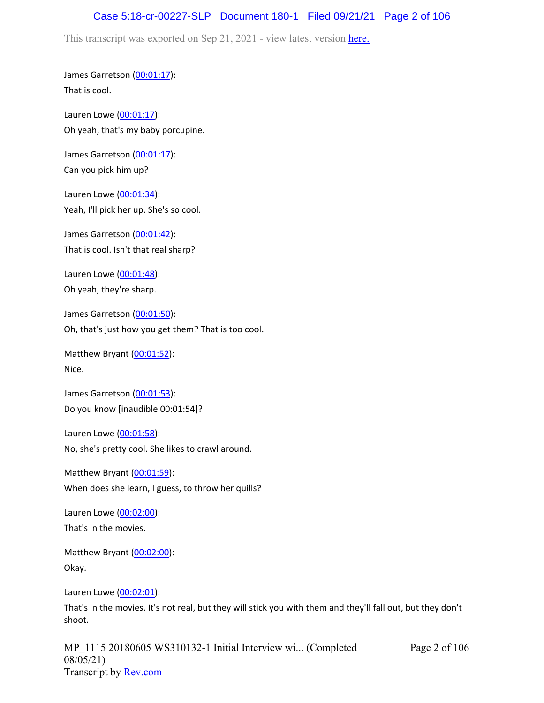# Case 5:18-cr-00227-SLP Document 180-1 Filed 09/21/21 Page 2 of 106

This transcript was exported on Sep 21, 2021 - view latest version [here.](https://www.rev.com/transcript-editor/Edit?token=amZQ9HHFTut_NOLFoO1lSR86cptioQiBp-VVq9f_BePwrTlAl64zFPqcRkwVvmM6GaAv4S7BniclRE4xdf7JBzULLcE&loadFrom=DocumentHeaderDeepLink)

James Garretson ([00:01:17\)](https://www.rev.com/transcript-editor/Edit?token=VQliyLWP_nqlR9DQCKnMfI-60-b7bc4zTcfEydyl0qRbydO15fKX6S6oBiYfgu355ce9G1Ms9VOx9u-6uJaam5-tAm8&loadFrom=DocumentDeeplink&ts=77): That is cool.

Lauren Lowe ([00:01:17](https://www.rev.com/transcript-editor/Edit?token=UV3i_0nS1F61p25HZsgpjPkYITjbWZUvhGyo7-cXogwdV0HMIIioP5H0kt9m9MT3xoI5se2Lo2QHXDkNvjS_WF2wkBQ&loadFrom=DocumentDeeplink&ts=77)): Oh yeah, that's my baby porcupine.

James Garretson ([00:01:17\)](https://www.rev.com/transcript-editor/Edit?token=yM_IHRzGjavDXulQd99kZhpa9__3kNatRIpUqk_JpoJplHpFtaRwlc9-xrFmzj0MNAGfFpchFbC7AlOWqjNbefu4BoE&loadFrom=DocumentDeeplink&ts=77): Can you pick him up?

Lauren Lowe ([00:01:34](https://www.rev.com/transcript-editor/Edit?token=6rMB5H1XQrGPT6Ynt9g6Z1F8nuNtTrprf76vmNvsieh_rjvmcvVZYZE8HXEyWbjaj8xxUeJUt2CxXPCzSYEsVKC8EVI&loadFrom=DocumentDeeplink&ts=94.14)): Yeah, I'll pick her up. She's so cool.

James Garretson ([00:01:42\)](https://www.rev.com/transcript-editor/Edit?token=NpFbz-uSKGKobej3wUCKiyQfIBbbSXDEMvftb7QPzkB1-_v2glEyzOcOqthqm4CePUgy88njqoj819R1vZv7Tb2RaVo&loadFrom=DocumentDeeplink&ts=102.03): That is cool. Isn't that real sharp?

Lauren Lowe ([00:01:48](https://www.rev.com/transcript-editor/Edit?token=Oa2oUd3Kg-O8guH9mS2BJuGV3KhCXz14XlZ84oRM1TO3DEjlqkIoco85Osv0VmPJuCcT_PQznVYjGtqOBDiivrH9fbo&loadFrom=DocumentDeeplink&ts=108.46)): Oh yeah, they're sharp.

James Garretson ([00:01:50\)](https://www.rev.com/transcript-editor/Edit?token=8JxTa9yqg2nctsnYdViHfmRdVeEbWKrMhR_Tupj61teXQfwU1rLj0C2If1Ec3UF5GsL2zxc346OIV27PZo14F_foXNg&loadFrom=DocumentDeeplink&ts=110.61): Oh, that's just how you get them? That is too cool.

Matthew Bryant ([00:01:52](https://www.rev.com/transcript-editor/Edit?token=Adn-OrPxAseP2tLb2-54j_eEI5yNmqkm2b39rKguftXa25n16rxjbWTLC68ZoL6lAOxXSD5sG0OKq-mt148bIuTs-vM&loadFrom=DocumentDeeplink&ts=112.9)): Nice.

James Garretson ([00:01:53\)](https://www.rev.com/transcript-editor/Edit?token=BtzpmtJ8dLZnQfTja7WxoDTPLzUftadn137CoCcB0V1J8MLDEke6GWCaBDfBbwbRq7X4ouVx1c-bR7dlvdzFcZCZyFs&loadFrom=DocumentDeeplink&ts=113): Do you know [inaudible 00:01:54]?

Lauren Lowe ([00:01:58](https://www.rev.com/transcript-editor/Edit?token=dgFmJBx-Itx69-ksrTnFMV1BSybe4kXByyTKc-MhXn5Z_hAlLckE5_V5E_dZkE3pJ6UjHuzIeFxSAxcJyCxi4HcMhjc&loadFrom=DocumentDeeplink&ts=118)): No, she's pretty cool. She likes to crawl around.

Matthew Bryant ([00:01:59](https://www.rev.com/transcript-editor/Edit?token=dRmEm9KHTrck3bLVvV2iCRDktqd_-RygOaxC1oJ05xRSfkrKkmrsrXuqCKx0bSSZoL8QyVVlT96kk1070y6ZNLgfchE&loadFrom=DocumentDeeplink&ts=119.12)): When does she learn, I guess, to throw her quills?

Lauren Lowe ([00:02:00](https://www.rev.com/transcript-editor/Edit?token=xFr4XPp-Xhic-Ktc3bzqnCVxiKiHKoEIgap-I43Nhv7twFosnH_QK449NNLs7WCx87OnNcgcgwvZUvPsGWZafnplAlk&loadFrom=DocumentDeeplink&ts=120.49)): That's in the movies.

Matthew Bryant ([00:02:00](https://www.rev.com/transcript-editor/Edit?token=LW-vPtYOvdBbeL-2N2sFOvzW8BjrrPiFOeGEBIeEfhcLWBECAMsh3oVH0-mCcgYp4SOR2XNgeB1DUzZyii_-H1AO29Y&loadFrom=DocumentDeeplink&ts=120.56)): Okay.

Lauren Lowe ([00:02:01](https://www.rev.com/transcript-editor/Edit?token=_F6Bb28sp4dC482259LexcurprWFIqfzwO4EVp3B0TUjeD-4iIZWmYe2TspPQU5HI8SGjTFUSColB9TQMJn62nvhNoY&loadFrom=DocumentDeeplink&ts=121.77)):

That's in the movies. It's not real, but they will stick you with them and they'll fall out, but they don't shoot.

MP\_1115 20180605 WS310132-1 Initial Interview wi... (Completed 08/05/21) Transcript by [Rev.com](https://www.rev.com/)

Page 2 of 106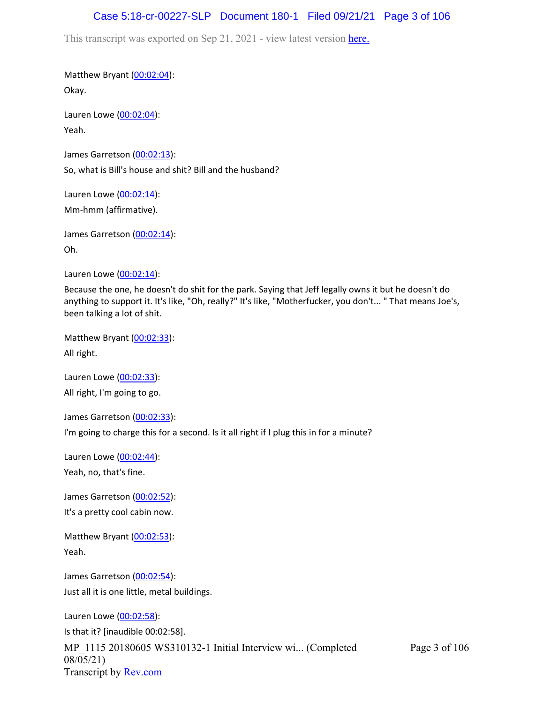## Case 5:18-cr-00227-SLP Document 180-1 Filed 09/21/21 Page 3 of 106

This transcript was exported on Sep 21, 2021 - view latest version [here.](https://www.rev.com/transcript-editor/Edit?token=amZQ9HHFTut_NOLFoO1lSR86cptioQiBp-VVq9f_BePwrTlAl64zFPqcRkwVvmM6GaAv4S7BniclRE4xdf7JBzULLcE&loadFrom=DocumentHeaderDeepLink)

Matthew Bryant ([00:02:04](https://www.rev.com/transcript-editor/Edit?token=_1tJqSovWjEKiQzK3OLyuSpjaBHSqvLl4dlTqZUou8kA8WPldVBU9OPVBw2UdaNoTbcqZalxU-gAxzuN_z-KjCC5bu8&loadFrom=DocumentDeeplink&ts=124.82)): Okay.

Lauren Lowe ([00:02:04](https://www.rev.com/transcript-editor/Edit?token=S8bWwEf0ESq4SYBtBU9hfHerVYnX4iAY8xv4YVFjFBaSxoR3z0CRm4M9N3Wz2edBcIPRsMsUCfk94j03K8CFP67ymi8&loadFrom=DocumentDeeplink&ts=124.82)): Yeah.

James Garretson ([00:02:13\)](https://www.rev.com/transcript-editor/Edit?token=kaPWG7IqlbUt4vNrDC-EX83oQcKmm_ASfmaZYp6ElxfkZbemywDqgYI07I30A27qv9h2LYKPFjaDZwXi7cRQMkRZVFw&loadFrom=DocumentDeeplink&ts=133.56): So, what is Bill's house and shit? Bill and the husband?

Lauren Lowe ([00:02:14](https://www.rev.com/transcript-editor/Edit?token=XIoq6lnz29mKpWPgmYgfZ_GRia7GSiHLQG7KEdKbu8YjjwFfjOGFIUPMCe128QM_9dMzYFCMwE4wuBQtCkIjAbs1_lg&loadFrom=DocumentDeeplink&ts=134.01)): Mm-hmm (affirmative).

James Garretson ([00:02:14\)](https://www.rev.com/transcript-editor/Edit?token=YWoYuI_Cz8PfOFUBFXbTUBDzSJLwxY4Ap4FMhwi_6116KCtZAYzkDu_qMM1K9m2BOI65UceDtv0pduz9slJFHwkl5HY&loadFrom=DocumentDeeplink&ts=134.01): Oh.

Lauren Lowe ([00:02:14](https://www.rev.com/transcript-editor/Edit?token=7LbEWYA2hbHfJPi2M_fHacNMpn9hZ-eFyYzQ0vhBXLgXJEuGpfKVefHmaJWUrgHTCtiDJgpUdBewpqzLd7P7vjeuIWw&loadFrom=DocumentDeeplink&ts=134.01)):

Because the one, he doesn't do shit for the park. Saying that Jeff legally owns it but he doesn't do anything to support it. It's like, "Oh, really?" It's like, "Motherfucker, you don't... " That means Joe's, been talking a lot of shit.

Matthew Bryant ([00:02:33](https://www.rev.com/transcript-editor/Edit?token=1dJdZgDsJWR1jFv9Ho30BKItoyhYGN7TqgwU2k4LFz0ATahrNe7Aah1hJ_l62yZ3TMtVfQbMG9b0hiQAFzVrO_lSKSw&loadFrom=DocumentDeeplink&ts=153)): All right.

Lauren Lowe ([00:02:33](https://www.rev.com/transcript-editor/Edit?token=p7e5BQIak99RkbMAjqPd_S71ghw3yHXiL3yH16SBDLyHdyzmcoevIdONIBt3tEZNu8xIZlDan-ILZaUcZK31i1PFgzQ&loadFrom=DocumentDeeplink&ts=153.02)): All right, I'm going to go.

James Garretson ([00:02:33\)](https://www.rev.com/transcript-editor/Edit?token=sYG5SBacfInyCxTBSNQJ0rFlJg06uRYcmz97d57JJNjl661SqZ99Gr6WwaJ7BJiguAjlT2uwpxfYn8_xx7gQzcoNg68&loadFrom=DocumentDeeplink&ts=153.02):

I'm going to charge this for a second. Is it all right if I plug this in for a minute?

Lauren Lowe ([00:02:44](https://www.rev.com/transcript-editor/Edit?token=LEvAvSk6G_IY8AIZ1wqi6aLqIiRRrwBzG05GAxI8CTcLUWmsBV6TbpCBbchMtvsGzTx4nFq0LSXFngS1h7UslJ4j5jc&loadFrom=DocumentDeeplink&ts=164.13)): Yeah, no, that's fine.

James Garretson ([00:02:52\)](https://www.rev.com/transcript-editor/Edit?token=vVsV2flHjxbUZVee2FuyZ1l5HuVpzbdT5FCkvGMtR3l4iVR3NiNssQwykKE9iWqBWk2FOjbyBbq54Gjp0f4zGFa0wAg&loadFrom=DocumentDeeplink&ts=172.4):

It's a pretty cool cabin now.

Matthew Bryant ([00:02:53](https://www.rev.com/transcript-editor/Edit?token=9Kr_5S0aGJOTESy0JlEi7LEtF9N2ljs0xnMrrqotPt9CqX-AW5sR6Y9i65QBmJOJuUnOKJ7ThnQyneoRyuIWbiFjb2U&loadFrom=DocumentDeeplink&ts=173.51)): Yeah.

James Garretson ([00:02:54\)](https://www.rev.com/transcript-editor/Edit?token=jYZWNzV9YYLDEccQn38Yzo4aWi8W3iENo8sip_sgfDQPp2-TCz5K2PfhccHJAOfxDZ13UIXIRPfdzGGUcZSuSQTyKAo&loadFrom=DocumentDeeplink&ts=174.1): Just all it is one little, metal buildings.

Lauren Lowe ([00:02:58](https://www.rev.com/transcript-editor/Edit?token=OL3OC4lsT5_Y9RK6_PXMb4yBf5dKX1jFa5qOMG_EJKPR6BUK1aWvXvhwkA5tKwvuOJVI-wR9xK-o79rai3e6bl7m5l0&loadFrom=DocumentDeeplink&ts=178)):

MP\_1115 20180605 WS310132-1 Initial Interview wi... (Completed 08/05/21) Transcript by [Rev.com](https://www.rev.com/) Is that it? [inaudible 00:02:58].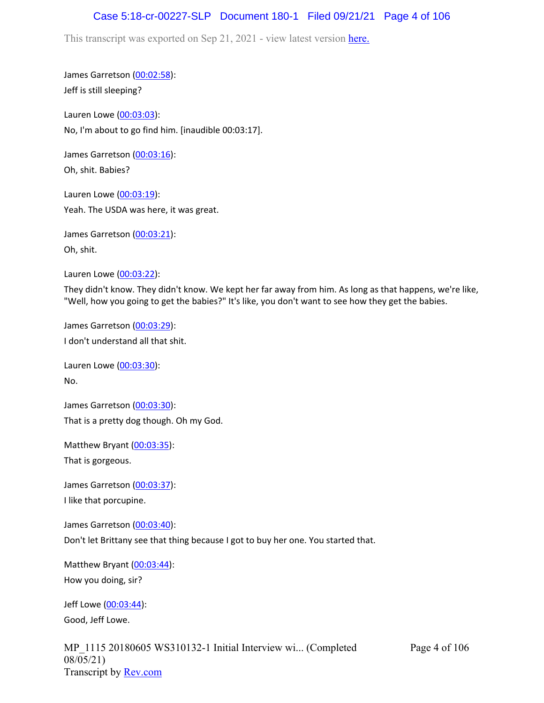# Case 5:18-cr-00227-SLP Document 180-1 Filed 09/21/21 Page 4 of 106

This transcript was exported on Sep 21, 2021 - view latest version [here.](https://www.rev.com/transcript-editor/Edit?token=amZQ9HHFTut_NOLFoO1lSR86cptioQiBp-VVq9f_BePwrTlAl64zFPqcRkwVvmM6GaAv4S7BniclRE4xdf7JBzULLcE&loadFrom=DocumentHeaderDeepLink)

James Garretson ([00:02:58\)](https://www.rev.com/transcript-editor/Edit?token=MOrfGcXDSs_JC0kHnOm7NaDf70LzqV05kbEMpopIbE_CUSqnB5x0K26KTuDfvsmhpcPboSIJqH7fEaG56dR6TFtB8PU&loadFrom=DocumentDeeplink&ts=178): Jeff is still sleeping?

Lauren Lowe ([00:03:03](https://www.rev.com/transcript-editor/Edit?token=HxevzLOqEmolFYE73PyBaeHmv3hNd0whhaT_nft4xsitl0f7uIluWfqePyFVIdiRXyKT6WCmGLUYiDJdfDHOm7uSrP8&loadFrom=DocumentDeeplink&ts=183.32)): No, I'm about to go find him. [inaudible 00:03:17].

James Garretson ([00:03:16\)](https://www.rev.com/transcript-editor/Edit?token=pgw96OzUx2O6HttXcn-OMJbJqtB66zncpSgFMk-RrlMuxhHoJCxTfk6kC600KrCiyKEAatMgr3Mk7uRhhemnqLQfUEI&loadFrom=DocumentDeeplink&ts=196.67): Oh, shit. Babies?

Lauren Lowe ([00:03:19](https://www.rev.com/transcript-editor/Edit?token=Xtk5kewp5dvAwqvba24kkA9TIOyYO3vpvyXMubVNfMsnefYvqlAatXrymWQ9zNG9lvauQPs3Pp4LsfZEqboxlm51JKM&loadFrom=DocumentDeeplink&ts=199.79)): Yeah. The USDA was here, it was great.

James Garretson ([00:03:21\)](https://www.rev.com/transcript-editor/Edit?token=SLPoAgbeAWFJTuQfQz65iKQUXE5bjOMwWjwSZRghEsZMKdp7HX6poLt7KFUiLZF6viKyLax1Z84Y485bH1rCJRZf60E&loadFrom=DocumentDeeplink&ts=201.43):

Oh, shit.

Lauren Lowe ([00:03:22](https://www.rev.com/transcript-editor/Edit?token=eW4S7ZWdVn-SleATBcCnEnYBCuMys7N8hGT6t8LxXNsxUjVBfsl80LyEapp2-F3OkuSWG-lagEGakX_mKDMmw8g9L4Q&loadFrom=DocumentDeeplink&ts=202.44)):

They didn't know. They didn't know. We kept her far away from him. As long as that happens, we're like, "Well, how you going to get the babies?" It's like, you don't want to see how they get the babies.

James Garretson ([00:03:29\)](https://www.rev.com/transcript-editor/Edit?token=W1IOcQ1LqGmMUpvy8oj0hDaix4r3Hrmv2MA9A3H400Q-DfYLE02ckIp1oM8JqXGMhqTHN2rlB7AMuzluAdZKTF5eHVs&loadFrom=DocumentDeeplink&ts=209.81): I don't understand all that shit.

Lauren Lowe ([00:03:30](https://www.rev.com/transcript-editor/Edit?token=iI0YTev4m9LuA-mGeUs9s426O4hKZb6YsQbudu0hfHzdXRKV7vhd1f86mArbCPKUBg6qJxumDbSGbBrWptpc3nvHbGA&loadFrom=DocumentDeeplink&ts=210.95)): No.

James Garretson ([00:03:30\)](https://www.rev.com/transcript-editor/Edit?token=YaDhBjrlKld84ZG1jp_chOdRjcSXORYyZVpoTF_IZO-Nfjfr4w9rY8ZJDxEGovKZooYjg-4RNMctaV5L2nznNb77iOA&loadFrom=DocumentDeeplink&ts=210.97): That is a pretty dog though. Oh my God.

Matthew Bryant ([00:03:35](https://www.rev.com/transcript-editor/Edit?token=sMNef0l2rHcFMnnot0dV_CtmbOp8MU7YTXsvfPNlqdRxtn4ghji2ESe1v-ujIZ2wQ4ygBIQWYXaQ3If6RgbicGC_RUo&loadFrom=DocumentDeeplink&ts=215.91)):

That is gorgeous.

James Garretson ([00:03:37\)](https://www.rev.com/transcript-editor/Edit?token=WtctuL30_9axO9zIJoJVU7XXgaHjXFQYtT4p-tVO22Ne98qTxW2pOU6oCATfO6nz3zY_EIeLbQMNqwxe4MbDHe-g76A&loadFrom=DocumentDeeplink&ts=217.11):

I like that porcupine.

James Garretson ([00:03:40\)](https://www.rev.com/transcript-editor/Edit?token=aT6_jbiMvSMPQrsYsTr8ofAkrxhKrJ9hsbYZ8TURX1A6Fbx2c385hTVXtRsSpgLX9Bgxu77Q7D2_ZPQG48rcn8XXxe4&loadFrom=DocumentDeeplink&ts=220.62):

Don't let Brittany see that thing because I got to buy her one. You started that.

Matthew Bryant ([00:03:44](https://www.rev.com/transcript-editor/Edit?token=solV1-KrXaRPSyXCWUWVtCAZ6B6ym5WQW5YEdX7NRrW9M3wIP7-nvwZ0r6UU1wV18WX3_fFGTN2gjejmg18cH7Hvy9I&loadFrom=DocumentDeeplink&ts=224.26)): How you doing, sir?

Jeff Lowe ([00:03:44](https://www.rev.com/transcript-editor/Edit?token=DantFFJ1SksqpjwNdE0Kn1AU2oxmwlqNtnDuExlVXjyfKT4eL3KJDBEBlfEga_vLDqhVvvByKNWP2FYI65cNlaCc_Lk&loadFrom=DocumentDeeplink&ts=224.82)): Good, Jeff Lowe.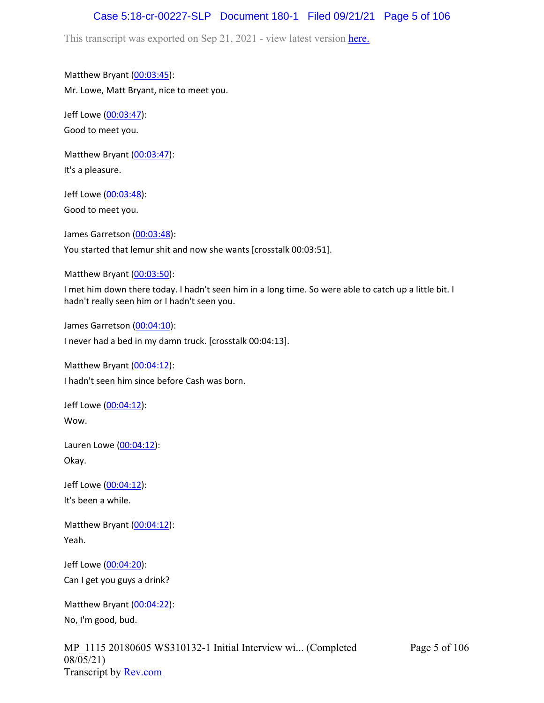# Case 5:18-cr-00227-SLP Document 180-1 Filed 09/21/21 Page 5 of 106

This transcript was exported on Sep 21, 2021 - view latest version [here.](https://www.rev.com/transcript-editor/Edit?token=amZQ9HHFTut_NOLFoO1lSR86cptioQiBp-VVq9f_BePwrTlAl64zFPqcRkwVvmM6GaAv4S7BniclRE4xdf7JBzULLcE&loadFrom=DocumentHeaderDeepLink)

Matthew Bryant ([00:03:45](https://www.rev.com/transcript-editor/Edit?token=BtzMP0nsfZl88nPHeJSDMGOpMskBgkM-Ms7udnE3yBgah3ypRSR4toK64EDCY3Qx6AeIuLemzC6hfTinGV5c-iX6RUI&loadFrom=DocumentDeeplink&ts=225.58)): Mr. Lowe, Matt Bryant, nice to meet you.

Jeff Lowe ([00:03:47](https://www.rev.com/transcript-editor/Edit?token=DmN6IO5JVXMkxwqnA_G_FSpe_RoDJj4f_YkbfRQ7SkWKk8mDM_Od7gwsTqeLExXEUCHOw4NxAGWZXN_pJmO4wAeW5hM&loadFrom=DocumentDeeplink&ts=227.28)): Good to meet you.

Matthew Bryant ([00:03:47](https://www.rev.com/transcript-editor/Edit?token=S79NsQqSh6C-1EFae-XJYmSyFYcMzCaj5wEmCJEQ7UE7YaukS8AsJr4PkjbxDgHFwrJE4Wiqx1lj3ENFC5YSjmnzz5U&loadFrom=DocumentDeeplink&ts=227.28)): It's a pleasure.

Jeff Lowe ([00:03:48](https://www.rev.com/transcript-editor/Edit?token=tzoV1YcAvPMK75tdmVJn17v5sSU0oYQfQ1zxkSbwTWK0pqkaFMFdDWt69RVDxGJAU8eqccqn1BSzpMuoz9qidOgOX5E&loadFrom=DocumentDeeplink&ts=228.54)): Good to meet you.

James Garretson ([00:03:48\)](https://www.rev.com/transcript-editor/Edit?token=CZ1mOXZWa7jD7Cdin2WQbncQ1qI1sb2FX0FSYo_X2AsxmtPsnjY_IG8H42FR8Y6c84jnlJ_00XpVj5M3sDTRyCI79jQ&loadFrom=DocumentDeeplink&ts=228.64): You started that lemur shit and now she wants [crosstalk 00:03:51].

Matthew Bryant ([00:03:50](https://www.rev.com/transcript-editor/Edit?token=LTpnbtpUnEbAw-2KmybcpHlkp_dlk8UBpx622pXZeYobwgI3RZusNg4qM-iLTxp4_3hKSAJZNzUv107qi3yjtZ_bZPM&loadFrom=DocumentDeeplink&ts=230.55)):

I met him down there today. I hadn't seen him in a long time. So were able to catch up a little bit. I hadn't really seen him or I hadn't seen you.

James Garretson ([00:04:10\)](https://www.rev.com/transcript-editor/Edit?token=Opq4D1IHsq1jPkT-mBKryouq9J6arxfAJxypr4TJbCvyc02CFW0lfstX_5xa2UXm103dTi26fR4hk7qRpua-f92SHB8&loadFrom=DocumentDeeplink&ts=250.5): I never had a bed in my damn truck. [crosstalk 00:04:13].

Matthew Bryant ([00:04:12](https://www.rev.com/transcript-editor/Edit?token=N9X7AOXu1Sf4o0tWN3zvwfhfEWH6Ceil1fslrsY8hXVbzYoFOhk-szh7YyjgfOqfgtFOQcSiNoQlpTWIS32DzYCXllM&loadFrom=DocumentDeeplink&ts=252.54)): I hadn't seen him since before Cash was born.

Jeff Lowe ([00:04:12](https://www.rev.com/transcript-editor/Edit?token=TWOle1NNfEQMYUB4ILP9oTrWhc1OGuOcp0ipEs-bPjZaEUTViUVTrzWObaDrb1MVXPFKddOIvRjiIS-tLP-NmERdtbY&loadFrom=DocumentDeeplink&ts=252.54)): Wow.

Lauren Lowe ([00:04:12](https://www.rev.com/transcript-editor/Edit?token=4wHAnYvjGidyvltNupL0s1vL0DxyAt9Q13mRW3wArpMVciBKYTzoYK64tnfqpiqJLRcWiCYHC0llDgmAQ8KgIs-z7uI&loadFrom=DocumentDeeplink&ts=252.54)): Okay.

Jeff Lowe ([00:04:12](https://www.rev.com/transcript-editor/Edit?token=6r2IVftKUcFlM-C2ZUXdYWF9Wja80iBDBmrlKQZbcTh7KCDdufTmgEZfjgqG-eXNJ6ifxJd0B8Ivaujglnk0FHZHVaA&loadFrom=DocumentDeeplink&ts=252.54)): It's been a while.

Matthew Bryant ([00:04:12](https://www.rev.com/transcript-editor/Edit?token=tSVcebP0MGZYBCLeIb_XgrSv19wMHRtWNnv7mXH0sWthWdm964VPW2wd_4I2tAgFXu-rgVhh6Roh5JHJmBocXBM8_YY&loadFrom=DocumentDeeplink&ts=252.57)): Yeah.

Jeff Lowe ([00:04:20](https://www.rev.com/transcript-editor/Edit?token=qaNseEYIO8_bp32zppHnMIWNDyjqbcHRudZdyntEcqmhYMuFC8dHT_AL_mwbu85vCA9iSM7JhSy5nQQhOeia8Qmd1Ao&loadFrom=DocumentDeeplink&ts=260.58)): Can I get you guys a drink?

Matthew Bryant ([00:04:22](https://www.rev.com/transcript-editor/Edit?token=-G54SO_mImJmUksclfoGH-yuMUbOnsVB-eCtRJ-iTo1zD1l1AT4KVaCaXgnipM2rGjnPsd-SrolD63_paa7JFB_pruo&loadFrom=DocumentDeeplink&ts=262.6)): No, I'm good, bud.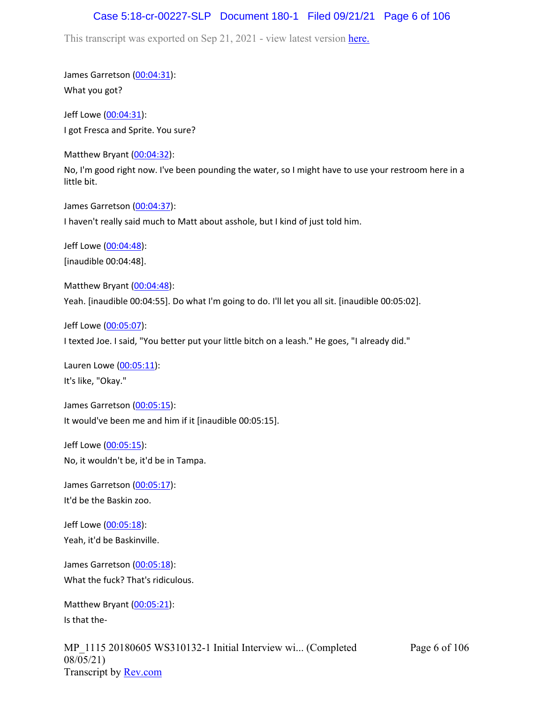## Case 5:18-cr-00227-SLP Document 180-1 Filed 09/21/21 Page 6 of 106

This transcript was exported on Sep 21, 2021 - view latest version [here.](https://www.rev.com/transcript-editor/Edit?token=amZQ9HHFTut_NOLFoO1lSR86cptioQiBp-VVq9f_BePwrTlAl64zFPqcRkwVvmM6GaAv4S7BniclRE4xdf7JBzULLcE&loadFrom=DocumentHeaderDeepLink)

James Garretson ([00:04:31\)](https://www.rev.com/transcript-editor/Edit?token=PR2ZHo7LP3Rbl_e5mQQ3NQp8wslcYloSMJsaI7pLqs2Z2_nTlmksRoA0vUXHZFFv-ZfZcBWSApCP9QEingMkTnuqeyM&loadFrom=DocumentDeeplink&ts=271.28): What you got?

Jeff Lowe ([00:04:31](https://www.rev.com/transcript-editor/Edit?token=sIHdH1VUn0vRrFcJ6cNyrvogD1RTkRhWFaE5DekJLBhvufiREXrqUnxA4ppDntmWYLTSa4i7i_wX8e9UeqLtdHBqBn4&loadFrom=DocumentDeeplink&ts=271.3)): I got Fresca and Sprite. You sure?

Matthew Bryant ([00:04:32](https://www.rev.com/transcript-editor/Edit?token=y0oMoICuvem4fHt7Ie8t96plHMEyEU36Z05WNSv5hbfuIIBKszNW2Cyd6r-rxPBal0PrQeUYBXGGc3w7o_ZGHv-WjGg&loadFrom=DocumentDeeplink&ts=272.1)):

No, I'm good right now. I've been pounding the water, so I might have to use your restroom here in a little bit.

James Garretson ([00:04:37\)](https://www.rev.com/transcript-editor/Edit?token=1FeYQdq3zYGzSigDTRejWxAEosib4J2eHCy6dE-lXaLJYutQoX_xiUBOR84P9r5BpCjFl4Zsjw-CqqIErn6VVwE38As&loadFrom=DocumentDeeplink&ts=277.4):

I haven't really said much to Matt about asshole, but I kind of just told him.

Jeff Lowe ([00:04:48](https://www.rev.com/transcript-editor/Edit?token=1PAqXdJ87bWvZnDpq1l_yKX_Z11LoWud8F8uaP_UN8oQZWxxtgRuDyO7HbuwUTaatORV-TxEPdtqpI1yJhEYVUJH2to&loadFrom=DocumentDeeplink&ts=288)): [inaudible 00:04:48].

Matthew Bryant ([00:04:48](https://www.rev.com/transcript-editor/Edit?token=CerX378EcJbTh3teKIqgEBltOmWZ865idC9RFKIhtLjRG6fFoLzPcdG64Pz3c40lYzazz4HtbThO8tzCA7xxpQy8kO4&loadFrom=DocumentDeeplink&ts=288)): Yeah. [inaudible 00:04:55]. Do what I'm going to do. I'll let you all sit. [inaudible 00:05:02].

Jeff Lowe ([00:05:07](https://www.rev.com/transcript-editor/Edit?token=6oWS_fRYg20XTQhEIrtoxRrrggsNL8CwNfG6mm8mRDLBZ5g7Ekz7LgdByPzKbUFbcdCyYQBuNFhM2ilgep33rI6u9AA&loadFrom=DocumentDeeplink&ts=307.8)):

I texted Joe. I said, "You better put your little bitch on a leash." He goes, "I already did."

Lauren Lowe ([00:05:11](https://www.rev.com/transcript-editor/Edit?token=L6YpjSezI_2kJ1DicIupkojRd_A8M-492_jjHv-5q072txuMFctdbvKDTryEKeO6yX7tnGH1BS_NQ7MWNSd7_Po2Hrk&loadFrom=DocumentDeeplink&ts=311.79)): It's like, "Okay."

James Garretson ([00:05:15\)](https://www.rev.com/transcript-editor/Edit?token=v6vCNh59hn3ur1UQ9AktCGW7-f0zeyD-S5pu9mdKe5_iriz8ywKl7Wz85HRqkTkq_bYXZ4h4EF4cwBUtjYIcz8z9HoI&loadFrom=DocumentDeeplink&ts=315): It would've been me and him if it [inaudible 00:05:15].

Jeff Lowe ([00:05:15](https://www.rev.com/transcript-editor/Edit?token=9Lnjm81kvpKkh3boZ205t1qwEWJQwO1L8ZoE_uIhHj7MkcMmGtCgKkVXGIpii9yYQLgXcm4wo_WK0FfMQpkDIcDYcgM&loadFrom=DocumentDeeplink&ts=315.15)): No, it wouldn't be, it'd be in Tampa.

James Garretson ([00:05:17\)](https://www.rev.com/transcript-editor/Edit?token=y4JlqpvTYdU0snZ9_E7QBxGNxbRbJ3BVriQc6GWvmMzKTsy9nJhJlzpx8JCKktWN7kqDn_MoAv51Ibq2tios3pHyUFM&loadFrom=DocumentDeeplink&ts=317.59): It'd be the Baskin zoo.

Jeff Lowe ([00:05:18](https://www.rev.com/transcript-editor/Edit?token=lO1ZQ5nwU5ICCL2SotRPWhHyh2X7t2jyzDu3k7brXgBzV8QOTgqEeCJFw97_q9tUSq6vOuUDqHcZpVAJy5f0ZYiczcE&loadFrom=DocumentDeeplink&ts=318.04)): Yeah, it'd be Baskinville.

James Garretson ([00:05:18\)](https://www.rev.com/transcript-editor/Edit?token=ftmDv95m5nSNA2P4hf_ZHeKYXY0b5g4Jsi4zuxSLUPoO3gd0INHG6Wr16DnPrNv0i0r2OR6qHhNmzZL9wGQqGEYcKF8&loadFrom=DocumentDeeplink&ts=318.04): What the fuck? That's ridiculous.

Matthew Bryant ([00:05:21](https://www.rev.com/transcript-editor/Edit?token=gxj-f6cKyglvg8rnvoOTY8ckTmYhv_LyE_atR354yUg8k6ucFrnkATPHpfFrCP65oO_S-U5MUG1rMGzVwWVa8cBb5Vw&loadFrom=DocumentDeeplink&ts=321.31)): Is that the-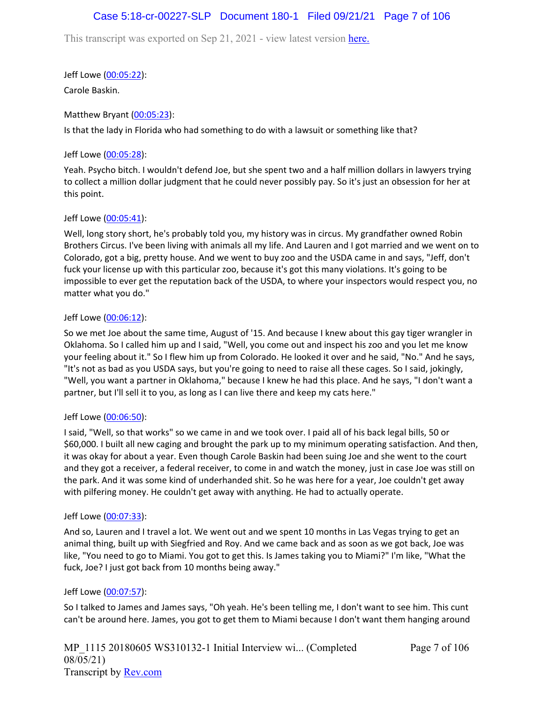# Case 5:18-cr-00227-SLP Document 180-1 Filed 09/21/21 Page 7 of 106

This transcript was exported on Sep 21, 2021 - view latest version [here.](https://www.rev.com/transcript-editor/Edit?token=amZQ9HHFTut_NOLFoO1lSR86cptioQiBp-VVq9f_BePwrTlAl64zFPqcRkwVvmM6GaAv4S7BniclRE4xdf7JBzULLcE&loadFrom=DocumentHeaderDeepLink)

Jeff Lowe ([00:05:22](https://www.rev.com/transcript-editor/Edit?token=NSQ_G6qy-IVkPdX37QDzMxtQt32MGXHv4w4tdjkIpcN9uMWY0597UIm_OYkuA7wxmc-ZpkIR9DYAdJhuR_haNtfEA4E&loadFrom=DocumentDeeplink&ts=322.81)):

Carole Baskin.

### Matthew Bryant ([00:05:23](https://www.rev.com/transcript-editor/Edit?token=dOELXVg0St9cspSZsy5YFWAeApmPfm_nEmTUy-FaN-liPLQ9mQyHsxB0O5jnw0SKSfI6211QE9qpSsNI43lUA4k-Fuo&loadFrom=DocumentDeeplink&ts=323.7)):

Is that the lady in Florida who had something to do with a lawsuit or something like that?

### Jeff Lowe ([00:05:28](https://www.rev.com/transcript-editor/Edit?token=hOia_Uw47AzyfPT29ksTq33CLUJqh35hK7tk79KWXHJbkyfV3ZH9OsTJWxBVijqNO-Oo-MCwp25XAxKmJzCUzpoa48A&loadFrom=DocumentDeeplink&ts=328.09)):

Yeah. Psycho bitch. I wouldn't defend Joe, but she spent two and a half million dollars in lawyers trying to collect a million dollar judgment that he could never possibly pay. So it's just an obsession for her at this point.

### Jeff Lowe ([00:05:41](https://www.rev.com/transcript-editor/Edit?token=vkphK_3Czi-rpyZk5rewNwaFHgQ248qm3eIs650u6xjYdGiHlximErJ7ARlPyCpM6A6iYibx3ux-u-74dyWzNDR3V6s&loadFrom=DocumentDeeplink&ts=341.3)):

Well, long story short, he's probably told you, my history was in circus. My grandfather owned Robin Brothers Circus. I've been living with animals all my life. And Lauren and I got married and we went on to Colorado, got a big, pretty house. And we went to buy zoo and the USDA came in and says, "Jeff, don't fuck your license up with this particular zoo, because it's got this many violations. It's going to be impossible to ever get the reputation back of the USDA, to where your inspectors would respect you, no matter what you do."

### Jeff Lowe ([00:06:12](https://www.rev.com/transcript-editor/Edit?token=uudjq2efn3moysYJnUQXSbCioslJC6nPFeEy_an6uspXBTbxVPbdvNh1sX1Faqj4cP6HVC8LCRiS3daa9xq-gwZA5bE&loadFrom=DocumentDeeplink&ts=372.66)):

So we met Joe about the same time, August of '15. And because I knew about this gay tiger wrangler in Oklahoma. So I called him up and I said, "Well, you come out and inspect his zoo and you let me know your feeling about it." So I flew him up from Colorado. He looked it over and he said, "No." And he says, "It's not as bad as you USDA says, but you're going to need to raise all these cages. So I said, jokingly, "Well, you want a partner in Oklahoma," because I knew he had this place. And he says, "I don't want a partner, but I'll sell it to you, as long as I can live there and keep my cats here."

### Jeff Lowe ([00:06:50](https://www.rev.com/transcript-editor/Edit?token=8XnHDQM5C6qVJXaA2rwp3c-lmwYoaOleg_1Ok7d5JWODS4VbuH8hMEDOX9NH30GSvnN8Z2mjWVZ_hkGpxQe78-4bzk4&loadFrom=DocumentDeeplink&ts=410.85)):

I said, "Well, so that works" so we came in and we took over. I paid all of his back legal bills, 50 or \$60,000. I built all new caging and brought the park up to my minimum operating satisfaction. And then, it was okay for about a year. Even though Carole Baskin had been suing Joe and she went to the court and they got a receiver, a federal receiver, to come in and watch the money, just in case Joe was still on the park. And it was some kind of underhanded shit. So he was here for a year, Joe couldn't get away with pilfering money. He couldn't get away with anything. He had to actually operate.

### Jeff Lowe ([00:07:33](https://www.rev.com/transcript-editor/Edit?token=eMy06bevCx6G-xrj49VE1ARFh6BjGhPG4gsCItHP8F7rzP2rBwgZDEETrO7R1BaxEpki1_gI0oFiB1w6ZAB4qON4pbg&loadFrom=DocumentDeeplink&ts=453.72)):

And so, Lauren and I travel a lot. We went out and we spent 10 months in Las Vegas trying to get an animal thing, built up with Siegfried and Roy. And we came back and as soon as we got back, Joe was like, "You need to go to Miami. You got to get this. Is James taking you to Miami?" I'm like, "What the fuck, Joe? I just got back from 10 months being away."

### Jeff Lowe ([00:07:57](https://www.rev.com/transcript-editor/Edit?token=wuAGiEp-tAejISobyrAl6G5G7HJrXbnJlqRLk0d6_R8SWmOxNQ_GioAgCFNTW79b24kuJ5iTwWz9YKXy1EOVuiwri8Y&loadFrom=DocumentDeeplink&ts=477.15)):

So I talked to James and James says, "Oh yeah. He's been telling me, I don't want to see him. This cunt can't be around here. James, you got to get them to Miami because I don't want them hanging around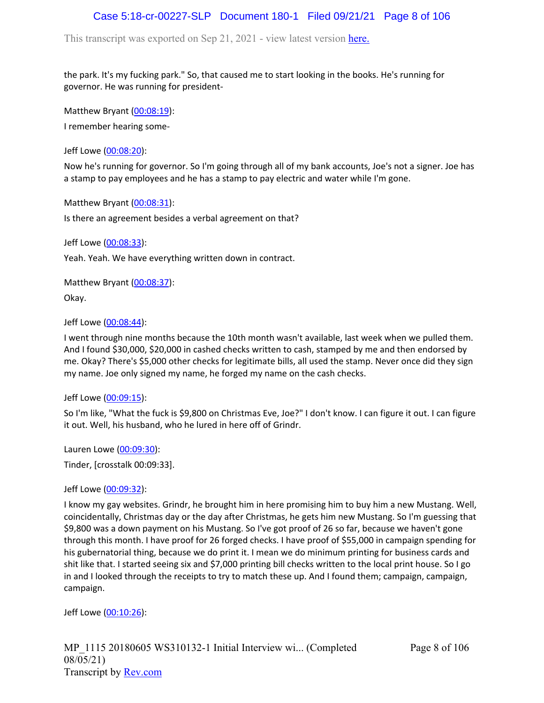# Case 5:18-cr-00227-SLP Document 180-1 Filed 09/21/21 Page 8 of 106

This transcript was exported on Sep 21, 2021 - view latest version [here.](https://www.rev.com/transcript-editor/Edit?token=amZQ9HHFTut_NOLFoO1lSR86cptioQiBp-VVq9f_BePwrTlAl64zFPqcRkwVvmM6GaAv4S7BniclRE4xdf7JBzULLcE&loadFrom=DocumentHeaderDeepLink)

the park. It's my fucking park." So, that caused me to start looking in the books. He's running for governor. He was running for president-

Matthew Bryant ([00:08:19](https://www.rev.com/transcript-editor/Edit?token=8KIIWHbczVVq6DhqtZjC7uBJ6mRq8jSkyzAe40LEyITdca9L4lsbiHzjKjOmNlVg7vDCExyoMeG7tR3JhFGSv5CgPM0&loadFrom=DocumentDeeplink&ts=499.22)):

I remember hearing some-

Jeff Lowe ([00:08:20](https://www.rev.com/transcript-editor/Edit?token=DUXvH-dKKkSW4M8FlH3hXCF9kzwyiMoDGNuTP9RHBQlOIaln49sTkekzBXAulqVLFL7wHjbOURo4BftIYxNLicUAVs4&loadFrom=DocumentDeeplink&ts=500.11)):

Now he's running for governor. So I'm going through all of my bank accounts, Joe's not a signer. Joe has a stamp to pay employees and he has a stamp to pay electric and water while I'm gone.

Matthew Bryant ([00:08:31](https://www.rev.com/transcript-editor/Edit?token=a1jd6X1G9XmpekEVqKxP9NV6V7DsjHJ1-CJUjRE6LFbUJ2lJzXc5jgiV1Whx5AhUBTardx3KAW-yckoxkM2NOx0qXaA&loadFrom=DocumentDeeplink&ts=511.29)):

Is there an agreement besides a verbal agreement on that?

Jeff Lowe ([00:08:33](https://www.rev.com/transcript-editor/Edit?token=UHiKoa4NsPgBqHH-W6W6_Y9g9uBKrIJDgzgqPOnzQB2Ay-YoWHII0kcHSP1ddO3u_vqY2Q3k_zSMVEADDw7_Y-2Qqzc&loadFrom=DocumentDeeplink&ts=513.9)):

Yeah. Yeah. We have everything written down in contract.

Matthew Bryant ([00:08:37](https://www.rev.com/transcript-editor/Edit?token=uzTF2sBRz1uNCcViTqlZwE6iDVhe0rK8ndnkZ1o6DAOn0cJnNpZN4IIhwY5be0yI--o9C6DbNqSXpdJcIU65mi3MWpc&loadFrom=DocumentDeeplink&ts=517.79)):

Okay.

Jeff Lowe ([00:08:44](https://www.rev.com/transcript-editor/Edit?token=y7v4FOPoyrXF498a1vSqrTJRotol13OKoDdv-HoCGSB-eHTMwv950QoBe9Nt6_EJGq1NZJWCGzwRGehxgETS5kudA0Y&loadFrom=DocumentDeeplink&ts=524.4)):

I went through nine months because the 10th month wasn't available, last week when we pulled them. And I found \$30,000, \$20,000 in cashed checks written to cash, stamped by me and then endorsed by me. Okay? There's \$5,000 other checks for legitimate bills, all used the stamp. Never once did they sign my name. Joe only signed my name, he forged my name on the cash checks.

### Jeff Lowe ([00:09:15](https://www.rev.com/transcript-editor/Edit?token=2YZLjhgLKWdTYBkkkTgsX3a7SnnX-QtajSavZwB1SM9XKnYaFH9t14WYQbj1rOKMq4qRiHjCFVm0PV9WQLm4rqnxZhM&loadFrom=DocumentDeeplink&ts=555.25)):

So I'm like, "What the fuck is \$9,800 on Christmas Eve, Joe?" I don't know. I can figure it out. I can figure it out. Well, his husband, who he lured in here off of Grindr.

Lauren Lowe ([00:09:30](https://www.rev.com/transcript-editor/Edit?token=9AtkQ8PEjq_Wh7CysCsKG2mXx73S-EtWBv8-5YT13UiEwN4hIJOyvNj3AtyLWmKAHaJkCefPOxNTZE88fW4n87340K0&loadFrom=DocumentDeeplink&ts=570.65)):

Tinder, [crosstalk 00:09:33].

### Jeff Lowe ([00:09:32](https://www.rev.com/transcript-editor/Edit?token=U9iDP7wpD5DdadPVu-bR1xsOUcPskIgzzJtoNxfxW6lWNg4OhNG7hv67o9K1vWV-cUGDv-NC-AL6kJlCRO__d1hYuJ8&loadFrom=DocumentDeeplink&ts=572.98)):

I know my gay websites. Grindr, he brought him in here promising him to buy him a new Mustang. Well, coincidentally, Christmas day or the day after Christmas, he gets him new Mustang. So I'm guessing that \$9,800 was a down payment on his Mustang. So I've got proof of 26 so far, because we haven't gone through this month. I have proof for 26 forged checks. I have proof of \$55,000 in campaign spending for his gubernatorial thing, because we do print it. I mean we do minimum printing for business cards and shit like that. I started seeing six and \$7,000 printing bill checks written to the local print house. So I go in and I looked through the receipts to try to match these up. And I found them; campaign, campaign, campaign.

Jeff Lowe ([00:10:26](https://www.rev.com/transcript-editor/Edit?token=kMVUkKC4at9UfloboiJpDm_Y5eaAQglTp_Z9VkRkfHtguXFB7OwQ23BrKVp1y-02Mxg1l21WpHoE_BN6BXUNRdOR0K4&loadFrom=DocumentDeeplink&ts=626.44)):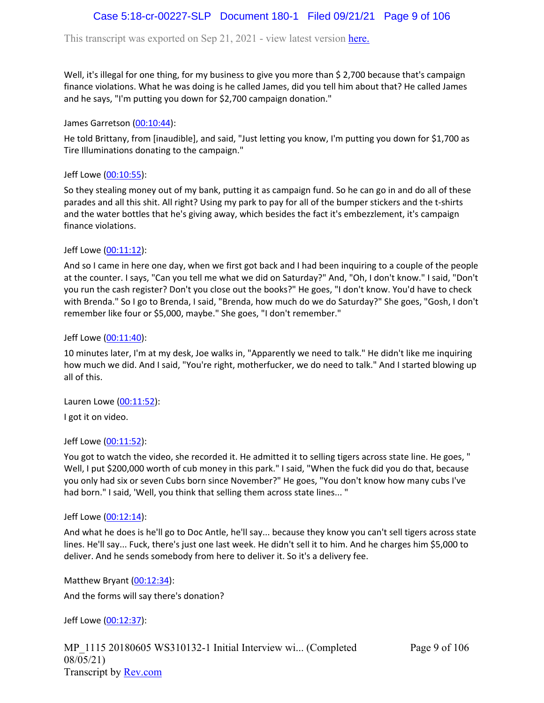# Case 5:18-cr-00227-SLP Document 180-1 Filed 09/21/21 Page 9 of 106

This transcript was exported on Sep 21, 2021 - view latest version [here.](https://www.rev.com/transcript-editor/Edit?token=amZQ9HHFTut_NOLFoO1lSR86cptioQiBp-VVq9f_BePwrTlAl64zFPqcRkwVvmM6GaAv4S7BniclRE4xdf7JBzULLcE&loadFrom=DocumentHeaderDeepLink)

Well, it's illegal for one thing, for my business to give you more than \$ 2,700 because that's campaign finance violations. What he was doing is he called James, did you tell him about that? He called James and he says, "I'm putting you down for \$2,700 campaign donation."

James Garretson ([00:10:44\)](https://www.rev.com/transcript-editor/Edit?token=0-C_8WTqqsnM-6qwJyo4BH07SEKULZlS1TSMnQTCftPJDYRXPAFqw6hy5IW8UXPExqO0bmSb95f20OvivwBmbwtn8Uk&loadFrom=DocumentDeeplink&ts=644.26):

He told Brittany, from [inaudible], and said, "Just letting you know, I'm putting you down for \$1,700 as Tire Illuminations donating to the campaign."

Jeff Lowe ([00:10:55](https://www.rev.com/transcript-editor/Edit?token=IbsdpII2d1pGS_j22MQ9J1jw_orljUeXvcILsaEhPiBlfnn-_cefFcG6xvzKnvNopzmcHDOlClxtcqYbxtzPDBAIBuM&loadFrom=DocumentDeeplink&ts=655.26)):

So they stealing money out of my bank, putting it as campaign fund. So he can go in and do all of these parades and all this shit. All right? Using my park to pay for all of the bumper stickers and the t-shirts and the water bottles that he's giving away, which besides the fact it's embezzlement, it's campaign finance violations.

Jeff Lowe ([00:11:12](https://www.rev.com/transcript-editor/Edit?token=67gWe7f6n73YEnG_nWfls4fc607e315jpZf0Ny-unD8_hDWFv1Aoi0NJRKn6DM6tNGLSc39uuELi-RdVicWNca75FOw&loadFrom=DocumentDeeplink&ts=672.83)):

And so I came in here one day, when we first got back and I had been inquiring to a couple of the people at the counter. I says, "Can you tell me what we did on Saturday?" And, "Oh, I don't know." I said, "Don't you run the cash register? Don't you close out the books?" He goes, "I don't know. You'd have to check with Brenda." So I go to Brenda, I said, "Brenda, how much do we do Saturday?" She goes, "Gosh, I don't remember like four or \$5,000, maybe." She goes, "I don't remember."

#### Jeff Lowe ([00:11:40](https://www.rev.com/transcript-editor/Edit?token=l70yzz4F9NcxNzQy1EaX5CDqVRhtwpTZaNPWn06-rKT44iIvoyoEp3LYlEpvZt2REms19FCM7UJrC4aHDogaLYeirgk&loadFrom=DocumentDeeplink&ts=700.94)):

10 minutes later, I'm at my desk, Joe walks in, "Apparently we need to talk." He didn't like me inquiring how much we did. And I said, "You're right, motherfucker, we do need to talk." And I started blowing up all of this.

Lauren Lowe ([00:11:52](https://www.rev.com/transcript-editor/Edit?token=UF-G8cQkJNTSWZexfZapWUQ9K-p5wvDzg71L8ySGWWSHeGZ8ciTcmdFMOyzkeQ6eUFzRgpOthyx864TKbq0f4mkP1YM&loadFrom=DocumentDeeplink&ts=712.21)):

I got it on video.

### Jeff Lowe ([00:11:52](https://www.rev.com/transcript-editor/Edit?token=GUczhAuErAiRLenMXWwyDuJ_itxJpF7FThOiWPLClvwS3i6ODpqBf0ORuF78Ytyj8HA9ocsKjsU6O7g9QQLKguXS7Fo&loadFrom=DocumentDeeplink&ts=712.69)):

You got to watch the video, she recorded it. He admitted it to selling tigers across state line. He goes, " Well, I put \$200,000 worth of cub money in this park." I said, "When the fuck did you do that, because you only had six or seven Cubs born since November?" He goes, "You don't know how many cubs I've had born." I said, 'Well, you think that selling them across state lines... "

#### Jeff Lowe ([00:12:14](https://www.rev.com/transcript-editor/Edit?token=Zvz_MTexnSsxccSkL1E_7b7EXgRVOl2cFHf7-dv0dNjMyzHKFInLiXsv8uPch1wXzOyov-j7IFcc7CQNeqQoGu5riWI&loadFrom=DocumentDeeplink&ts=734.64)):

And what he does is he'll go to Doc Antle, he'll say... because they know you can't sell tigers across state lines. He'll say... Fuck, there's just one last week. He didn't sell it to him. And he charges him \$5,000 to deliver. And he sends somebody from here to deliver it. So it's a delivery fee.

Matthew Bryant ([00:12:34](https://www.rev.com/transcript-editor/Edit?token=RVqc7td6GM6socSnVVqs8_tLHEj9yDqvBZ1-OgBv2W9-H9cR9gea9mb3xTDWESybR8dhwX0PA2RP0wSYmxy5fIvh1P4&loadFrom=DocumentDeeplink&ts=754.41)): And the forms will say there's donation?

Jeff Lowe ([00:12:37](https://www.rev.com/transcript-editor/Edit?token=LVQfyByQ3G0Uh0oJO0UobDaFgrkrp8Jo3AuSOkmYyMEApM0gU4yIv3OavsN6JFKw6TQOkgAJzIR1qhTF7qcgUEQ6mBw&loadFrom=DocumentDeeplink&ts=757.23)):

MP\_1115 20180605 WS310132-1 Initial Interview wi... (Completed 08/05/21) Transcript by [Rev.com](https://www.rev.com/)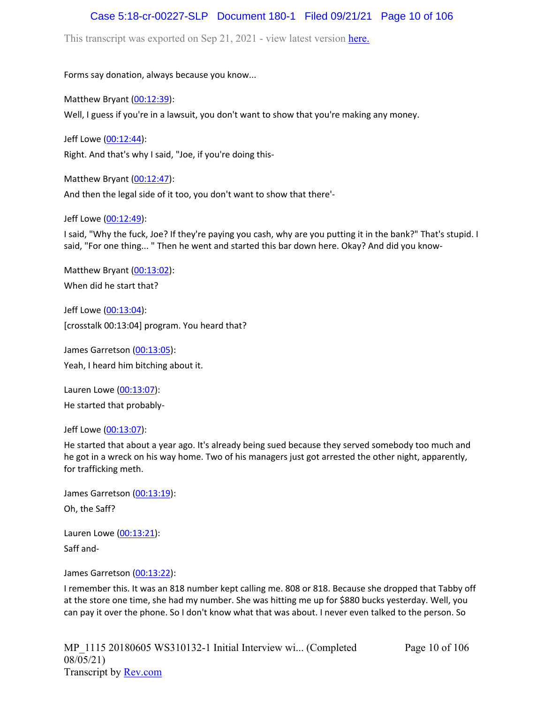# Case 5:18-cr-00227-SLP Document 180-1 Filed 09/21/21 Page 10 of 106

This transcript was exported on Sep 21, 2021 - view latest version [here.](https://www.rev.com/transcript-editor/Edit?token=amZQ9HHFTut_NOLFoO1lSR86cptioQiBp-VVq9f_BePwrTlAl64zFPqcRkwVvmM6GaAv4S7BniclRE4xdf7JBzULLcE&loadFrom=DocumentHeaderDeepLink)

Forms say donation, always because you know...

Matthew Bryant ([00:12:39](https://www.rev.com/transcript-editor/Edit?token=yQSDV8YZ43picha34BOyVwFx74KFBfsQeKW3xwQVe6Oq1aC1eq9fmWjg_nIsE_Kr3uWg2290r7ZUicggPhxhKitUebw&loadFrom=DocumentDeeplink&ts=759.75)):

Well, I guess if you're in a lawsuit, you don't want to show that you're making any money.

Jeff Lowe ([00:12:44](https://www.rev.com/transcript-editor/Edit?token=fgtd5H-LV3FjSaGVUNadarURVVj-2L1PAwEl7PP5B9RwtmGGXs4t3VYI1PIrKR5LPuRjhAI24LsJqMyc95NBjmL88Nk&loadFrom=DocumentDeeplink&ts=764.11)):

Right. And that's why I said, "Joe, if you're doing this-

Matthew Bryant ([00:12:47](https://www.rev.com/transcript-editor/Edit?token=ykE2HlFlmBU5LsjDjdutXmyV4sOguXmxY77-lL-8Zg0b3K4F1KJ_7tO0bhZHYAwJQ97PAXHmNrReI3JMCoksg_mcM8k&loadFrom=DocumentDeeplink&ts=767.13)):

And then the legal side of it too, you don't want to show that there'-

Jeff Lowe ([00:12:49](https://www.rev.com/transcript-editor/Edit?token=Y2nTWsWP3R0d0GXRMOjwGafNqKB7PREUAX4NbQdg54EssyOSVEtURvo-pDKQ6_VYnkAp6HYkegNzihvhWMMPc73XY6M&loadFrom=DocumentDeeplink&ts=769.51)):

I said, "Why the fuck, Joe? If they're paying you cash, why are you putting it in the bank?" That's stupid. I said, "For one thing... " Then he went and started this bar down here. Okay? And did you know-

Matthew Bryant ([00:13:02](https://www.rev.com/transcript-editor/Edit?token=lViVYSviXLZk0mo2NHU9Wev9T9k4bVsvnkwvUbVyNK-KDL-WRd7qWX_kF3V7dJCu1_vcwnZcWv9aAV4A4DyIzwlSAkw&loadFrom=DocumentDeeplink&ts=782.86)): When did he start that?

Jeff Lowe ([00:13:04](https://www.rev.com/transcript-editor/Edit?token=2rsfMLvBy8wCb9C34w5mfatM10YsYe0uK7YInGqGIdXnIXSW0yrpOwVEoAkQXEcfNlMqdrq-nV399aqI7UHgAR3R4SQ&loadFrom=DocumentDeeplink&ts=784)): [crosstalk 00:13:04] program. You heard that?

James Garretson ([00:13:05\)](https://www.rev.com/transcript-editor/Edit?token=1eApRb3qtfR4QE_08jb6MwjVD-8YFQ8DPQiV9_roYwJHlcEndpwu8MEvlwlwbwNTCoa3rb2GQgObI7f3ycO7pGi9pkc&loadFrom=DocumentDeeplink&ts=785.02): Yeah, I heard him bitching about it.

Lauren Lowe ([00:13:07](https://www.rev.com/transcript-editor/Edit?token=Z3PCH1Mr6ARXCHij5wqt16bvmzpfilm8NNFRRkaF1bbVEcJu-TCe0vDKyBTPz3ipIoF_zmxSoWO_ezrk0HIeRJ-oEDw&loadFrom=DocumentDeeplink&ts=787.11)): He started that probably-

Jeff Lowe ([00:13:07](https://www.rev.com/transcript-editor/Edit?token=pxKsQDhsSBCqRY_nI5rO71THEwkiZgPQIY8mH1sHMHyi0-BRqEJPaMkoAhzvs7Dv9XLkFcNdp_ctNYU6S6CQQFhdTpw&loadFrom=DocumentDeeplink&ts=787.79)):

He started that about a year ago. It's already being sued because they served somebody too much and he got in a wreck on his way home. Two of his managers just got arrested the other night, apparently, for trafficking meth.

James Garretson ([00:13:19\)](https://www.rev.com/transcript-editor/Edit?token=AaOiVZiX6WJWvK-KV5wSNCHdmMqx6UpKbi_QDOHDlZI-NwdndWfwQNJWkKeCmrRwhMamY7jU8jXHLszRM7KOHnZu3VQ&loadFrom=DocumentDeeplink&ts=799.34): Oh, the Saff?

Lauren Lowe ([00:13:21](https://www.rev.com/transcript-editor/Edit?token=WD3PXLEfu9s_OfoPnUdYmn7eTEnn-ICxlin1-Y47sFc3kunEfn5Loq9cdSKMU86tPkHgY60U5T-DHxfeV69hdmgCcvE&loadFrom=DocumentDeeplink&ts=801.01)): Saff and-

James Garretson ([00:13:22\)](https://www.rev.com/transcript-editor/Edit?token=Fxvu-ZeCpR2wfP8mVfAacz5kC_NHyozIWSSWQ5CxxEAWaA70x6ObxteE6XrJFrW0vDif5XKayNHwve3ebSs3Qyocg0c&loadFrom=DocumentDeeplink&ts=802.37):

I remember this. It was an 818 number kept calling me. 808 or 818. Because she dropped that Tabby off at the store one time, she had my number. She was hitting me up for \$880 bucks yesterday. Well, you can pay it over the phone. So I don't know what that was about. I never even talked to the person. So

Page 10 of 106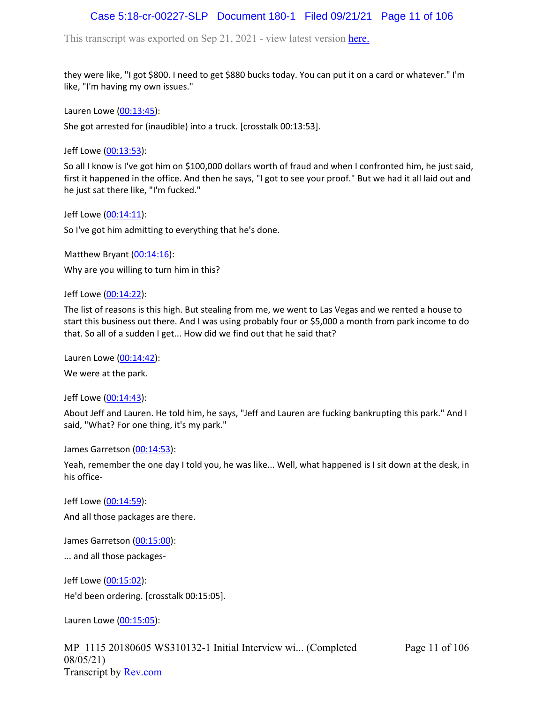# Case 5:18-cr-00227-SLP Document 180-1 Filed 09/21/21 Page 11 of 106

This transcript was exported on Sep 21, 2021 - view latest version [here.](https://www.rev.com/transcript-editor/Edit?token=amZQ9HHFTut_NOLFoO1lSR86cptioQiBp-VVq9f_BePwrTlAl64zFPqcRkwVvmM6GaAv4S7BniclRE4xdf7JBzULLcE&loadFrom=DocumentHeaderDeepLink)

they were like, "I got \$800. I need to get \$880 bucks today. You can put it on a card or whatever." I'm like, "I'm having my own issues."

Lauren Lowe ([00:13:45](https://www.rev.com/transcript-editor/Edit?token=OIDpHQflGQZLvSy3XcCrwTCDBJChiVAFZuMTzmBJggbxDqRSsKUbSMOOhtmBpw4ckrJQ00QzYNOFBWpRa7Mddy970fA&loadFrom=DocumentDeeplink&ts=825.35)):

She got arrested for (inaudible) into a truck. [crosstalk 00:13:53].

Jeff Lowe ([00:13:53](https://www.rev.com/transcript-editor/Edit?token=FJ8XdmHpEvxfh2KlkWOZj2XYbplbeJ2EQ_tk-3A_SXE5vMLeH2JnPT1kfe60BEX2D1kYdR6pG4otFduLvzDnI72xFUk&loadFrom=DocumentDeeplink&ts=833.24)):

So all I know is I've got him on \$100,000 dollars worth of fraud and when I confronted him, he just said, first it happened in the office. And then he says, "I got to see your proof." But we had it all laid out and he just sat there like, "I'm fucked."

Jeff Lowe ([00:14:11](https://www.rev.com/transcript-editor/Edit?token=Bh1h92jPv0GoHX79ms59rmO84y28VIAkm6GTZnEcBjF5VcHr6ravcc66MiegN_osZJHND_XPepwO5laQheDoc30z6lE&loadFrom=DocumentDeeplink&ts=851.3)):

So I've got him admitting to everything that he's done.

Matthew Bryant ([00:14:16](https://www.rev.com/transcript-editor/Edit?token=dYCCfnQ9QB65ikGW4OXwLbuy_Rxprex0ihLuuC-BZ0cJlo5bPG8fpHFXr9OJzGJnNXLf0Q5mlEE9VSNPVtzjJew4vCs&loadFrom=DocumentDeeplink&ts=856.85)): Why are you willing to turn him in this?

Jeff Lowe ([00:14:22](https://www.rev.com/transcript-editor/Edit?token=_tE_cRBdEeNgUnKHFsqoGBaD-c6YaujVTBbCo4tk3Pldd7G4OBxarX3gAeN_tIB6r1nDstYhZvw483NFR7GPbEMF2mw&loadFrom=DocumentDeeplink&ts=862.29)):

The list of reasons is this high. But stealing from me, we went to Las Vegas and we rented a house to start this business out there. And I was using probably four or \$5,000 a month from park income to do that. So all of a sudden I get... How did we find out that he said that?

Lauren Lowe ([00:14:42](https://www.rev.com/transcript-editor/Edit?token=EdkB1VeFp6liysRL0Gid15uc_MRTaHMfH4zgUN01aJ6a04w1oKVXzIuqLehtvFArPW9XzObimOUtgwUGf-wrwaj1xk8&loadFrom=DocumentDeeplink&ts=882.44)):

We were at the park.

Jeff Lowe ([00:14:43](https://www.rev.com/transcript-editor/Edit?token=QAqA6up9Rw3_LvX3MREWKsYflAr-fQGls9cDobxYY8mDEq90FStr7VX23g7rnTbQYjTQc0lOudJJ3VWTjiBm401ldnA&loadFrom=DocumentDeeplink&ts=883.2)):

About Jeff and Lauren. He told him, he says, "Jeff and Lauren are fucking bankrupting this park." And I said, "What? For one thing, it's my park."

James Garretson ([00:14:53\)](https://www.rev.com/transcript-editor/Edit?token=dPgoj9GqSxN29Vge8bycOAtnEuqZqZYtEIr-WxLlVtwp5P8Yh9QGYlYQWnw0IfGtsJ7LA5qGX4raNL6QXuUFBmubIc0&loadFrom=DocumentDeeplink&ts=893.54):

Yeah, remember the one day I told you, he was like... Well, what happened is I sit down at the desk, in his office-

Jeff Lowe ([00:14:59](https://www.rev.com/transcript-editor/Edit?token=bqRJ015ZaCFQ4wvtZ5XV58pcvk54JRhaBc1G4hibJVDl5Z066MAeeoVWOYO7NQYYmjFm_COE0-A6j9W4GCK28sUeG5o&loadFrom=DocumentDeeplink&ts=899.67)): And all those packages are there.

James Garretson ([00:15:00\)](https://www.rev.com/transcript-editor/Edit?token=8oYzwmzOZhiAm3eb2YGHH98mtmUiK0JOswbaRXkj--x_hscyhvi2jjyK_jAUmqKZ03EB0Wq36VFcsQcVBVPwym_QGRs&loadFrom=DocumentDeeplink&ts=900.45):

... and all those packages-

Jeff Lowe ([00:15:02](https://www.rev.com/transcript-editor/Edit?token=B8M3cBjpe6DayemVVqfP2M64pAKA7ofkLR8tYmgSgLbXMJKfnvgMQsgjZ9wUOL9ldGtIOstRBAN8mE9nPYHo7xwiZJA&loadFrom=DocumentDeeplink&ts=902.76)): He'd been ordering. [crosstalk 00:15:05].

Lauren Lowe ([00:15:05](https://www.rev.com/transcript-editor/Edit?token=A--mmEKbyLDT5H9cyg-MBGw6wnBEgdxFo9-qxWNIsCR8TVI1fzvrHIuBdysTjGmdx7CRdntEPARs9aNvJXkfjFz55Rc&loadFrom=DocumentDeeplink&ts=905.42)):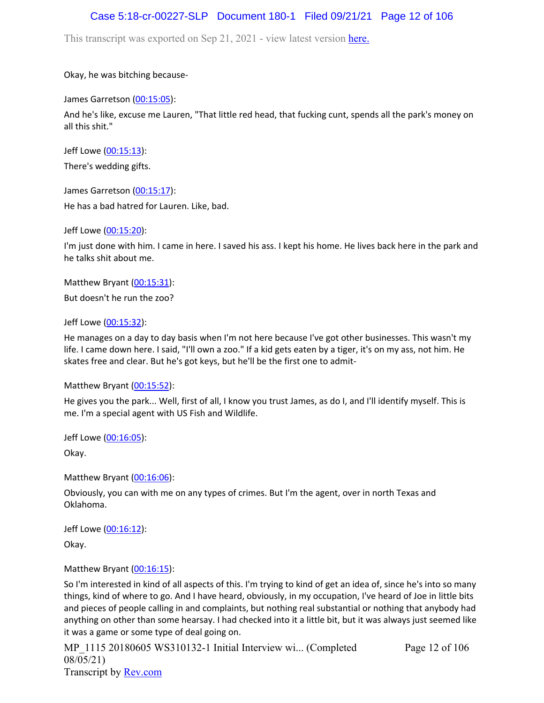# Case 5:18-cr-00227-SLP Document 180-1 Filed 09/21/21 Page 12 of 106

This transcript was exported on Sep 21, 2021 - view latest version [here.](https://www.rev.com/transcript-editor/Edit?token=amZQ9HHFTut_NOLFoO1lSR86cptioQiBp-VVq9f_BePwrTlAl64zFPqcRkwVvmM6GaAv4S7BniclRE4xdf7JBzULLcE&loadFrom=DocumentHeaderDeepLink)

Okay, he was bitching because-

James Garretson ([00:15:05\)](https://www.rev.com/transcript-editor/Edit?token=w20vYg04z4pZ_sCYGQRBhm8U9Gyrmxb4xF1M-q-9kaZ1V9yKyMxmU7aPR59hwS85i6NzXDhtY9sbMTK7JGmTfSUoKkE&loadFrom=DocumentDeeplink&ts=905.56):

And he's like, excuse me Lauren, "That little red head, that fucking cunt, spends all the park's money on all this shit."

Jeff Lowe ([00:15:13](https://www.rev.com/transcript-editor/Edit?token=VHlbS8t4OdVZWtYhWP86mmMB_46s5VfKRbUThAxio4I-S2eB4BoWL1sWfhT5TgU-yQSLk5CGW_wUPS-H2e3eoZlRoS0&loadFrom=DocumentDeeplink&ts=913.8)):

There's wedding gifts.

James Garretson ([00:15:17\)](https://www.rev.com/transcript-editor/Edit?token=Pq3JBsBczQUw76XzX37JcisGefDxUeQ3yvBPIXiSTW6nIuTTR2uIG31i2iMdAFvGyCV5XmrVa2cd4x9TvxAEsJT5BYo&loadFrom=DocumentDeeplink&ts=917.86): He has a bad hatred for Lauren. Like, bad.

Jeff Lowe ([00:15:20](https://www.rev.com/transcript-editor/Edit?token=7gDzDV2QCbVSVhMi2ZpCBEMaTsQEs4WBwgq8n4Xmm3otCW4aIbeXD6SJlF2wDOWmqHQMgPtF2ljQHCm-8l69dWoFPIw&loadFrom=DocumentDeeplink&ts=920.77)):

I'm just done with him. I came in here. I saved his ass. I kept his home. He lives back here in the park and he talks shit about me.

Matthew Bryant ([00:15:31](https://www.rev.com/transcript-editor/Edit?token=iB2aQamNXaSOvviL53RD_gI_nVhUacTOlos6nbHK1Is4zEBji7ZahvNd_gPcfnQVxWlco4As9YEYM6d3idKOBwaA2zs&loadFrom=DocumentDeeplink&ts=931.47)): But doesn't he run the zoo?

Jeff Lowe ([00:15:32](https://www.rev.com/transcript-editor/Edit?token=0u5yR1iUPN2ppdG_oV2IWZqfQGLJWijzG5uqI0A5Jvo53PgIvavhnkSMSxLJr3_NFmvv7xQzVcEe-IcoIkIP72iZR_0&loadFrom=DocumentDeeplink&ts=932.4)):

He manages on a day to day basis when I'm not here because I've got other businesses. This wasn't my life. I came down here. I said, "I'll own a zoo." If a kid gets eaten by a tiger, it's on my ass, not him. He skates free and clear. But he's got keys, but he'll be the first one to admit-

Matthew Bryant ([00:15:52](https://www.rev.com/transcript-editor/Edit?token=r975GCXOc8x63Y0PQ3QwBKCrmec06HZM0cDFEcegNvCO-ExsjZIYXo50B_lHCCGHyVw83TL_PGwTmx6weADtrguozlE&loadFrom=DocumentDeeplink&ts=952.17)):

He gives you the park... Well, first of all, I know you trust James, as do I, and I'll identify myself. This is me. I'm a special agent with US Fish and Wildlife.

Jeff Lowe ([00:16:05](https://www.rev.com/transcript-editor/Edit?token=j_Z-nMUBNgywmikudMoRdHEoJGIZEyusvjnZkyQ7EvYOR9jbNtpE6d-N5FmDbMRCf-dax1NAQ5FLEaEcQSCNMf__tdU&loadFrom=DocumentDeeplink&ts=965.89)):

Okay.

Matthew Bryant ([00:16:06](https://www.rev.com/transcript-editor/Edit?token=8ZRFBR5jcXpFZOy6LuViJICgUVvnhyAHLUA8Zvp7_SdhJ71PaoulMy0wQA3hvLHBJa5-6Ohd_CRBM0q7mfk48qm_bks&loadFrom=DocumentDeeplink&ts=966.38)):

Obviously, you can with me on any types of crimes. But I'm the agent, over in north Texas and Oklahoma.

Jeff Lowe ([00:16:12](https://www.rev.com/transcript-editor/Edit?token=iGfprxhOmNa9jgHBdecxck5P8NE1Hxu-wERd2TeWOzWk8hRu_yUKLubHQ04DxYbu5zJRYRG4kArlLDoRKrixyCGjxxg&loadFrom=DocumentDeeplink&ts=972.08)):

Okay.

Matthew Bryant ([00:16:15](https://www.rev.com/transcript-editor/Edit?token=_nQza3vZxLaPnFihmuA2XOB4MDu25mJ1nbaGc30Ts2JCQjCzZZyJsBL-3aUd3m8pT1RzEWyLz3Czd3eC3Kc2ZU3rqHs&loadFrom=DocumentDeeplink&ts=975.21)):

So I'm interested in kind of all aspects of this. I'm trying to kind of get an idea of, since he's into so many things, kind of where to go. And I have heard, obviously, in my occupation, I've heard of Joe in little bits and pieces of people calling in and complaints, but nothing real substantial or nothing that anybody had anything on other than some hearsay. I had checked into it a little bit, but it was always just seemed like it was a game or some type of deal going on.

MP 1115 20180605 WS310132-1 Initial Interview wi... (Completed 08/05/21) Transcript by [Rev.com](https://www.rev.com/)

Page 12 of 106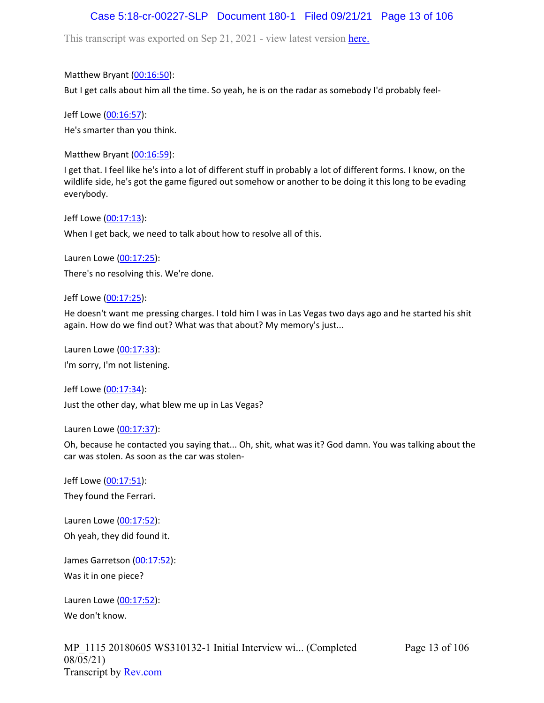# Case 5:18-cr-00227-SLP Document 180-1 Filed 09/21/21 Page 13 of 106

This transcript was exported on Sep 21, 2021 - view latest version [here.](https://www.rev.com/transcript-editor/Edit?token=amZQ9HHFTut_NOLFoO1lSR86cptioQiBp-VVq9f_BePwrTlAl64zFPqcRkwVvmM6GaAv4S7BniclRE4xdf7JBzULLcE&loadFrom=DocumentHeaderDeepLink)

Matthew Bryant ([00:16:50](https://www.rev.com/transcript-editor/Edit?token=P0pCzVp_-y9vJGt5c3T2TcU4V0o-LpVjVp7TO_6GuSXQaKD40CYCQnH3O_LIL7-udOy13wpjOkN3-za-Dl5IuUJDolA&loadFrom=DocumentDeeplink&ts=1010.27)):

But I get calls about him all the time. So yeah, he is on the radar as somebody I'd probably feel-

Jeff Lowe ([00:16:57](https://www.rev.com/transcript-editor/Edit?token=dYeqiH90XBd6axg4qMHJQvg8inyZQ7TEqgSorb-0q2EPTDYUNfujGcXxMIKJ1P57Lt2jmuVx1QslMEIZe_9VxOrlCsM&loadFrom=DocumentDeeplink&ts=1017.57)): He's smarter than you think.

Matthew Bryant ([00:16:59](https://www.rev.com/transcript-editor/Edit?token=zbxdOICz93Tg4HPmmOEnilPoYL3xTCIF5R8ar2sXLIwXdN9NRAP5y9ZZyc6eHAoxIAlNnociW3rXvwxEa8Usa6SDWik&loadFrom=DocumentDeeplink&ts=1019.23)):

I get that. I feel like he's into a lot of different stuff in probably a lot of different forms. I know, on the wildlife side, he's got the game figured out somehow or another to be doing it this long to be evading everybody.

Jeff Lowe ([00:17:13](https://www.rev.com/transcript-editor/Edit?token=l1_Gf6c5VEwAZQl-4C3Ml04wPV-eB9gCXxOoKPilTCtOiIqklqvdfRSpcwBN9XngHzGrd7NIIiaolO7aAZO0yDp5B2o&loadFrom=DocumentDeeplink&ts=1033.37)):

When I get back, we need to talk about how to resolve all of this.

Lauren Lowe ([00:17:25](https://www.rev.com/transcript-editor/Edit?token=mRRbIEgnXKWBVzR-4qdRSDZeboB_MbKXkyWHPJdpQ5UNNrvF4OeduGSk7LIi98Z2ks1pnj3LvzZCH4L-nTzsGr6_LUs&loadFrom=DocumentDeeplink&ts=1045.06)): There's no resolving this. We're done.

Jeff Lowe ([00:17:25](https://www.rev.com/transcript-editor/Edit?token=OtM0ezqWGVh7UGPl70K0D0wdJN8YldQ9PcQ4_o_puDPxMFvoeOCqy1qune0WBRpsKNpuVCst6WvJmZONc1IYexQPobM&loadFrom=DocumentDeeplink&ts=1045.06)):

He doesn't want me pressing charges. I told him I was in Las Vegas two days ago and he started his shit again. How do we find out? What was that about? My memory's just...

Lauren Lowe ([00:17:33](https://www.rev.com/transcript-editor/Edit?token=EhzR-vj9ToT3yT81WcbVLKIDqpy4MRyoMbNogAEWP1qTGgjWn_WDj-FsG0yTWf6hRvXHH8yjinD_lqo0DWk6ASiqRzU&loadFrom=DocumentDeeplink&ts=1053.49)): I'm sorry, I'm not listening.

Jeff Lowe ([00:17:34](https://www.rev.com/transcript-editor/Edit?token=KmRX5z2r0zptewA9wvMseD4Lm0QeEb82VYduWsMari0VQZrAmfKe3bGznMD1FgmEcI1wC8KpG2KTy2B7ZEdVBbvchwk&loadFrom=DocumentDeeplink&ts=1054.84)): Just the other day, what blew me up in Las Vegas?

Lauren Lowe ([00:17:37](https://www.rev.com/transcript-editor/Edit?token=04gbRcEOILxdxl8pT8I34gjyT0iVRczI_C_uH6hyHmWFaTE4iuupCePoraY28HPvL85pkvI07C-wK4i1Jhl8nRjvGbA&loadFrom=DocumentDeeplink&ts=1057.58)):

Oh, because he contacted you saying that... Oh, shit, what was it? God damn. You was talking about the car was stolen. As soon as the car was stolen-

Jeff Lowe ([00:17:51](https://www.rev.com/transcript-editor/Edit?token=lHkofadfhnQVQrz5Z9yYUX92UjaP6dH6XCiRN5U5o9df2wR4YLnmZTA0nDDYtI8jAh1bQfa9uM5FQBfnjMiAgg3RGGs&loadFrom=DocumentDeeplink&ts=1071.75)): They found the Ferrari.

Lauren Lowe ([00:17:52](https://www.rev.com/transcript-editor/Edit?token=GEbcVay5wNxNBIyFuqyep3bXQ3JCBMY7FHfhN7mXGPHBPOkOvkcZ1DYdU-stK-NbrgHQOXHBuxJR8AR39bhvkCYfZEE&loadFrom=DocumentDeeplink&ts=1072.32)): Oh yeah, they did found it.

James Garretson ([00:17:52\)](https://www.rev.com/transcript-editor/Edit?token=CYuC5a16kA79oeUvhWBXr0XVaAIWODTj1a1jp3Xhd68ZpB0hq3phe6m_MCJ9gqUfMxTJvHpZzOIIwaqoHF9h770wWxQ&loadFrom=DocumentDeeplink&ts=1072.52): Was it in one piece?

Lauren Lowe ([00:17:52](https://www.rev.com/transcript-editor/Edit?token=6a_zxNCqnPPSx5Jro-C-48EjWHo_NFsAfxcoVlInP3qdQzw5nF5pkVMQ_qR3STGJ68ADHMIZKhN7uXjL_irYIKqk1gE&loadFrom=DocumentDeeplink&ts=1072.52)): We don't know.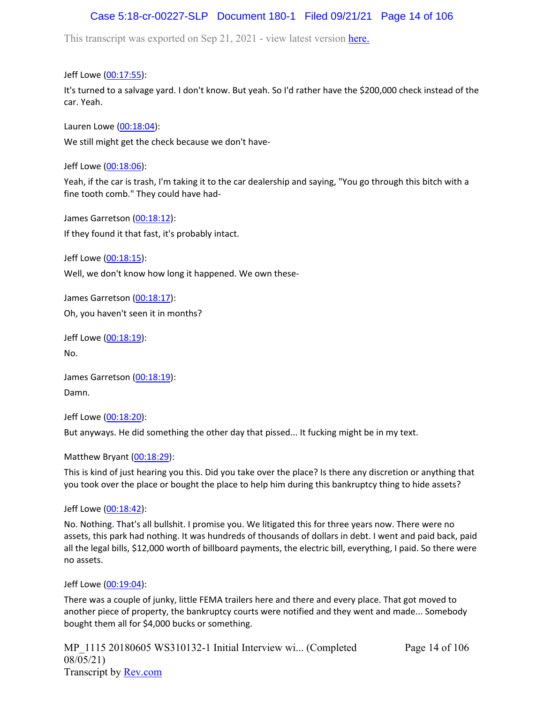# Case 5:18-cr-00227-SLP Document 180-1 Filed 09/21/21 Page 14 of 106

This transcript was exported on Sep 21, 2021 - view latest version [here.](https://www.rev.com/transcript-editor/Edit?token=amZQ9HHFTut_NOLFoO1lSR86cptioQiBp-VVq9f_BePwrTlAl64zFPqcRkwVvmM6GaAv4S7BniclRE4xdf7JBzULLcE&loadFrom=DocumentHeaderDeepLink)

Jeff Lowe ([00:17:55](https://www.rev.com/transcript-editor/Edit?token=0RzBuV-uFzgp1N9e5zqfwlbUVpQuURsPrzR_bVU2Z2TOsOe_wTFftmh1IacJEL38SUU1KaKuK5Gy7bOBYSXpccWWoQ8&loadFrom=DocumentDeeplink&ts=1075.82)):

It's turned to a salvage yard. I don't know. But yeah. So I'd rather have the \$200,000 check instead of the car. Yeah.

Lauren Lowe ([00:18:04](https://www.rev.com/transcript-editor/Edit?token=WCfZaRbFlpDdWORu2ZULL22VH1RETeAeSo3RnUUcREx8tEv7OGCKwEG1s7lsYmi6hL_TyzJ0gLxa-CXh8-66Z8cXhiY&loadFrom=DocumentDeeplink&ts=1084.65)): We still might get the check because we don't have-

Jeff Lowe ([00:18:06](https://www.rev.com/transcript-editor/Edit?token=disFM1A1l5_L8xx5qPKuoI1RMlcWb--nsD9q3dUu496w42tkDerHVXMl4lWWU-8db1XnTS5xTkCKMr7qSzthBrCilRQ&loadFrom=DocumentDeeplink&ts=1086.66)):

Yeah, if the car is trash, I'm taking it to the car dealership and saying, "You go through this bitch with a fine tooth comb." They could have had-

James Garretson ([00:18:12\)](https://www.rev.com/transcript-editor/Edit?token=xWwWSaNNB8qtTtuQoE9r3wgYWTdtLkKBSLP_hDVQu_uaA4UNQfesFMVb3a5qjetPzFQkJ_FqaxluICZxlkrmSc0xZ8U&loadFrom=DocumentDeeplink&ts=1092.13): If they found it that fast, it's probably intact.

Jeff Lowe ([00:18:15](https://www.rev.com/transcript-editor/Edit?token=c3YNkdIKsQ1fxdJ7cdIUVwfFPWS-H-qtMict-Jnn0-hXTE6CH6FBVoBN91uSnBPClxkGyaYmyvUodKqedWRCDWEnmK0&loadFrom=DocumentDeeplink&ts=1095.07)): Well, we don't know how long it happened. We own these-

James Garretson ([00:18:17\)](https://www.rev.com/transcript-editor/Edit?token=iwBR0_Kk9I5mOpb4iNXMImhxG9-hbo-sEyT9sWFG7VM0HjofqQecvyYN_S0RDYsUgLPn7-KaQAmQpgvIpxZgxVkp56w&loadFrom=DocumentDeeplink&ts=1097.85): Oh, you haven't seen it in months?

Jeff Lowe ([00:18:19](https://www.rev.com/transcript-editor/Edit?token=ZphD4AXT1zVeXB_LZtZcP-zQY5jnjCb873Wisyq5NcfqqyA_P9u4Ehz2Jx5HXxjrU5Av6O626_Kd5glmADz4INV7rwY&loadFrom=DocumentDeeplink&ts=1099.36)): No.

James Garretson ([00:18:19\)](https://www.rev.com/transcript-editor/Edit?token=_yE4dAMus0gyfi9RbdEdlZlzR9tswMQRveOEi09FJntYZaVIIZVO1tYSQsfGdTsAED2Hht7CK4w-3Lwe3ggbrdQKibE&loadFrom=DocumentDeeplink&ts=1099.71): Damn.

Jeff Lowe ([00:18:20](https://www.rev.com/transcript-editor/Edit?token=n5K84NohBHyW55APlBj5WNUpahyat5FM6FrEFZBsfAuxi_-VWeagiwrk9HMVjUvUGlVSlY1whph2AnYfQTFd0vA5lfA&loadFrom=DocumentDeeplink&ts=1100.9)):

But anyways. He did something the other day that pissed... It fucking might be in my text.

Matthew Bryant ([00:18:29](https://www.rev.com/transcript-editor/Edit?token=M7HPewxBK8RYP7UcBRwIreGbvvWE_7bgPlFEVre2RPY5ljfMkuKVKGRnRFhao_9JYM_NG6UtHIHVxPekcQ46qHtasNg&loadFrom=DocumentDeeplink&ts=1109.77)):

This is kind of just hearing you this. Did you take over the place? Is there any discretion or anything that you took over the place or bought the place to help him during this bankruptcy thing to hide assets?

Jeff Lowe ([00:18:42](https://www.rev.com/transcript-editor/Edit?token=zwrz4JO9QbUAoFmnJ83En1R_prxUfzROEW1Cd45vN54h_l--FH3wHU2k5t3tX_GqDVWsnIB5SvFRT-DIX5w7Gh3GOok&loadFrom=DocumentDeeplink&ts=1122.5)):

No. Nothing. That's all bullshit. I promise you. We litigated this for three years now. There were no assets, this park had nothing. It was hundreds of thousands of dollars in debt. I went and paid back, paid all the legal bills, \$12,000 worth of billboard payments, the electric bill, everything, I paid. So there were no assets.

Jeff Lowe ([00:19:04](https://www.rev.com/transcript-editor/Edit?token=-ayvow_h__09U0ol0TOqtjD2dMFgzu11fLo4E_qaBhcO8N7eUBbeNbtP1Lt_rdV-ORR9-XIqDaRUn68KNs8myyh4bIg&loadFrom=DocumentDeeplink&ts=1144.49)):

There was a couple of junky, little FEMA trailers here and there and every place. That got moved to another piece of property, the bankruptcy courts were notified and they went and made... Somebody bought them all for \$4,000 bucks or something.

MP 1115 20180605 WS310132-1 Initial Interview wi... (Completed 08/05/21) Transcript by [Rev.com](https://www.rev.com/)

Page 14 of 106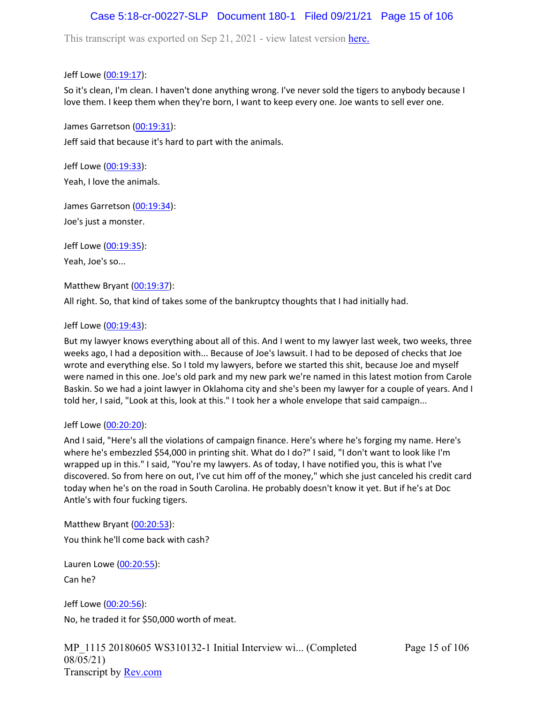# Case 5:18-cr-00227-SLP Document 180-1 Filed 09/21/21 Page 15 of 106

This transcript was exported on Sep 21, 2021 - view latest version [here.](https://www.rev.com/transcript-editor/Edit?token=amZQ9HHFTut_NOLFoO1lSR86cptioQiBp-VVq9f_BePwrTlAl64zFPqcRkwVvmM6GaAv4S7BniclRE4xdf7JBzULLcE&loadFrom=DocumentHeaderDeepLink)

Jeff Lowe ([00:19:17](https://www.rev.com/transcript-editor/Edit?token=1JTbYUdxicAMGc4vT803K3CfwOtCVzq2a9qkWZy7J77udb_z4FAdoxCI_7X9v4XLI2fAefovN-u7K1jjeRgTSqLW8vc&loadFrom=DocumentDeeplink&ts=1157.27)):

So it's clean, I'm clean. I haven't done anything wrong. I've never sold the tigers to anybody because I love them. I keep them when they're born, I want to keep every one. Joe wants to sell ever one.

James Garretson ([00:19:31\)](https://www.rev.com/transcript-editor/Edit?token=me3U4AhJQHKTNgslu4Ri7aWfZVBcMU5VqfxbLSaOApw5CTLq9D5t90eVHccNJ0B2QFBYfC7IT3dzZFc-zi_ELX4bSQo&loadFrom=DocumentDeeplink&ts=1171.43):

Jeff said that because it's hard to part with the animals.

Jeff Lowe ([00:19:33](https://www.rev.com/transcript-editor/Edit?token=SJ1p5sqqSOMxlYeFnmwNb1nHxr3lWRkER5T9tOxRgYJp0SOZe-OwFlW2R41KMzTNxuajlgVEt3N0LR-Id2EJnSf-IbY&loadFrom=DocumentDeeplink&ts=1173.79)): Yeah, I love the animals.

James Garretson ([00:19:34\)](https://www.rev.com/transcript-editor/Edit?token=2VZjpCxAvlPxjRuXO3t1yzrwfCmtZ__890_Ofkc69CQj_yjHZ4NCBd_NowV0Ux19pdb9f79BgrNWWiXMjrcR2ysWETQ&loadFrom=DocumentDeeplink&ts=1174.71):

Joe's just a monster.

Jeff Lowe ([00:19:35](https://www.rev.com/transcript-editor/Edit?token=ppMmCEE8x68ODmkjovma_gmogb8yzkwDfU_9OFxmETUJMHImZJInB6WScUrEGpwqZ0fzIDiNKSgfw9R271qmMBg60E0&loadFrom=DocumentDeeplink&ts=1175.2)):

Yeah, Joe's so...

Matthew Bryant ([00:19:37](https://www.rev.com/transcript-editor/Edit?token=PJKMY879fm96mkXsZOqaeoHjX7FEI4x-ksWQO0nYkLPRsKa-MsFBspgyCVEOi4irLRna40JwyGHc0LpZIbZgDrDR4xI&loadFrom=DocumentDeeplink&ts=1177.59)):

All right. So, that kind of takes some of the bankruptcy thoughts that I had initially had.

### Jeff Lowe ([00:19:43](https://www.rev.com/transcript-editor/Edit?token=IjuoWj3Zm_VMa2to2LoV3CkeCxzDxCdUKN2MaeW07bRrTw3Raj_3dQBZfCfrxiS6w4VIExCvxKhZ3xIMWtjP7ewLWuA&loadFrom=DocumentDeeplink&ts=1183.85)):

But my lawyer knows everything about all of this. And I went to my lawyer last week, two weeks, three weeks ago, I had a deposition with... Because of Joe's lawsuit. I had to be deposed of checks that Joe wrote and everything else. So I told my lawyers, before we started this shit, because Joe and myself were named in this one. Joe's old park and my new park we're named in this latest motion from Carole Baskin. So we had a joint lawyer in Oklahoma city and she's been my lawyer for a couple of years. And I told her, I said, "Look at this, look at this." I took her a whole envelope that said campaign...

### Jeff Lowe ([00:20:20](https://www.rev.com/transcript-editor/Edit?token=dpf-f1m8yVJD_F0e6l5LTH2pFikxrCgt5CRZOxA52uyDLDLFgJiXBZMoYc5JHYQOjc4SFQ1U7AWI-RiMthZfefP-mxI&loadFrom=DocumentDeeplink&ts=1220.95)):

And I said, "Here's all the violations of campaign finance. Here's where he's forging my name. Here's where he's embezzled \$54,000 in printing shit. What do I do?" I said, "I don't want to look like I'm wrapped up in this." I said, "You're my lawyers. As of today, I have notified you, this is what I've discovered. So from here on out, I've cut him off of the money," which she just canceled his credit card today when he's on the road in South Carolina. He probably doesn't know it yet. But if he's at Doc Antle's with four fucking tigers.

Matthew Bryant ([00:20:53](https://www.rev.com/transcript-editor/Edit?token=JTRwwP8jZz38ydW3pVTHrMPnjAhNm4JwO_59pTuE1kjrFv0SG0f722IODDEhGV9kCBCdFFXP3cQc4cqC6Dg_Ykyyqeg&loadFrom=DocumentDeeplink&ts=1253.41)): You think he'll come back with cash?

Lauren Lowe ([00:20:55](https://www.rev.com/transcript-editor/Edit?token=LjRDPkVEor3vHeLRRbtGo06H0WFAsqG07Ta1WrzVAKCfnpxcgkFpCC1pUuOrTSVSB4XFuHXOrj7y964lqlXCbMfr4qk&loadFrom=DocumentDeeplink&ts=1255.98)):

Can he?

Jeff Lowe ([00:20:56](https://www.rev.com/transcript-editor/Edit?token=-DzmnFRstp8gm8RZrwysVrdTbj1fqzICfRMc0BP6vx-A5g_jIbMryQqkeG5xIw6b-7hSJkX8lnLldchVx1xbBnIG4Zs&loadFrom=DocumentDeeplink&ts=1256.03)): No, he traded it for \$50,000 worth of meat.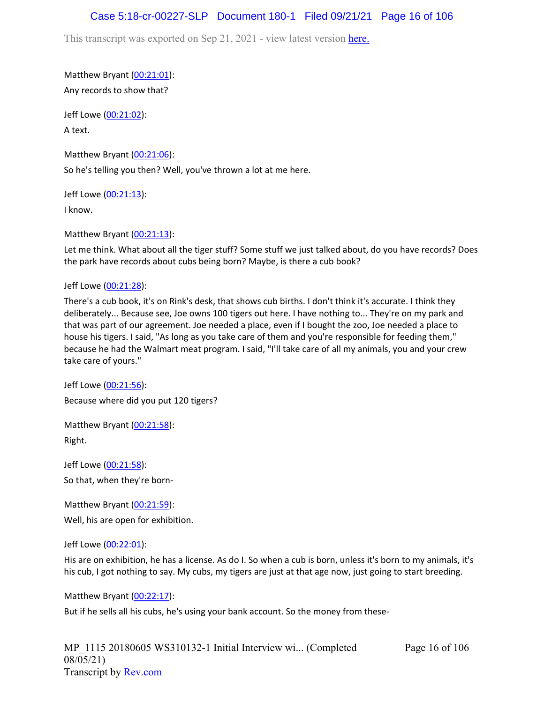### Case 5:18-cr-00227-SLP Document 180-1 Filed 09/21/21 Page 16 of 106

This transcript was exported on Sep 21, 2021 - view latest version [here.](https://www.rev.com/transcript-editor/Edit?token=amZQ9HHFTut_NOLFoO1lSR86cptioQiBp-VVq9f_BePwrTlAl64zFPqcRkwVvmM6GaAv4S7BniclRE4xdf7JBzULLcE&loadFrom=DocumentHeaderDeepLink)

Matthew Bryant ([00:21:01](https://www.rev.com/transcript-editor/Edit?token=-pg3mY15LJAhwUNpFveClDmyPeWDy-JM7rlPmLBsiy8iyK8KwsIXzxZKLuaqIv4vIXpjFVtt3mcayEfI5Ee1G468GdM&loadFrom=DocumentDeeplink&ts=1261.66)): Any records to show that?

Jeff Lowe ([00:21:02](https://www.rev.com/transcript-editor/Edit?token=Tiu5NChwqCyWTHIKpK4Vzyc5qzYadL1vvxGAdkbJ8KctFwNy64dOL_jfixcrkW76dZ0qYoLejJND0PKu6TC3B1dQCm4&loadFrom=DocumentDeeplink&ts=1262.94)): A text.

Matthew Bryant ([00:21:06](https://www.rev.com/transcript-editor/Edit?token=k38hswQz7_Z2tClFwxgi-XMcE2lZyWx9pRTHkda8YgR-PGsBEz_Kb0uT2mnwnAYjtLPCPVI78ryE_h-JTL-wFoAcjug&loadFrom=DocumentDeeplink&ts=1266.39)): So he's telling you then? Well, you've thrown a lot at me here.

Jeff Lowe ([00:21:13](https://www.rev.com/transcript-editor/Edit?token=hvxtx4cUrpKd4C8eMIYxY5Xx0S-0KJbXaOmlw0x718BmkFwMEAc7qWJI3TSzTPC3Qi2D5RAQgCRsH7xIz2i_NnniTBk&loadFrom=DocumentDeeplink&ts=1273.09)):

I know.

Matthew Bryant ([00:21:13](https://www.rev.com/transcript-editor/Edit?token=--m30scZjsi_2nMlMpAmALs0a-4EG3WzQlPZlknsBM6lX4eIR_soKLsEWWeIAAhcBodtch785RbCivD2oWD9xNGGRvc&loadFrom=DocumentDeeplink&ts=1273.12)):

Let me think. What about all the tiger stuff? Some stuff we just talked about, do you have records? Does the park have records about cubs being born? Maybe, is there a cub book?

Jeff Lowe ([00:21:28](https://www.rev.com/transcript-editor/Edit?token=9BiePNELUey8jKgErsBapOyyqZDLFiMyq8ovqUKIzp4spMfJjwOhbIpMLgr0184JEc0SnMem-DquDbHp-rqT2EjysCU&loadFrom=DocumentDeeplink&ts=1288.23)):

There's a cub book, it's on Rink's desk, that shows cub births. I don't think it's accurate. I think they deliberately... Because see, Joe owns 100 tigers out here. I have nothing to... They're on my park and that was part of our agreement. Joe needed a place, even if I bought the zoo, Joe needed a place to house his tigers. I said, "As long as you take care of them and you're responsible for feeding them," because he had the Walmart meat program. I said, "I'll take care of all my animals, you and your crew take care of yours."

Jeff Lowe ([00:21:56](https://www.rev.com/transcript-editor/Edit?token=SpaHQ5Wkj1WVwaMLpThCATcCdD2g01aJkI5DsOWujq8wGmvzXd8VUROH7Kw8D7ZgMC0JEyCbuBZ8yGDIruvVtGHq9ZY&loadFrom=DocumentDeeplink&ts=1316.41)): Because where did you put 120 tigers?

Matthew Bryant ([00:21:58](https://www.rev.com/transcript-editor/Edit?token=nQJOJ0PfMuXrUDtvwGNQ_ZE04eEcdeJpKc-floCFAwjW4ysuyRBwFu92pWCbIf93yCBdYh9-XN8AfzbjBFQevvGwyMs&loadFrom=DocumentDeeplink&ts=1318.04)): Right.

Jeff Lowe ([00:21:58](https://www.rev.com/transcript-editor/Edit?token=OFmrwlCf8wqbSQwp1Hp-_SP4Exrm_fmh8M5ezp5tzdf9J4t6pV5Lk9XsHkNa3Th7JiKsB3P1ukY4brnzoJQlbtU9Ifk&loadFrom=DocumentDeeplink&ts=1318.56)): So that, when they're born-

Matthew Bryant ([00:21:59](https://www.rev.com/transcript-editor/Edit?token=1v6goZxITXWzXgC2obkx0dk7fy7bMqM6LCf3PwvN6SdFj0HRRJGEPNR-uuc23bHu90zSm6lluwHtpi-gKgW94meaE_E&loadFrom=DocumentDeeplink&ts=1319.67)): Well, his are open for exhibition.

Jeff Lowe ([00:22:01](https://www.rev.com/transcript-editor/Edit?token=dDiPrYRPkm0jqUFhCb1QbHKfdrP4s1vXXVngQdHIBd5TV-xsOcTqJmU48VFR0-Wb19KPiTNgJjHZUR61lyqk_O3ZV1I&loadFrom=DocumentDeeplink&ts=1321.56)):

His are on exhibition, he has a license. As do I. So when a cub is born, unless it's born to my animals, it's his cub, I got nothing to say. My cubs, my tigers are just at that age now, just going to start breeding.

Matthew Bryant ([00:22:17](https://www.rev.com/transcript-editor/Edit?token=j4UtZdkG_IMoRNcFBCavWm_KxbQBWAXr-SMzU76bUwM1GbhRJXgwBp-WvJnp38EGo5ErFCH6r_g-z3_nI-6V8sAA7bg&loadFrom=DocumentDeeplink&ts=1337.15)):

But if he sells all his cubs, he's using your bank account. So the money from these-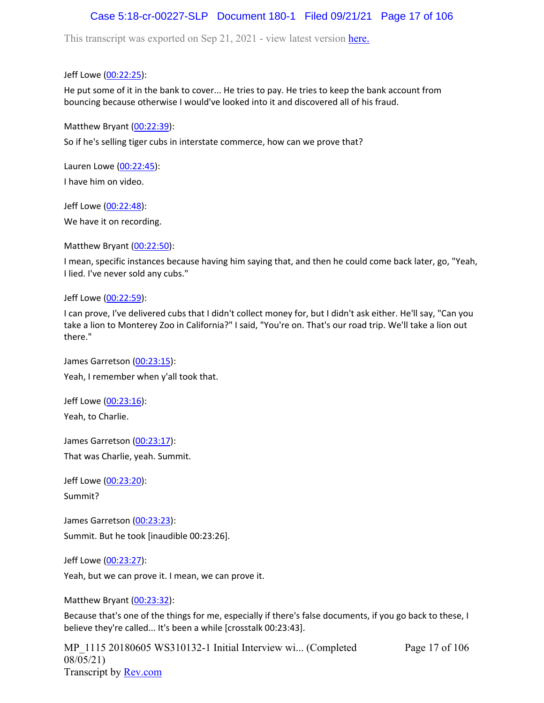# Case 5:18-cr-00227-SLP Document 180-1 Filed 09/21/21 Page 17 of 106

This transcript was exported on Sep 21, 2021 - view latest version [here.](https://www.rev.com/transcript-editor/Edit?token=amZQ9HHFTut_NOLFoO1lSR86cptioQiBp-VVq9f_BePwrTlAl64zFPqcRkwVvmM6GaAv4S7BniclRE4xdf7JBzULLcE&loadFrom=DocumentHeaderDeepLink)

Jeff Lowe ([00:22:25](https://www.rev.com/transcript-editor/Edit?token=FcfgmdVioaPfQSdNKzUTgDEWvpL6t5df2MQE_P0tV6vy4H26nexpOuIKRyC5srRg_Ari0vnf-bwsUTfeZwTQcCzhvM4&loadFrom=DocumentDeeplink&ts=1345.57)):

He put some of it in the bank to cover... He tries to pay. He tries to keep the bank account from bouncing because otherwise I would've looked into it and discovered all of his fraud.

Matthew Bryant ([00:22:39](https://www.rev.com/transcript-editor/Edit?token=wPKPrk31yVqZ5t4GAJWScILuSvPKENJITIzXPeYzTSsSVwBM8qnUwMk5o9Adi9EdARSVZirbKnSDLQNi9uqINN4C9oI&loadFrom=DocumentDeeplink&ts=1359.9)):

So if he's selling tiger cubs in interstate commerce, how can we prove that?

Lauren Lowe ([00:22:45](https://www.rev.com/transcript-editor/Edit?token=l4-XBk24TvHWgzh-rktfksDF5JCOVte34xPLxx26UwmT-RTXYEEVE99dL1YmxNM0G7SQTUI_-33QC5sKff8ZOjbzafU&loadFrom=DocumentDeeplink&ts=1365.77)): I have him on video.

Jeff Lowe ([00:22:48](https://www.rev.com/transcript-editor/Edit?token=iG5ELKDxqRSOzA0kZZFIgJeSgJ_-mIAsPVFUvSjTVGo7mPZiWZNDmM_wg5iNywES-FKNslBMO9W_jPbNiYSVIGczDY4&loadFrom=DocumentDeeplink&ts=1368.24)):

We have it on recording.

Matthew Bryant ([00:22:50](https://www.rev.com/transcript-editor/Edit?token=vASDg7Zn_tu25oGl2Cz4ghWPVHTrEYMem7XSztwklFJRP1SUbz-GHJ604kpcAFMrCRrOROa835gQOL-NbIUSkRDFTao&loadFrom=DocumentDeeplink&ts=1370.32)):

I mean, specific instances because having him saying that, and then he could come back later, go, "Yeah, I lied. I've never sold any cubs."

Jeff Lowe ([00:22:59](https://www.rev.com/transcript-editor/Edit?token=DyjkcmsR2rxHbFU-Zj8tBZZdEbG1_Yfb_sVYVdlTNsovnfG7B80gmGnyK3RTPTML538Vns_ZwvDH1ncvcjIPLKQnQkY&loadFrom=DocumentDeeplink&ts=1379.69)):

I can prove, I've delivered cubs that I didn't collect money for, but I didn't ask either. He'll say, "Can you take a lion to Monterey Zoo in California?" I said, "You're on. That's our road trip. We'll take a lion out there."

James Garretson ([00:23:15\)](https://www.rev.com/transcript-editor/Edit?token=fkiYd41rxjzXahIO-d5R0AnuZf9w6k5BawWB-Dm2N5HHj5L5A4OQOoOK2RPjx2WjAdz-syqFKL4cVDWoNb9sURAfjuM&loadFrom=DocumentDeeplink&ts=1395.33): Yeah, I remember when y'all took that.

Jeff Lowe ([00:23:16](https://www.rev.com/transcript-editor/Edit?token=pxeFOgvEN7TTjACOSW3s7uPH_jK4d5ps_3BFSuJbxPDGQK7s3wxitbM0E_2SldLLRvO4fh3zVLPN6b-RPB4uh-BPnFI&loadFrom=DocumentDeeplink&ts=1396.81)):

Yeah, to Charlie.

James Garretson ([00:23:17\)](https://www.rev.com/transcript-editor/Edit?token=4tg-P2DjcBpKaKrRPmx1mzwhzUQ34lfhQGiTpbnLNlOLfUicOqVcpOnyMlc013nH-CTSu1VvkMWqzD63-Lyme82BLnE&loadFrom=DocumentDeeplink&ts=1397.61): That was Charlie, yeah. Summit.

Jeff Lowe ([00:23:20](https://www.rev.com/transcript-editor/Edit?token=sWxz8dxgMkL6EptwKTqnonDH51Sdg9xRAZCu6qqIxFLr3ngdr5I74aYyRmHQpnVrqDiR0M6NcJfOIG6I9oUm3xuOaFY&loadFrom=DocumentDeeplink&ts=1400.73)): Summit?

James Garretson ([00:23:23\)](https://www.rev.com/transcript-editor/Edit?token=1D_mup9f1uCyIQh8zzI_x4uPhnoolzgv51YdyW8lIjTo7O8KI67YkOWKWPlkXC6tbduCKjiLDIG6K2WRjcKNIjmyVdY&loadFrom=DocumentDeeplink&ts=1403.73): Summit. But he took [inaudible 00:23:26].

Jeff Lowe ([00:23:27](https://www.rev.com/transcript-editor/Edit?token=Wc6afI3rUAqpZgrB4ii-1CUATHjL9H4BaHS0UL-A6q166R5Ko7Zqc0ENs8SNZ2W8VzP2aKy44KYBYpvaoXi4NjxxHTQ&loadFrom=DocumentDeeplink&ts=1407.13)):

Yeah, but we can prove it. I mean, we can prove it.

Matthew Bryant ([00:23:32](https://www.rev.com/transcript-editor/Edit?token=3JSAt7gAB5OP4DnSEsEHmcBfxc3l6tP6hXEZsMBm3hl6WA8PhskUxeAVJzNk-nitBK7py61BP7U-O4rJGrC95nuMhc0&loadFrom=DocumentDeeplink&ts=1412.27)):

Because that's one of the things for me, especially if there's false documents, if you go back to these, I believe they're called... It's been a while [crosstalk 00:23:43].

MP\_1115 20180605 WS310132-1 Initial Interview wi... (Completed 08/05/21) Transcript by [Rev.com](https://www.rev.com/)

Page 17 of 106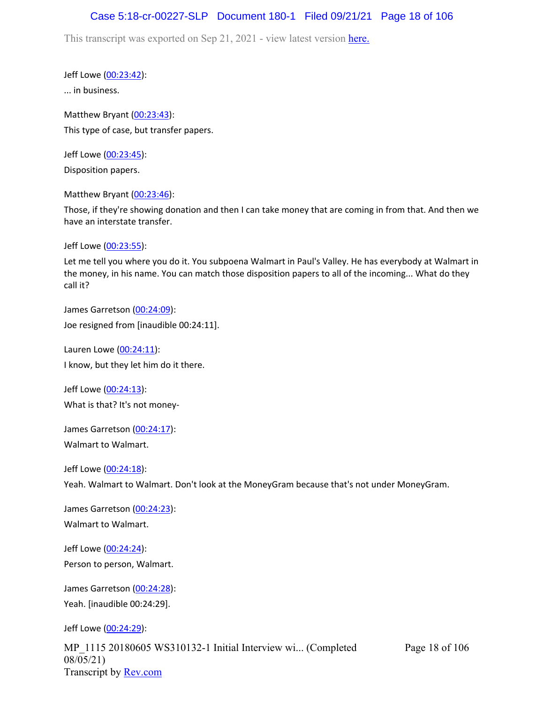## Case 5:18-cr-00227-SLP Document 180-1 Filed 09/21/21 Page 18 of 106

This transcript was exported on Sep 21, 2021 - view latest version [here.](https://www.rev.com/transcript-editor/Edit?token=amZQ9HHFTut_NOLFoO1lSR86cptioQiBp-VVq9f_BePwrTlAl64zFPqcRkwVvmM6GaAv4S7BniclRE4xdf7JBzULLcE&loadFrom=DocumentHeaderDeepLink)

Jeff Lowe ([00:23:42](https://www.rev.com/transcript-editor/Edit?token=JRPRllY_jBn5-opWs3cdJiKEebFJun1bsJBe-C0xhn-Z6hGTNigvg6gNJs0wa7IkoAeV1sZJK84wlub1xM01oikWats&loadFrom=DocumentDeeplink&ts=1422.81)):

... in business.

Matthew Bryant ([00:23:43](https://www.rev.com/transcript-editor/Edit?token=h7N5nLQaTF4tyIFV4ByU_v6__fx2nTtxR4enmwMP_MDXxgm5zwz1HQVqPhOnq7HhzxaGqCVO_xKI1fx287fMm8Ds5E8&loadFrom=DocumentDeeplink&ts=1423.5)): This type of case, but transfer papers.

Jeff Lowe ([00:23:45](https://www.rev.com/transcript-editor/Edit?token=Hj5qMC7w3tCUaOgik5N9JuJwLb3Vxtyqzj15eRgsXXs_FjmQgLUefdbBaVN0z_iaVU3cead85KFfRoyug9THcTD5vOE&loadFrom=DocumentDeeplink&ts=1425.56)): Disposition papers.

Matthew Bryant ([00:23:46](https://www.rev.com/transcript-editor/Edit?token=FPjBcV9VqsJwPKf85xDYcCblWovoE2L742w4EK8thAhjX7WfSbOS431MJgEY8IKYOj_zfGzbrpZn6-hkt2cr3LygsHo&loadFrom=DocumentDeeplink&ts=1426.53)):

Those, if they're showing donation and then I can take money that are coming in from that. And then we have an interstate transfer.

Jeff Lowe ([00:23:55](https://www.rev.com/transcript-editor/Edit?token=aAyy3Gd_xSssgMT9ouAIe_Jv19LrGyQDTKdY79VLYh_5yddTvkXubFQAiFtYRrTD95WxnZ6W2_5K2DPZKQYbMVj3oVE&loadFrom=DocumentDeeplink&ts=1435.26)):

Let me tell you where you do it. You subpoena Walmart in Paul's Valley. He has everybody at Walmart in the money, in his name. You can match those disposition papers to all of the incoming... What do they call it?

James Garretson ([00:24:09\)](https://www.rev.com/transcript-editor/Edit?token=ZoJRHb2orf3Nt1_K59ghdxycU1JdpcgLA7vonxMphq6Y38H520YxJITxoeOF2y49cL7kV9abNv9ZEzkMxRyy0CzvCgY&loadFrom=DocumentDeeplink&ts=1449.79): Joe resigned from [inaudible 00:24:11].

Lauren Lowe ([00:24:11](https://www.rev.com/transcript-editor/Edit?token=AaeDOaZq3eYoyeRUsXy_xGkFpbJ4Y3PMkMXLXW9TDth9zp-xh0wMU4W0JlKKKmCv52u0JcRLdUBUOYrV3DKdNCtJSlM&loadFrom=DocumentDeeplink&ts=1451.03)): I know, but they let him do it there.

Jeff Lowe ([00:24:13](https://www.rev.com/transcript-editor/Edit?token=iAHhEOow3AX_TmYkPi5nTMbH2UYPZbhcpFeWV7_FgYLy9kecvd1wzc5qGyVhhGFhHGZwpfKg1OazB70ZE5ckSkP3Nfk&loadFrom=DocumentDeeplink&ts=1453.7)): What is that? It's not money-

James Garretson ([00:24:17\)](https://www.rev.com/transcript-editor/Edit?token=9yqvi6AvBSy9e0aQr5SJOu5Y24iNX3dU2B2tKAUhHaq6hts-M2-5RbEFwPFRSKwWdIgEjhLVh6WSFTeNNAYT2l-YqTI&loadFrom=DocumentDeeplink&ts=1457.15): Walmart to Walmart.

Jeff Lowe ([00:24:18](https://www.rev.com/transcript-editor/Edit?token=3mDelQyUti2e-i8kFSR7Xmu_cLhLfz7WO8VUW3nrrr_Mi4HWS6yt3fcSYMvLhr_h8ax-Z9ZqrVty6dxFkFMHdjYOM0Q&loadFrom=DocumentDeeplink&ts=1458.24)): Yeah. Walmart to Walmart. Don't look at the MoneyGram because that's not under MoneyGram.

James Garretson ([00:24:23\)](https://www.rev.com/transcript-editor/Edit?token=ibSUpa5YuFa7zt9ObViSIY-xBDtPm29Sjj5ALEZStl8KlmFfagbelpJnbdnNZXbtH4vaYF29Ap4xriP95gj92gJviGI&loadFrom=DocumentDeeplink&ts=1463.13): Walmart to Walmart.

Jeff Lowe ([00:24:24](https://www.rev.com/transcript-editor/Edit?token=zWCcQ_Zq0CdiNUMtcBlyIn3taHML0j6tvkhWZl5yBft_a45RpTPEEdSrchRLrX0RVcxdsgpV-LTaud1WrPcnSvl6SrM&loadFrom=DocumentDeeplink&ts=1464.16)): Person to person, Walmart.

James Garretson ([00:24:28\)](https://www.rev.com/transcript-editor/Edit?token=tvs7vqBNjWZt37U8hfjOrrVORy0b7krUWd0C--F9zrqvutL2HfMyLapDL8TMPHYyoyKke6QfXRyrrgbSQmqZephEsN4&loadFrom=DocumentDeeplink&ts=1468.98): Yeah. [inaudible 00:24:29].

Jeff Lowe ([00:24:29](https://www.rev.com/transcript-editor/Edit?token=H9lJNK18hBsrgFCiEZhSCVW36OgwKS_3W-rEQM_5jtxonUygm_ihgzpOS1MYFRPdi-DN5_GD5VECePzHvz1oAxBM0hk&loadFrom=DocumentDeeplink&ts=1469.12)):

MP\_1115 20180605 WS310132-1 Initial Interview wi... (Completed 08/05/21) Transcript by [Rev.com](https://www.rev.com/)

Page 18 of 106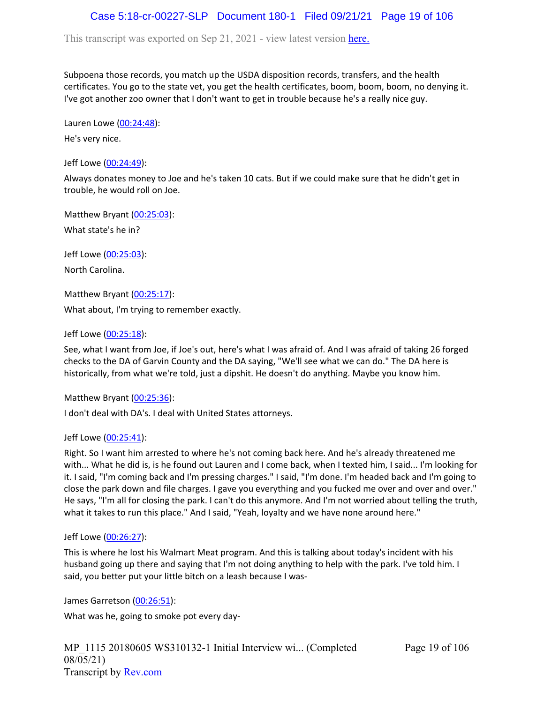# Case 5:18-cr-00227-SLP Document 180-1 Filed 09/21/21 Page 19 of 106

This transcript was exported on Sep 21, 2021 - view latest version [here.](https://www.rev.com/transcript-editor/Edit?token=amZQ9HHFTut_NOLFoO1lSR86cptioQiBp-VVq9f_BePwrTlAl64zFPqcRkwVvmM6GaAv4S7BniclRE4xdf7JBzULLcE&loadFrom=DocumentHeaderDeepLink)

Subpoena those records, you match up the USDA disposition records, transfers, and the health certificates. You go to the state vet, you get the health certificates, boom, boom, boom, no denying it. I've got another zoo owner that I don't want to get in trouble because he's a really nice guy.

Lauren Lowe ([00:24:48](https://www.rev.com/transcript-editor/Edit?token=sF8BeeZU6essAKH2f-5n7Ngf0pk-hs6ROTHLnJ7pRihzyS2vE8EcvqXXGbesF8Qhcin91UtY_2owx1koxtiF2hf18YA&loadFrom=DocumentDeeplink&ts=1488.51)):

He's very nice.

Jeff Lowe ([00:24:49](https://www.rev.com/transcript-editor/Edit?token=1E9okIoCtW9mNXJH1NedX-gX9yUEDtKC9p8cHqbkD6YuAmrD-ITii6jrRnIy02bupiVKnALJvPJvbjX5iX1X7gMYBSM&loadFrom=DocumentDeeplink&ts=1489.64)):

Always donates money to Joe and he's taken 10 cats. But if we could make sure that he didn't get in trouble, he would roll on Joe.

Matthew Bryant ([00:25:03](https://www.rev.com/transcript-editor/Edit?token=DHwvP28-_RR1LVBxNCLGD48n7KKd7HrYe9PUrlo6YfPxu00k8NWKz18EkR51UKPI0Hc6DM61Zrl6n1Br-fC3PuUU9xo&loadFrom=DocumentDeeplink&ts=1503.28)): What state's he in?

Jeff Lowe ([00:25:03](https://www.rev.com/transcript-editor/Edit?token=PHzoMQaISvxqGnsjxKfSmzDOjtlyJMf_ICjz7AD57IQVEcDz6hBnPBt28nTc0bRrKWfq7b8aNxRbDph5k8jMoejDhPo&loadFrom=DocumentDeeplink&ts=1503.36)):

North Carolina.

Matthew Bryant ([00:25:17](https://www.rev.com/transcript-editor/Edit?token=qnfKGWU6WM170RIcTotTg1Llje1hHAEJRMDz6u9-vaYGob5qEG1L9DRcic8UBJqIVUpIz7CFoKUneQ89I1d83dRFPuM&loadFrom=DocumentDeeplink&ts=1517.17)):

What about, I'm trying to remember exactly.

Jeff Lowe ([00:25:18](https://www.rev.com/transcript-editor/Edit?token=DICdw4Vl-ZtOoPPo6OFDw8lqjrHyaYMT2JHelpV6fs31eFczV4sMyuIJ6tJubm3bF1e76fOoofbM-sP4ckq4_sjX0qA&loadFrom=DocumentDeeplink&ts=1518.77)):

See, what I want from Joe, if Joe's out, here's what I was afraid of. And I was afraid of taking 26 forged checks to the DA of Garvin County and the DA saying, "We'll see what we can do." The DA here is historically, from what we're told, just a dipshit. He doesn't do anything. Maybe you know him.

Matthew Bryant ([00:25:36](https://www.rev.com/transcript-editor/Edit?token=VUvmrrhjVL-bSdUDI5nMizW7SPORn8Det8BZgcxzQcdsh_0vGSJdtBVcafo-PRT3JPofG1ZrupW_VIT0T4Jpvr847OE&loadFrom=DocumentDeeplink&ts=1536.52)):

I don't deal with DA's. I deal with United States attorneys.

#### Jeff Lowe ([00:25:41](https://www.rev.com/transcript-editor/Edit?token=jHyPBKK0qJXDePFN4GUiOoZ7FzTxwhBJocSH_FRC69wmoVsf5wImNEbRGeUuTTC_7BeCYJLBlUAZuwSoST6c4t4s1gU&loadFrom=DocumentDeeplink&ts=1541.64)):

Right. So I want him arrested to where he's not coming back here. And he's already threatened me with... What he did is, is he found out Lauren and I come back, when I texted him, I said... I'm looking for it. I said, "I'm coming back and I'm pressing charges." I said, "I'm done. I'm headed back and I'm going to close the park down and file charges. I gave you everything and you fucked me over and over and over." He says, "I'm all for closing the park. I can't do this anymore. And I'm not worried about telling the truth, what it takes to run this place." And I said, "Yeah, loyalty and we have none around here."

#### Jeff Lowe ([00:26:27](https://www.rev.com/transcript-editor/Edit?token=SxXsuOw9wvNDO5VJbfdnZcnH2BSfhAVbjrOF1ChbjRC8319JJMRhluwzgVSXLHRm5F-Rx98mab7z8MHuibrDdBB1LOs&loadFrom=DocumentDeeplink&ts=1587.13)):

This is where he lost his Walmart Meat program. And this is talking about today's incident with his husband going up there and saying that I'm not doing anything to help with the park. I've told him. I said, you better put your little bitch on a leash because I was-

James Garretson ([00:26:51\)](https://www.rev.com/transcript-editor/Edit?token=_OTWXAFqy_Q1OcGmtt-jP8udidcibwIIUU3LiQWD2YYbXOf84u57TNv89KX05stsqJ-lc7LSF60rFbSBY-4p6D0_6Ck&loadFrom=DocumentDeeplink&ts=1611.45):

What was he, going to smoke pot every day-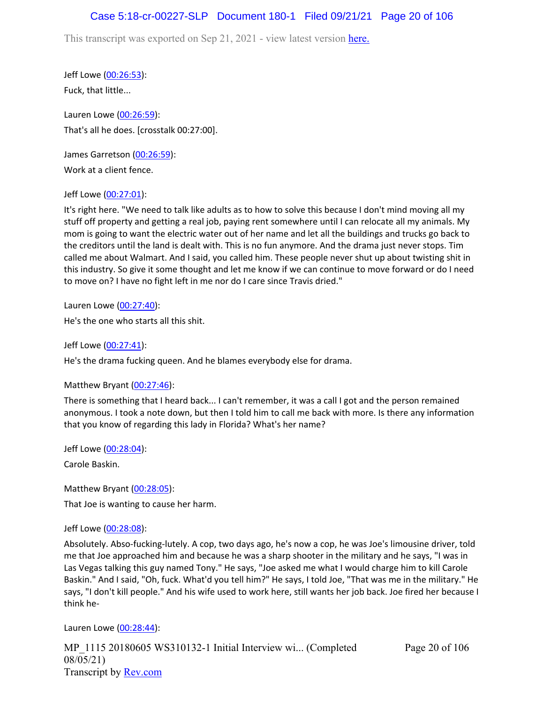# Case 5:18-cr-00227-SLP Document 180-1 Filed 09/21/21 Page 20 of 106

This transcript was exported on Sep 21, 2021 - view latest version [here.](https://www.rev.com/transcript-editor/Edit?token=amZQ9HHFTut_NOLFoO1lSR86cptioQiBp-VVq9f_BePwrTlAl64zFPqcRkwVvmM6GaAv4S7BniclRE4xdf7JBzULLcE&loadFrom=DocumentHeaderDeepLink)

Jeff Lowe ([00:26:53](https://www.rev.com/transcript-editor/Edit?token=7xiVrGbUOtwguV2prHV5LqjeUyS9EubHTcZjsMTb6m8hVs74Tj9VZ6dnqFF4Aty-tZGkjB04IsVQ8j2w81XTGkLDgy8&loadFrom=DocumentDeeplink&ts=1613.64)): Fuck, that little...

Lauren Lowe ([00:26:59](https://www.rev.com/transcript-editor/Edit?token=FDYcr6EPK45xkpT0J9-kLnLbtf_s69Tzro0qaWS9lC9UeT_pGEkbcY8jPfxM6VcocoxLVlJoczgwiRUchxXs7nAoBE4&loadFrom=DocumentDeeplink&ts=1619.45)): That's all he does. [crosstalk 00:27:00].

James Garretson ([00:26:59\)](https://www.rev.com/transcript-editor/Edit?token=YLTU7U7PDB-FSmL6cG3gury9FkwY_i8PHh1MkTslEgoVL-LyCCS3w0g4pMrsOzFLQ2i3ujQ1ewB8uHuyksQtcfki1JM&loadFrom=DocumentDeeplink&ts=1619.68): Work at a client fence.

### Jeff Lowe ([00:27:01](https://www.rev.com/transcript-editor/Edit?token=YIBEblwjqkdCPZuVXbQjXpRzTbmzsHanqLFFiCzuWSkZvN99mUHCxOTSPPiIldaz7GhorJYJsKPXs3aomvyxQAeKtqc&loadFrom=DocumentDeeplink&ts=1621.76)):

It's right here. "We need to talk like adults as to how to solve this because I don't mind moving all my stuff off property and getting a real job, paying rent somewhere until I can relocate all my animals. My mom is going to want the electric water out of her name and let all the buildings and trucks go back to the creditors until the land is dealt with. This is no fun anymore. And the drama just never stops. Tim called me about Walmart. And I said, you called him. These people never shut up about twisting shit in this industry. So give it some thought and let me know if we can continue to move forward or do I need to move on? I have no fight left in me nor do I care since Travis dried."

Lauren Lowe ([00:27:40](https://www.rev.com/transcript-editor/Edit?token=3t3_Cc45ITXm0vrSCNxneHnTZbZ_I3tMyc2EChTOsR-wdK0IZ8g-nyatbG_8kwC5oyQSL9cXIthJA_KgxcGJ3ZqI5Ns&loadFrom=DocumentDeeplink&ts=1660.7)): He's the one who starts all this shit.

Jeff Lowe ([00:27:41](https://www.rev.com/transcript-editor/Edit?token=hI1KD0ufZViSj4R9jFftp36-HqyFXjNlzlXtnxhQ0e-nK8umG2WcBFeu7GDNmg8NdrcpRJHmfG6f_3im-TM0UVS-PSM&loadFrom=DocumentDeeplink&ts=1661.03)):

He's the drama fucking queen. And he blames everybody else for drama.

Matthew Bryant ([00:27:46](https://www.rev.com/transcript-editor/Edit?token=0ous-9NKU59RemvhN8zVRUuk2fxhEyK8jKMuhmaf_mrRsI0M-Sgr73BFzNFGKK11sNMLoxixQphjZOI-QSRH_slvJ8w&loadFrom=DocumentDeeplink&ts=1666.02)):

There is something that I heard back... I can't remember, it was a call I got and the person remained anonymous. I took a note down, but then I told him to call me back with more. Is there any information that you know of regarding this lady in Florida? What's her name?

Jeff Lowe ([00:28:04](https://www.rev.com/transcript-editor/Edit?token=vA_yAYfPFHwxvVbiMuhDbCnWkXLDcUKUvLKjfYTfK7FOSNnA3Vzs5YCRbm-OGspsSM19lixuFmWqnpalFcj8DkbPJ68&loadFrom=DocumentDeeplink&ts=1684.24)):

Carole Baskin.

Matthew Bryant ([00:28:05](https://www.rev.com/transcript-editor/Edit?token=gxH1t5FWr5OgJVcTeJCjQHQXYN-0LhRXuMMCIAeQO1X4xqCZ8FFVQrnXR1WHGFoJRSHGGHcxKRhr-MYljvn6CCcmdGw&loadFrom=DocumentDeeplink&ts=1685.79)): That Joe is wanting to cause her harm.

### Jeff Lowe ([00:28:08](https://www.rev.com/transcript-editor/Edit?token=iMW2DliaiYz2nAPVjsHntUfGd9HJtlqvh0cGSzaiCWZInoKu9WDfB_O9rgwglSU8fS0GOzbRl4sOCI5fN8E4cnCgm6U&loadFrom=DocumentDeeplink&ts=1688.02)):

Absolutely. Abso-fucking-lutely. A cop, two days ago, he's now a cop, he was Joe's limousine driver, told me that Joe approached him and because he was a sharp shooter in the military and he says, "I was in Las Vegas talking this guy named Tony." He says, "Joe asked me what I would charge him to kill Carole Baskin." And I said, "Oh, fuck. What'd you tell him?" He says, I told Joe, "That was me in the military." He says, "I don't kill people." And his wife used to work here, still wants her job back. Joe fired her because I think he-

Lauren Lowe ([00:28:44](https://www.rev.com/transcript-editor/Edit?token=xzUJoBOZszaU1ZPZM0aeDezkPH-bc1JmWqCUWyWW8EQZqeaymJPSvgcnfn_iM-joZIHtpYX5yLdfIJuI9ee9pYRq20s&loadFrom=DocumentDeeplink&ts=1724.91)):

MP\_1115 20180605 WS310132-1 Initial Interview wi... (Completed 08/05/21) Transcript by [Rev.com](https://www.rev.com/)

Page 20 of 106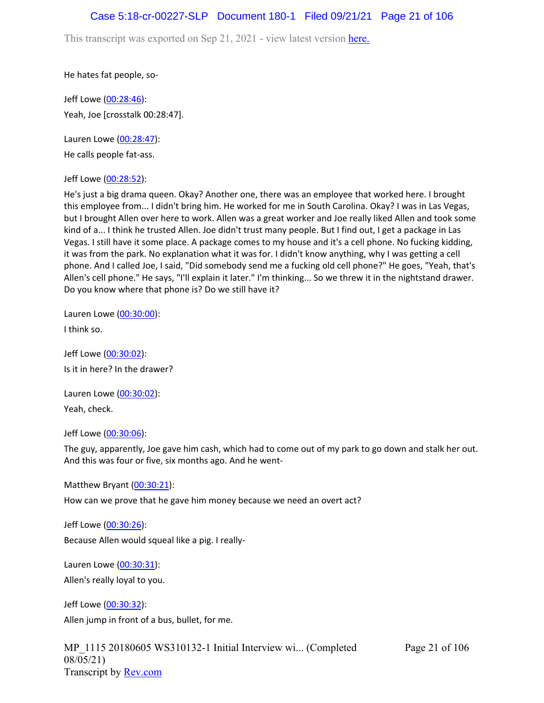## Case 5:18-cr-00227-SLP Document 180-1 Filed 09/21/21 Page 21 of 106

This transcript was exported on Sep 21, 2021 - view latest version [here.](https://www.rev.com/transcript-editor/Edit?token=amZQ9HHFTut_NOLFoO1lSR86cptioQiBp-VVq9f_BePwrTlAl64zFPqcRkwVvmM6GaAv4S7BniclRE4xdf7JBzULLcE&loadFrom=DocumentHeaderDeepLink)

He hates fat people, so-

Jeff Lowe ([00:28:46](https://www.rev.com/transcript-editor/Edit?token=Mp3n6JpxBKo4dMowWxr8Rg0cxBp08FQyCKa9vz9Oh38VSEgORfZPxAPkDJuofb1mgMdooM2VH8nQOJ_YaeJ8wlZMqn4&loadFrom=DocumentDeeplink&ts=1726.54)): Yeah, Joe [crosstalk 00:28:47].

Lauren Lowe ([00:28:47](https://www.rev.com/transcript-editor/Edit?token=mv7gg4Rm8HkpjG4_zsSIbk17eRL0FJiOu_x0Ctn6j7egqMNdDCt5IY6ZbFKweec0mO39vOh2oZpq8LKkkhdPcKE1OBM&loadFrom=DocumentDeeplink&ts=1727.16)): He calls people fat-ass.

Jeff Lowe ([00:28:52](https://www.rev.com/transcript-editor/Edit?token=2t7nncsv7DFuMDQxE8vMlniBOB_NTfA7RsO3MIvrZWB8lOE84awEWLumpJKPakpzPgqLa5oTdcIeFOQ5r4c7yXgsxXc&loadFrom=DocumentDeeplink&ts=1732.12)):

He's just a big drama queen. Okay? Another one, there was an employee that worked here. I brought this employee from... I didn't bring him. He worked for me in South Carolina. Okay? I was in Las Vegas, but I brought Allen over here to work. Allen was a great worker and Joe really liked Allen and took some kind of a... I think he trusted Allen. Joe didn't trust many people. But I find out, I get a package in Las Vegas. I still have it some place. A package comes to my house and it's a cell phone. No fucking kidding, it was from the park. No explanation what it was for. I didn't know anything, why I was getting a cell phone. And I called Joe, I said, "Did somebody send me a fucking old cell phone?" He goes, "Yeah, that's Allen's cell phone." He says, "I'll explain it later." I'm thinking... So we threw it in the nightstand drawer. Do you know where that phone is? Do we still have it?

Lauren Lowe ([00:30:00](https://www.rev.com/transcript-editor/Edit?token=skWe3dNcic_N4LLVOZXnH6YJ_7a2fw1eaVnQ-4Xe_kMVmE3PwECcKb0Yu57XY9fNWkn7Y4rwlWvrwj8zjPWSoK3p_XA&loadFrom=DocumentDeeplink&ts=1800.97)):

I think so.

Jeff Lowe ([00:30:02](https://www.rev.com/transcript-editor/Edit?token=F6mgSEas1OoomKc3mF-U4fSkkVaOmM3qdNflU5LHJshVibrB73XgI1k1bOBFgP1S0YH5ZM0GyVeNx-OYy2hbHdj4ZeI&loadFrom=DocumentDeeplink&ts=1802.1)): Is it in here? In the drawer?

Lauren Lowe ([00:30:02](https://www.rev.com/transcript-editor/Edit?token=AowjHdE9rezRaplRJCjZ_m0XSzcNCFQpu-g7d1OAB38vBbxo_YnmsozyhyXWv8JEzDad6Ap4FIA_SpRVqIB2gvpgrX0&loadFrom=DocumentDeeplink&ts=1802.53)): Yeah, check.

Jeff Lowe ([00:30:06](https://www.rev.com/transcript-editor/Edit?token=rBAQmaTHARq6P5_kwRJkUM1mLDR9d1OwcVS3V7oaYG3b3d2ylqsdqIKUtxP8nPDntrXtYVcezBNacmXd0dpB2qs2RnU&loadFrom=DocumentDeeplink&ts=1806.32)):

The guy, apparently, Joe gave him cash, which had to come out of my park to go down and stalk her out. And this was four or five, six months ago. And he went-

Matthew Bryant ([00:30:21](https://www.rev.com/transcript-editor/Edit?token=pZE9n-laaDxSxV-UixPGPw9h7z2UrXrOr7AqtSKWFNX9EtAp7WcuJcSLX1vwab0uSaKlG0ilMPiLGVAcAjVelgRO840&loadFrom=DocumentDeeplink&ts=1821.47)):

How can we prove that he gave him money because we need an overt act?

Jeff Lowe ([00:30:26](https://www.rev.com/transcript-editor/Edit?token=1u8f1REMSbWAUmGOFuaKJrum--sSbo_dVNpooqMgGrGCgd8YiUeV3qe_TjN-yNKgDJQs9fbbtaHz18krqf-MHUBC_ek&loadFrom=DocumentDeeplink&ts=1826.05)): Because Allen would squeal like a pig. I really-

Lauren Lowe ([00:30:31](https://www.rev.com/transcript-editor/Edit?token=C6OeGl_yOi_yzXQEhsrHceq97pXu7sMCzfyOkADXmaJxjudFEcXpTddIQWPCg_jMdkCzHf7wYlxssCdankjUss7iGSE&loadFrom=DocumentDeeplink&ts=1831.28)):

Allen's really loyal to you.

Jeff Lowe ([00:30:32](https://www.rev.com/transcript-editor/Edit?token=GrZXDtVF8UtWrqCWK1l4QziH_L3UOW-uNQlE3_s4q_jUL5jb0L9-1-NxhGeBaa5c5Y2z1KY7JXTyMN_7RJ_XWw3XgdQ&loadFrom=DocumentDeeplink&ts=1832.38)): Allen jump in front of a bus, bullet, for me.

MP\_1115 20180605 WS310132-1 Initial Interview wi... (Completed 08/05/21) Transcript by [Rev.com](https://www.rev.com/)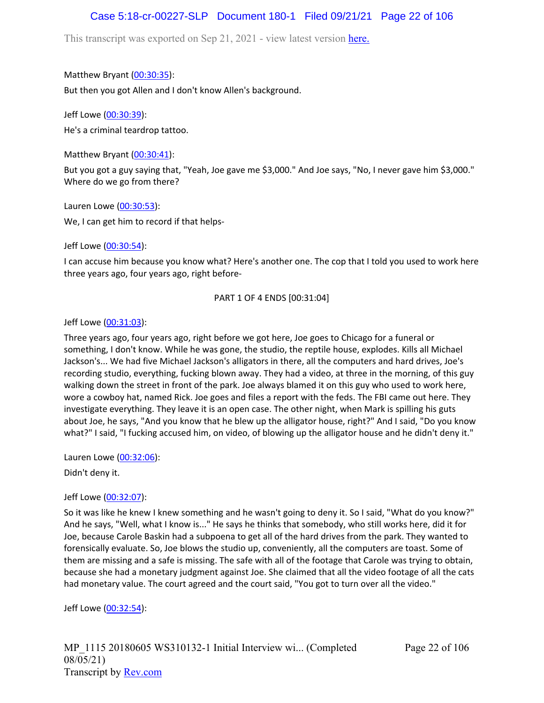# Case 5:18-cr-00227-SLP Document 180-1 Filed 09/21/21 Page 22 of 106

This transcript was exported on Sep 21, 2021 - view latest version [here.](https://www.rev.com/transcript-editor/Edit?token=amZQ9HHFTut_NOLFoO1lSR86cptioQiBp-VVq9f_BePwrTlAl64zFPqcRkwVvmM6GaAv4S7BniclRE4xdf7JBzULLcE&loadFrom=DocumentHeaderDeepLink)

Matthew Bryant ([00:30:35](https://www.rev.com/transcript-editor/Edit?token=UQSrRr4jf_tfFTh73NiTS1j8Ja1vXznDhaD0goQUNXOloWREJT9BbZEucJDuxDao-w3-VJdCY_umY2f-0rrT1jWprfY&loadFrom=DocumentDeeplink&ts=1835.44)):

But then you got Allen and I don't know Allen's background.

Jeff Lowe ([00:30:39](https://www.rev.com/transcript-editor/Edit?token=Vq_CkLsqtyET_jRLfnAIViGMCBwIK1TpVpSuNqkmkzFUYscKH89KJCviLa58PMWnNpMB4xyTuOqXURT_czOUznS0P44&loadFrom=DocumentDeeplink&ts=1839)):

He's a criminal teardrop tattoo.

Matthew Bryant ([00:30:41](https://www.rev.com/transcript-editor/Edit?token=F7zVAjXAqvI2qU-iKAdmdMya5mRAi8TbUMbKHb6Er3zs_uDGOyQGTw8m1m2pAuTECpx9IsvHcGfDiSBqvQNO0QGH7xo&loadFrom=DocumentDeeplink&ts=1841.08)):

But you got a guy saying that, "Yeah, Joe gave me \$3,000." And Joe says, "No, I never gave him \$3,000." Where do we go from there?

Lauren Lowe ([00:30:53](https://www.rev.com/transcript-editor/Edit?token=WIMB3dV6hT0cygh--eKQKu9n1QrwaBuFjEwZcPIoD8lOfazkobIt-ZQ4GXyASXrQcBVhyY6cqxpGZEopQTcoZ784PCI&loadFrom=DocumentDeeplink&ts=1853.79)):

We, I can get him to record if that helps-

Jeff Lowe ([00:30:54](https://www.rev.com/transcript-editor/Edit?token=XPbww7eSA9qyo5gJvVglDkqAMiTJWX1hB1rl7A5tEESn5lhTPCd1YkG17d-si6Q1QU2WNVgaYsdoUJz6qprSgr_jSkk&loadFrom=DocumentDeeplink&ts=1854.06)):

I can accuse him because you know what? Here's another one. The cop that I told you used to work here three years ago, four years ago, right before-

### PART 1 OF 4 ENDS [00:31:04]

Jeff Lowe ([00:31:03](https://www.rev.com/transcript-editor/Edit?token=6YoQPT1y4iEcVR-q4fMVwgATcw_W0iyEzPSBZ8Gg2ZJDY7GOBMvsdPtqfRLJOYiscC0S4fABAdPp1neTn1kxVtNzu3A&loadFrom=DocumentDeeplink&ts=1863.76)):

Three years ago, four years ago, right before we got here, Joe goes to Chicago for a funeral or something, I don't know. While he was gone, the studio, the reptile house, explodes. Kills all Michael Jackson's... We had five Michael Jackson's alligators in there, all the computers and hard drives, Joe's recording studio, everything, fucking blown away. They had a video, at three in the morning, of this guy walking down the street in front of the park. Joe always blamed it on this guy who used to work here, wore a cowboy hat, named Rick. Joe goes and files a report with the feds. The FBI came out here. They investigate everything. They leave it is an open case. The other night, when Mark is spilling his guts about Joe, he says, "And you know that he blew up the alligator house, right?" And I said, "Do you know what?" I said, "I fucking accused him, on video, of blowing up the alligator house and he didn't deny it."

Lauren Lowe ([00:32:06](https://www.rev.com/transcript-editor/Edit?token=GxcJDv7TZbsTapNs3PqFhVJuqw8WnTLSTXFRAzngv9hq2iZCTGLmMwy28B8N8QC8_Mq6KqMQnnJJGSxP5TP8s28wP-w&loadFrom=DocumentDeeplink&ts=1926.37)):

Didn't deny it.

### Jeff Lowe ([00:32:07](https://www.rev.com/transcript-editor/Edit?token=NL2M_skMKa3vp-fhtybaevr8mJ1aoFdUBkwY5Fbs5IdVu-FfFG3RnpHruHjyt_9bWNAMmP2MHrS3V9KD7aw-7yY2o34&loadFrom=DocumentDeeplink&ts=1927.07)):

So it was like he knew I knew something and he wasn't going to deny it. So I said, "What do you know?" And he says, "Well, what I know is..." He says he thinks that somebody, who still works here, did it for Joe, because Carole Baskin had a subpoena to get all of the hard drives from the park. They wanted to forensically evaluate. So, Joe blows the studio up, conveniently, all the computers are toast. Some of them are missing and a safe is missing. The safe with all of the footage that Carole was trying to obtain, because she had a monetary judgment against Joe. She claimed that all the video footage of all the cats had monetary value. The court agreed and the court said, "You got to turn over all the video."

Jeff Lowe ([00:32:54](https://www.rev.com/transcript-editor/Edit?token=7QxxcghEnasLPQ7cGscgjwPNV2d40ASkvleIggtP1f1mq-Wgzag_mfNiJOKXOJ26VJtycLdaNbGpvnXx0d6LhVSjOuo&loadFrom=DocumentDeeplink&ts=1974.46)):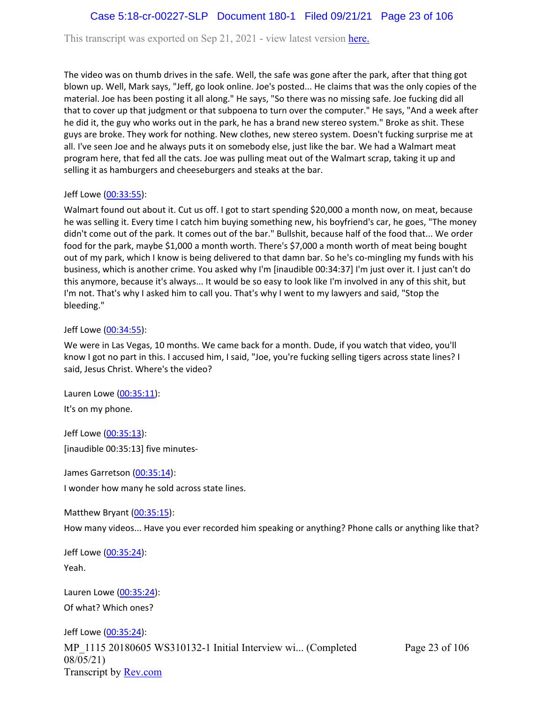# Case 5:18-cr-00227-SLP Document 180-1 Filed 09/21/21 Page 23 of 106

This transcript was exported on Sep 21, 2021 - view latest version [here.](https://www.rev.com/transcript-editor/Edit?token=amZQ9HHFTut_NOLFoO1lSR86cptioQiBp-VVq9f_BePwrTlAl64zFPqcRkwVvmM6GaAv4S7BniclRE4xdf7JBzULLcE&loadFrom=DocumentHeaderDeepLink)

The video was on thumb drives in the safe. Well, the safe was gone after the park, after that thing got blown up. Well, Mark says, "Jeff, go look online. Joe's posted... He claims that was the only copies of the material. Joe has been posting it all along." He says, "So there was no missing safe. Joe fucking did all that to cover up that judgment or that subpoena to turn over the computer." He says, "And a week after he did it, the guy who works out in the park, he has a brand new stereo system." Broke as shit. These guys are broke. They work for nothing. New clothes, new stereo system. Doesn't fucking surprise me at all. I've seen Joe and he always puts it on somebody else, just like the bar. We had a Walmart meat program here, that fed all the cats. Joe was pulling meat out of the Walmart scrap, taking it up and selling it as hamburgers and cheeseburgers and steaks at the bar.

#### Jeff Lowe ([00:33:55](https://www.rev.com/transcript-editor/Edit?token=bsA36XrConL3Dv7boEG2qAwKu8fVAErggJwLUksMSHour_Qf1H7S48JjOPMJkV8DPJWmuOAOF48ZqQHVVFznVSO1Qng&loadFrom=DocumentDeeplink&ts=2035.12)):

Walmart found out about it. Cut us off. I got to start spending \$20,000 a month now, on meat, because he was selling it. Every time I catch him buying something new, his boyfriend's car, he goes, "The money didn't come out of the park. It comes out of the bar." Bullshit, because half of the food that... We order food for the park, maybe \$1,000 a month worth. There's \$7,000 a month worth of meat being bought out of my park, which I know is being delivered to that damn bar. So he's co-mingling my funds with his business, which is another crime. You asked why I'm [inaudible 00:34:37] I'm just over it. I just can't do this anymore, because it's always... It would be so easy to look like I'm involved in any of this shit, but I'm not. That's why I asked him to call you. That's why I went to my lawyers and said, "Stop the bleeding."

#### Jeff Lowe ([00:34:55](https://www.rev.com/transcript-editor/Edit?token=iL4vEt96BmAJ14NDTg_2iNErrbW1KCLeZPEovjR4K4zPQGziADriiobTeLnU85kspZjZ9D0dHbFXPsVOdh-NZZ35qbg&loadFrom=DocumentDeeplink&ts=2095.88)):

We were in Las Vegas, 10 months. We came back for a month. Dude, if you watch that video, you'll know I got no part in this. I accused him, I said, "Joe, you're fucking selling tigers across state lines? I said, Jesus Christ. Where's the video?

Lauren Lowe ([00:35:11](https://www.rev.com/transcript-editor/Edit?token=RlQBnBiWouIAt2c9XXz26fI0vuC3tRRgrorrhID5eNFsE1KTIfziDC15lABayxAYHIFsl74-SPbUwgujc6p_TsGpTqw&loadFrom=DocumentDeeplink&ts=2111.77)): It's on my phone.

Jeff Lowe ([00:35:13](https://www.rev.com/transcript-editor/Edit?token=XMqkLnuDMHwmyD2wAmCOaTtViNG8w3au13JhNeCqSjz2Vo2B_-wF6WcA21YrGkmwZt5tp3HONpcoCl2X99mb7qizsr0&loadFrom=DocumentDeeplink&ts=2113)): [inaudible 00:35:13] five minutes-

James Garretson ([00:35:14\)](https://www.rev.com/transcript-editor/Edit?token=fV913HBF-ryY2AW7OTTN22ERTmxV7rf-So_VUh-Q0ClxNXNtlSjcUCtk6T1qY7OEkMb30kb6wR4rzcR4QD_IW2PFUVE&loadFrom=DocumentDeeplink&ts=2114.05):

I wonder how many he sold across state lines.

Matthew Bryant ([00:35:15](https://www.rev.com/transcript-editor/Edit?token=37QTfrpEgKrEfEel_gNryGNx413hoXyPJqu6RelhDl3i1wBSqj_MKymfqIqCJJvykVczcaU3b6ufaG86LZDjO-6iAMY&loadFrom=DocumentDeeplink&ts=2115.29)):

How many videos... Have you ever recorded him speaking or anything? Phone calls or anything like that?

Jeff Lowe ([00:35:24](https://www.rev.com/transcript-editor/Edit?token=BVwa_eUWW73NYYVQsfGAO5wbAC8TYuPpO3K3fH22ay8Y4s54NpyWnzd_jPZi6JjslV3htIOtL_mW9bkmLY9GFG5if1Q&loadFrom=DocumentDeeplink&ts=2124.36)): Yeah.

Lauren Lowe ([00:35:24](https://www.rev.com/transcript-editor/Edit?token=kNVHhYKjiwJJJjAMwDyU7pH7cOEXfxme5PcudwVJsLskcAreUn3LpKeNkZ7CHw2CcyyU5Vp9k4zIGz-OywUFeVslYcU&loadFrom=DocumentDeeplink&ts=2124.38)): Of what? Which ones?

MP\_1115 20180605 WS310132-1 Initial Interview wi... (Completed 08/05/21) Transcript by [Rev.com](https://www.rev.com/) Jeff Lowe ([00:35:24](https://www.rev.com/transcript-editor/Edit?token=Cmsebuq7KjJXjmo8DiZuxM48MsBaL3qCym11Pgb6QjVNR0h39FcwNmBlWAKXaOQK-7j8k-h4XM4mvV5UupozgHcprvs&loadFrom=DocumentDeeplink&ts=2124.46)):

Page 23 of 106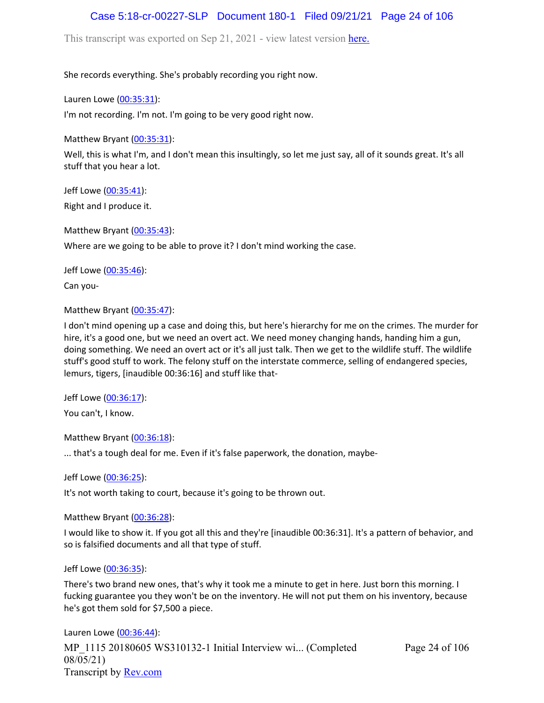# Case 5:18-cr-00227-SLP Document 180-1 Filed 09/21/21 Page 24 of 106

This transcript was exported on Sep 21, 2021 - view latest version [here.](https://www.rev.com/transcript-editor/Edit?token=amZQ9HHFTut_NOLFoO1lSR86cptioQiBp-VVq9f_BePwrTlAl64zFPqcRkwVvmM6GaAv4S7BniclRE4xdf7JBzULLcE&loadFrom=DocumentHeaderDeepLink)

She records everything. She's probably recording you right now.

Lauren Lowe ([00:35:31](https://www.rev.com/transcript-editor/Edit?token=eojyTzdRSCngOKhQB2RueTjJ1pOURqsrT1Qt3uN3GcbyTMKPGm-vhbtFRtAzTMTgmr8MZMAuJQ-97Vrn8m6fE3Y6zsw&loadFrom=DocumentDeeplink&ts=2131.31)):

I'm not recording. I'm not. I'm going to be very good right now.

Matthew Bryant ([00:35:31](https://www.rev.com/transcript-editor/Edit?token=cW44IPJOBqkiN5UK10QqZyKcnKJpJMw_dCH3tZPIyXQqKfgZ2Bmp3L8AoKgbLJCn3dFMWmCgTpZo31xnEW2cBXE-Uzw&loadFrom=DocumentDeeplink&ts=2131.49)):

Well, this is what I'm, and I don't mean this insultingly, so let me just say, all of it sounds great. It's all stuff that you hear a lot.

Jeff Lowe ([00:35:41](https://www.rev.com/transcript-editor/Edit?token=bL4Z21UASgAw4JaJ_IaYL0TvNfJ1GYXTwPq727ZPIHeeb3GWXyu8EySz2wp56D2Yps08aC-CrcTiKIclsMNwkqT9ng8&loadFrom=DocumentDeeplink&ts=2141.98)): Right and I produce it.

Matthew Bryant ([00:35:43](https://www.rev.com/transcript-editor/Edit?token=dSskg26MDIeOwsBKwVAfOxIzgwon8sEC4ySK3hp077MHVaqcpBATX1xgnTpVS84nEVs1HXsfTLAapn5HLqWI5LuMk8Y&loadFrom=DocumentDeeplink&ts=2143.06)):

Where are we going to be able to prove it? I don't mind working the case.

Jeff Lowe ([00:35:46](https://www.rev.com/transcript-editor/Edit?token=6mQ4SP-lPl3OZzlufa9eHXl3ibkzk-sbOZ8WTW4twux9nOT0D-ILxmzuJauuO1tif8Mbd1-9_fjZ_tg5BqgJpmsOVl4&loadFrom=DocumentDeeplink&ts=2146.99)):

Can you-

Matthew Bryant ([00:35:47](https://www.rev.com/transcript-editor/Edit?token=YsftKzhZ0-0bpWsqUpYyN6cQ8BClKtic4ggUwzCN70xkngDPxOWbxDO5mSRLmkecwsmLpgtAWnOR8hOAj5_Qy5qMJkw&loadFrom=DocumentDeeplink&ts=2147.18)):

I don't mind opening up a case and doing this, but here's hierarchy for me on the crimes. The murder for hire, it's a good one, but we need an overt act. We need money changing hands, handing him a gun, doing something. We need an overt act or it's all just talk. Then we get to the wildlife stuff. The wildlife stuff's good stuff to work. The felony stuff on the interstate commerce, selling of endangered species, lemurs, tigers, [inaudible 00:36:16] and stuff like that-

Jeff Lowe ([00:36:17](https://www.rev.com/transcript-editor/Edit?token=O2Z0kiFU8RgU8XKoc051c7IBQedkQWf8BI0GBvU0gPLQIS82Ptsb3aujE01cN46cwAYgva-TrF4w2Vd2KbkdPd1xHE4&loadFrom=DocumentDeeplink&ts=2177.6)):

You can't, I know.

Matthew Bryant ([00:36:18](https://www.rev.com/transcript-editor/Edit?token=NuBRfsUomDziOXhyYULlCM4x2j4TDy-A5kAET2gSELm7PGzpvq7o0cl63CE7FWoOVV9rzNAyziyNw_sy7m1wMqVYb10&loadFrom=DocumentDeeplink&ts=2178.46)):

... that's a tough deal for me. Even if it's false paperwork, the donation, maybe-

Jeff Lowe ([00:36:25](https://www.rev.com/transcript-editor/Edit?token=Ac8lNtXf2nPX9Jg2-N_1naQ7bzrPebwv4XGhA9y-JA_3HQahccCICltELiM4uKDz_rND2UfkF3870P4n4zwR4ZmaP44&loadFrom=DocumentDeeplink&ts=2185.29)):

It's not worth taking to court, because it's going to be thrown out.

Matthew Bryant ([00:36:28](https://www.rev.com/transcript-editor/Edit?token=QViUFMUYpC8baFfxz9x8OKjHrkFn047u-WV_ZS2Wvw2a-m0cU4EgGpAQELjZ2TD0TpPs9Vth_m5ulN3f-pwjBHjcvAQ&loadFrom=DocumentDeeplink&ts=2188.73)):

I would like to show it. If you got all this and they're [inaudible 00:36:31]. It's a pattern of behavior, and so is falsified documents and all that type of stuff.

Jeff Lowe ([00:36:35](https://www.rev.com/transcript-editor/Edit?token=_HMclY1pB-Mt5CT-2nZEUDqPSZpYfIoCWQIP6d4ziWBExRhBxcqBnxgGrKHHrnp6J9M92tC8ao3NEL6YUuR8C8d9kZ8&loadFrom=DocumentDeeplink&ts=2195.52)):

There's two brand new ones, that's why it took me a minute to get in here. Just born this morning. I fucking guarantee you they won't be on the inventory. He will not put them on his inventory, because he's got them sold for \$7,500 a piece.

MP\_1115 20180605 WS310132-1 Initial Interview wi... (Completed 08/05/21) Transcript by [Rev.com](https://www.rev.com/) Lauren Lowe ([00:36:44](https://www.rev.com/transcript-editor/Edit?token=R3pf17e72YAaX-SihGS4ihbwuL9vLD8oqpi3MuKLrOgj4ixkRLzsbNAlbhOgpTuqYUCI496nIwOxrp0_PxZ2nwlMKuo&loadFrom=DocumentDeeplink&ts=2204.02)):

Page 24 of 106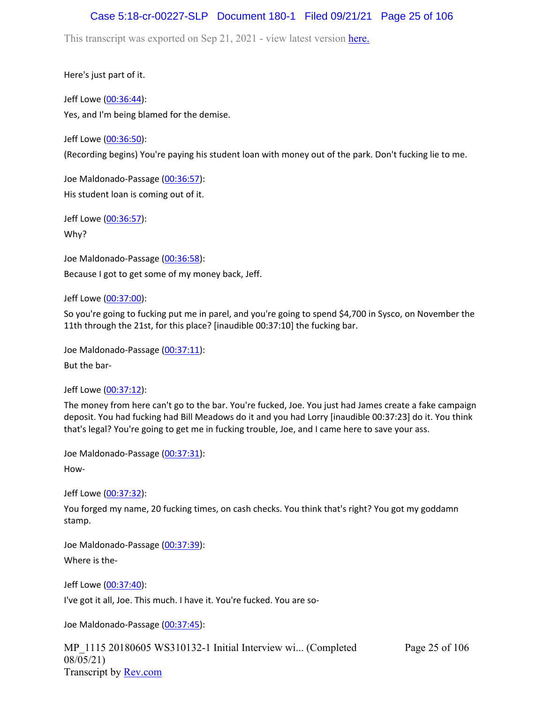# Case 5:18-cr-00227-SLP Document 180-1 Filed 09/21/21 Page 25 of 106

This transcript was exported on Sep 21, 2021 - view latest version [here.](https://www.rev.com/transcript-editor/Edit?token=amZQ9HHFTut_NOLFoO1lSR86cptioQiBp-VVq9f_BePwrTlAl64zFPqcRkwVvmM6GaAv4S7BniclRE4xdf7JBzULLcE&loadFrom=DocumentHeaderDeepLink)

Here's just part of it.

Jeff Lowe ([00:36:44](https://www.rev.com/transcript-editor/Edit?token=O1AJuNC5Hlft14zzi9-TgnRTWEAt9CMVz6JTlHxeJu1Xf4mLseJlLu9sSfmWXqM4l3qD0E-oydBLj5MPy_-E3yiDKBY&loadFrom=DocumentDeeplink&ts=2204.74)): Yes, and I'm being blamed for the demise.

Jeff Lowe ([00:36:50](https://www.rev.com/transcript-editor/Edit?token=OBdGoZVavqxrfUIxP-ePv1r2RDRC1Zj9jNLldERZcc3WttCDnUpRJ5ozqib0j8AmtjEkyF7Y877sPLm2OtLAe0tX3w0&loadFrom=DocumentDeeplink&ts=2210.91)):

(Recording begins) You're paying his student loan with money out of the park. Don't fucking lie to me.

Joe Maldonado-Passage [\(00:36:57\)](https://www.rev.com/transcript-editor/Edit?token=zwYLcDX-XgvcqfPRSYXZyhld_ogvqArC2YTwv7BK4sVtqZ4TwmsC-qflISBq_YtAn2kjmoUVE3tHhvDWLDjA9vjeAfo&loadFrom=DocumentDeeplink&ts=2217.27): His student loan is coming out of it.

Jeff Lowe ([00:36:57](https://www.rev.com/transcript-editor/Edit?token=1xoVbAuYIAtGSbWoI8Q0hCi_2BMKRwo0nVmOf_MuudKyVV2Wdtet6RUFWecDW16p1UU4iKVjnk5c5YgYbfmPB6cx_m0&loadFrom=DocumentDeeplink&ts=2217.27)): Why?

Joe Maldonado-Passage [\(00:36:58\)](https://www.rev.com/transcript-editor/Edit?token=5orj8F0Nl4hrOBYiDcv7ldBUFXiGaeaSNqOD67pix37etuNwH9NhRmAB75E8CxYBxwRe3Zgn6RCFeX5QylN4fTAKICc&loadFrom=DocumentDeeplink&ts=2218.92): Because I got to get some of my money back, Jeff.

Jeff Lowe ([00:37:00](https://www.rev.com/transcript-editor/Edit?token=iFiVxbF9RyBoj1SIEtc5AR-tWL47vCwh4FigNK87n9Ntw8D2T7sltb5bDA4UsWfc5rBmVjm8bSQ58ZfAcH5Qm2wf-bo&loadFrom=DocumentDeeplink&ts=2220.49)):

So you're going to fucking put me in parel, and you're going to spend \$4,700 in Sysco, on November the 11th through the 21st, for this place? [inaudible 00:37:10] the fucking bar.

Joe Maldonado-Passage [\(00:37:11\)](https://www.rev.com/transcript-editor/Edit?token=AYgodvCsIuVnuDLHJgKJ7jkqKZs9_irSfkqDxFHBL_PYpHYoNNfwZZ1ejXJg9XQ3qPTghnlQYMTKidDaWQxiuYJoq24&loadFrom=DocumentDeeplink&ts=2231.37):

But the bar-

Jeff Lowe ([00:37:12](https://www.rev.com/transcript-editor/Edit?token=4obs8wo8-RuGRWbgr-XxFOVUL2g6Y05y91O2f9YZnerrXR8fuUrG-BMt02vgFc3tgFV1zfOqR0EnINLoHKBJ8WhfTmE&loadFrom=DocumentDeeplink&ts=2232.27)):

The money from here can't go to the bar. You're fucked, Joe. You just had James create a fake campaign deposit. You had fucking had Bill Meadows do it and you had Lorry [inaudible 00:37:23] do it. You think that's legal? You're going to get me in fucking trouble, Joe, and I came here to save your ass.

Joe Maldonado-Passage [\(00:37:31\)](https://www.rev.com/transcript-editor/Edit?token=IlEtWXQ3V2qbyqK1wUVVpbf2ayAN9tgLbhDPsmV3Cv2aCRnzRhF-Kf2YFFtQUzKlQ1Y6PSZYo7XZH7VdXcXXLe5u7_Q&loadFrom=DocumentDeeplink&ts=2251.01): How-

Jeff Lowe ([00:37:32](https://www.rev.com/transcript-editor/Edit?token=z0YfKJXjmNLJRmXDdUkNRwhh0oHrsWX2V7cGSRE_O9frVKOHkGUzu1S-eicI30zN9guHH47p-Vkr5-lBo4AriNG1l-4&loadFrom=DocumentDeeplink&ts=2252.01)):

You forged my name, 20 fucking times, on cash checks. You think that's right? You got my goddamn stamp.

Joe Maldonado-Passage [\(00:37:39\)](https://www.rev.com/transcript-editor/Edit?token=BgeNUHloHU-bsxdWJcH9KBWGdY79BGYxq7woTXZX43vFBCd5GXmgEvGL0A5ft8N7FBRM-ZKKZqCxxiYVzRk2R8-jKQg&loadFrom=DocumentDeeplink&ts=2259.5): Where is the-

Jeff Lowe ([00:37:40](https://www.rev.com/transcript-editor/Edit?token=JYsyDoiuWQm5RE5eDqxC6kM0YfvQlyrbeD6eHv8QhgZg7HKgpC3v7DnJm1v2YJk4gUPTii2fKtTdEnjtmlNMXeOin3k&loadFrom=DocumentDeeplink&ts=2260.59)): I've got it all, Joe. This much. I have it. You're fucked. You are so-

Joe Maldonado-Passage [\(00:37:45\)](https://www.rev.com/transcript-editor/Edit?token=m7-GXDMZIb0kyW06-jh8P59OGHSGBMZkwEDztT_fGxtk2dz92Fo-p54qMYB1XLnxyN-VxuohX6Z0WJwHq4dhaGo-XWM&loadFrom=DocumentDeeplink&ts=2265.56):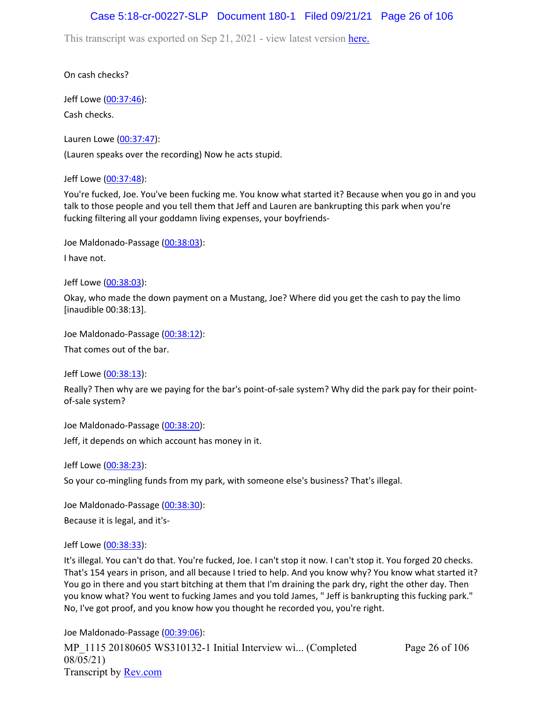## Case 5:18-cr-00227-SLP Document 180-1 Filed 09/21/21 Page 26 of 106

This transcript was exported on Sep 21, 2021 - view latest version [here.](https://www.rev.com/transcript-editor/Edit?token=amZQ9HHFTut_NOLFoO1lSR86cptioQiBp-VVq9f_BePwrTlAl64zFPqcRkwVvmM6GaAv4S7BniclRE4xdf7JBzULLcE&loadFrom=DocumentHeaderDeepLink)

On cash checks?

Jeff Lowe ([00:37:46](https://www.rev.com/transcript-editor/Edit?token=0ADGdnDkjjqtqCuC3k374sLYzBuVG1IssuIlK6bP-417AvmL0C4DgoEXT9nPT-oPL_NuLimhncpFiJ8k0bQ1nrBtPns&loadFrom=DocumentDeeplink&ts=2266.23)): Cash checks.

Lauren Lowe ([00:37:47](https://www.rev.com/transcript-editor/Edit?token=XXSJwA18O6vKPbsi5Ok1B_5tekRo-RezBU1Wd1T55EdJx3nscjFBcH5S843Uys_-aTiHZgYq5WU8Qei5Ol5eXc7pb7I&loadFrom=DocumentDeeplink&ts=2267.83)): (Lauren speaks over the recording) Now he acts stupid.

Jeff Lowe ([00:37:48](https://www.rev.com/transcript-editor/Edit?token=Qa1fXeOqvuGPSMOtJeaqa_Smhxhxq5Zw5MNaWH4xQlSYxTJBUvWXq99l_0iQxwGwkfd7Hetijfr2dBBWC6noNgqvY9Q&loadFrom=DocumentDeeplink&ts=2268.34)):

You're fucked, Joe. You've been fucking me. You know what started it? Because when you go in and you talk to those people and you tell them that Jeff and Lauren are bankrupting this park when you're fucking filtering all your goddamn living expenses, your boyfriends-

Joe Maldonado-Passage [\(00:38:03\)](https://www.rev.com/transcript-editor/Edit?token=Xm-ECZ3sj33aJFmA1Pqdy2vn9EsGs7OGAre5G7_I3c4Bb5xsmpXas-BInCJ_1LhdQUMlKzi12kLA5IJdvgLv_tlATPw&loadFrom=DocumentDeeplink&ts=2283.11):

I have not.

Jeff Lowe ([00:38:03](https://www.rev.com/transcript-editor/Edit?token=eyNi3KFEgmb9rbdP3xtG73UcFnHNVy5pVotXNIvirsDx3zR5X9P3AsZJq8Zr3qpg4Ci7_gys95w9e-txv8dv_A_GC54&loadFrom=DocumentDeeplink&ts=2283.64)):

Okay, who made the down payment on a Mustang, Joe? Where did you get the cash to pay the limo [inaudible 00:38:13].

Joe Maldonado-Passage [\(00:38:12\)](https://www.rev.com/transcript-editor/Edit?token=GLBD_Lc9kR3x0IkXBuO3ugU8uDVmgzkELpwFq5Dytv3fkrN4_P3EMCqbxhdc6UQw1B2klioR8ZWZ5ev0YyJjImMw3Ao&loadFrom=DocumentDeeplink&ts=2292.51):

That comes out of the bar.

Jeff Lowe ([00:38:13](https://www.rev.com/transcript-editor/Edit?token=EK2PS3C5pdgbhIRTBVxhI8fS0G_EFID746yrz85bwqMmW1FL0uXPr-b6xy4-Z96btciN6NjsXzXpKJYzjYB6IN2D0JM&loadFrom=DocumentDeeplink&ts=2293.41)):

Really? Then why are we paying for the bar's point-of-sale system? Why did the park pay for their pointof-sale system?

Joe Maldonado-Passage [\(00:38:20\)](https://www.rev.com/transcript-editor/Edit?token=uaDS1AxY9RSxJ9g9AQgqKR7hy-kv10boBnl5C8GL_tEVVE7w78w45wu85dAoImnZO5LFIx4Qv6Z8e5QJc9nZPip7f6Y&loadFrom=DocumentDeeplink&ts=2300.41): Jeff, it depends on which account has money in it.

Jeff Lowe ([00:38:23](https://www.rev.com/transcript-editor/Edit?token=64tnIrELk5N6BBXv7b8PlX0CoKCMcSnIp6AqbC4gJfsOlIvk6a3cr3ayJcqOznaoIroOrln353o-J_zUzD1-f9CP1Vo&loadFrom=DocumentDeeplink&ts=2303.97)):

So your co-mingling funds from my park, with someone else's business? That's illegal.

Joe Maldonado-Passage [\(00:38:30\)](https://www.rev.com/transcript-editor/Edit?token=N-upGzCqYq0BhHX6twT2ecuECwaFC2LAbSp8aAPLNkVa6FPzYeNDdZ0OCDh0U2lAzFHX7X4b-jcYiIOI632fmOdVK_c&loadFrom=DocumentDeeplink&ts=2310.9): Because it is legal, and it's-

Jeff Lowe ([00:38:33](https://www.rev.com/transcript-editor/Edit?token=ClOUw68s3X2GRxumHIPlMX0DsE_7nv0WKs0_aRkzWy8DtZo-zkbRcrU7_i-3HuuditqRImKRZOG4Wa-rOYIR4VladC8&loadFrom=DocumentDeeplink&ts=2313.37)):

It's illegal. You can't do that. You're fucked, Joe. I can't stop it now. I can't stop it. You forged 20 checks. That's 154 years in prison, and all because I tried to help. And you know why? You know what started it? You go in there and you start bitching at them that I'm draining the park dry, right the other day. Then you know what? You went to fucking James and you told James, " Jeff is bankrupting this fucking park." No, I've got proof, and you know how you thought he recorded you, you're right.

Page 26 of 106

MP\_1115 20180605 WS310132-1 Initial Interview wi... (Completed 08/05/21) Transcript by [Rev.com](https://www.rev.com/) Joe Maldonado-Passage [\(00:39:06\)](https://www.rev.com/transcript-editor/Edit?token=EPuPu5QZ1DmXPVWJ6lI-dhTFFArDOJy2Sk-Eipy02_ROufEmGwpq3_pK4t_WZoUcmkGjrbc_CzFTgD-qW8Sved8AgGw&loadFrom=DocumentDeeplink&ts=2346.82):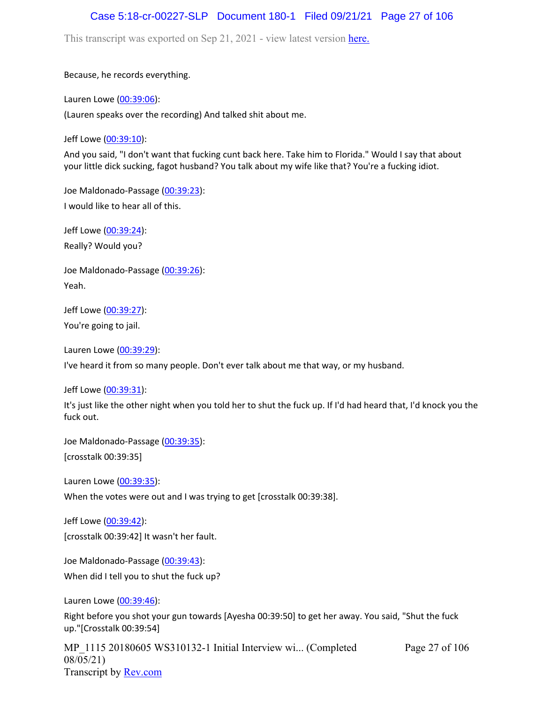### Case 5:18-cr-00227-SLP Document 180-1 Filed 09/21/21 Page 27 of 106

This transcript was exported on Sep 21, 2021 - view latest version [here.](https://www.rev.com/transcript-editor/Edit?token=amZQ9HHFTut_NOLFoO1lSR86cptioQiBp-VVq9f_BePwrTlAl64zFPqcRkwVvmM6GaAv4S7BniclRE4xdf7JBzULLcE&loadFrom=DocumentHeaderDeepLink)

Because, he records everything.

Lauren Lowe ([00:39:06](https://www.rev.com/transcript-editor/Edit?token=esMZk_J1opG3sJJIwh7N4tstAxXLAIUXRcC__8eZwmvVmDeVVMx_NHeWm4zK-Sm14uHT7ulMV-5uK2Xn41m-SN77V0Y&loadFrom=DocumentDeeplink&ts=2346.91)):

(Lauren speaks over the recording) And talked shit about me.

Jeff Lowe ([00:39:10](https://www.rev.com/transcript-editor/Edit?token=1wI1FM9exHtBAwW8HbsBkkM8tOiIkrKJZT1dd-YfHvXRqMausJ_5nzmuSO9mcmLRPgfo5DDBOxuzTXGg-ObIJvN6nuM&loadFrom=DocumentDeeplink&ts=2350.5)):

And you said, "I don't want that fucking cunt back here. Take him to Florida." Would I say that about your little dick sucking, fagot husband? You talk about my wife like that? You're a fucking idiot.

Joe Maldonado-Passage [\(00:39:23\)](https://www.rev.com/transcript-editor/Edit?token=9Kb4e7-T1xbYFD8PPd7ZM0PXSQ7OVBOEuJzLMcocLh2fqhuDtSyo7W8tZF5VuCgp15YIhco7oRY_9xdQ312yTJkeR7Q&loadFrom=DocumentDeeplink&ts=2363.39): I would like to hear all of this.

Jeff Lowe ([00:39:24](https://www.rev.com/transcript-editor/Edit?token=N9g9nYirDdZw7R3dYTC6Zj_DMRZsTXa4-KCxGFwMO11o2Eat3F9H9V9jcLsWlaJIP1h91vhZtbTjQxsLnm5bDn8pnRc&loadFrom=DocumentDeeplink&ts=2364.85)): Really? Would you?

Joe Maldonado-Passage [\(00:39:26\)](https://www.rev.com/transcript-editor/Edit?token=vaQdDAg0-XnIEO7pI1RfwO2ofSCngo77MJ2YNfGGVxUUTfmEcVEdHgrEqAq2kLxGwiTpgp814GbA5RQ2aVX7qbP7Duk&loadFrom=DocumentDeeplink&ts=2366.5): Yeah.

Jeff Lowe ([00:39:27](https://www.rev.com/transcript-editor/Edit?token=kUuV5NQ6no0oog4nPZjHRvrp6xnpTLSnmKZ1OWuTg_zvsh0cGpHj6QX2YUXrL6y7tgUuQqdBRRPYXuAGipE2q-K-Ojw&loadFrom=DocumentDeeplink&ts=2367.64)): You're going to jail.

Lauren Lowe ([00:39:29](https://www.rev.com/transcript-editor/Edit?token=2oXGY-ZqKV7T742m4cM2ajn5kRjA43z5bLxkXBbf3jary6gdslTWC_aO4lyFUmjWDD2kdiZ2P27GzA7OL4pDXYy98n8&loadFrom=DocumentDeeplink&ts=2369.52)):

I've heard it from so many people. Don't ever talk about me that way, or my husband.

Jeff Lowe ([00:39:31](https://www.rev.com/transcript-editor/Edit?token=PWO9cUNISxmRK232SdFyMwBXrjeQILznBlUI73fCt2hBDeMvlqbW8UIBjbKLVMcYzG-vHxnnm_UmfUCAavxxQrDRIQs&loadFrom=DocumentDeeplink&ts=2371.19)):

It's just like the other night when you told her to shut the fuck up. If I'd had heard that, I'd knock you the fuck out.

Joe Maldonado-Passage [\(00:39:35\)](https://www.rev.com/transcript-editor/Edit?token=4zMcGv3QmT8u3gG2E4LCo_eQ_FuFl08nDUmpQviacJQkAuJhndJ698t93fxB1OgSfCr9seONBRdWs28271kMEugPTH8&loadFrom=DocumentDeeplink&ts=2375.03): [crosstalk 00:39:35]

Lauren Lowe ([00:39:35](https://www.rev.com/transcript-editor/Edit?token=xieymV2wfUPBZFE3TMcyWY8IP1dSbTTLqM7okT3euim6hjEHWc8iw-n5feJxxXg8WhcyP_48jZ_hOTGInDfVBDGSd4w&loadFrom=DocumentDeeplink&ts=2375.03)):

When the votes were out and I was trying to get [crosstalk 00:39:38].

Jeff Lowe ([00:39:42](https://www.rev.com/transcript-editor/Edit?token=aT9D_8ymCB3bMlkIlts_yzuQlAKL_FS8Q5yIIchZ_t673SP5hqEi4XP5jlx0yxYV7M50wQ3vyIi63uLDsE3EHBKNgk8&loadFrom=DocumentDeeplink&ts=2382)): [crosstalk 00:39:42] It wasn't her fault.

Joe Maldonado-Passage [\(00:39:43\)](https://www.rev.com/transcript-editor/Edit?token=ZJsjzXgvxOomlhH_pyx6IgJWcZpNhPe7YgbNjxLl-2dtkTI8NuJOQ6x60I5sDytyUDmuEOO5sS4o2kukDrIZbZUhqXI&loadFrom=DocumentDeeplink&ts=2383.44): When did I tell you to shut the fuck up?

Lauren Lowe ([00:39:46](https://www.rev.com/transcript-editor/Edit?token=d7uHnePaGhB7qAEdLTaAeYym1XJ1j-_YNVhaJdjg42cA1zQzayM_i4xGhIaOLiip00CLgx3yjVQNaF4VNUkAXvM3lC4&loadFrom=DocumentDeeplink&ts=2386.72)):

Right before you shot your gun towards [Ayesha 00:39:50] to get her away. You said, "Shut the fuck up."[Crosstalk 00:39:54]

Page 27 of 106

MP 1115 20180605 WS310132-1 Initial Interview wi... (Completed 08/05/21) Transcript by [Rev.com](https://www.rev.com/)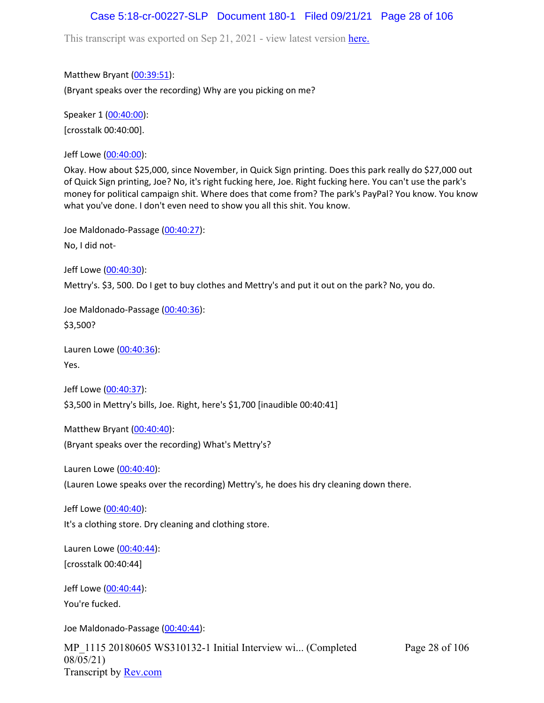## Case 5:18-cr-00227-SLP Document 180-1 Filed 09/21/21 Page 28 of 106

This transcript was exported on Sep 21, 2021 - view latest version [here.](https://www.rev.com/transcript-editor/Edit?token=amZQ9HHFTut_NOLFoO1lSR86cptioQiBp-VVq9f_BePwrTlAl64zFPqcRkwVvmM6GaAv4S7BniclRE4xdf7JBzULLcE&loadFrom=DocumentHeaderDeepLink)

Matthew Bryant ([00:39:51](https://www.rev.com/transcript-editor/Edit?token=VZInBYyDXASVmwAyROTsgkMyjViRQi5F8CIpyx_4Ro7biqofQ-3tfjWqHZoJIvTRiMSdGdBhcyKg8vPlopNiAW18vmY&loadFrom=DocumentDeeplink&ts=2391.77)):

(Bryant speaks over the recording) Why are you picking on me?

Speaker 1 ([00:40:00](https://www.rev.com/transcript-editor/Edit?token=MYXnvNrSfVx3AjR770U2ArfzKW6frYQn0rCfliOKMtL8cuvHriwF7oGRL3r2JerApZS1vdjxy-xvwUeHa2lreCzOjgU&loadFrom=DocumentDeeplink&ts=2400)): [crosstalk 00:40:00].

Jeff Lowe ([00:40:00](https://www.rev.com/transcript-editor/Edit?token=9pVuW5l3_8UvbqHqHbM6q_2w6B5YoN3hZd0d-gbGjm9zvkCPvp2PstGdn4AtKVPO9lM7ttgxJ7gfQb_9u6WJZez07Q0&loadFrom=DocumentDeeplink&ts=2400.08)):

Okay. How about \$25,000, since November, in Quick Sign printing. Does this park really do \$27,000 out of Quick Sign printing, Joe? No, it's right fucking here, Joe. Right fucking here. You can't use the park's money for political campaign shit. Where does that come from? The park's PayPal? You know. You know what you've done. I don't even need to show you all this shit. You know.

Joe Maldonado-Passage [\(00:40:27\)](https://www.rev.com/transcript-editor/Edit?token=G8ZwSG3SUL9RI1UEU9_1m9roTJr53G9_LvX-hZzX8yrFab-GZ0K8IxkthWJfqwXRDkLhsgLlLQKDZvR3wFLth1NQRXM&loadFrom=DocumentDeeplink&ts=2427.88):

No, I did not-

Jeff Lowe ([00:40:30](https://www.rev.com/transcript-editor/Edit?token=FtlpsiMoLAbhJ9baaKvNgdxKvkAD-swAmnfE87Km6QZU6YByjvWq1Pksdweo1YM1fxP_SLiWQVtvG8Ar_tg8DWu0MuY&loadFrom=DocumentDeeplink&ts=2430.25)):

Mettry's. \$3, 500. Do I get to buy clothes and Mettry's and put it out on the park? No, you do.

Joe Maldonado-Passage [\(00:40:36\)](https://www.rev.com/transcript-editor/Edit?token=ABs7KZmtPIF4U0MmNJfliKx_4EsAK9DYDxnPmX19TqHte46LCcMIit-Psu9BmmpJyIjpJsE3iwEO0lRgeW4JM-kBMpM&loadFrom=DocumentDeeplink&ts=2436.76): \$3,500?

Lauren Lowe ([00:40:36](https://www.rev.com/transcript-editor/Edit?token=beA47lpYJAO5xOyF7Z7qCTo3O3JnzNL1LwHmXiy6wDNepSJmiq8CzhgbOITBZNu6j7PdVjv0r6JlbaB408LvArQyPzQ&loadFrom=DocumentDeeplink&ts=2436.79)): Yes.

Jeff Lowe ([00:40:37](https://www.rev.com/transcript-editor/Edit?token=BIy2h93wh5rXfbzEVfTLezkKG9mMtz2jK4ppWj2nJuzvr6whM5__U-6ZR1iRsq2JnxGQtwYB3nFAQv-GHjI9w-EmxP0&loadFrom=DocumentDeeplink&ts=2437.74)): \$3,500 in Mettry's bills, Joe. Right, here's \$1,700 [inaudible 00:40:41]

Matthew Bryant ([00:40:40](https://www.rev.com/transcript-editor/Edit?token=ICu0dn-DgLXbXYc3bQFGNs2SL57PsXjBezr6xXYXH72kz9yx1W7fzmTWouZjvZ2yLiZ-9jWMb8Ol6L4xu6ETUHyDm_w&loadFrom=DocumentDeeplink&ts=2440.63)):

(Bryant speaks over the recording) What's Mettry's?

Lauren Lowe ([00:40:40](https://www.rev.com/transcript-editor/Edit?token=pLCOQ9MdhfRje4X5edP_YSSEG05pAOFuLJVetZQhslPN3IIEi-xda9a_TjM9OeWtXY0iBtCyVHxD4H46nvKDpkAUIjQ&loadFrom=DocumentDeeplink&ts=2440.64)):

(Lauren Lowe speaks over the recording) Mettry's, he does his dry cleaning down there.

Jeff Lowe ([00:40:40](https://www.rev.com/transcript-editor/Edit?token=PlSrIsJ18g_EuIJHy26K-Pdv6sZos5Y0AqnalUEVPnYoV-X5znvqJFMNuRrTr7bFGPDsREEPY_4jeVjqQrhHSMwtM2k&loadFrom=DocumentDeeplink&ts=2440.88)):

It's a clothing store. Dry cleaning and clothing store.

Lauren Lowe ([00:40:44](https://www.rev.com/transcript-editor/Edit?token=uumenlYuTeUyUf7jcVP6vV-exPUEPVA0hC3gTocxMJyorI2itzWw2PRSsOBVIHppUQpftJeZCcGywkRs5ztKVZGJRLg&loadFrom=DocumentDeeplink&ts=2444)): [crosstalk 00:40:44]

Jeff Lowe ([00:40:44](https://www.rev.com/transcript-editor/Edit?token=5h-bG8fvhysY8CihflBi5gOQXKc636reFNF8V6ATeD44qAL1mKfTMHQwo-6I8XJRBtJzFAB3TPFEOdtpkz-0tc3n-Fw&loadFrom=DocumentDeeplink&ts=2444.13)): You're fucked.

Joe Maldonado-Passage [\(00:40:44\)](https://www.rev.com/transcript-editor/Edit?token=TtXUQ6bR-qE3M66Ka3cbfw0eYF5OhVp7SwrVRPlN0gPhyRNN6Cav5CQfCT17m5vp6JuQJNXzzk9igrQbHPZZXcQEZjU&loadFrom=DocumentDeeplink&ts=2444.72):

MP\_1115 20180605 WS310132-1 Initial Interview wi... (Completed 08/05/21) Transcript by [Rev.com](https://www.rev.com/)

Page 28 of 106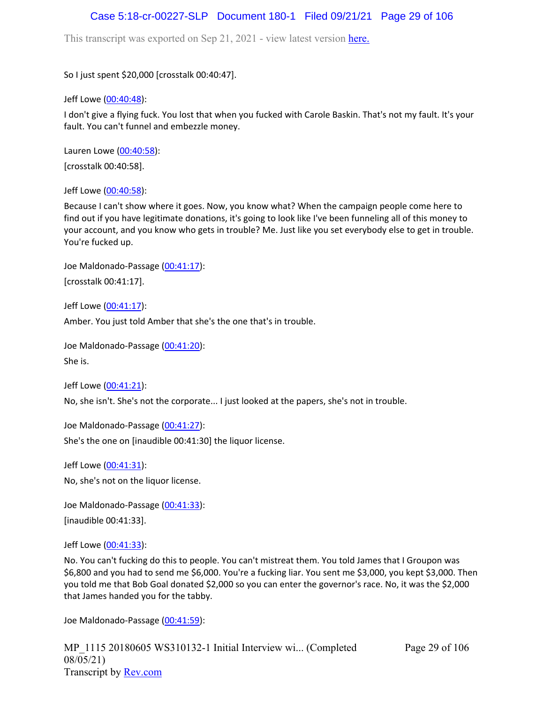## Case 5:18-cr-00227-SLP Document 180-1 Filed 09/21/21 Page 29 of 106

This transcript was exported on Sep 21, 2021 - view latest version [here.](https://www.rev.com/transcript-editor/Edit?token=amZQ9HHFTut_NOLFoO1lSR86cptioQiBp-VVq9f_BePwrTlAl64zFPqcRkwVvmM6GaAv4S7BniclRE4xdf7JBzULLcE&loadFrom=DocumentHeaderDeepLink)

So I just spent \$20,000 [crosstalk 00:40:47].

Jeff Lowe ([00:40:48](https://www.rev.com/transcript-editor/Edit?token=H20RaO7GFKz4DDbprlSl7F6ULewOvJd2lrpdTLzB2njAmV43mPDMXzv4q3M95BTYQ85YRDaLKdbAiur0lIaJ3wu8vKc&loadFrom=DocumentDeeplink&ts=2448.13)):

I don't give a flying fuck. You lost that when you fucked with Carole Baskin. That's not my fault. It's your fault. You can't funnel and embezzle money.

Lauren Lowe ([00:40:58](https://www.rev.com/transcript-editor/Edit?token=47so7adKF0tWU6woXc5UNIVxSyWYRiAi44L37GERbRQbc1YGNd7Ig_KUeTV1DlXSCwvz4sFXNReQRRkDHhJ5aBIyt0c&loadFrom=DocumentDeeplink&ts=2458)):

[crosstalk 00:40:58].

Jeff Lowe ([00:40:58](https://www.rev.com/transcript-editor/Edit?token=1IREABWJht-td35WLZ4oLjkV_NqxR8IARFcarE0lUozjd5ZiIJrIfqLExRLuRdmEVB_y_LugLGNP6KXWYcIGvvz1A6M&loadFrom=DocumentDeeplink&ts=2458.38)):

Because I can't show where it goes. Now, you know what? When the campaign people come here to find out if you have legitimate donations, it's going to look like I've been funneling all of this money to your account, and you know who gets in trouble? Me. Just like you set everybody else to get in trouble. You're fucked up.

Joe Maldonado-Passage [\(00:41:17\)](https://www.rev.com/transcript-editor/Edit?token=leurSUGMQfhFqkKxbxGP2LNsqfFj9JgYijs01dEYX8_kbIpXDshvxSlcXfa9kbX0MG5BrlOcr0_KY8oUFpzYwy5pQqU&loadFrom=DocumentDeeplink&ts=2477): [crosstalk 00:41:17].

Jeff Lowe ([00:41:17](https://www.rev.com/transcript-editor/Edit?token=HJbgItlmK6nulRYdbiPYy9gbjZTBmc5kGYxGVcu_bTiOG4xeiLroN0zAVNDFxitYxxXQq1nELKUxTV8ZO_1JrEWqO4s&loadFrom=DocumentDeeplink&ts=2477.07)):

Amber. You just told Amber that she's the one that's in trouble.

Joe Maldonado-Passage [\(00:41:20\)](https://www.rev.com/transcript-editor/Edit?token=SY123EAgptIKIt2zsw1LxbpN8tawhAKi515A3VFgcs98kTW4k_sxOv6Kl9Z3SLq1o-OEnqeTZJm7GxurizUyJepwCis&loadFrom=DocumentDeeplink&ts=2480.48):

She is.

Jeff Lowe ([00:41:21](https://www.rev.com/transcript-editor/Edit?token=LuvzB2VMRunNbBJjPFxLhNpL-v2eiVZ9rREdLw6jJG7NwsLa7h1JE3QIbaF9MB8aq_AYBLL4AIeA286LJdcql4nAa-8&loadFrom=DocumentDeeplink&ts=2481.28)):

No, she isn't. She's not the corporate... I just looked at the papers, she's not in trouble.

Joe Maldonado-Passage [\(00:41:27\)](https://www.rev.com/transcript-editor/Edit?token=ZCr6Dro6Uc3GKyGtfkDgql09v_crpluqtG03q8zgts1xMCwPl6t_G5USt28afOrFq4LW0NWN1YjNalNu_Tzk_e98QwA&loadFrom=DocumentDeeplink&ts=2487.97): She's the one on [inaudible 00:41:30] the liquor license.

Jeff Lowe ([00:41:31](https://www.rev.com/transcript-editor/Edit?token=loV2E8PnKEX-GxiUJcg44LVFnPK4XrkMUneZYK0JFMPBvTf4WBBtQJCvOKt9cVGp7u6AbEjagqo2owxrRQ7jvhse6IU&loadFrom=DocumentDeeplink&ts=2491.31)): No, she's not on the liquor license.

Joe Maldonado-Passage [\(00:41:33\)](https://www.rev.com/transcript-editor/Edit?token=jW-yA-VXhluXbZui6lTefTqo9kPaQKOffnv885ZslXZn9mDEkqmcri4LNXHv2GHde9wr4tJ9PlGiXZSZnjK8VbIIMQg&loadFrom=DocumentDeeplink&ts=2493): [inaudible 00:41:33].

Jeff Lowe ([00:41:33](https://www.rev.com/transcript-editor/Edit?token=JMGnTLVSnlyy8sUemNn8G2-XpcTHUssDUIXamHktoiIkLKN-JtPgcdIio9EzxGcxpPJzqo1As0VgrG7BMw1UdPdXEKM&loadFrom=DocumentDeeplink&ts=2493)):

No. You can't fucking do this to people. You can't mistreat them. You told James that I Groupon was \$6,800 and you had to send me \$6,000. You're a fucking liar. You sent me \$3,000, you kept \$3,000. Then you told me that Bob Goal donated \$2,000 so you can enter the governor's race. No, it was the \$2,000 that James handed you for the tabby.

Joe Maldonado-Passage [\(00:41:59\)](https://www.rev.com/transcript-editor/Edit?token=j3buA903oeptYM9_IjMYuM4V-AQX1kFznAQI7ZMXXHGTpfaL4yxucYLjtBRTkWjDJVgrrKv0O8Zo2tq9xcWxvvlyb20&loadFrom=DocumentDeeplink&ts=2519.23):

MP\_1115 20180605 WS310132-1 Initial Interview wi... (Completed 08/05/21) Transcript by [Rev.com](https://www.rev.com/)

Page 29 of 106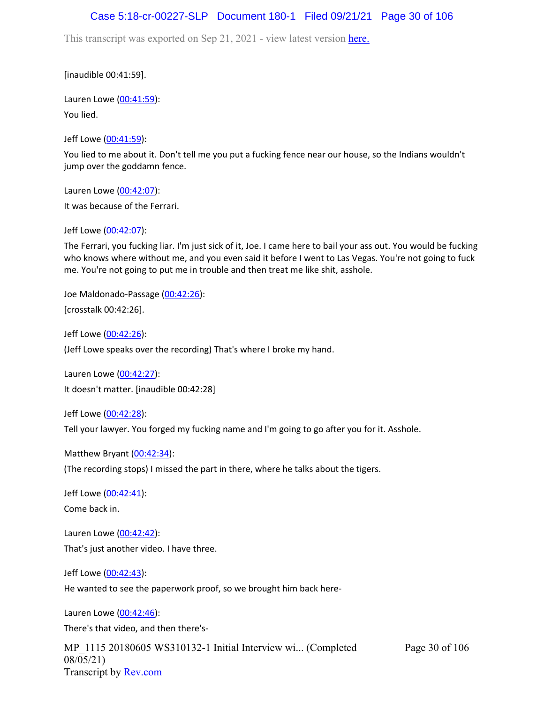### Case 5:18-cr-00227-SLP Document 180-1 Filed 09/21/21 Page 30 of 106

This transcript was exported on Sep 21, 2021 - view latest version [here.](https://www.rev.com/transcript-editor/Edit?token=amZQ9HHFTut_NOLFoO1lSR86cptioQiBp-VVq9f_BePwrTlAl64zFPqcRkwVvmM6GaAv4S7BniclRE4xdf7JBzULLcE&loadFrom=DocumentHeaderDeepLink)

[inaudible 00:41:59].

Lauren Lowe ([00:41:59](https://www.rev.com/transcript-editor/Edit?token=-dfOqHmhdgz3aSc90ZG-LWLtQhzAGSBQlDlArMjW6UTdCWVv5enLtxBYSEsdb0L9hlUZOpQl9TYOAYdGHNZ5jm7ILGE&loadFrom=DocumentDeeplink&ts=2519.23)): You lied.

Jeff Lowe ([00:41:59](https://www.rev.com/transcript-editor/Edit?token=wVgdC5WagkQDyCRKMzl9qgcfndP50lNyos6AIfMI1kCq8oTgE8VkglIADhHjPUuWylZtjGdT1kmOOYlU7Twlb4fBhCk&loadFrom=DocumentDeeplink&ts=2519.28)):

You lied to me about it. Don't tell me you put a fucking fence near our house, so the Indians wouldn't jump over the goddamn fence.

Lauren Lowe ([00:42:07](https://www.rev.com/transcript-editor/Edit?token=wov4WsZiCBTMZFHiWYPHlbxGlclR4lWlIKNIl7upjs3Z6NTL-suB6bYOoJg-y4EYS95pCkVfeeI1PBnIBzJXrlVJfMM&loadFrom=DocumentDeeplink&ts=2527.35)): It was because of the Ferrari.

Jeff Lowe ([00:42:07](https://www.rev.com/transcript-editor/Edit?token=79niDQ4tUP6l4ZLVl1nrmvRwuA56tHiXJHVstCoc2AgEb_Dn8ZIZ__8EP3f12b55F-bVAn0yFcKkY8N5eVXct8OYkDw&loadFrom=DocumentDeeplink&ts=2527.81)):

The Ferrari, you fucking liar. I'm just sick of it, Joe. I came here to bail your ass out. You would be fucking who knows where without me, and you even said it before I went to Las Vegas. You're not going to fuck me. You're not going to put me in trouble and then treat me like shit, asshole.

Joe Maldonado-Passage [\(00:42:26\)](https://www.rev.com/transcript-editor/Edit?token=PC_aC596Id0AxMRP4BQlXuswG-DqihvRWF-FO6R3hiPoFGIwki29eGyLxHdsjvSJFPpwm2O2uqDp0mFdZiA6_LfPzNk&loadFrom=DocumentDeeplink&ts=2546): [crosstalk 00:42:26].

Jeff Lowe ([00:42:26](https://www.rev.com/transcript-editor/Edit?token=uIrFNlGSnZM2Oc4jcIijFo3dmjtUKvPoG-OogktpYoX7EjUg0SgOOGfrhb-9kqV3ij9NILZlX551HyZkQXJBe2MU_E0&loadFrom=DocumentDeeplink&ts=2546.07)):

(Jeff Lowe speaks over the recording) That's where I broke my hand.

Lauren Lowe ([00:42:27](https://www.rev.com/transcript-editor/Edit?token=5a-ezHql2d-dUsJyuYx1Tcv6-5dSWLZrQOBTgUelol9O6ErEdashDiplAxbvGxi_mt7SnVQV_XDfZYKvxW4hHc19TiE&loadFrom=DocumentDeeplink&ts=2547.62)): It doesn't matter. [inaudible 00:42:28]

Jeff Lowe ([00:42:28](https://www.rev.com/transcript-editor/Edit?token=0xHxp4XnnFBMT0CaR_qrwu9pxc8hynVx2uGH9-GkbIqCk5HtDAS67UQePc1D8x41JhkOznTGPitWdSFoi8hiEGjBQYs&loadFrom=DocumentDeeplink&ts=2548.8)): Tell your lawyer. You forged my fucking name and I'm going to go after you for it. Asshole.

Matthew Bryant ([00:42:34](https://www.rev.com/transcript-editor/Edit?token=fpku7y6uMvK-Kxk89J-De0RZKHaBI0Wf3ArMmlt07zv4_PHBrjYPXJ-d3kAycz_dXr7Z9GUNFHuggTyImRMILZla2B0&loadFrom=DocumentDeeplink&ts=2554.07)): (The recording stops) I missed the part in there, where he talks about the tigers.

Jeff Lowe ([00:42:41](https://www.rev.com/transcript-editor/Edit?token=3XO6jw6F_GB6aYeYd9nlADkroraO8wpozNIUu7ju9LuInrlgODmsGXoLCzWcSuLpLn0ap2Yj-J1FJUG_Af44r61TJO8&loadFrom=DocumentDeeplink&ts=2561)): Come back in.

Lauren Lowe ([00:42:42](https://www.rev.com/transcript-editor/Edit?token=Vma7X_-tE5WJwN1aJHVNhnaBQX2Xa4hkugRkpdf84Hbb6LGBasLNcaTtOZagMcDO78o70-2F2IEN6dMboPMmqhL0iLQ&loadFrom=DocumentDeeplink&ts=2562.12)): That's just another video. I have three.

Jeff Lowe ([00:42:43](https://www.rev.com/transcript-editor/Edit?token=9kDMB-Hm_9746u37h8W0SNpOI-hkc2u2KIO_pkV28R41SSqgnjbE__6sGDB9p5duVnfj9MktYOi5c4Mpq-wmYBRWkNM&loadFrom=DocumentDeeplink&ts=2563.5)):

He wanted to see the paperwork proof, so we brought him back here-

Lauren Lowe ([00:42:46](https://www.rev.com/transcript-editor/Edit?token=bRk80cerhztCqUnZeBSrSx53YCHuG2MhY3VirS2bwP38MpBwNWheCWYMENPeIOa6-BnSM8TxMrIZqdhsztEn9bnIO3w&loadFrom=DocumentDeeplink&ts=2566.12)): There's that video, and then there's-

MP\_1115 20180605 WS310132-1 Initial Interview wi... (Completed 08/05/21) Transcript by [Rev.com](https://www.rev.com/) Page 30 of 106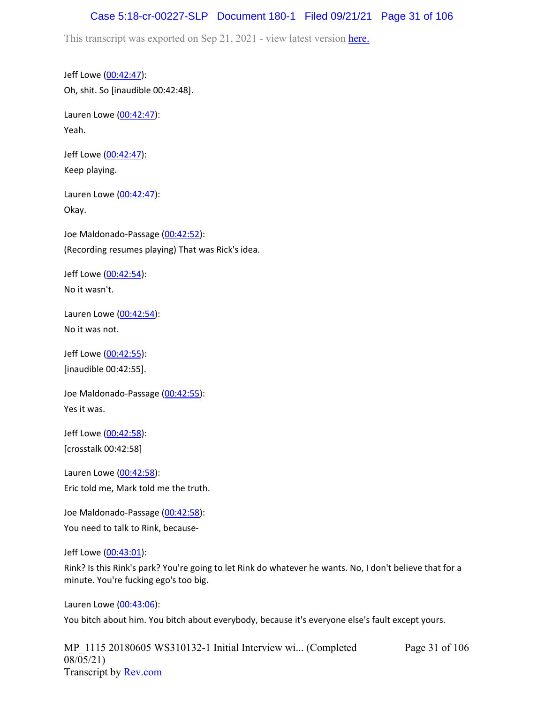### Case 5:18-cr-00227-SLP Document 180-1 Filed 09/21/21 Page 31 of 106

This transcript was exported on Sep 21, 2021 - view latest version [here.](https://www.rev.com/transcript-editor/Edit?token=amZQ9HHFTut_NOLFoO1lSR86cptioQiBp-VVq9f_BePwrTlAl64zFPqcRkwVvmM6GaAv4S7BniclRE4xdf7JBzULLcE&loadFrom=DocumentHeaderDeepLink)

Jeff Lowe ([00:42:47](https://www.rev.com/transcript-editor/Edit?token=0KgUpnb_sqLPKk4KYZX-uYWFOlw4x-M3HAF_d6DvadwYLnPOOZE-VPKJgQbuy10EMWYfj8phUawCscWC_vqrhEEvRK0&loadFrom=DocumentDeeplink&ts=2567.09)): Oh, shit. So [inaudible 00:42:48].

Lauren Lowe ([00:42:47](https://www.rev.com/transcript-editor/Edit?token=vmYvjXZikAPMX9WelD1ikwVBcypIgTbu7IA75fyLeJ9oMC5Vdcfe0VIqMv9swPLqBUEfL2a1STrfiebbqrResZNN9jA&loadFrom=DocumentDeeplink&ts=2567.57)): Yeah.

Jeff Lowe ([00:42:47](https://www.rev.com/transcript-editor/Edit?token=q9W5vYJ3tL0e943eTiqb1XGz_E5sJ81aGxP-GUBkwa8ua4nWTy8QLUAn5lhtk8oZYwO56ZS7VDim4wgTHe71KSKAESs&loadFrom=DocumentDeeplink&ts=2567.57)): Keep playing.

Lauren Lowe ([00:42:47](https://www.rev.com/transcript-editor/Edit?token=5j3iv8Pcb97XEiiZMqFUcHpICX3x6uOPIoP33K9UzrGCjgVCjeLJQT1ooio76jr2NZuIrMKG_ckOEMf3xZmDgF3X_Rw&loadFrom=DocumentDeeplink&ts=2567.58)): Okay.

Joe Maldonado-Passage [\(00:42:52\)](https://www.rev.com/transcript-editor/Edit?token=OU3qX4CAASA8Cpan913Of4rOEuaEQ02CsobOgrpSTnMyczuq5FLe9rMGq671il1R7tclHiEbgNv1pC8mWzyNRjiWMvU&loadFrom=DocumentDeeplink&ts=2572.09): (Recording resumes playing) That was Rick's idea.

Jeff Lowe ([00:42:54](https://www.rev.com/transcript-editor/Edit?token=y7vF_k6uolPUg6zh0fEnJmrhyyjeQudwyGnH6rIyAhMwnEn4PSine5_RVt3tYRf8MjHEDdMPfNDtpk7nnHKHBF28g_g&loadFrom=DocumentDeeplink&ts=2574.25)): No it wasn't.

Lauren Lowe ([00:42:54](https://www.rev.com/transcript-editor/Edit?token=Y-u87OUBQpN-nxwa3V3Xpyjjvwv-oa9O1R-Q7f260YWmSv_bsxRR6iGkEnaNODt6J-K_GqAMK2ZscnCcRLghkyqK5YE&loadFrom=DocumentDeeplink&ts=2574.31)): No it was not.

Jeff Lowe ([00:42:55](https://www.rev.com/transcript-editor/Edit?token=qRluDxvsUB2gmRtBMlS3t_nGvzBQOeMXpz_y6IRM_lg08x6EjRlBpsUX19x94ISq_4b2fj1YNBq175Rlfop6cIIjQBs&loadFrom=DocumentDeeplink&ts=2575)): [inaudible 00:42:55].

Joe Maldonado-Passage [\(00:42:55\)](https://www.rev.com/transcript-editor/Edit?token=dSQEOMeDQoH70DRtkBbkPbiDJofvGx5DW9NzgLwL0zWAqVxyW3PQ-ksy-r8mfPnFGffFC2nJdiZJB7wbAWEnmNkJN_c&loadFrom=DocumentDeeplink&ts=2575): Yes it was.

Jeff Lowe ([00:42:58](https://www.rev.com/transcript-editor/Edit?token=p5-wdRzu81h2BNqdiHRELscv-KWpTkM4zwfbXLoLucI_aOpsM7dTzwMxcKrYjzWoYenc_dTwQc2WXZcSMAd0bPt89TE&loadFrom=DocumentDeeplink&ts=2578)): [crosstalk 00:42:58]

Lauren Lowe ([00:42:58](https://www.rev.com/transcript-editor/Edit?token=fqdpDhdmlC1YpbRliH1cG3uPXjBOMuC70azGGdu2AEk0OroLSaks39VyK8fEphOWqlN22LoL15LnKnwnOrcn8AazqZM&loadFrom=DocumentDeeplink&ts=2578.12)): Eric told me, Mark told me the truth.

Joe Maldonado-Passage [\(00:42:58\)](https://www.rev.com/transcript-editor/Edit?token=oRJhBImOcFwdg46Gq16Q5T0HePWJ1OkrNaVAV8TzHO8N1Mc4iVya4ubRbX62TKHCPvZ1sbBxW5dx7L55UhP5aYBzohI&loadFrom=DocumentDeeplink&ts=2578.65): You need to talk to Rink, because-

#### Jeff Lowe ([00:43:01](https://www.rev.com/transcript-editor/Edit?token=LsPeFhuiDJOAGUW8LMm8CO7cePVkN8l8sgMGIwVqHT9-H8PhTOnI2SEglzdrWbkq06w9wk5oR0YK-brimSP3XJK8YKY&loadFrom=DocumentDeeplink&ts=2581.13)):

Rink? Is this Rink's park? You're going to let Rink do whatever he wants. No, I don't believe that for a minute. You're fucking ego's too big.

Lauren Lowe ([00:43:06](https://www.rev.com/transcript-editor/Edit?token=vkmvaNh1lJNrRyyQSVjFmPXbFo3pAEmHYrflw4t8U1UY12r2WmzMXwi-QVFolc_aWaTNWPT8uVgB9QrlkDiGMm897mA&loadFrom=DocumentDeeplink&ts=2586.54)):

You bitch about him. You bitch about everybody, because it's everyone else's fault except yours.

MP 1115 20180605 WS310132-1 Initial Interview wi... (Completed 08/05/21) Transcript by [Rev.com](https://www.rev.com/)

Page 31 of 106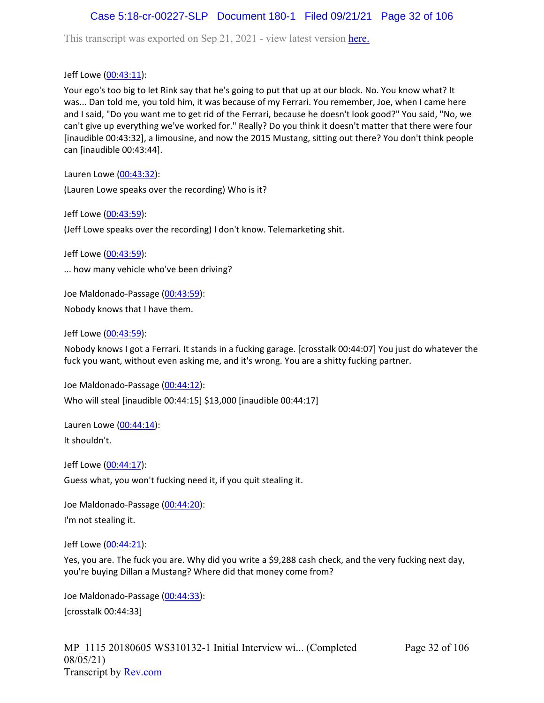# Case 5:18-cr-00227-SLP Document 180-1 Filed 09/21/21 Page 32 of 106

This transcript was exported on Sep 21, 2021 - view latest version [here.](https://www.rev.com/transcript-editor/Edit?token=amZQ9HHFTut_NOLFoO1lSR86cptioQiBp-VVq9f_BePwrTlAl64zFPqcRkwVvmM6GaAv4S7BniclRE4xdf7JBzULLcE&loadFrom=DocumentHeaderDeepLink)

Jeff Lowe ([00:43:11](https://www.rev.com/transcript-editor/Edit?token=V0Ytwz5c7EflHcj3wMLuLI-6Ifw1P8V2djoq-n890PxvpJeY41FqYOjaZ_1BN7IkIVAuB0QXdgkIwGPTrWQTTC19mmc&loadFrom=DocumentDeeplink&ts=2591.48)):

Your ego's too big to let Rink say that he's going to put that up at our block. No. You know what? It was... Dan told me, you told him, it was because of my Ferrari. You remember, Joe, when I came here and I said, "Do you want me to get rid of the Ferrari, because he doesn't look good?" You said, "No, we can't give up everything we've worked for." Really? Do you think it doesn't matter that there were four [inaudible 00:43:32], a limousine, and now the 2015 Mustang, sitting out there? You don't think people can [inaudible 00:43:44].

Lauren Lowe ([00:43:32](https://www.rev.com/transcript-editor/Edit?token=j6Vfg1K0yMRuMLY7FfVDakQj16CTE0LNLaU4aYqX_Oh6i_fgnxTljCE_PDFrAmhfhLvDmGng5k6GnW7waAsfd_A6sYM&loadFrom=DocumentDeeplink&ts=2612.51)):

(Lauren Lowe speaks over the recording) Who is it?

Jeff Lowe ([00:43:59](https://www.rev.com/transcript-editor/Edit?token=oMeYwmRgfzjxn4xjC70UaAGyRHu1aw__Qzu_cOOg7t0pryklQTHYixOSvO5eSfbGYxohGFA0VuHSv2bRZ3XUmmL4XQ8&loadFrom=DocumentDeeplink&ts=2639.43)):

(Jeff Lowe speaks over the recording) I don't know. Telemarketing shit.

Jeff Lowe ([00:43:59](https://www.rev.com/transcript-editor/Edit?token=yewshhYN2agg4I06fWkQrVn5p2o2Q_IjZr737k6Bm69xur8SyvTwDsWq_xV8Et7SoCHSYEGcI7ttHyUbT0E1Ly2za7o&loadFrom=DocumentDeeplink&ts=2639.46)):

... how many vehicle who've been driving?

Joe Maldonado-Passage [\(00:43:59\)](https://www.rev.com/transcript-editor/Edit?token=IZDZzVGIX9MOc9H9Ypi68XITwmNL7Knd7am4y8OZ0a7X1XDly7UI8Jh9pmkbuP-r_-ITi4tSEj8OV9YQ2ZCUlnstd4U&loadFrom=DocumentDeeplink&ts=2639.46): Nobody knows that I have them.

Jeff Lowe ([00:43:59](https://www.rev.com/transcript-editor/Edit?token=zFs6w1XfiY4KV3bRNz9r0HaMh5bt90vh3rsExuVNEyLDGlrTWbnyKQDzM3qyvqrV-KjA2O6PIUqrB3N0l4S7fB0Yga0&loadFrom=DocumentDeeplink&ts=2639.48)):

Nobody knows I got a Ferrari. It stands in a fucking garage. [crosstalk 00:44:07] You just do whatever the fuck you want, without even asking me, and it's wrong. You are a shitty fucking partner.

Joe Maldonado-Passage [\(00:44:12\)](https://www.rev.com/transcript-editor/Edit?token=mexyhaypM-CzgrQ5BzOyJyPs_fos3K0WmVc1EvI2IlcNvFOgPtjWmWG5CvYJdYkXe01qRQl0ZeRxDbmyXCHbdd7LmL0&loadFrom=DocumentDeeplink&ts=2652.69): Who will steal [inaudible 00:44:15] \$13,000 [inaudible 00:44:17]

Lauren Lowe ([00:44:14](https://www.rev.com/transcript-editor/Edit?token=kXByabIa1aR88YE6fUjg7st6zP-hiMQH9J1mTQJ1WwUOdfpTSUgK9COrrvpepWI04D-Aks5cJU2SADxSg9a3gBJjuTU&loadFrom=DocumentDeeplink&ts=2654.34)): It shouldn't.

Jeff Lowe ([00:44:17](https://www.rev.com/transcript-editor/Edit?token=4G3du8VjA2SH1bdUbHYe0jUFwExVqj2AmFq4_fYIXgANIphCMRHCqSE8USjx357-VuCzhP_XccPfEDLNG3j8j54iHVU&loadFrom=DocumentDeeplink&ts=2657.28)): Guess what, you won't fucking need it, if you quit stealing it.

Joe Maldonado-Passage [\(00:44:20\)](https://www.rev.com/transcript-editor/Edit?token=WGCCz4AxdGYACPJZSw2-FUFDojYDVQofpEyg6DFIOTj-SEeKRY3TTWGTyl3Pa1LrmY6_y6yNn_0ws1M7zXu6SUZ8Keg&loadFrom=DocumentDeeplink&ts=2660.13): I'm not stealing it.

Jeff Lowe ([00:44:21](https://www.rev.com/transcript-editor/Edit?token=qb2erz0S3SG5JfFIEppU39uMz08XIU5foazg723jA83n_Jgvt9KZoiRYfLeEom8f7P0E0OrvZ0M7tbypTyYlyfMDT7s&loadFrom=DocumentDeeplink&ts=2661.17)):

Yes, you are. The fuck you are. Why did you write a \$9,288 cash check, and the very fucking next day, you're buying Dillan a Mustang? Where did that money come from?

Joe Maldonado-Passage [\(00:44:33\)](https://www.rev.com/transcript-editor/Edit?token=LZQ3nOPOOA1R0pj3zvdFBwFC29-r82hXvqBqJBkPxRCJC2wCfSbUavPX8muW_L5ht0ieo5Yl5t46aYPQ2FnCWsF5A7A&loadFrom=DocumentDeeplink&ts=2673): [crosstalk 00:44:33]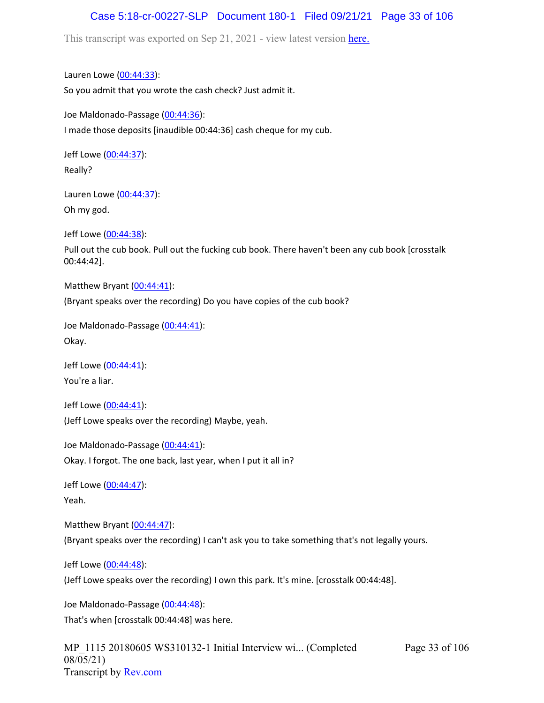## Case 5:18-cr-00227-SLP Document 180-1 Filed 09/21/21 Page 33 of 106

This transcript was exported on Sep 21, 2021 - view latest version [here.](https://www.rev.com/transcript-editor/Edit?token=amZQ9HHFTut_NOLFoO1lSR86cptioQiBp-VVq9f_BePwrTlAl64zFPqcRkwVvmM6GaAv4S7BniclRE4xdf7JBzULLcE&loadFrom=DocumentHeaderDeepLink)

Lauren Lowe ([00:44:33](https://www.rev.com/transcript-editor/Edit?token=HSFsdXmix6CfGoEDsnheVtI3x8mJz2Sesx7JNoE9a_8ctdU5wml8rFNVdKarWOTq6enBo-48DtNRxzIqMpuW1-OXBjA&loadFrom=DocumentDeeplink&ts=2673.13)): So you admit that you wrote the cash check? Just admit it.

Joe Maldonado-Passage [\(00:44:36\)](https://www.rev.com/transcript-editor/Edit?token=Wl7DkARHfHY1pDzYhJDmib7hWY4K3rEZCGVSCqmFP3pxILeSqiGOzr3SFcad26ZNUngC7VRPVUYUnjVSt0cvivnjkg8&loadFrom=DocumentDeeplink&ts=2676): I made those deposits [inaudible 00:44:36] cash cheque for my cub.

Jeff Lowe ([00:44:37](https://www.rev.com/transcript-editor/Edit?token=vfzCGtFV3xRh9QFfM4oBfPOgbR2M7qhFxYVVTn8zX7CGaE0NTer6JO8fA8e7vfrez35jIMbqs_GWqMslZG-PxlnRB5Q&loadFrom=DocumentDeeplink&ts=2677.62)): Really?

Lauren Lowe ([00:44:37](https://www.rev.com/transcript-editor/Edit?token=bWqDFfWwbgnLtHa-AU_3x83XbdZqGbW3-S0gBuO7yfhSD9BDxG38IdCV0wmpFQvtDXLsNFaRStzHjHRf0Drk93f-8XE&loadFrom=DocumentDeeplink&ts=2677.97)): Oh my god.

Jeff Lowe ([00:44:38](https://www.rev.com/transcript-editor/Edit?token=prHVn7MFsC54gJ9IIDMJ589NLKDsJ3l8_ICVgdO39jPQN99FHX_n_ub738hQpqwPllkOthIKkpuzvfxBTh-0lun4NOs&loadFrom=DocumentDeeplink&ts=2678.08)):

Pull out the cub book. Pull out the fucking cub book. There haven't been any cub book [crosstalk 00:44:42].

Matthew Bryant ([00:44:41](https://www.rev.com/transcript-editor/Edit?token=d33LvcbqLdykIIiAoe2l2ibbZYvtNP-TrJiR0v1SeINxT0OoBdGmVZlWX8saMGkj0doMj7emmYBhXv7SbLTXpL65kc8&loadFrom=DocumentDeeplink&ts=2681.9)):

(Bryant speaks over the recording) Do you have copies of the cub book?

Joe Maldonado-Passage [\(00:44:41\)](https://www.rev.com/transcript-editor/Edit?token=9fkdzKomZLZuD28JjffZrpYKV48CvsshgCntirBNEsRaZI_Hge2Jj42LkuaXPgi1jkuP0n5kIxOjGErT8oIZaLbBrDM&loadFrom=DocumentDeeplink&ts=2681.9): Okay.

Jeff Lowe ([00:44:41](https://www.rev.com/transcript-editor/Edit?token=SbJxlhRMPBelSwsLMHIb3wQe_IwN0IzHv7bb2noPnqPFHTuz9b2UG2ZXFwvlRXksr_LTQ2LXTGzvDmFOZhuK8FaLI50&loadFrom=DocumentDeeplink&ts=2681.9)): You're a liar.

Jeff Lowe ([00:44:41](https://www.rev.com/transcript-editor/Edit?token=fhvKEv1Qy1wZ3j9WuMZbRJglJjwjymPmnaQbJzz0zpCHXC6tFLNJZpVzMqSeP-HbMr-iwHP5e6o07ij-bu3YJBMqj6E&loadFrom=DocumentDeeplink&ts=2681.9)): (Jeff Lowe speaks over the recording) Maybe, yeah.

Joe Maldonado-Passage [\(00:44:41\)](https://www.rev.com/transcript-editor/Edit?token=2JNIEDyVmcqEglIQ7pW_vkpQ-ZZN5MKJ-yyWe-VzjQitljUNrPuJghiRJB0rbQteSjGHt9kMkBuWImofOnPU1Uyr-ns&loadFrom=DocumentDeeplink&ts=2681.9): Okay. I forgot. The one back, last year, when I put it all in?

Jeff Lowe ([00:44:47](https://www.rev.com/transcript-editor/Edit?token=Wh_1qOTjnmcdMr44t79un7Kxz_wvgB1TonmnYTrGArj-dqhgLsTAUcIJwV9ucOXVw-aTZ68dk4pLVOem2eO_V4ad-as&loadFrom=DocumentDeeplink&ts=2687.77)): Yeah.

Matthew Bryant ([00:44:47](https://www.rev.com/transcript-editor/Edit?token=RKUTE72PaGt4umAANN0-KHW0S8Y_xxy11TnCq0DdKbWBd2HS4u1e2Fnn0aSOm56hsXYN4zZlpmngbpQhJ8Jo3tlMBLM&loadFrom=DocumentDeeplink&ts=2687.77)): (Bryant speaks over the recording) I can't ask you to take something that's not legally yours.

Jeff Lowe ([00:44:48](https://www.rev.com/transcript-editor/Edit?token=XCSzjHbfC6g_5eVpSWEwlsRHLtXjdvBBg-SFoJf12xHR_dJcz1Kx6Jyum0xPHorymHHZQfZebwkyT9pTTgRG-2VidnI&loadFrom=DocumentDeeplink&ts=2688)):

(Jeff Lowe speaks over the recording) I own this park. It's mine. [crosstalk 00:44:48].

Joe Maldonado-Passage [\(00:44:48\)](https://www.rev.com/transcript-editor/Edit?token=cWnBKuQhwXMxoXCyqSdnbob5nfvZLoSk3mvsIlZTcfOUXamnEw_1BF7z2FM6RkVASR12mP-vAn0qaO_VGQXtl1cZ93s&loadFrom=DocumentDeeplink&ts=2688): That's when [crosstalk 00:44:48] was here.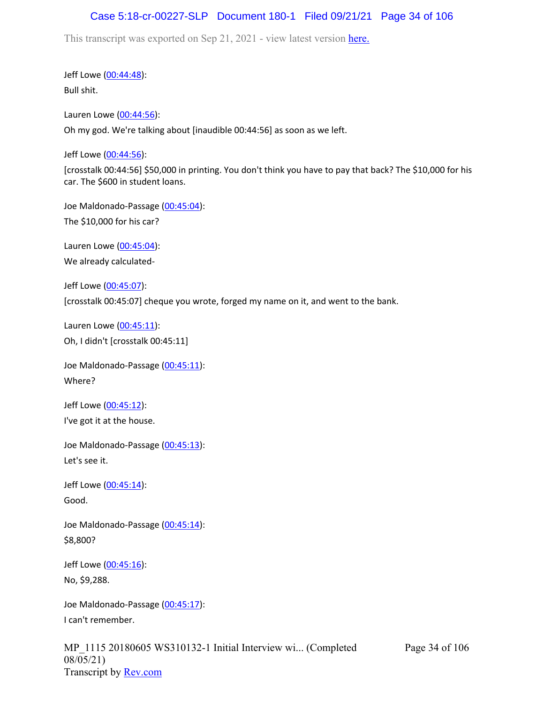# Case 5:18-cr-00227-SLP Document 180-1 Filed 09/21/21 Page 34 of 106

This transcript was exported on Sep 21, 2021 - view latest version [here.](https://www.rev.com/transcript-editor/Edit?token=amZQ9HHFTut_NOLFoO1lSR86cptioQiBp-VVq9f_BePwrTlAl64zFPqcRkwVvmM6GaAv4S7BniclRE4xdf7JBzULLcE&loadFrom=DocumentHeaderDeepLink)

Jeff Lowe ([00:44:48](https://www.rev.com/transcript-editor/Edit?token=zqtQwLz6cAOSYGMttWQmfqAAGUP2_lB2tL879Zan1DavQkArg885l8PYZRlKDskzeWHp_NjsViBodL6zB4gobbcegKA&loadFrom=DocumentDeeplink&ts=2688)): Bull shit.

Lauren Lowe ([00:44:56](https://www.rev.com/transcript-editor/Edit?token=rNK8AfZ5lC7UVlVwMmPxF0KWpKAJX5rscWBonOwihmLFyLzbzdtd_bpD_nJQA3aM0ci_pO7y0J_LjmtLU9LBhfXS6w8&loadFrom=DocumentDeeplink&ts=2696)): Oh my god. We're talking about [inaudible 00:44:56] as soon as we left.

Jeff Lowe ([00:44:56](https://www.rev.com/transcript-editor/Edit?token=ACNvvITK9gfGKhjS5BMzooOlPvp8IwG_AgAbNJ4Ia4HlkLBW5r7sv5HlFcAP_0km62umOLy7zzMJXr0zieqGfnFXv0w&loadFrom=DocumentDeeplink&ts=2696)):

[crosstalk 00:44:56] \$50,000 in printing. You don't think you have to pay that back? The \$10,000 for his car. The \$600 in student loans.

Joe Maldonado-Passage [\(00:45:04\)](https://www.rev.com/transcript-editor/Edit?token=DzmgKghURptbw9izaWNzCWleTIMb9R5OqrmqjyiEw3xjCSlmTP0nxMApa1RdpTvo6iXTeHABB8f7zjaAvobQj8JzMDk&loadFrom=DocumentDeeplink&ts=2704.27): The \$10,000 for his car?

Lauren Lowe ([00:45:04](https://www.rev.com/transcript-editor/Edit?token=pc1-REUoMnM2kzx9RBDDfEqhqCtQFri7CtMFEZQhQqyAshuIEWz0MKrvauFuMgOQQIadOQeq7OvJKMRQf6WZV0D1iiY&loadFrom=DocumentDeeplink&ts=2704.27)): We already calculated-

Jeff Lowe ([00:45:07](https://www.rev.com/transcript-editor/Edit?token=-SASKzNoy2MKgzR3PlTlGWbdWhCn42HT188O4csrkxIQcryctJe_-mWUdmCmlLQ0UK9Tfeu1nMK4exiqt3F2IddEeFI&loadFrom=DocumentDeeplink&ts=2707)): [crosstalk 00:45:07] cheque you wrote, forged my name on it, and went to the bank.

Lauren Lowe ([00:45:11](https://www.rev.com/transcript-editor/Edit?token=WZ_Qt5phEsejAypx2u3ZV5UatKrY57zcyJOXsUHew9cywXGoUjln5Ff1YJwUO41byhW6ZK3ZlnFxFb_3YlS7VEjXZCc&loadFrom=DocumentDeeplink&ts=2711)): Oh, I didn't [crosstalk 00:45:11]

Joe Maldonado-Passage [\(00:45:11\)](https://www.rev.com/transcript-editor/Edit?token=imbBuwCCFfJVC54i1asTk0dDsBZtDy8C3zgsJykEqAQNkm6UpGkCX6RG_JwJE6zuxn6XNG5ie4CQ78IE-vT_u91A3RQ&loadFrom=DocumentDeeplink&ts=2711): Where?

Jeff Lowe ([00:45:12](https://www.rev.com/transcript-editor/Edit?token=eB6ytBvMZY1m84PgnD0txyrC09OI4Q4npUaA4uQHhl2iT66XWhyGG_ALsoNoFLpEC5Izy5cPdESKO9_O4C8FlmaAh3k&loadFrom=DocumentDeeplink&ts=2712.95)): I've got it at the house.

Joe Maldonado-Passage [\(00:45:13\)](https://www.rev.com/transcript-editor/Edit?token=SuEej0RZnSpxcDt-OMBTvOdhkmSPL4A7Dp6Kb8rnEhk0ZbSXkm4eAtNo30W_aqaEnvst7SBTBwfAgRcR4za1czOwpXg&loadFrom=DocumentDeeplink&ts=2713.38): Let's see it.

Jeff Lowe ([00:45:14](https://www.rev.com/transcript-editor/Edit?token=68xWrxerFOQVxgFx-DeeV-5e09H5dY0bnTSRY06caPEpR_zSeY4-ej0oMf8C59VW1f5jBIirujQN0OIbICELNZWvblo&loadFrom=DocumentDeeplink&ts=2714.15)): Good.

Joe Maldonado-Passage [\(00:45:14\)](https://www.rev.com/transcript-editor/Edit?token=Nwmtmcax1Xs2NHuRSynbFZN5w99FElwFIas1Z1nXqu4Sifcs-2CFfba9NAMmRfYEhrsPpICjQ1TWaQLgYf96X7xWdhg&loadFrom=DocumentDeeplink&ts=2714.16): \$8,800?

Jeff Lowe ([00:45:16](https://www.rev.com/transcript-editor/Edit?token=Ex-TDpVOBzzyt7HpiPhUnJZALjQp7QLufah-Dzqh2MmRYb6jD8ywoF6dU3qV2g8zVQaLREz1zoUFW8lG2cAM0QJwW70&loadFrom=DocumentDeeplink&ts=2716.14)): No, \$9,288.

Joe Maldonado-Passage [\(00:45:17\)](https://www.rev.com/transcript-editor/Edit?token=ifqUoOKGrzqpV20cj6j8X7LrS4wxtzn-AxFJJJrVec5ceXU09HuPN0Onvyx14npslYS6CXPzgQGgEG1h-ZFt9lVFhig&loadFrom=DocumentDeeplink&ts=2717.76): I can't remember.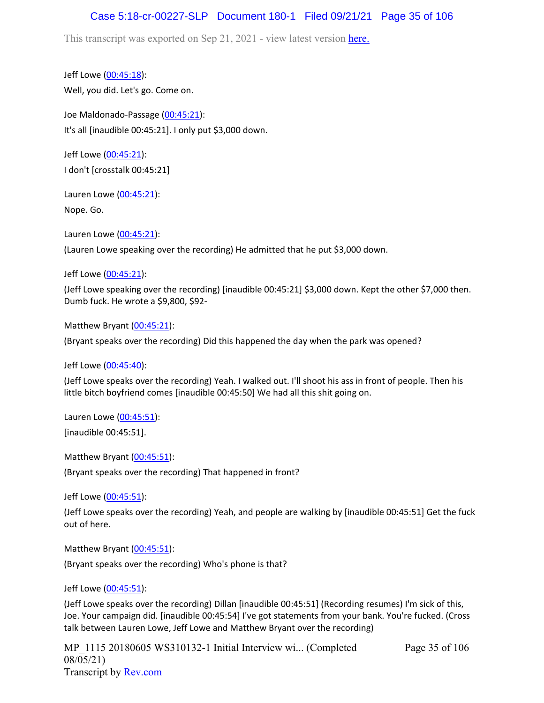## Case 5:18-cr-00227-SLP Document 180-1 Filed 09/21/21 Page 35 of 106

This transcript was exported on Sep 21, 2021 - view latest version [here.](https://www.rev.com/transcript-editor/Edit?token=amZQ9HHFTut_NOLFoO1lSR86cptioQiBp-VVq9f_BePwrTlAl64zFPqcRkwVvmM6GaAv4S7BniclRE4xdf7JBzULLcE&loadFrom=DocumentHeaderDeepLink)

Jeff Lowe ([00:45:18](https://www.rev.com/transcript-editor/Edit?token=9ryHoFv0aZJP86qbW3kM8wLL8Al1LMACJkdTIxbUyUIx1S7g5bPi5D3IKO8GbKcqJgIEENZRtFisRkPQ1X_OiRq27NQ&loadFrom=DocumentDeeplink&ts=2718.61)): Well, you did. Let's go. Come on.

Joe Maldonado-Passage [\(00:45:21\)](https://www.rev.com/transcript-editor/Edit?token=5cVIo5yZRBtGp-YG7Dn0ntDc1j4E0tFeMnPsQXW_qjg0KhWZLGtUOI5KAuekBqfoAQoBXytr39UjLwFzalwFgNonI14&loadFrom=DocumentDeeplink&ts=2721): It's all [inaudible 00:45:21]. I only put \$3,000 down.

Jeff Lowe ([00:45:21](https://www.rev.com/transcript-editor/Edit?token=-WJZjK4uAt350PXPdTvinuHtpidMyrDK1bnsO_Lj-NejRsnOtk7DRM4BcdLt0dVe5jt_J18p4uQLvfkU-dIu0va3mGQ&loadFrom=DocumentDeeplink&ts=2721)): I don't [crosstalk 00:45:21]

Lauren Lowe ([00:45:21](https://www.rev.com/transcript-editor/Edit?token=D044qIeIu9LSkYFxPj09wSZ9UVLoV2gHmEQmUvAKkgwBAQBmd1vpVwFTfBO1xLXWSrIXriQivrWoEu-rhPgzkwlXudE&loadFrom=DocumentDeeplink&ts=2721)): Nope. Go.

Lauren Lowe ([00:45:21](https://www.rev.com/transcript-editor/Edit?token=c2L9ccdkBq7bLqYqArERCplNdDE5N02MtNPaYJoOtfFDIHtDC3HrVKdqOOB6vKt8lkW7NhqLzDQmFd0rU-HvOt3qfKY&loadFrom=DocumentDeeplink&ts=2721)):

(Lauren Lowe speaking over the recording) He admitted that he put \$3,000 down.

Jeff Lowe ([00:45:21](https://www.rev.com/transcript-editor/Edit?token=2oiGoz9orh-Pi5rKl1MWXvi-2UVc7df74byWYIk_Iuild5hdvPhfZJYKP_mWdieI04wg2fR64IcNJu_eK-PPafYroEE&loadFrom=DocumentDeeplink&ts=2721)):

(Jeff Lowe speaking over the recording) [inaudible 00:45:21] \$3,000 down. Kept the other \$7,000 then. Dumb fuck. He wrote a \$9,800, \$92-

Matthew Bryant ([00:45:21](https://www.rev.com/transcript-editor/Edit?token=sot1EoEB69trsUuA036INiv3S9F2Cet_l_m2s2Q6QmEddxrqk5bu_D_ht2CriGrm4Vl3_bNHM3L918H_5RYbedOxAF0&loadFrom=DocumentDeeplink&ts=2721.4)):

(Bryant speaks over the recording) Did this happened the day when the park was opened?

Jeff Lowe ([00:45:40](https://www.rev.com/transcript-editor/Edit?token=yZj5yOURUBZza4SF39MDdDc3JT7lCjpFqBs1I1_to3nBTRflsaSMj-GmDSnmAIKzJpoeROoTX4oxeNId5-sVIaNfjg8&loadFrom=DocumentDeeplink&ts=2740.77)):

(Jeff Lowe speaks over the recording) Yeah. I walked out. I'll shoot his ass in front of people. Then his little bitch boyfriend comes [inaudible 00:45:50] We had all this shit going on.

Lauren Lowe ([00:45:51](https://www.rev.com/transcript-editor/Edit?token=BNGQb1H0PEwbQf7OTJMoIL4XJX6cd9lzDcLUxgeOPTBnFbOGPGRWpXfRKhkhnAPt7dsW5y3RI69-A2zJOEt4Uo50zLs&loadFrom=DocumentDeeplink&ts=2751)):

[inaudible 00:45:51].

Matthew Bryant ([00:45:51](https://www.rev.com/transcript-editor/Edit?token=SS5b794qOlPtQwb7VklqwQc7Pkxb9u2ridFEVC9LcUBe0fpyFY-L34y4TsABk3DXCxF1jsIGI-yPXp7JPRZEhQMwlwg&loadFrom=DocumentDeeplink&ts=2751)):

(Bryant speaks over the recording) That happened in front?

Jeff Lowe ([00:45:51](https://www.rev.com/transcript-editor/Edit?token=E_xjNy4EYodkQLxftDGEiXbr2hnSJe51HFcogASzwQolFRzRcvYRdKwwnFfUUwqG4qZcFv5Qpa6ZDL4ZDGCBaKWIkeQ&loadFrom=DocumentDeeplink&ts=2751)):

(Jeff Lowe speaks over the recording) Yeah, and people are walking by [inaudible 00:45:51] Get the fuck out of here.

Matthew Bryant ([00:45:51](https://www.rev.com/transcript-editor/Edit?token=LXrISRARJC-xlfNwgnxEM4b5upQIk06Pl2JXka_jLYj-qaKvEV-3wisONGOUcHPuILB0XhGzIvfCjlOZQ_huooRZmgI&loadFrom=DocumentDeeplink&ts=2751)):

(Bryant speaks over the recording) Who's phone is that?

Jeff Lowe ([00:45:51](https://www.rev.com/transcript-editor/Edit?token=9arfiM0SXo4cY8fKCJk-jeKSjekVhsFt4AtdO8VFH-8hf_sl_urgsU35tDbK2tm9dClIrVpZm0bUefUcmGwcAN2KdWk&loadFrom=DocumentDeeplink&ts=2751)):

(Jeff Lowe speaks over the recording) Dillan [inaudible 00:45:51] (Recording resumes) I'm sick of this, Joe. Your campaign did. [inaudible 00:45:54] I've got statements from your bank. You're fucked. (Cross talk between Lauren Lowe, Jeff Lowe and Matthew Bryant over the recording)

MP 1115 20180605 WS310132-1 Initial Interview wi... (Completed 08/05/21) Transcript by [Rev.com](https://www.rev.com/)

Page 35 of 106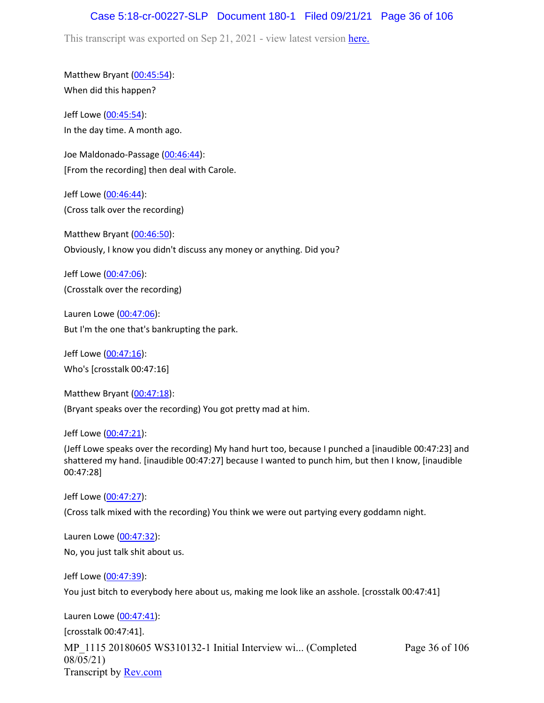### Case 5:18-cr-00227-SLP Document 180-1 Filed 09/21/21 Page 36 of 106

This transcript was exported on Sep 21, 2021 - view latest version [here.](https://www.rev.com/transcript-editor/Edit?token=amZQ9HHFTut_NOLFoO1lSR86cptioQiBp-VVq9f_BePwrTlAl64zFPqcRkwVvmM6GaAv4S7BniclRE4xdf7JBzULLcE&loadFrom=DocumentHeaderDeepLink)

Matthew Bryant ([00:45:54](https://www.rev.com/transcript-editor/Edit?token=plqag2fkCNb1pqbbybcVA-GZQga8fqBjR2_xYxX1jjYQ1Xdr9wmD_0C1wyY4gzRoO53jMF4DPZoCiP9WVaBAXSyuZa0&loadFrom=DocumentDeeplink&ts=2754)): When did this happen?

Jeff Lowe ([00:45:54](https://www.rev.com/transcript-editor/Edit?token=Do4W3WwwLaJlaKJhd7CxDR1lVitem_Fo5psyUwEUD4wbnQG2t_XdRPXpNuUo3V4NIUf26K5TvU9TMBqKO1lH7BriRSs&loadFrom=DocumentDeeplink&ts=2754)): In the day time. A month ago.

Joe Maldonado-Passage [\(00:46:44\)](https://www.rev.com/transcript-editor/Edit?token=j7UPtcv4QSr50101Mj0IZyHDB7TfYKLoKpN-EAXNeZMv8Em7aNDznQ7WH6i2B8CNQSehJ8CVcWT8CZcRZvoK8sFjwKE&loadFrom=DocumentDeeplink&ts=2804): [From the recording] then deal with Carole.

Jeff Lowe ([00:46:44](https://www.rev.com/transcript-editor/Edit?token=9BFyVCE_EoWAVNUq8AgrFEIZ4hBBKgigX3-rU6yYXH-dzXVMzPnP6eRKoxf3Ck880hdds7xYilt-TCXzICJB8KJ-Xz4&loadFrom=DocumentDeeplink&ts=2804)): (Cross talk over the recording)

Matthew Bryant ([00:46:50](https://www.rev.com/transcript-editor/Edit?token=pKoeL8gSL5v93sWHwBpwDRKaoKVIooUXRpa7ZlQhAVN7NRChw5o5yd9DcmfCApkV3lYOOqtEqWI5TOljEAsTSbrTo9c&loadFrom=DocumentDeeplink&ts=2810)): Obviously, I know you didn't discuss any money or anything. Did you?

Jeff Lowe ([00:47:06](https://www.rev.com/transcript-editor/Edit?token=Rm75inFJqQx1QoPMhEmLu7qKSmloyHxyCbIVSLvkKxsQX6Se1A8_1oIcH2_pGZzc2NA4WSG6knw2gkZHepTsiIEIK8s&loadFrom=DocumentDeeplink&ts=2826)): (Crosstalk over the recording)

Lauren Lowe ([00:47:06](https://www.rev.com/transcript-editor/Edit?token=GMU_bSDXU3atkfl8cs2fntCa2roitkswXIOjlaVtDi8MODCskWwjn8mj2uZ_dyCDECboXAJ9tO3UTHU11iy8I_co9Aw&loadFrom=DocumentDeeplink&ts=2826)): But I'm the one that's bankrupting the park.

Jeff Lowe ([00:47:16](https://www.rev.com/transcript-editor/Edit?token=3P0cJXqv5D4eQQG4GpyFaWIUpXBQLXkT0n4rZ9e_YUFW6N5UVnTGgBOP7dxIHk2xyxdA94l2dcFyyihqcyPA9oEWSZo&loadFrom=DocumentDeeplink&ts=2836)): Who's [crosstalk 00:47:16]

Matthew Bryant ([00:47:18](https://www.rev.com/transcript-editor/Edit?token=_3fGs7kUC4evNC1p8zgSgH3esTMFo9OAQMfnh-b4X_2U2HAb7-RNlf4I0qLF7b5s8CWO7lnZimTyh6GnKv1yjlYwZ2k&loadFrom=DocumentDeeplink&ts=2838.23)): (Bryant speaks over the recording) You got pretty mad at him.

#### Jeff Lowe ([00:47:21](https://www.rev.com/transcript-editor/Edit?token=oEk9-0lhlBQYdWY1f5vjW-s_uTyE1if3-0PP5UfA50Prw4zGwYf--y2a7sUzctwPHJH0wI0gtUnXfrR_tixJ1wRIFZ4&loadFrom=DocumentDeeplink&ts=2841.05)):

(Jeff Lowe speaks over the recording) My hand hurt too, because I punched a [inaudible 00:47:23] and shattered my hand. [inaudible 00:47:27] because I wanted to punch him, but then I know, [inaudible 00:47:28]

Jeff Lowe ([00:47:27](https://www.rev.com/transcript-editor/Edit?token=hOz3IQo1FVWoWWg-vgWflRqn3vw3PnUudZ957PmCJcRXMIope537kR6-fZCReAxfRgwnUx13QqIsaXqg9wQMFfy3X3o&loadFrom=DocumentDeeplink&ts=2847.56)):

(Cross talk mixed with the recording) You think we were out partying every goddamn night.

Lauren Lowe ([00:47:32](https://www.rev.com/transcript-editor/Edit?token=x_Tn79JIS8wN2vGDyToA5XE57efnP9ND4mwykWVJwmM-ca3JFE3Xrl5D75E4vnG-4WHHtGmlHIQ5uHqSPz9MoxkYKfE&loadFrom=DocumentDeeplink&ts=2852)): No, you just talk shit about us.

Jeff Lowe ([00:47:39](https://www.rev.com/transcript-editor/Edit?token=c-Z5MtTGfAPx5cblwbKDupuGCUN5TmS0ACvZ1_oyzKn7mqgrFfLe8beW-uHLBOND9qbDfZnqh-vyGoZZ-AT0lz12tk8&loadFrom=DocumentDeeplink&ts=2859.67)): You just bitch to everybody here about us, making me look like an asshole. [crosstalk 00:47:41]

MP\_1115 20180605 WS310132-1 Initial Interview wi... (Completed 08/05/21) Transcript by [Rev.com](https://www.rev.com/) Page 36 of 106 Lauren Lowe ([00:47:41](https://www.rev.com/transcript-editor/Edit?token=dyMpdhQAs08HrU-z6a2OwWY4Idx-hQjGpZsuXApdDJE5UV5-Z4cN3CirfzRd-JqebxiCi-uTE7WlwLVOOzUoIUIkd6k&loadFrom=DocumentDeeplink&ts=2861)): [crosstalk 00:47:41].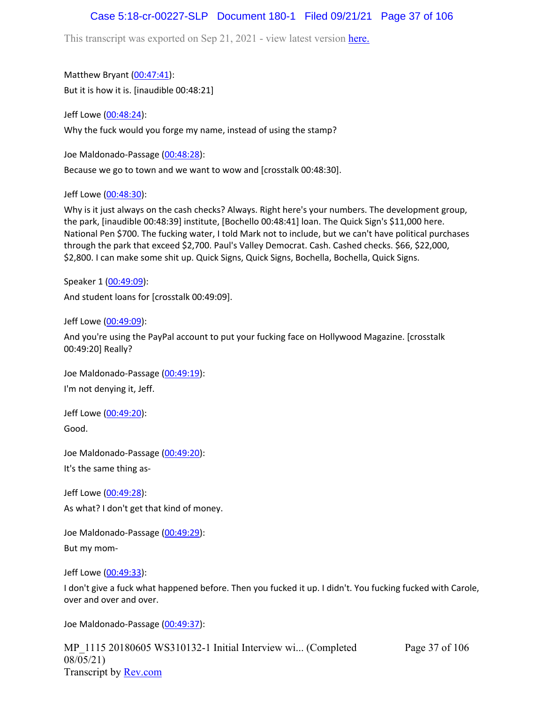## Case 5:18-cr-00227-SLP Document 180-1 Filed 09/21/21 Page 37 of 106

This transcript was exported on Sep 21, 2021 - view latest version [here.](https://www.rev.com/transcript-editor/Edit?token=amZQ9HHFTut_NOLFoO1lSR86cptioQiBp-VVq9f_BePwrTlAl64zFPqcRkwVvmM6GaAv4S7BniclRE4xdf7JBzULLcE&loadFrom=DocumentHeaderDeepLink)

Matthew Bryant ([00:47:41](https://www.rev.com/transcript-editor/Edit?token=xWrsMpk85AxPXDN5Mw25l4rVQnYxhN2gcfakCrWRr9NfM44tNFg9eY1j2uBarmI1oU5wLdltCWtIcZPDrQczBMzxxwg&loadFrom=DocumentDeeplink&ts=2861.02)): But it is how it is. [inaudible 00:48:21]

Jeff Lowe ([00:48:24](https://www.rev.com/transcript-editor/Edit?token=VU-QhDCJmuPVb-hxZHRtfOrMYg9AhPQ9XuErdj6MHS28YWXtVGeKBjmv3lQZ13nHJxO47eupWVMp9vmqz-TDRIeFOyA&loadFrom=DocumentDeeplink&ts=2904.84)): Why the fuck would you forge my name, instead of using the stamp?

Joe Maldonado-Passage [\(00:48:28\)](https://www.rev.com/transcript-editor/Edit?token=cl_r9gXZRvIltRFMpxZ5Hk0bKxhHv6tCZh2-t50_IbT7vMxxh-iE1dD5eQ0NdDm2qBvkPDstONsRjzOO42ycc3aMp0w&loadFrom=DocumentDeeplink&ts=2908.14):

Because we go to town and we want to wow and [crosstalk 00:48:30].

Jeff Lowe ([00:48:30](https://www.rev.com/transcript-editor/Edit?token=8_MC8lVXr0IoHrQ-me7fTaTkY4YgOSDMYg4XCCbiMAWMNX1MXLMp4IluyGaKnEAxXo1FdzhPKCTzDixK_peqmRZcE_o&loadFrom=DocumentDeeplink&ts=2910.31)):

Why is it just always on the cash checks? Always. Right here's your numbers. The development group, the park, [inaudible 00:48:39] institute, [Bochello 00:48:41] loan. The Quick Sign's \$11,000 here. National Pen \$700. The fucking water, I told Mark not to include, but we can't have political purchases through the park that exceed \$2,700. Paul's Valley Democrat. Cash. Cashed checks. \$66, \$22,000, \$2,800. I can make some shit up. Quick Signs, Quick Signs, Bochella, Bochella, Quick Signs.

Speaker 1 ([00:49:09](https://www.rev.com/transcript-editor/Edit?token=k0CYNogqg4CsV_a_IX8zj2qBtCTLz9u3SwyTULD-xhY54gKCCoq2NQZbm-nGlc5MYCh4FvEf5R8GdxJ76tRN0pj4HqY&loadFrom=DocumentDeeplink&ts=2949.3)):

And student loans for [crosstalk 00:49:09].

Jeff Lowe ([00:49:09](https://www.rev.com/transcript-editor/Edit?token=Ex3PVfdmUNkUexNj8h9ndAbBa1e4SyZXcjQWK7NJkRa4rlUSyTbhVP-qVQClIbF7NUkCMF7qXsX7ds5Cquq-2iuvjOg&loadFrom=DocumentDeeplink&ts=2949.34)):

And you're using the PayPal account to put your fucking face on Hollywood Magazine. [crosstalk 00:49:20] Really?

Joe Maldonado-Passage [\(00:49:19\)](https://www.rev.com/transcript-editor/Edit?token=s4TR6oHNV2MloItOPjTupizjg0DUAD_dShaf8qzkU3QN_az19wwi-ZkWMyi-CSpj9PmUwL9la8SzUTdbhVivesW7sS8&loadFrom=DocumentDeeplink&ts=2959.59): I'm not denying it, Jeff.

Jeff Lowe ([00:49:20](https://www.rev.com/transcript-editor/Edit?token=FJ0NOjWRnZpy5XSvy5FpNEsR6AXyAcLjTa9F_BPnA0dp2dvqT94jZLLFLxB37x60KM8jva3vie_4IR0IOl5Xnz8FpnA&loadFrom=DocumentDeeplink&ts=2960.81)): Good.

Joe Maldonado-Passage [\(00:49:20\)](https://www.rev.com/transcript-editor/Edit?token=97wGidbP3PtKqGa3Ok-LNX5rXjs7APvIGqO7n-dOpTJ-uVOLTxGBvtRElqWVUJHpPcF8nl3K2oIfnrhs5gk33e0yal8&loadFrom=DocumentDeeplink&ts=2960.84): It's the same thing as-

Jeff Lowe ([00:49:28](https://www.rev.com/transcript-editor/Edit?token=4QrEEXRra5PEQF3RCEahCuzlLWyDDnIrX12zKvuJZXufVT-JeIlkePfWOloLA86kNRBPtcRnUOXNuF3CgXRlbA6ZUvU&loadFrom=DocumentDeeplink&ts=2968.82)): As what? I don't get that kind of money.

Joe Maldonado-Passage [\(00:49:29\)](https://www.rev.com/transcript-editor/Edit?token=ZAKoGfO4xxpRvqtqVv44IzEvBCq9MJ_TDHmh_Q7Gx0CToUto2oKZyDmXavKU_2Np0suDq0TuOEPm5t6JKvLWqplrN6E&loadFrom=DocumentDeeplink&ts=2969.29): But my mom-

Jeff Lowe ([00:49:33](https://www.rev.com/transcript-editor/Edit?token=LXcOFBi3AaCEyCqdlPgBP4NgLZnfgYPFrraIeFBc2WYLlBsHx5he31QAc6A6x0TKwdrIKzvy6wjXKfHz_tB0vPtNlu8&loadFrom=DocumentDeeplink&ts=2973.53)):

I don't give a fuck what happened before. Then you fucked it up. I didn't. You fucking fucked with Carole, over and over and over.

Joe Maldonado-Passage [\(00:49:37\)](https://www.rev.com/transcript-editor/Edit?token=w_D4Qm_jT0unuxeosPfmlpuR3IE3zEU5LexO-uXHNpIRQhjsdrlUs0iF-YXYUdaY-9RRzCzBCmrrpEjFYRmjXPBEQfo&loadFrom=DocumentDeeplink&ts=2977.95):

MP\_1115 20180605 WS310132-1 Initial Interview wi... (Completed 08/05/21) Transcript by [Rev.com](https://www.rev.com/)

Page 37 of 106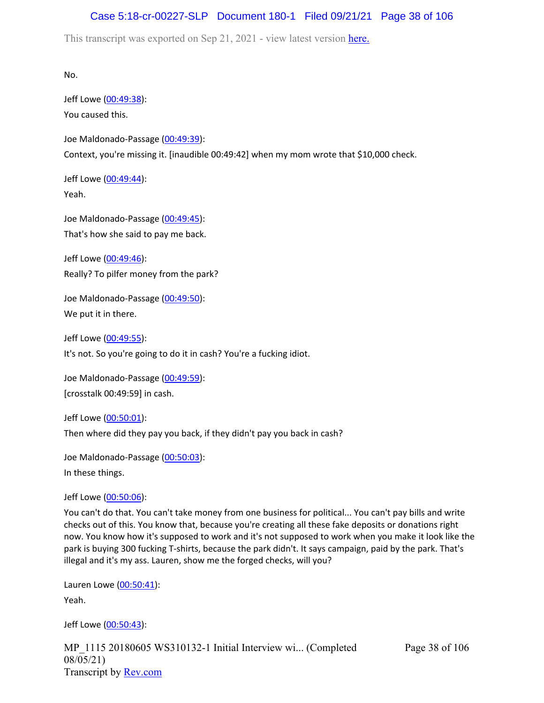# Case 5:18-cr-00227-SLP Document 180-1 Filed 09/21/21 Page 38 of 106

This transcript was exported on Sep 21, 2021 - view latest version [here.](https://www.rev.com/transcript-editor/Edit?token=amZQ9HHFTut_NOLFoO1lSR86cptioQiBp-VVq9f_BePwrTlAl64zFPqcRkwVvmM6GaAv4S7BniclRE4xdf7JBzULLcE&loadFrom=DocumentHeaderDeepLink)

No.

Jeff Lowe ([00:49:38](https://www.rev.com/transcript-editor/Edit?token=6LzYsvwWN_T-uyQUpcYXom0hiBTElK872SckRwgmLCzEqaailpp3yuignXoTF829WGjJgemLrxecxhht5iryi_VD6ls&loadFrom=DocumentDeeplink&ts=2978.47)): You caused this.

Joe Maldonado-Passage [\(00:49:39\)](https://www.rev.com/transcript-editor/Edit?token=tlk3cLXjof5COBDEQDCBor-05TZWB2e-u2BmDF5V1K4JiCaKdxkK-Cb1AnUGPpmaP_mteiQpCPn2bxN-vpHFARTF4L8&loadFrom=DocumentDeeplink&ts=2979.14): Context, you're missing it. [inaudible 00:49:42] when my mom wrote that \$10,000 check.

Jeff Lowe ([00:49:44](https://www.rev.com/transcript-editor/Edit?token=EK_oP2M0EbmloHIvkZn6niAkVzAip3hhEI3M_e2OZn5AUKXcrMWmRx94-K0Gdav3h5KKNCsa9BZWE2uPhxiXcEhK_ic&loadFrom=DocumentDeeplink&ts=2984.78)): Yeah.

Joe Maldonado-Passage [\(00:49:45\)](https://www.rev.com/transcript-editor/Edit?token=a_9xNHpiMKHHgFu6q2WDKl1fCZCQqxgDyYTGa4ucncfD0RCOJPGN7p7OAT33jbtCMIlaqwEB9l8BE4gKuc9H4prX9s4&loadFrom=DocumentDeeplink&ts=2985.48): That's how she said to pay me back.

Jeff Lowe ([00:49:46](https://www.rev.com/transcript-editor/Edit?token=I1-7dvS7jTsz2lpa54dSsbNtGtVacWIcKBk8N178zlOpPjs916l8_x--WO9fHmKWR1iKSY1P4jEEPC0dhDfUE9pg-aQ&loadFrom=DocumentDeeplink&ts=2986.77)): Really? To pilfer money from the park?

Joe Maldonado-Passage [\(00:49:50\)](https://www.rev.com/transcript-editor/Edit?token=bRgetL1v8CVSvNlrtrWaILt_iVnSXWwRmoAJThK7tlrs3TNFBmFj339AXtChPcOfnN8lqRf8ZbyHgfJae5g9Vu1TnF0&loadFrom=DocumentDeeplink&ts=2990.42): We put it in there.

Jeff Lowe ([00:49:55](https://www.rev.com/transcript-editor/Edit?token=wUzSM5_G2YDDtqiZr9FYGnqppZf-Z0zT562ZtZ33KQuabGSLIZGnpZh6eMuLpnlflDTZlkmcY7qoEhRmx51f7vtlrHw&loadFrom=DocumentDeeplink&ts=2995.43)):

It's not. So you're going to do it in cash? You're a fucking idiot.

Joe Maldonado-Passage [\(00:49:59\)](https://www.rev.com/transcript-editor/Edit?token=bnAyxVo3n1dIFhmJDX8o4lfRzZhaSVVacrvPVlylHs9y08d3vDhbRlqLG-uYu0PffWkku9XA4FHqkx05X-sjB9LEXP4&loadFrom=DocumentDeeplink&ts=2999): [crosstalk 00:49:59] in cash.

Jeff Lowe ([00:50:01](https://www.rev.com/transcript-editor/Edit?token=e2ZUfwSwZEQIWMO52t9oyf7HxG-0MW8CM23dmjdSgWhKUctF_O-F2-DFVZdI0vVpgkotRUrOnH_Rw2uovBjNZHX9aG0&loadFrom=DocumentDeeplink&ts=3001.96)): Then where did they pay you back, if they didn't pay you back in cash?

Joe Maldonado-Passage [\(00:50:03\)](https://www.rev.com/transcript-editor/Edit?token=n2a4ZgbrEF7CuZDvrYNebS1gYx7vxRbbbvTDuazUaCg-OBPGACHK7_Nwz-lbpfDXtWWEZTiWu-rK4upNudqejv5HjnU&loadFrom=DocumentDeeplink&ts=3003.92): In these things.

Jeff Lowe ([00:50:06](https://www.rev.com/transcript-editor/Edit?token=EfjJbN_yYrBbCdGntzwtvJJ5xFrfEvl8RCfN0Oj91zDHydypp-hNPH6cFXBlavtLi9nZuAiR0QyphetPCX2b44scL9s&loadFrom=DocumentDeeplink&ts=3006.18)):

You can't do that. You can't take money from one business for political... You can't pay bills and write checks out of this. You know that, because you're creating all these fake deposits or donations right now. You know how it's supposed to work and it's not supposed to work when you make it look like the park is buying 300 fucking T-shirts, because the park didn't. It says campaign, paid by the park. That's illegal and it's my ass. Lauren, show me the forged checks, will you?

Lauren Lowe ([00:50:41](https://www.rev.com/transcript-editor/Edit?token=iz_R9DyiL_9hWxnBjVpZgre89G0u4huHm8R5pBAIMvRJblS3k0R6WQUSUZ-BwiKw_LecxobKj1ObWTq8UG6l17d4Teg&loadFrom=DocumentDeeplink&ts=3041.45)): Yeah.

Jeff Lowe ([00:50:43](https://www.rev.com/transcript-editor/Edit?token=V_t2Y5YmFinW35tCHxQbvwG2TyNRxauGWSxQ5NU7fkpRMvQgwWz5Cim5bBVC97_y2WT8tz5oKCalzk8XRr5dawdi2og&loadFrom=DocumentDeeplink&ts=3043.46)):

MP\_1115 20180605 WS310132-1 Initial Interview wi... (Completed 08/05/21) Transcript by [Rev.com](https://www.rev.com/)

Page 38 of 106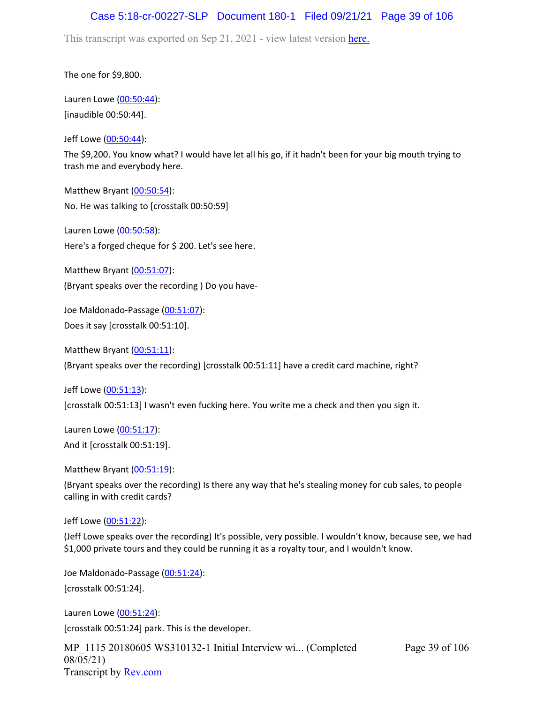## Case 5:18-cr-00227-SLP Document 180-1 Filed 09/21/21 Page 39 of 106

This transcript was exported on Sep 21, 2021 - view latest version [here.](https://www.rev.com/transcript-editor/Edit?token=amZQ9HHFTut_NOLFoO1lSR86cptioQiBp-VVq9f_BePwrTlAl64zFPqcRkwVvmM6GaAv4S7BniclRE4xdf7JBzULLcE&loadFrom=DocumentHeaderDeepLink)

The one for \$9,800.

Lauren Lowe ([00:50:44](https://www.rev.com/transcript-editor/Edit?token=46SdJEg8hDUJIpQJXyjju6033KAfsP9mK6Neb26_Ou7R0s27txyKHX0OQKQOThzB8wmIpzRV3gHyG-bzDoeVuVjJsew&loadFrom=DocumentDeeplink&ts=3044)): [inaudible 00:50:44].

Jeff Lowe ([00:50:44](https://www.rev.com/transcript-editor/Edit?token=7Gxtc7Ys2_Ay-66fuJc3QTer6MczBfptiQUGTWdlBY0adDVCDG8o8aGQBwZ_6_20LtxmTdDraZS80K9nr2B8sXH-yV4&loadFrom=DocumentDeeplink&ts=3044.19)):

The \$9,200. You know what? I would have let all his go, if it hadn't been for your big mouth trying to trash me and everybody here.

Matthew Bryant ([00:50:54](https://www.rev.com/transcript-editor/Edit?token=l90mUGfaGW9-UQJpefuD2ZElriz2zoE53XD69GMjI9FOiMjccg8vGfAE_QfFzcENUDpn782UMXBg0J-vFk7aSqLoqKA&loadFrom=DocumentDeeplink&ts=3054.7)): No. He was talking to [crosstalk 00:50:59]

Lauren Lowe ([00:50:58](https://www.rev.com/transcript-editor/Edit?token=Sgarj3kPiQ6WldpDIXdJRWDa8lsvnyEd-wM23JZU2FVRMjq-PgRzjrHFRv9QDVsjI3v0hxjPSVbaItogdHDfhP0PADc&loadFrom=DocumentDeeplink&ts=3058.74)): Here's a forged cheque for \$ 200. Let's see here.

Matthew Bryant ([00:51:07](https://www.rev.com/transcript-editor/Edit?token=DoWSqYS87U6duEGZrX9kPa_LmLzh3u_buysqPJoi5lB2CUH7WAd1Rt3jzBh3Ox5LgNViZXd0ntVFW96y9WKdGpWODW0&loadFrom=DocumentDeeplink&ts=3067.33)): (Bryant speaks over the recording ) Do you have-

Joe Maldonado-Passage [\(00:51:07\)](https://www.rev.com/transcript-editor/Edit?token=8D0y3vBFjrLgmcrxDKTChgSEfFsKcjKjHac4_la-qUOWmX6T1d0OcY-BhU7fk379EwUtPvZcpbUkw3UpaBeyHRtnTR8&loadFrom=DocumentDeeplink&ts=3067.75): Does it say [crosstalk 00:51:10].

Matthew Bryant ([00:51:11](https://www.rev.com/transcript-editor/Edit?token=nKuRZ-UkOhD34J-539SFEBhw3quA9NcnjNfda9bNtUOlB4U2p0BfB0khhXS4bw0uZHyUbMfN45s9aYT-KwRpvQFHkps&loadFrom=DocumentDeeplink&ts=3071)): (Bryant speaks over the recording) [crosstalk 00:51:11] have a credit card machine, right?

Jeff Lowe ([00:51:13](https://www.rev.com/transcript-editor/Edit?token=PaSiN1jxNvMjh92JqybKLsNdHdHTYbhBKJhRhqmcknx9NYgmO42m7CcU2kO9ZD7dyzk0wGNu1Ed7qV229nUawKkRc4o&loadFrom=DocumentDeeplink&ts=3073)): [crosstalk 00:51:13] I wasn't even fucking here. You write me a check and then you sign it.

Lauren Lowe ([00:51:17](https://www.rev.com/transcript-editor/Edit?token=XAcEFFzUWM_c8xlttbi50BpmZgs67kSXp2-YLchPKDF3fQYJJ-OFYKk5erUKkdmMkrCjW2xQV0RJ0-924_5dwEsatbA&loadFrom=DocumentDeeplink&ts=3077.22)): And it [crosstalk 00:51:19].

Matthew Bryant ([00:51:19](https://www.rev.com/transcript-editor/Edit?token=gqItdl20XNqVQCx7NB2u-TPF48hLYWAxKdnUF23YhAOHVxaxTJn-NPdbKOcoUkzdOuPv-Grch2jQpEEHu7rAXrRDwAw&loadFrom=DocumentDeeplink&ts=3079.17)):

(Bryant speaks over the recording) Is there any way that he's stealing money for cub sales, to people calling in with credit cards?

Jeff Lowe ([00:51:22](https://www.rev.com/transcript-editor/Edit?token=v5_VnqgXk7CWf-OmrbWqqEB10Mm6P4J1L9OWcKRSEdSxXken07FJcradS6WOmiePILVppfkxKJrgICERbdRmVIfrGxg&loadFrom=DocumentDeeplink&ts=3082.55)):

(Jeff Lowe speaks over the recording) It's possible, very possible. I wouldn't know, because see, we had \$1,000 private tours and they could be running it as a royalty tour, and I wouldn't know.

Joe Maldonado-Passage [\(00:51:24\)](https://www.rev.com/transcript-editor/Edit?token=1QbPpp0Hh46gyO8XR0bgUmACSD_Ww0T5H9q-AI54mV6JT_nN0CXbC77ifm1v4sLi-ek1X7Xfjd73v5Xm1SI4k87N_d4&loadFrom=DocumentDeeplink&ts=3084): [crosstalk 00:51:24].

Lauren Lowe ([00:51:24](https://www.rev.com/transcript-editor/Edit?token=y6TRHTzaYS6my9eiUmQOYWx9GsoRZYuKDSHblc3zRLr2NLaz_A3aAOH8MhfPBm7o8z7DCpP68AkHMlDW9YZMEk4Fcm0&loadFrom=DocumentDeeplink&ts=3084)): [crosstalk 00:51:24] park. This is the developer.

MP\_1115 20180605 WS310132-1 Initial Interview wi... (Completed 08/05/21) Transcript by [Rev.com](https://www.rev.com/)

Page 39 of 106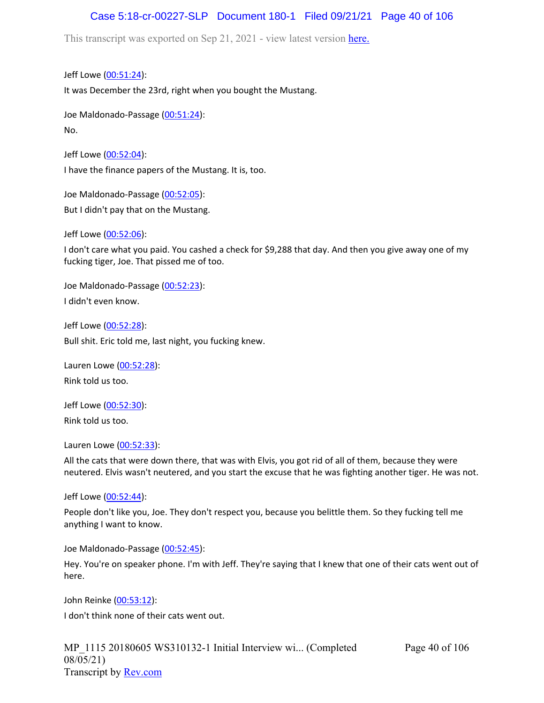# Case 5:18-cr-00227-SLP Document 180-1 Filed 09/21/21 Page 40 of 106

This transcript was exported on Sep 21, 2021 - view latest version [here.](https://www.rev.com/transcript-editor/Edit?token=amZQ9HHFTut_NOLFoO1lSR86cptioQiBp-VVq9f_BePwrTlAl64zFPqcRkwVvmM6GaAv4S7BniclRE4xdf7JBzULLcE&loadFrom=DocumentHeaderDeepLink)

Jeff Lowe ([00:51:24](https://www.rev.com/transcript-editor/Edit?token=JcgMBOB_vC0q1PsXJ5ahI1iZrVEHyQuWOF1-MOyjidQVFoyf7zTFQyiDjVZq73SjVMOwkkixRMdXGc7HW_0qCymsS60&loadFrom=DocumentDeeplink&ts=3084)): It was December the 23rd, right when you bought the Mustang.

Joe Maldonado-Passage [\(00:51:24\)](https://www.rev.com/transcript-editor/Edit?token=fmHBdMRGeaJIEpcQPGdXAh1K0WmfrpLdX6Z6hlKu2EU3yJRCtn8pJXOKgOTEFX1EX9fY4AdruYCvgliDh5ks331geGo&loadFrom=DocumentDeeplink&ts=3084.89): No.

Jeff Lowe ([00:52:04](https://www.rev.com/transcript-editor/Edit?token=-w66e0GpjE1aWepbO0ucPdE6cPTXGnmmJRo5wwV-41sfoWHD1vnbyArKXdJv-CSXwQfdJTH243_CERSiFDKMId4QZV8&loadFrom=DocumentDeeplink&ts=3124.64)): I have the finance papers of the Mustang. It is, too.

Joe Maldonado-Passage [\(00:52:05\)](https://www.rev.com/transcript-editor/Edit?token=g2uwGfEOqKsXoyC-u6nzfEzN0Puin-sEPHfzLrGAIXMvuD65c6XCDPNME-ooOTy1-AymieasRvRF4dJM8x-V3jVND_w&loadFrom=DocumentDeeplink&ts=3125.37): But I didn't pay that on the Mustang.

Jeff Lowe ([00:52:06](https://www.rev.com/transcript-editor/Edit?token=P4B6dVk8FKBysf2Hw9lH_BM_BquZ9wLssqcl8YI5ronZ5ybx9_xigh23WlV9RgCSe3afBUU325e_8O3uLLjyEByd3Gc&loadFrom=DocumentDeeplink&ts=3126.98)):

I don't care what you paid. You cashed a check for \$9,288 that day. And then you give away one of my fucking tiger, Joe. That pissed me of too.

Joe Maldonado-Passage [\(00:52:23\)](https://www.rev.com/transcript-editor/Edit?token=7XdnJxhxJ-d6THht08dl-rsTlfbm8M8l4Occ6rzUGypV1bOnCNKfoAxKmIOZQkNZAyRLBbnt44glUsD1ejIqjDcl-ak&loadFrom=DocumentDeeplink&ts=3143.57): I didn't even know.

Jeff Lowe ([00:52:28](https://www.rev.com/transcript-editor/Edit?token=cRCn6twbLH4qJgFrJIgGewaTvJNYo75FC7Lk55n5t3tiYCErADixHtzTfcHMxH37dxgR0AMKiQVwvuJhgBUqM42JH0M&loadFrom=DocumentDeeplink&ts=3148.09)): Bull shit. Eric told me, last night, you fucking knew.

Lauren Lowe ([00:52:28](https://www.rev.com/transcript-editor/Edit?token=aDCO5vByjMFavBDTbN9HEUrVygP5kzz971K4G7QKGpfrcSXeP5iYptVuQ6xvgmVowPSzwr-9esVhWNBnS274goitJHs&loadFrom=DocumentDeeplink&ts=3148.61)): Rink told us too.

Jeff Lowe ([00:52:30](https://www.rev.com/transcript-editor/Edit?token=M-xFI5yvYvrIrztTtL5VYhFrr5Lk4C0d_616h6vpTDcBSv-IJoTOx8BjJ6NmZ48pSd2GDm69NR5_pVfLLuBhc2ucxmU&loadFrom=DocumentDeeplink&ts=3150.38)): Rink told us too.

Lauren Lowe ([00:52:33](https://www.rev.com/transcript-editor/Edit?token=VpkQEMKLVkQTYFXLSVCosZaQvIJOsnYbYeIFNdAgL2qG0UUF57CauLLtICz-4V2TGwWJfc9NYvpUXyfq4T0mCLPdueA&loadFrom=DocumentDeeplink&ts=3153.65)):

All the cats that were down there, that was with Elvis, you got rid of all of them, because they were neutered. Elvis wasn't neutered, and you start the excuse that he was fighting another tiger. He was not.

Jeff Lowe ([00:52:44](https://www.rev.com/transcript-editor/Edit?token=0Ke5njKcJI73oBw_lGubw50E3ijHEussCuI93hxMBt3nsJrEC2jxrWFm6OyWT5qPcJvVT7G4JmuOhgNFtDEAdHJF8vQ&loadFrom=DocumentDeeplink&ts=3164.51)):

People don't like you, Joe. They don't respect you, because you belittle them. So they fucking tell me anything I want to know.

Joe Maldonado-Passage [\(00:52:45\)](https://www.rev.com/transcript-editor/Edit?token=eOYPJDEnUDK8JYk4_uUqT3pHg3xeCjQnVb9yKp16PYFPTwloZcHIVVpPQ1S7fEvQmDRxj8Mf2WjEIM2xE7azDTQIJ74&loadFrom=DocumentDeeplink&ts=3165.98):

Hey. You're on speaker phone. I'm with Jeff. They're saying that I knew that one of their cats went out of here.

John Reinke [\(00:53:12\)](https://www.rev.com/transcript-editor/Edit?token=lN_bs1qiEytsrSkWH9Y1yI4inr6UNfFRG_ibs61dXJ2-ZsjO_cZAS4NhGeI6wNtA1m1717MfJ41WNrYhtSIybYmDWR0&loadFrom=DocumentDeeplink&ts=3192.01):

I don't think none of their cats went out.

MP\_1115 20180605 WS310132-1 Initial Interview wi... (Completed 08/05/21) Transcript by [Rev.com](https://www.rev.com/)

Page 40 of 106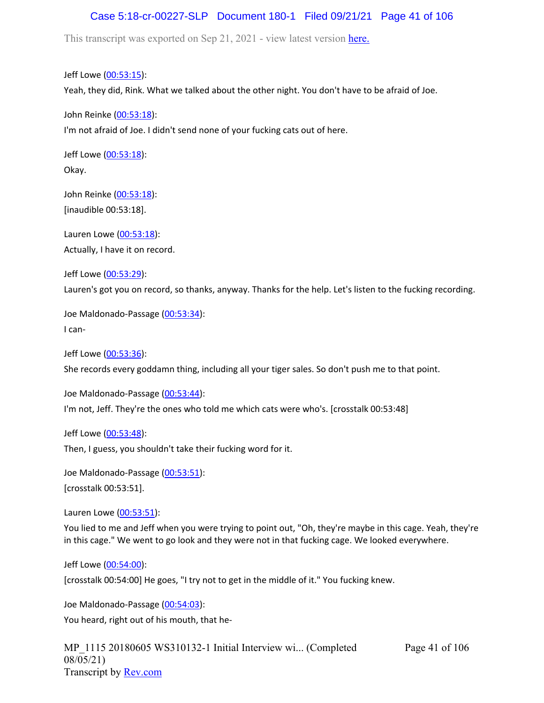## Case 5:18-cr-00227-SLP Document 180-1 Filed 09/21/21 Page 41 of 106

This transcript was exported on Sep 21, 2021 - view latest version [here.](https://www.rev.com/transcript-editor/Edit?token=amZQ9HHFTut_NOLFoO1lSR86cptioQiBp-VVq9f_BePwrTlAl64zFPqcRkwVvmM6GaAv4S7BniclRE4xdf7JBzULLcE&loadFrom=DocumentHeaderDeepLink)

Jeff Lowe ([00:53:15](https://www.rev.com/transcript-editor/Edit?token=GO4fEiqif3LJuw-6sI4TlHlJrPjYtjbsvjwXAabLgtlTTax1XAXYesiLKFVU9-JgnbO3YIrw2Apo-AW-hrHbfR67yB0&loadFrom=DocumentDeeplink&ts=3195.03)): Yeah, they did, Rink. What we talked about the other night. You don't have to be afraid of Joe.

John Reinke [\(00:53:18\)](https://www.rev.com/transcript-editor/Edit?token=hKgjwNxemVmeKsqy8hK-8WS7cVY-VpX0RV4Xkr6PbYGCemd_ETJwyQg6RZ8c4NdsnYtLeON2fCEWdIwlZUkmpmjpgBQ&loadFrom=DocumentDeeplink&ts=3198.321): I'm not afraid of Joe. I didn't send none of your fucking cats out of here.

Jeff Lowe ([00:53:18](https://www.rev.com/transcript-editor/Edit?token=yPJxdOjsdXdgbFGuzj6SfW-QktVKfeOLQ5R7xx-4xklAtcLRSXAILMnVM9Ug5ypOTSp-mo16Z8sc3NNtcqg-wuqUSPs&loadFrom=DocumentDeeplink&ts=3198.4)): Okay.

John Reinke [\(00:53:18\)](https://www.rev.com/transcript-editor/Edit?token=0ST1mdR2kAMtEq8QsjJPZptriFbIWfUNw1f2tfL7s2WKExqJWj1qnNDpVfgnamOpu3cpSvUT_EnonLzqhDspRAiiD40&loadFrom=DocumentDeeplink&ts=3198.4): [inaudible 00:53:18].

Lauren Lowe ([00:53:18](https://www.rev.com/transcript-editor/Edit?token=cx6K7IzgR4oFQMxfIGIMZI-XDDj-3s6JMStAA6u7N91jFNuNC5w-ubNExMSrGlgD-Qppbcw8mregT_8rz_PMUNUwORg&loadFrom=DocumentDeeplink&ts=3198.4)): Actually, I have it on record.

Jeff Lowe ([00:53:29](https://www.rev.com/transcript-editor/Edit?token=uljwhgvnKSOy9OZ-6E8lIBM878tulecdCJe3MX4tO8STex6VvV-4CHrkuE-N3SJog8gS-F1LbsMzsNhMjfAyXqxCNJg&loadFrom=DocumentDeeplink&ts=3209.69)): Lauren's got you on record, so thanks, anyway. Thanks for the help. Let's listen to the fucking recording.

Joe Maldonado-Passage [\(00:53:34\)](https://www.rev.com/transcript-editor/Edit?token=fRQZwzqxIKTOhCzPumRrbRQyWpaKA3gTE0UPj2xGxaT-OwQ9yMEloSR-SG1eGebn4R8Na3_TRSYDl4NJZmrGZrz7VZU&loadFrom=DocumentDeeplink&ts=3214.85): I can-

Jeff Lowe ([00:53:36](https://www.rev.com/transcript-editor/Edit?token=AQnsebl1DiLcxOBgeZ-ct4oAGiAAXeFQcYVPV6Q1VP8zVK8srzCvJIbROoUj9cvmdsOT-LU9V83OiBXgfEOP6zxnfkg&loadFrom=DocumentDeeplink&ts=3216.86)): She records every goddamn thing, including all your tiger sales. So don't push me to that point.

Joe Maldonado-Passage [\(00:53:44\)](https://www.rev.com/transcript-editor/Edit?token=D35JmD1n_ylef6zfuSEZw9IjACwkWAoQhFCfhWZXJhGcYOCgsYDSZULxZQGS2r1-0equDs3R-gmE5VlVdwFdMROZ_5I&loadFrom=DocumentDeeplink&ts=3224.39): I'm not, Jeff. They're the ones who told me which cats were who's. [crosstalk 00:53:48]

Jeff Lowe ([00:53:48](https://www.rev.com/transcript-editor/Edit?token=0MZwWitJuxySWyBzAKSB_tx9tQapnfir-jA8OLqOYvy9svkxVGWu6wjAokVgWNywk0tb567Gq2rwT2qQk47wiWRMeYo&loadFrom=DocumentDeeplink&ts=3228.43)):

Then, I guess, you shouldn't take their fucking word for it.

Joe Maldonado-Passage [\(00:53:51\)](https://www.rev.com/transcript-editor/Edit?token=rmBty_mgRS4Dr4_KCjy_ClH5fldLYqhGxsYEfbIji4AbEd_kgiBIH4jN0QHlpBrwfsVDY9fvSKo74ddXWz2pJLjV8yw&loadFrom=DocumentDeeplink&ts=3231): [crosstalk 00:53:51].

Lauren Lowe ([00:53:51](https://www.rev.com/transcript-editor/Edit?token=M2ko1IRFe9-S3fwO9RJhnTd7Sl8WpkFH9gGeO8AVvOIoQtigzbbB4nAV3sZbpSn6EVzNFfjh00yDy16j1ak9cwDwDy0&loadFrom=DocumentDeeplink&ts=3231.48)):

You lied to me and Jeff when you were trying to point out, "Oh, they're maybe in this cage. Yeah, they're in this cage." We went to go look and they were not in that fucking cage. We looked everywhere.

Jeff Lowe ([00:54:00](https://www.rev.com/transcript-editor/Edit?token=Das3OxKttAwQ2oyQBfGKpUTfleFusmP-fEH6ufV9Jwpo8WrgBDZR1WgmGmBg8yI7Zy6p7c2jqdJD62G_9BEeksDeEto&loadFrom=DocumentDeeplink&ts=3240)):

[crosstalk 00:54:00] He goes, "I try not to get in the middle of it." You fucking knew.

Joe Maldonado-Passage [\(00:54:03\)](https://www.rev.com/transcript-editor/Edit?token=WcWNUA3ugP0YDDWVs4v-xGqNcvNPNV7pb5e8jBBk8TvskeMhoWDLfOB8lxdbrmkMJFuU3f5kHDdLuvrj-dfeJ8q2nTk&loadFrom=DocumentDeeplink&ts=3243.71): You heard, right out of his mouth, that he-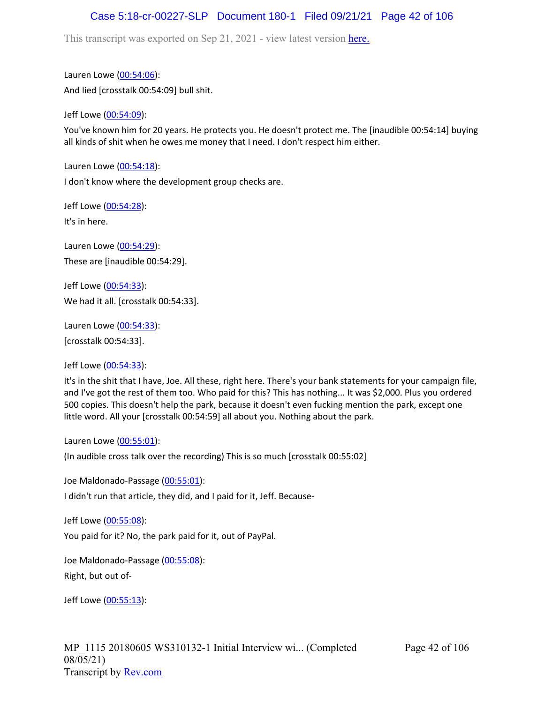## Case 5:18-cr-00227-SLP Document 180-1 Filed 09/21/21 Page 42 of 106

This transcript was exported on Sep 21, 2021 - view latest version [here.](https://www.rev.com/transcript-editor/Edit?token=amZQ9HHFTut_NOLFoO1lSR86cptioQiBp-VVq9f_BePwrTlAl64zFPqcRkwVvmM6GaAv4S7BniclRE4xdf7JBzULLcE&loadFrom=DocumentHeaderDeepLink)

Lauren Lowe ([00:54:06](https://www.rev.com/transcript-editor/Edit?token=b-VVsA1ZfwlpUlim4IJ-DpNY2nLXRtcvJvldHZl2KOAMzIdiS5z2sDRlz6ZAV5OuF9mBKVUxUGUCuFa3UPN3Q-n097w&loadFrom=DocumentDeeplink&ts=3246.7)): And lied [crosstalk 00:54:09] bull shit.

Jeff Lowe ([00:54:09](https://www.rev.com/transcript-editor/Edit?token=C9bucDwfVox_FShr2VBp4mloxwDPBK8VtzXAn6Rut04yk_8pRQs4G4V43d4bd4_OzNkzFZyxbqDHaTIgJyGqzqvLvPE&loadFrom=DocumentDeeplink&ts=3249.7)):

You've known him for 20 years. He protects you. He doesn't protect me. The [inaudible 00:54:14] buying all kinds of shit when he owes me money that I need. I don't respect him either.

Lauren Lowe ([00:54:18](https://www.rev.com/transcript-editor/Edit?token=fUJftwF1QWMwpIbxA3GuCGBepKIFTrj2wjh5u2qPvw0YqneR4tN2trwMnBO-l-bACahQZ3b8PA5SZvquraNLzKK-6X0&loadFrom=DocumentDeeplink&ts=3258.57)):

I don't know where the development group checks are.

Jeff Lowe ([00:54:28](https://www.rev.com/transcript-editor/Edit?token=9PBpJWBeD83zm0gbGfYBIif6wiDqeUcmXadyEuunlIAUc-dgl6ybPwCXbfY4_CeA42q4aIPcoCarnuR4sB0ZB8aeykM&loadFrom=DocumentDeeplink&ts=3268.73)):

It's in here.

Lauren Lowe ([00:54:29](https://www.rev.com/transcript-editor/Edit?token=eqoHisjC27p4KQF0wt6OmkwTyEPouprvTDsO9PujVJ6j3m9wS3iVkm8hUblVtVuVto8tsLmb2R6z3jpWZ2MZuCyHBQM&loadFrom=DocumentDeeplink&ts=3269)): These are [inaudible 00:54:29].

Jeff Lowe ([00:54:33](https://www.rev.com/transcript-editor/Edit?token=MnwuvgipTq6EACblQiyGddow5LWswYy9-8iFTO-V_EnOwLvO8XnALMtI4UUoil8B4f2m-biAVteBRJ4Enm2tHk6J_O0&loadFrom=DocumentDeeplink&ts=3273)): We had it all. [crosstalk 00:54:33].

Lauren Lowe ([00:54:33](https://www.rev.com/transcript-editor/Edit?token=vY-ynxZ1acBV8UOQscqukEr3moZ6o0a2laxzZOnOmZX6VVZXKA7fT2L66ujSG6nXkaJFxR6SopXS5wXFdpx4JQRfCt4&loadFrom=DocumentDeeplink&ts=3273)): [crosstalk 00:54:33].

Jeff Lowe ([00:54:33](https://www.rev.com/transcript-editor/Edit?token=VvZFDQnDjVHsKvd7fB7RI9REfnmBdGsfCJ2WbXwnsH2TXU6NgJzw9aU4oQSEbuAtOZjy5X4cHbJAkeJz7M_uaX8hAq0&loadFrom=DocumentDeeplink&ts=3273.76)):

It's in the shit that I have, Joe. All these, right here. There's your bank statements for your campaign file, and I've got the rest of them too. Who paid for this? This has nothing... It was \$2,000. Plus you ordered 500 copies. This doesn't help the park, because it doesn't even fucking mention the park, except one little word. All your [crosstalk 00:54:59] all about you. Nothing about the park.

Lauren Lowe ([00:55:01](https://www.rev.com/transcript-editor/Edit?token=f4Upafte9AqdlvHNM7aspSAaL0kh2P4f90LyO7J7TpuqbY_2m6tnarBs4mFaN_TvoYD202Zi1E14S0okVHEx80YmRGQ&loadFrom=DocumentDeeplink&ts=3301.76)):

(In audible cross talk over the recording) This is so much [crosstalk 00:55:02]

Joe Maldonado-Passage [\(00:55:01\)](https://www.rev.com/transcript-editor/Edit?token=v-e_00_WPdfOrWenQ0fSArHNRK2QWRYZxuXGDAjtiQjiLLcqJwKmFDIW5AYu_hWLNzNtdfsl1hJSsSlFHXNWp3-iR7Y&loadFrom=DocumentDeeplink&ts=3301.88):

I didn't run that article, they did, and I paid for it, Jeff. Because-

Jeff Lowe ([00:55:08](https://www.rev.com/transcript-editor/Edit?token=kag04N1l29DpWTe0YlK60AZW9gp8vRwMgN9EuJhWBZ6hl_dDN9KLay_D7TiElKHpzuNPFN9W5bO2SuaEZZHDtfxwhB4&loadFrom=DocumentDeeplink&ts=3308.1)): You paid for it? No, the park paid for it, out of PayPal.

Joe Maldonado-Passage [\(00:55:08\)](https://www.rev.com/transcript-editor/Edit?token=x5AXcZhrszB5AsWNgVsFa5vKB8KZZ4dJIiQrorLxwxzp1yrXKdv-zHmAzDsAIzSJUEE5z7Vm-ByhSoekzIdiod12YYk&loadFrom=DocumentDeeplink&ts=3308.44): Right, but out of-

Jeff Lowe ([00:55:13](https://www.rev.com/transcript-editor/Edit?token=xzsWy_bnUDKTO6hUNpKF1g_XoToB79XcGrBL6n6NheC74IOnjJLhHT9lH_Mu6RS-w8Dbjn8k4giLgWd4Anr7Yf-ldYI&loadFrom=DocumentDeeplink&ts=3313.09)):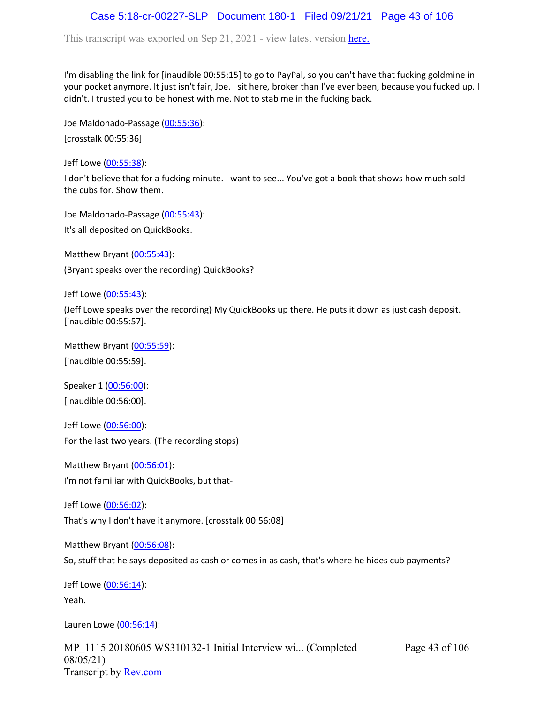## Case 5:18-cr-00227-SLP Document 180-1 Filed 09/21/21 Page 43 of 106

This transcript was exported on Sep 21, 2021 - view latest version [here.](https://www.rev.com/transcript-editor/Edit?token=amZQ9HHFTut_NOLFoO1lSR86cptioQiBp-VVq9f_BePwrTlAl64zFPqcRkwVvmM6GaAv4S7BniclRE4xdf7JBzULLcE&loadFrom=DocumentHeaderDeepLink)

I'm disabling the link for [inaudible 00:55:15] to go to PayPal, so you can't have that fucking goldmine in your pocket anymore. It just isn't fair, Joe. I sit here, broker than I've ever been, because you fucked up. I didn't. I trusted you to be honest with me. Not to stab me in the fucking back.

Joe Maldonado-Passage [\(00:55:36\)](https://www.rev.com/transcript-editor/Edit?token=-vKCbmX83JlzsKPpyEejSJYnn7OTuPxsd3yvCvtpSwW8F0oIMp5iFKrPNSULRX2_m0khBvcJOdhlnlqNR95ACXt-Phc&loadFrom=DocumentDeeplink&ts=3336):

[crosstalk 00:55:36]

Jeff Lowe ([00:55:38](https://www.rev.com/transcript-editor/Edit?token=V2Ac9jPstDoQWuJBI4dm0boNfHfVjXWK18IFEtbcLpXlevSpfIZgD-rDK5WcrghyyTWgpncbO6iez09INsalNRzXX1I&loadFrom=DocumentDeeplink&ts=3338.63)):

I don't believe that for a fucking minute. I want to see... You've got a book that shows how much sold the cubs for. Show them.

Joe Maldonado-Passage [\(00:55:43\)](https://www.rev.com/transcript-editor/Edit?token=WlZp_1rSIGc0G3M4bEmj4Xbug-DxyVf-fZZTlvu9HNMBuZH9CFenO7x8h3kL8AyRNOb_uof6PbI2LK6UAfQz5qxJ9r0&loadFrom=DocumentDeeplink&ts=3343.11):

It's all deposited on QuickBooks.

Matthew Bryant ([00:55:43](https://www.rev.com/transcript-editor/Edit?token=D1eeZNjbeLSeYEtg2KZSRihxKWS_wxUpurRpEn4bBVUFWPJNAyoGOLCNXsRHbEkWRr8KiyaeIeoQseQbGi5_SO8BWdc&loadFrom=DocumentDeeplink&ts=3343.11)): (Bryant speaks over the recording) QuickBooks?

Jeff Lowe ([00:55:43](https://www.rev.com/transcript-editor/Edit?token=TlKvOC7QNU4BySjrNsSwIKAJKrM_DDqcMUJRK-v3ZDHdUEj04HplF11tXLfhBhRMxel3sgUQxmIVs0cxCHY5nV-skiA&loadFrom=DocumentDeeplink&ts=3343.12)):

(Jeff Lowe speaks over the recording) My QuickBooks up there. He puts it down as just cash deposit. [inaudible 00:55:57].

Matthew Bryant ([00:55:59](https://www.rev.com/transcript-editor/Edit?token=-YlstZkFw6g6G6oHHWDvuAl-LT3IL0i9ZZmB43C-zHGZ9cegZyKytkGI0fkliz9sgIXuD1lCFmZDEfTTEgJcll7s7rI&loadFrom=DocumentDeeplink&ts=3359)): [inaudible 00:55:59].

Speaker 1 ([00:56:00](https://www.rev.com/transcript-editor/Edit?token=qiqSu0EUR4RUkbgeQHTkU4G8hnbOxe-vXyyXiX8oZ1vBxSLAXd6YtdmAul7GUq4lVukwhfCoJJWq8YCqZOO_ZjS8at8&loadFrom=DocumentDeeplink&ts=3360)): [inaudible 00:56:00].

Jeff Lowe ([00:56:00](https://www.rev.com/transcript-editor/Edit?token=0zsZc-97uw6N3I3H2a5L8xj-0mSTtTPmue5kXOYCnrTBWUsK-cs1WmAxBUhsGzQH9VcBG6nlGIWzPTyVd6UjYAxubaE&loadFrom=DocumentDeeplink&ts=3360)): For the last two years. (The recording stops)

Matthew Bryant ([00:56:01](https://www.rev.com/transcript-editor/Edit?token=YpVTlaiQVynEMemIrwUS5YcW0hLulaQkojFTU3VXFhex73go6F_prls5p1b_wlXsh5oHrZgbr2-KPpegUvjhz35TIH8&loadFrom=DocumentDeeplink&ts=3361.92)): I'm not familiar with QuickBooks, but that-

Jeff Lowe ([00:56:02](https://www.rev.com/transcript-editor/Edit?token=i4lstOvfekb8Ps1eAwBgDyD3v8CxKc4DmXFrIsBrKH7rTCol36UfPlEKPxmoTCY1e_VvOmVFZLVRczNPNC2rQwtx3FQ&loadFrom=DocumentDeeplink&ts=3362.88)): That's why I don't have it anymore. [crosstalk 00:56:08]

Matthew Bryant ([00:56:08](https://www.rev.com/transcript-editor/Edit?token=5wF6CFteYjxseB4yjBo0reRSQtF6YBvfUZHp10mGycZ_k7N4VjL1LkxXWaDiSjB3VoSMN0SzKqREvNhAKj_mX7OF618&loadFrom=DocumentDeeplink&ts=3368.42)):

So, stuff that he says deposited as cash or comes in as cash, that's where he hides cub payments?

Jeff Lowe ([00:56:14](https://www.rev.com/transcript-editor/Edit?token=BlIJ0WjAUe-f4GrXdVKKC8uK-C5Dabsany90V1obb_acF65pcPWMbLs7eRpTNuklgk2qI_o53L2cihMGej4WxjbcNmk&loadFrom=DocumentDeeplink&ts=3374.37)): Yeah.

Lauren Lowe ([00:56:14](https://www.rev.com/transcript-editor/Edit?token=UHKA3Gz34sDYYJRpXkS0sLJud31Qvpxav0nDKG51BIBvbOGA00Q5sQ8mON06KAhyOoRHWz0Dv2M2XfA91yxEhssDHfs&loadFrom=DocumentDeeplink&ts=3374.49)):

MP\_1115 20180605 WS310132-1 Initial Interview wi... (Completed 08/05/21) Transcript by [Rev.com](https://www.rev.com/)

Page 43 of 106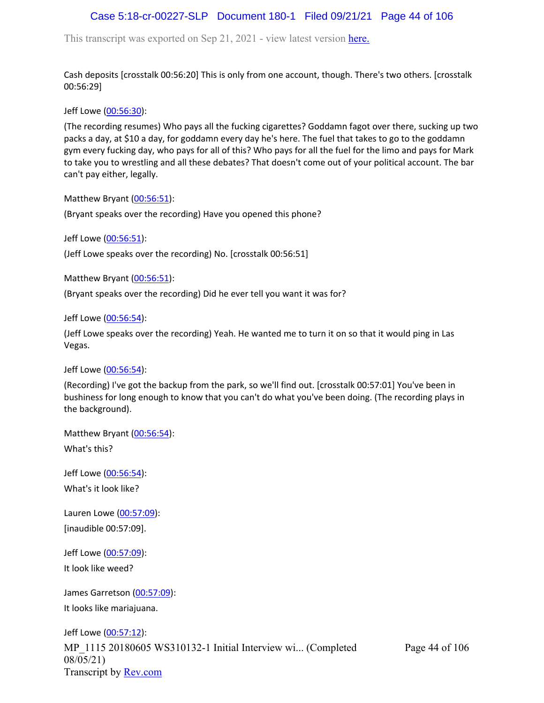# Case 5:18-cr-00227-SLP Document 180-1 Filed 09/21/21 Page 44 of 106

This transcript was exported on Sep 21, 2021 - view latest version [here.](https://www.rev.com/transcript-editor/Edit?token=amZQ9HHFTut_NOLFoO1lSR86cptioQiBp-VVq9f_BePwrTlAl64zFPqcRkwVvmM6GaAv4S7BniclRE4xdf7JBzULLcE&loadFrom=DocumentHeaderDeepLink)

Cash deposits [crosstalk 00:56:20] This is only from one account, though. There's two others. [crosstalk 00:56:29]

Jeff Lowe ([00:56:30](https://www.rev.com/transcript-editor/Edit?token=eJpBBXGIK_9CY1ubguG3LliXfseMd0OfZFjInwLtbyRgq6h3YCa9I_2K3Nq1n2v9A9L7ey8ADm6QvIELKoYwHLO85vA&loadFrom=DocumentDeeplink&ts=3390.06)):

(The recording resumes) Who pays all the fucking cigarettes? Goddamn fagot over there, sucking up two packs a day, at \$10 a day, for goddamn every day he's here. The fuel that takes to go to the goddamn gym every fucking day, who pays for all of this? Who pays for all the fuel for the limo and pays for Mark to take you to wrestling and all these debates? That doesn't come out of your political account. The bar can't pay either, legally.

Matthew Bryant ([00:56:51](https://www.rev.com/transcript-editor/Edit?token=2zCZCi3Lb_VJmOJXK7z2YZiRqzBGJ0hy-YUuX7M1T_w4hQsfHl8P6BKeUxEtysmYhi8m6J5fthm0gC2s85xbMf-S2VM&loadFrom=DocumentDeeplink&ts=3411.13)):

(Bryant speaks over the recording) Have you opened this phone?

Jeff Lowe ([00:56:51](https://www.rev.com/transcript-editor/Edit?token=a0uupLQeTCLOcdz4_5aRh6BBNIeaBiWrehvuq76nJ7ljBwki45SHdy2jR3LzjQTvWs9KII9zq-SURRZhGRtDE37TlRE&loadFrom=DocumentDeeplink&ts=3411.17)):

(Jeff Lowe speaks over the recording) No. [crosstalk 00:56:51]

Matthew Bryant ([00:56:51](https://www.rev.com/transcript-editor/Edit?token=PQqjPPA39x_6eSbFnsZ5w1za91MzxMSoupjMZKt5I62bUOB21IQMiVk_bTKab-y7SVJddrftTL9Sm6amqKpJKobYso4&loadFrom=DocumentDeeplink&ts=3411.17)):

(Bryant speaks over the recording) Did he ever tell you want it was for?

Jeff Lowe ([00:56:54](https://www.rev.com/transcript-editor/Edit?token=yLjEz2N9F6nkIubMZF1FQ4xPSXnJdMkzLtnDxSJJ9w4wn5OHC_pG9c2X2Oc5sg7qfHf2WhQy3rL72_VqeP1invh80M8&loadFrom=DocumentDeeplink&ts=3414)):

(Jeff Lowe speaks over the recording) Yeah. He wanted me to turn it on so that it would ping in Las Vegas.

Jeff Lowe ([00:56:54](https://www.rev.com/transcript-editor/Edit?token=yC4ZvHZ-SYPhm1RGh3uBSWS6xcG4XyscxEwzSf6Ezes3rHWe3nvkzGckp56JtaPF5sb1hKOjNNRwQIX2Rli652tIagc&loadFrom=DocumentDeeplink&ts=3414.35)):

(Recording) I've got the backup from the park, so we'll find out. [crosstalk 00:57:01] You've been in bushiness for long enough to know that you can't do what you've been doing. (The recording plays in the background).

Matthew Bryant ([00:56:54](https://www.rev.com/transcript-editor/Edit?token=dsxYja_kac3Wo1syLefx4Ehc7oxlL0sGsoQ9g4HYUoTdZoqWjHKAuSorZu0G4NG34v1O2PJgKiGYkxxH_W--EuD38uc&loadFrom=DocumentDeeplink&ts=3414.54)): What's this?

Jeff Lowe ([00:56:54](https://www.rev.com/transcript-editor/Edit?token=j3ztiIiBl9PngamNYD7ADaCw6PSXLhZeoVHO_GmXIGhvUnZ8FFjeEfFGhIiEQskUAgUCa-MjiifMF-OswKi1avg0c_A&loadFrom=DocumentDeeplink&ts=3414.54)): What's it look like?

Lauren Lowe ([00:57:09](https://www.rev.com/transcript-editor/Edit?token=a_4624lLBMrVSwYuOzuxglP5Sce81Npb9tZrviP-Nvgw1BItfNaesV3TBmcUO6K2nT40uR2OB5MS_4fKWPFoMd1c3a0&loadFrom=DocumentDeeplink&ts=3429)): [inaudible 00:57:09].

Jeff Lowe ([00:57:09](https://www.rev.com/transcript-editor/Edit?token=L_65J33kgeeSK08RQgu9FUfQcDSm20Knf2SHVpXU9aShC0_0svsiN28S-aMR7yzXBc9O-UivvdEd4lIxaL9ylub8eOY&loadFrom=DocumentDeeplink&ts=3429)): It look like weed?

James Garretson ([00:57:09\)](https://www.rev.com/transcript-editor/Edit?token=_gpRdt02DwX1aKa38t3RMXD_2YHRNT2sO5iLsXaRF8NgtpgSBwRWRfSBysfa4Wq0N6alsnVRLLBU1A6X8SRIl6eMQ6U&loadFrom=DocumentDeeplink&ts=3429): It looks like mariajuana.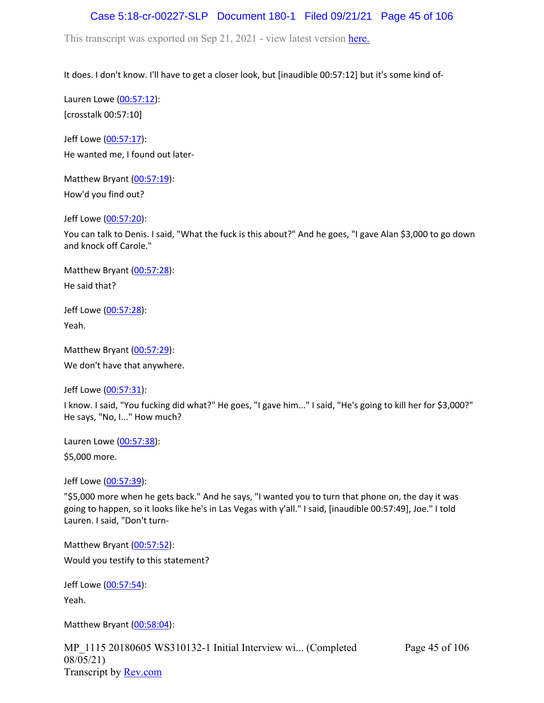# Case 5:18-cr-00227-SLP Document 180-1 Filed 09/21/21 Page 45 of 106

This transcript was exported on Sep 21, 2021 - view latest version [here.](https://www.rev.com/transcript-editor/Edit?token=amZQ9HHFTut_NOLFoO1lSR86cptioQiBp-VVq9f_BePwrTlAl64zFPqcRkwVvmM6GaAv4S7BniclRE4xdf7JBzULLcE&loadFrom=DocumentHeaderDeepLink)

It does. I don't know. I'll have to get a closer look, but [inaudible 00:57:12] but it's some kind of-

Lauren Lowe ([00:57:12](https://www.rev.com/transcript-editor/Edit?token=pq-VX008Rwvbs5kk1RRXLsSDIS0jwltt7dYgXvtnzaU8u1Gn6ImykLtUjU4fYfdcIx6zMgUjHtw1bIoHo_K3vi3EHpU&loadFrom=DocumentDeeplink&ts=3432)): [crosstalk 00:57:10]

Jeff Lowe ([00:57:17](https://www.rev.com/transcript-editor/Edit?token=gEsYJ_d-YXxnp70F3Y3ej4_2TzMxol95A3-61nBU153RQKfJR4Dz2uNZct8fjilTsGwLixCo1cHcEmiC0AdEkgS5Nzk&loadFrom=DocumentDeeplink&ts=3437.38)): He wanted me, I found out later-

Matthew Bryant ([00:57:19](https://www.rev.com/transcript-editor/Edit?token=e35YdF6eLX6VJVcOMkTDnx6qujlG9bE6hMAKxbi6jVAF9MKv-zSlDEJeFgZteu993sgyJxdu23qZ0kJ1uuGDtiFu80E&loadFrom=DocumentDeeplink&ts=3439.88)): How'd you find out?

Jeff Lowe ([00:57:20](https://www.rev.com/transcript-editor/Edit?token=07e0dxbAk9zEmLyRF2nLrUT4tSCwTp1VGNdle6b0qe0KfHCOZUmQ1-8cqA1C7bypXR7vb6NLCOexjfYGe6jnoQgKDbM&loadFrom=DocumentDeeplink&ts=3440.19)):

You can talk to Denis. I said, "What the fuck is this about?" And he goes, "I gave Alan \$3,000 to go down and knock off Carole."

Matthew Bryant ([00:57:28](https://www.rev.com/transcript-editor/Edit?token=Row57mITP62Si0EnVvdR1HRIKp9VqgLE_gO8nAHtEmP5GA52uJQcFYvmbSp2SVJUADhKlL02Bd5iqfIV_2P-J0d29H8&loadFrom=DocumentDeeplink&ts=3448.14)): He said that?

Jeff Lowe ([00:57:28](https://www.rev.com/transcript-editor/Edit?token=cLmG3KujmEZ5pT8AcRZmiweuSsjve3h-ns7kW9QpbfG3nJfuku4da24h78lphoKgnRPX8r3OjH8n7k4dhvLMZDcOsK4&loadFrom=DocumentDeeplink&ts=3448.77)): Yeah.

```
00:57:29):
```
We don't have that anywhere.

Jeff Lowe ([00:57:31](https://www.rev.com/transcript-editor/Edit?token=CsGX8y_WmSGLmCBAqmndARRR6JKw2TZuceSKhdQ_02xVfGoZsaemn0E3KJzaoX3NJU0JTyZzFccK8ZPVHWH9UkFRfFg&loadFrom=DocumentDeeplink&ts=3451.13)):

I know. I said, "You fucking did what?" He goes, "I gave him..." I said, "He's going to kill her for \$3,000?" He says, "No, I..." How much?

Lauren Lowe ([00:57:38](https://www.rev.com/transcript-editor/Edit?token=DszRPZle-4dcJANiiRJaf2hPTdm7spg4m4qFhAxhD-hgc8xpgXtlt6NhBgQAHJsabUJLI-iMAzJQLfRLhzqsMd6Q8co&loadFrom=DocumentDeeplink&ts=3458.93)):

\$5,000 more.

Jeff Lowe ([00:57:39](https://www.rev.com/transcript-editor/Edit?token=Olkc9wiTKNUjlmccqQRQCl9GA8E4jtGZAx1rEhFKr1Tvi9Pd6UE6xlwtifFB9gaFXH5RZOkCpinfhsqUflpRwIEhInw&loadFrom=DocumentDeeplink&ts=3459.6)):

"\$5,000 more when he gets back." And he says, "I wanted you to turn that phone on, the day it was going to happen, so it looks like he's in Las Vegas with y'all." I said, [inaudible 00:57:49], Joe." I told Lauren. I said, "Don't turn-

Matthew Bryant ([00:57:52](https://www.rev.com/transcript-editor/Edit?token=jraa2pqvfMdQTEPEwY0Bb9taCUS6KtbA-1PrHtoBSknMXPn_hUiuBTe9hZkKR4CK3IhggD75DIchHFAgt9l1bmXmGrM&loadFrom=DocumentDeeplink&ts=3472.95)): Would you testify to this statement?

Jeff Lowe ([00:57:54](https://www.rev.com/transcript-editor/Edit?token=POfMmjKnig_7q6Qq8xrGKnODt22rGdYRxDZ9irnJIoFg66GMX861ec3zhXbJuKMGUFglsXbFzMmNN5PdM79zu1Qe134&loadFrom=DocumentDeeplink&ts=3474.32)): Yeah.

Matthew Bryant ([00:58:04](https://www.rev.com/transcript-editor/Edit?token=mxeM0ewmzfwkX54-ITNBnSEDVLcjv2VDY25E6okl7YpX6YUCb5cB9ncwzXeDZLcXcole1aGR5Ae5zS7sECyZvPRe6Ns&loadFrom=DocumentDeeplink&ts=3484.06)):

MP\_1115 20180605 WS310132-1 Initial Interview wi... (Completed 08/05/21) Transcript by [Rev.com](https://www.rev.com/)

Page 45 of 106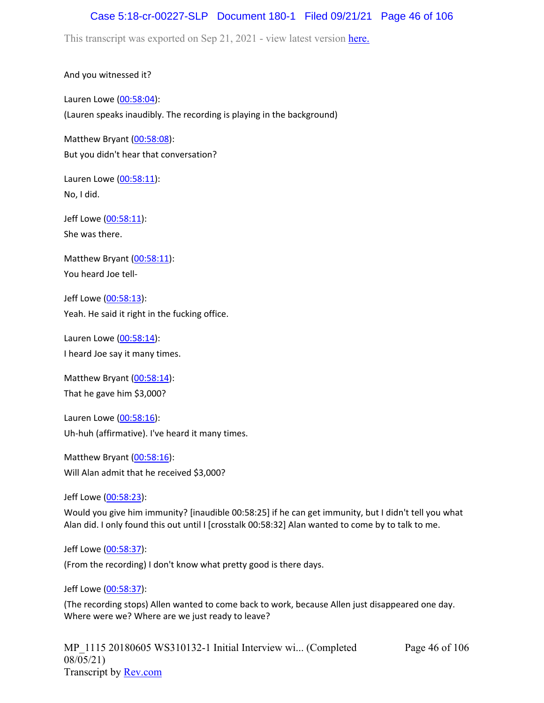## Case 5:18-cr-00227-SLP Document 180-1 Filed 09/21/21 Page 46 of 106

This transcript was exported on Sep 21, 2021 - view latest version [here.](https://www.rev.com/transcript-editor/Edit?token=amZQ9HHFTut_NOLFoO1lSR86cptioQiBp-VVq9f_BePwrTlAl64zFPqcRkwVvmM6GaAv4S7BniclRE4xdf7JBzULLcE&loadFrom=DocumentHeaderDeepLink)

And you witnessed it?

Lauren Lowe ([00:58:04](https://www.rev.com/transcript-editor/Edit?token=1soOgJcpuGuEsw9V-7B_hIFrC-0IteexEjYmOvP6jcF54QSIgevsOFHib4FHjzuawXpUNJW05PB3AS3nL1kHo_34mCE&loadFrom=DocumentDeeplink&ts=3484.2)): (Lauren speaks inaudibly. The recording is playing in the background)

Matthew Bryant ([00:58:08](https://www.rev.com/transcript-editor/Edit?token=4JvASjPac6FnifAg1BRPuQxL7SDhwRYfsoMHDhnjEYhEdx_jzFbi0WgaBGXxY2chXzqz1iYhTVkyT4jh7WF41aiJ60k&loadFrom=DocumentDeeplink&ts=3488.08)): But you didn't hear that conversation?

Lauren Lowe ([00:58:11](https://www.rev.com/transcript-editor/Edit?token=674HYeCIHMpa7zpYI9vuG2P0vyDxxByGBSvRLZaVgHvvHlgQBW9A7Pu8hn3mKE3QVikC40u5D40mDA0EEdPHM8rW4nE&loadFrom=DocumentDeeplink&ts=3491.43)): No, I did.

Jeff Lowe ([00:58:11](https://www.rev.com/transcript-editor/Edit?token=okTa0yF6iZrzJtgq_lcgvXkT90MUSRbg6uubb5LHRt1uR6bnJnxDe8ZQFRAysYJwM7uFxQlPj3uTW2sHe1WfMelY6fo&loadFrom=DocumentDeeplink&ts=3491.45)): She was there.

Matthew Bryant ([00:58:11](https://www.rev.com/transcript-editor/Edit?token=8w4bRCG0unE_5__h2W8tdorxXjR4rfRfKLy4hKnr35_FhDMITXewY3uhZBmiVy8rvmtBQeryME4JYehWOuUSe-6D7mg&loadFrom=DocumentDeeplink&ts=3491.52)): You heard Joe tell-

Jeff Lowe ([00:58:13](https://www.rev.com/transcript-editor/Edit?token=ckQ6WpX4ycKRAKZ26dt1SFs-JqSdPah2q67a7rTUI-JVVCIJYgshR5CwpZylP4mYD9yuYFdQU5JpGKUSlg-sAQ1MP5g&loadFrom=DocumentDeeplink&ts=3493.21)): Yeah. He said it right in the fucking office.

Lauren Lowe ([00:58:14](https://www.rev.com/transcript-editor/Edit?token=ahElcO5DAUZLEqRnpNSFkklWNGRNwajTak4UzBYWNSX0lmjB680dMZJSCNN4HZMR2eyBWJ7yzc425oKUpiju-JcFUgE&loadFrom=DocumentDeeplink&ts=3494.74)): I heard Joe say it many times.

Matthew Bryant ([00:58:14](https://www.rev.com/transcript-editor/Edit?token=USVmUGcQWsd1_UORyk_lsKqxql0w6YoJcozJjC72obIlk_sVNyQA9hmYPDsyUQ6QN0p298o_O7wPN77T4xJWwvXBYjU&loadFrom=DocumentDeeplink&ts=3494.93)): That he gave him \$3,000?

Lauren Lowe ([00:58:16](https://www.rev.com/transcript-editor/Edit?token=K4VzH0XuI1SdhKFTEYrxa-q_hY-ZeGKizNILfvLs0xaSYCxPeaek05ciFe-8huHVgTdLriLJImtgDrcB6jYO-5w6RDA&loadFrom=DocumentDeeplink&ts=3496.35)): Uh-huh (affirmative). I've heard it many times.

Matthew Bryant ([00:58:16](https://www.rev.com/transcript-editor/Edit?token=x3srdF1EeLozf0TRonD0q8DbWsHANvs2qIu3zukiy1Dfn2Oizp16hXf0VJFjQ2pEo0rt9JCx39s0NJajtypJ3RfHI7c&loadFrom=DocumentDeeplink&ts=3496.64)): Will Alan admit that he received \$3,000?

Jeff Lowe ([00:58:23](https://www.rev.com/transcript-editor/Edit?token=gdGXy0JgPk2PfFmOEikl9LgOF6rrLz9hbNxPic3CJN3P-dOgl5pqzMv2aCFDDm59QvCtc8bApg3xUrvcydlnhs3Wgeo&loadFrom=DocumentDeeplink&ts=3503.58)):

Would you give him immunity? [inaudible 00:58:25] if he can get immunity, but I didn't tell you what Alan did. I only found this out until I [crosstalk 00:58:32] Alan wanted to come by to talk to me.

Jeff Lowe ([00:58:37](https://www.rev.com/transcript-editor/Edit?token=zfWjaCdizUqdzVXgiQ_ZdDA2Bjdt7glhWCDBHBiR9kW3jHZ1t5u9TTIUQgaTq5i_jSt84Wwb4dMbDf2io8Asd-LlXaI&loadFrom=DocumentDeeplink&ts=3517.21)):

(From the recording) I don't know what pretty good is there days.

Jeff Lowe ([00:58:37](https://www.rev.com/transcript-editor/Edit?token=I-HhFDMldW4NPiRzvUvqCb5S_5OVkwNEU1VpKtNUJaEMQd4fI1Ifj2H-v0Ppron0MwIwde2NNLDU-ILAJdZfZNr9kHA&loadFrom=DocumentDeeplink&ts=3517.21)):

(The recording stops) Allen wanted to come back to work, because Allen just disappeared one day. Where were we? Where are we just ready to leave?

Page 46 of 106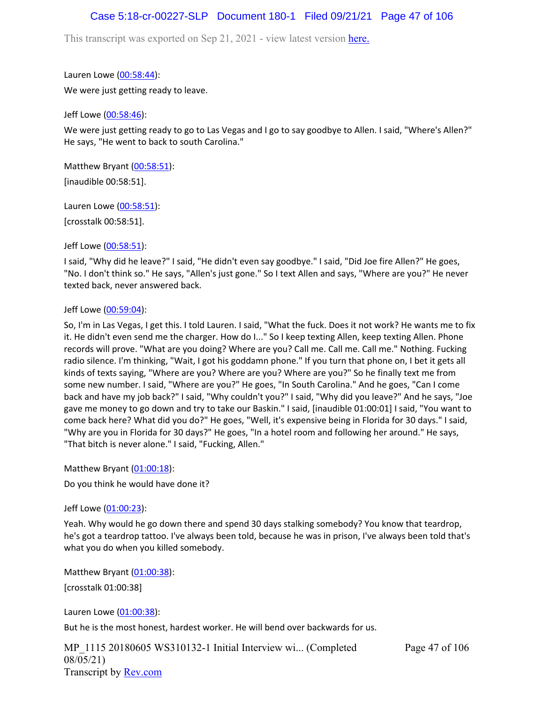## Case 5:18-cr-00227-SLP Document 180-1 Filed 09/21/21 Page 47 of 106

This transcript was exported on Sep 21, 2021 - view latest version [here.](https://www.rev.com/transcript-editor/Edit?token=amZQ9HHFTut_NOLFoO1lSR86cptioQiBp-VVq9f_BePwrTlAl64zFPqcRkwVvmM6GaAv4S7BniclRE4xdf7JBzULLcE&loadFrom=DocumentHeaderDeepLink)

Lauren Lowe ([00:58:44](https://www.rev.com/transcript-editor/Edit?token=9NTkp9nyhd-ajHc9esnEEI3XXxabRzuw1mRDxFbK2eT1lJez84O-WUBoP2O-Bw_OYLdbunXsQR_TTHkhZlz622JGJNk&loadFrom=DocumentDeeplink&ts=3524.38)): We were just getting ready to leave.

Jeff Lowe ([00:58:46](https://www.rev.com/transcript-editor/Edit?token=aOEg22HZFyVBryvWuehGE2xEIG88-Mp4evabCy2ZYoAkQxzLqrsSVS4em1pX1_sXrnu6YhbPDAqjLkHCwJR3iVRXoCY&loadFrom=DocumentDeeplink&ts=3526.17)):

We were just getting ready to go to Las Vegas and I go to say goodbye to Allen. I said, "Where's Allen?" He says, "He went to back to south Carolina."

Matthew Bryant ([00:58:51](https://www.rev.com/transcript-editor/Edit?token=Mgv9tBL50pBNo-PQO01IXg-2wtkAyrtUN1M82BXDx5g1KxkGGMrkdR02YsccFqT7B2dH6hRCt5_O6opISsM4qrdPoeg&loadFrom=DocumentDeeplink&ts=3531)): [inaudible 00:58:51].

Lauren Lowe ([00:58:51](https://www.rev.com/transcript-editor/Edit?token=VCo8W9rswmUpNG8FwUvXLNP8X6Oz5PWCqT6F5xPsg3kFyFdVCVM52_B3MUnf65i4W7nnLILixdG-KV0DMzYP5WAEis0&loadFrom=DocumentDeeplink&ts=3531)):

[crosstalk 00:58:51].

Jeff Lowe ([00:58:51](https://www.rev.com/transcript-editor/Edit?token=uHTfF-VuGFJrCbx8d5Vl-KJl_eAp0LDGhpYJqHMOwvHHvDT7of54-jVogcIb8QmbGXO9KbLuL9D1_pDtezOwTCzCmrE&loadFrom=DocumentDeeplink&ts=3531)):

I said, "Why did he leave?" I said, "He didn't even say goodbye." I said, "Did Joe fire Allen?" He goes, "No. I don't think so." He says, "Allen's just gone." So I text Allen and says, "Where are you?" He never texted back, never answered back.

#### Jeff Lowe ([00:59:04](https://www.rev.com/transcript-editor/Edit?token=A3paeed6-PIApMKOAyvIjuDU__oLw0nBt4NV85suqBPD6ubrI-Pe2nv4XaGtI94vqc-V6junCsnuEYG5RBFVU6jpF3Q&loadFrom=DocumentDeeplink&ts=3544.61)):

So, I'm in Las Vegas, I get this. I told Lauren. I said, "What the fuck. Does it not work? He wants me to fix it. He didn't even send me the charger. How do I..." So I keep texting Allen, keep texting Allen. Phone records will prove. "What are you doing? Where are you? Call me. Call me. Call me." Nothing. Fucking radio silence. I'm thinking, "Wait, I got his goddamn phone." If you turn that phone on, I bet it gets all kinds of texts saying, "Where are you? Where are you? Where are you?" So he finally text me from some new number. I said, "Where are you?" He goes, "In South Carolina." And he goes, "Can I come back and have my job back?" I said, "Why couldn't you?" I said, "Why did you leave?" And he says, "Joe gave me money to go down and try to take our Baskin." I said, [inaudible 01:00:01] I said, "You want to come back here? What did you do?" He goes, "Well, it's expensive being in Florida for 30 days." I said, "Why are you in Florida for 30 days?" He goes, "In a hotel room and following her around." He says, "That bitch is never alone." I said, "Fucking, Allen."

Matthew Bryant ([01:00:18](https://www.rev.com/transcript-editor/Edit?token=Swc2ZTWJucQMyfezkS4jg8a0M7-iyoNIgjBWD6e_bEYDgHk7jB5FuBgUDXBT4KIsHVrBO71On-Wgee592bWqPxvM7VM&loadFrom=DocumentDeeplink&ts=3618.05)): Do you think he would have done it?

Jeff Lowe ([01:00:23](https://www.rev.com/transcript-editor/Edit?token=g0rPXI1O__zHAgjmUHDO9auuD48dvz3F7vpa4rRqCgeHHqWq6QSz94Wm20Zcw2R8zE7NWKyGU4ohlU_zTmBUGFczG_0&loadFrom=DocumentDeeplink&ts=3623.01)):

Yeah. Why would he go down there and spend 30 days stalking somebody? You know that teardrop, he's got a teardrop tattoo. I've always been told, because he was in prison, I've always been told that's what you do when you killed somebody.

Matthew Bryant ([01:00:38](https://www.rev.com/transcript-editor/Edit?token=XuSfaY9PzjNTqjw2Z1G83itTTRQASFZsm_W770LFk_GWEJd5h4uWuG-xar3avsWSEV3Mr88r4sfWPrWrs5ci_OQ-q7g&loadFrom=DocumentDeeplink&ts=3638)): [crosstalk 01:00:38]

Lauren Lowe ([01:00:38](https://www.rev.com/transcript-editor/Edit?token=3wcEVbeDdLQs1WSjBHoUydWhh5S1cqF2F_QMazZRmo3rlBqP0E7MjUMr83hR-lw5FhHKvQE_JF3BbZE3E0N3XgD7RBU&loadFrom=DocumentDeeplink&ts=3638)):

But he is the most honest, hardest worker. He will bend over backwards for us.

MP\_1115 20180605 WS310132-1 Initial Interview wi... (Completed 08/05/21) Transcript by [Rev.com](https://www.rev.com/)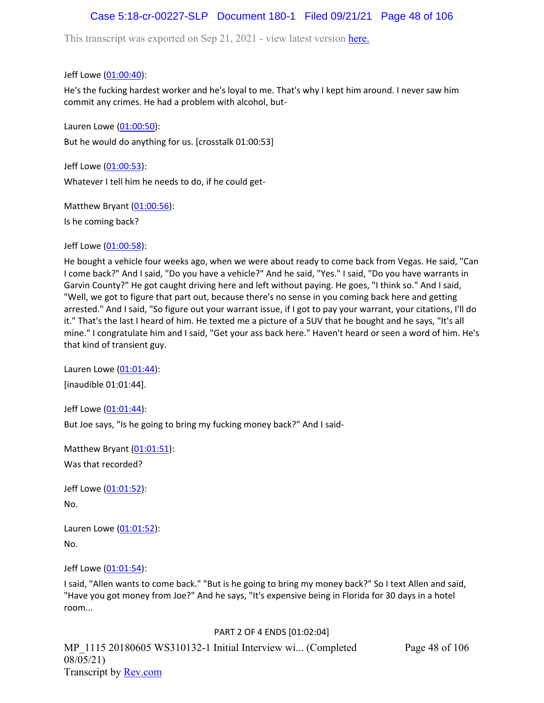# Case 5:18-cr-00227-SLP Document 180-1 Filed 09/21/21 Page 48 of 106

This transcript was exported on Sep 21, 2021 - view latest version [here.](https://www.rev.com/transcript-editor/Edit?token=amZQ9HHFTut_NOLFoO1lSR86cptioQiBp-VVq9f_BePwrTlAl64zFPqcRkwVvmM6GaAv4S7BniclRE4xdf7JBzULLcE&loadFrom=DocumentHeaderDeepLink)

Jeff Lowe ([01:00:40](https://www.rev.com/transcript-editor/Edit?token=RpkpJgRkBzCCpzmvCDpCBmMbl2EOAWJ9d4CexAXpWnOBRHgjaMeGbRKoRytoP_qaBEc8I4ACBDCqdBXer9MKvUQ2pIw&loadFrom=DocumentDeeplink&ts=3640.57)):

He's the fucking hardest worker and he's loyal to me. That's why I kept him around. I never saw him commit any crimes. He had a problem with alcohol, but-

Lauren Lowe ([01:00:50](https://www.rev.com/transcript-editor/Edit?token=0K1zhv-wvTXV6bMDNwV6NSBrY9LcvDxY5E1UFfbDTB2MpuGArQleu2TQ4TveiuUFxzploww1SKZDFJkEhA_8P-LrF9o&loadFrom=DocumentDeeplink&ts=3650.07)): But he would do anything for us. [crosstalk 01:00:53]

Jeff Lowe ([01:00:53](https://www.rev.com/transcript-editor/Edit?token=MMoGgBbUNfrcaQT0gdCN3zhj_HHMWxmD5RZzRKcj6gSWD-IUQMRFHu-ahngwoRacBkgnR-C8Ueo4G9yL-uWoHGdcfMc&loadFrom=DocumentDeeplink&ts=3653.14)): Whatever I tell him he needs to do, if he could get-

Matthew Bryant ([01:00:56](https://www.rev.com/transcript-editor/Edit?token=Hm_K4ciJKD54wQOstQQxjYpxZZRUFmOpGo59u8VMHdDtWJ8UQvs9lpP7alrJhf2LQofeS4AMYfirTkKwPo53SdSK1x8&loadFrom=DocumentDeeplink&ts=3656.19)):

Is he coming back?

Jeff Lowe ([01:00:58](https://www.rev.com/transcript-editor/Edit?token=P-6nm8ZN0Ov9tECekwu0J8S9xtl7cg7OX7Z3R2IeXNz1kLE1mpfqilghUX181BPZFHq3uz8JvpVIWh3neJHx4ZXZUAg&loadFrom=DocumentDeeplink&ts=3658.12)):

He bought a vehicle four weeks ago, when we were about ready to come back from Vegas. He said, "Can I come back?" And I said, "Do you have a vehicle?" And he said, "Yes." I said, "Do you have warrants in Garvin County?" He got caught driving here and left without paying. He goes, "I think so." And I said, "Well, we got to figure that part out, because there's no sense in you coming back here and getting arrested." And I said, "So figure out your warrant issue, if I got to pay your warrant, your citations, I'll do it." That's the last I heard of him. He texted me a picture of a SUV that he bought and he says, "It's all mine." I congratulate him and I said, "Get your ass back here." Haven't heard or seen a word of him. He's that kind of transient guy.

Lauren Lowe ([01:01:44](https://www.rev.com/transcript-editor/Edit?token=bO1RDgiIJr5pO51vVvLzdTiGEUlAm_1qAHGvloqMuQy6fStidWwuMaBwepJD1hMUB6PiteQ0Wf2wzILZRO7F-m9m0S0&loadFrom=DocumentDeeplink&ts=3704)): [inaudible 01:01:44].

Jeff Lowe ([01:01:44](https://www.rev.com/transcript-editor/Edit?token=WyT9otMLV0m7S0VJgS3qt2MTDiXJIyFE68KCgNOOm7SjzwXodXSbr4v8XhRv2zN8DLV_R-ieemIrt7ClFas2X9md7Jc&loadFrom=DocumentDeeplink&ts=3704)): But Joe says, "Is he going to bring my fucking money back?" And I said-

Matthew Bryant ([01:01:51](https://www.rev.com/transcript-editor/Edit?token=RYkUGHEpTR0b1WQMjNuYTbY3Sj2o-2_iZg-Ea_zfnTWcJ-vvoRpAGZzjuABqenfMPy7PfXbOhb5BX6Yx286xLVn_-dI&loadFrom=DocumentDeeplink&ts=3711.27)): Was that recorded?

Jeff Lowe ([01:01:52](https://www.rev.com/transcript-editor/Edit?token=DCL_i_i8p0ljYNc5fJGjQ_4WjhI62bG_aEZApy6syvjstJEOTxXehZMHP1h63CuifuUNiH5HIu0WiA11LjhvGGkP4d0&loadFrom=DocumentDeeplink&ts=3712.25)): No.

Lauren Lowe ([01:01:52](https://www.rev.com/transcript-editor/Edit?token=8Q81X8P3iGuTze7KfzLEKKKnybTyOdt9ay9AJ3SNsJrzBiCvePdoqhVVnkr6ve84EXLdIDJS3ttU8Pr8jeSKwWOQ4f4&loadFrom=DocumentDeeplink&ts=3712.62)): No.

Jeff Lowe ([01:01:54](https://www.rev.com/transcript-editor/Edit?token=BIwnePNWX-GvO4oEoDli0ASLvm0xztrkLs_b0p8COhxc3u_HqN117Zn13pkcqobQi08dPSh0maq6DP0Ra0w7qeqbabU&loadFrom=DocumentDeeplink&ts=3714.18)):

I said, "Allen wants to come back." "But is he going to bring my money back?" So I text Allen and said, "Have you got money from Joe?" And he says, "It's expensive being in Florida for 30 days in a hotel room...

### PART 2 OF 4 ENDS [01:02:04]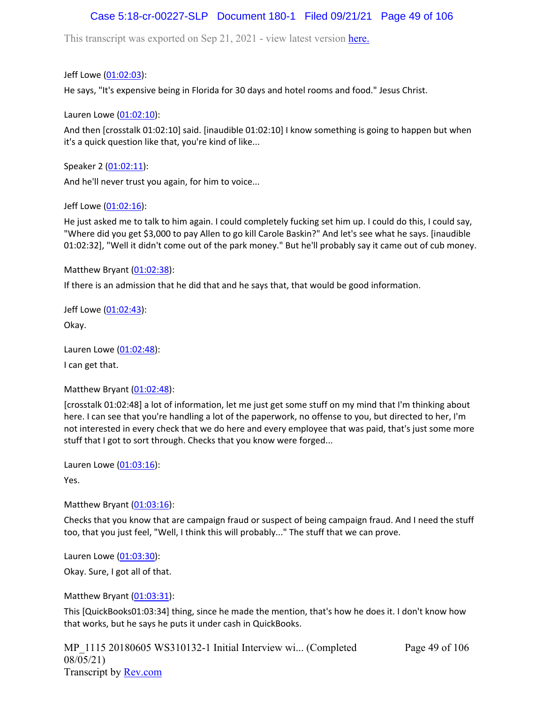# Case 5:18-cr-00227-SLP Document 180-1 Filed 09/21/21 Page 49 of 106

This transcript was exported on Sep 21, 2021 - view latest version [here.](https://www.rev.com/transcript-editor/Edit?token=amZQ9HHFTut_NOLFoO1lSR86cptioQiBp-VVq9f_BePwrTlAl64zFPqcRkwVvmM6GaAv4S7BniclRE4xdf7JBzULLcE&loadFrom=DocumentHeaderDeepLink)

Jeff Lowe ([01:02:03](https://www.rev.com/transcript-editor/Edit?token=Wthrspe9Q8WW_bpl1aMOH5wFqZEzImsA0FaUVNpwCkIB6_-QrcGxY8ysXGyt1hRKv84gpG4fkeyoYXdsRaOxJQXEcco&loadFrom=DocumentDeeplink&ts=3723.791)):

He says, "It's expensive being in Florida for 30 days and hotel rooms and food." Jesus Christ.

Lauren Lowe ([01:02:10](https://www.rev.com/transcript-editor/Edit?token=b7OzgB11d-HsDKnWANAXaNcBoLet0X0_-ttCy4OYr3-GRPgTDf33AsunIXluKRp6JpfZIWjVat9vbxQepuw6vVm4DJ0&loadFrom=DocumentDeeplink&ts=3730)):

And then [crosstalk 01:02:10] said. [inaudible 01:02:10] I know something is going to happen but when it's a quick question like that, you're kind of like...

Speaker 2 ([01:02:11](https://www.rev.com/transcript-editor/Edit?token=m77wqbxg9vFsKpx2rDS4OlMdjPdNzkTbF9Xsa3kB4BumoWpNYEQn-UwB0uj-uUmrKetinmBD8nBtmml3YXJSqDZPI_A&loadFrom=DocumentDeeplink&ts=3731.69)):

And he'll never trust you again, for him to voice...

#### Jeff Lowe ([01:02:16](https://www.rev.com/transcript-editor/Edit?token=9a3JNX_lde8UaET_6b2roLIR8InJTOhH29CoG8We9OsdcEzUCfx81WRE2UgvWWs4DfOHfgefn7VdEbSfyt06yb1f-tM&loadFrom=DocumentDeeplink&ts=3736.95)):

He just asked me to talk to him again. I could completely fucking set him up. I could do this, I could say, "Where did you get \$3,000 to pay Allen to go kill Carole Baskin?" And let's see what he says. [inaudible 01:02:32], "Well it didn't come out of the park money." But he'll probably say it came out of cub money.

Matthew Bryant ([01:02:38](https://www.rev.com/transcript-editor/Edit?token=MNdH9tRYqmxydnz9KdnmhCp9YBgr2sp1pAhFpZNbulinIlhehOhmr-FpEK7diKqTe9LlA8ZsTBn5Slwk2ZqxNXmekXU&loadFrom=DocumentDeeplink&ts=3758.66)):

If there is an admission that he did that and he says that, that would be good information.

Jeff Lowe ([01:02:43](https://www.rev.com/transcript-editor/Edit?token=0TDp0f701eal1gIZzYYYY1HcPnQo36lYo8BZujLIVdMY5hK7f1ufwqNKm_7mm0D0wBuYTstQbjQD7_0D15BxeQPvqss&loadFrom=DocumentDeeplink&ts=3763.02)): Okay.

Lauren Lowe ([01:02:48](https://www.rev.com/transcript-editor/Edit?token=vl9K2t2EFtvHk2qnY88z_x0mHy_3b1pRHesv0e3i2QTOp_Rckg9SB8-Nr-hN7-KcHo5EUZCjohpWJkxBBFOnJEIyvFk&loadFrom=DocumentDeeplink&ts=3768)):

I can get that.

### Matthew Bryant ([01:02:48](https://www.rev.com/transcript-editor/Edit?token=_tGMyKTH0xRJAXJiAE_1-WrVS0Fvq3d9mBpjrl6skHitUY_D9kHrd1mGNT8dwU8HruvPW1716QhxMKxBUeTVmU5tnFA&loadFrom=DocumentDeeplink&ts=3768)):

[crosstalk 01:02:48] a lot of information, let me just get some stuff on my mind that I'm thinking about here. I can see that you're handling a lot of the paperwork, no offense to you, but directed to her, I'm not interested in every check that we do here and every employee that was paid, that's just some more stuff that I got to sort through. Checks that you know were forged...

Lauren Lowe ([01:03:16](https://www.rev.com/transcript-editor/Edit?token=0Ol1c2Epw1TYVj8P9fKsqLiL69g-QjyvmFtPCxMw8YPzBLfa4EuGX5JK9p5BzUFKnIJR0mjcDkyoZCy885NgMvTaoWA&loadFrom=DocumentDeeplink&ts=3796.71)):

Yes.

### Matthew Bryant  $(01:03:16)$  $(01:03:16)$  $(01:03:16)$ :

Checks that you know that are campaign fraud or suspect of being campaign fraud. And I need the stuff too, that you just feel, "Well, I think this will probably..." The stuff that we can prove.

Lauren Lowe ([01:03:30](https://www.rev.com/transcript-editor/Edit?token=-S4vzvpE_BT9fjdx0lbHchiBqxjoeJet841jiEJ7GYOgzRzKr81idm5OK1rroUdy2FQ5TVS-oybJk2J_lZEEV7gSB7g&loadFrom=DocumentDeeplink&ts=3810.04)):

Okay. Sure, I got all of that.

Matthew Bryant ([01:03:31](https://www.rev.com/transcript-editor/Edit?token=unCpPvc7qOMaPO8potSVTb8Ayvin4XRvLg9KdUEy2cT7VBoG_Brw7TyIpg6AXl0ifdVfTLpCUNQeklOyNFeiqxmBzic&loadFrom=DocumentDeeplink&ts=3811)):

This [QuickBooks01:03:34] thing, since he made the mention, that's how he does it. I don't know how that works, but he says he puts it under cash in QuickBooks.

MP\_1115 20180605 WS310132-1 Initial Interview wi... (Completed 08/05/21) Transcript by [Rev.com](https://www.rev.com/)

Page 49 of 106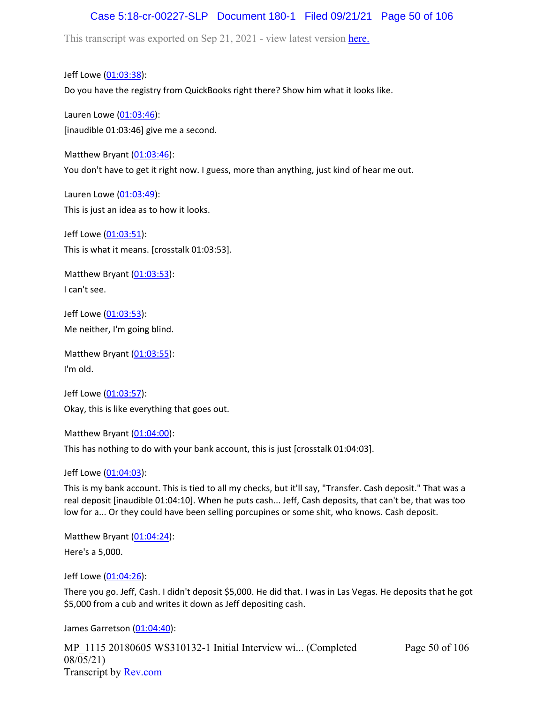# Case 5:18-cr-00227-SLP Document 180-1 Filed 09/21/21 Page 50 of 106

This transcript was exported on Sep 21, 2021 - view latest version [here.](https://www.rev.com/transcript-editor/Edit?token=amZQ9HHFTut_NOLFoO1lSR86cptioQiBp-VVq9f_BePwrTlAl64zFPqcRkwVvmM6GaAv4S7BniclRE4xdf7JBzULLcE&loadFrom=DocumentHeaderDeepLink)

Jeff Lowe ([01:03:38](https://www.rev.com/transcript-editor/Edit?token=EeZ7Vjd0BwF1-KhH0bNcfT9NOdQJ11n0CAz66kIRzYwTH4GmBufwUeGKmXloXQeAWkKLYIce5EEydK1jgnf_aaIJhKU&loadFrom=DocumentDeeplink&ts=3818.54)): Do you have the registry from QuickBooks right there? Show him what it looks like.

Lauren Lowe ([01:03:46](https://www.rev.com/transcript-editor/Edit?token=GYjd_aukLVjHlwOYkIn0KD3ezupeYFu6wm9KMvRRCm-vUiKPvSP6POYZlbw30o5MlhLp69bVnfxHtx4PrcUbZBkUCC4&loadFrom=DocumentDeeplink&ts=3826)): [inaudible 01:03:46] give me a second.

Matthew Bryant  $(01:03:46)$  $(01:03:46)$  $(01:03:46)$ : You don't have to get it right now. I guess, more than anything, just kind of hear me out.

Lauren Lowe ([01:03:49](https://www.rev.com/transcript-editor/Edit?token=X-lOFAm7B4SMwqB20oulYtx5w7tVal-3Ot34BmO_SeXbawAbEdAtm_pyAo1GbvslbVWTytX8D8tNA-Fch7TyJR6UjaA&loadFrom=DocumentDeeplink&ts=3829.81)): This is just an idea as to how it looks.

Jeff Lowe ([01:03:51](https://www.rev.com/transcript-editor/Edit?token=Wcoez5qcSMCtkGQ7pcJQOsyu3_KepP2KtVdXAgI8Nyg6H3dXUgV5JQzKmZOpIWsQJSIhawRl-0apYgjkk_1UU9ok8x0&loadFrom=DocumentDeeplink&ts=3831.06)): This is what it means. [crosstalk 01:03:53].

Matthew Bryant ([01:03:53](https://www.rev.com/transcript-editor/Edit?token=KulDwW_1S5Pm1DQdfN_KOpUiG5nvbp18vezaYalT2HdoM_XBaG7fWn35QR2Xw-uzjcKUGdR4QzZ2olNZOdP2aKT_dSY&loadFrom=DocumentDeeplink&ts=3833.29)): I can't see.

Jeff Lowe ([01:03:53](https://www.rev.com/transcript-editor/Edit?token=1_CAfi_SAjSikGCO0FFf6xiHB3aZVxEWgdeJznQceGCJO-f8Y1feNOZLLQrMWK6KXzmrRPQUId2niMeGKc6gUMNMuJ0&loadFrom=DocumentDeeplink&ts=3833.57)): Me neither, I'm going blind.

Matthew Bryant ([01:03:55](https://www.rev.com/transcript-editor/Edit?token=P-Y7xR77la3pzdr-uWfMnJKm1yOrVXPIfzP8yPNwLtiYZTheZQnn2Zn-hasEYfQeW3OBT8jAqaTPDLtjK0S7hP_-Ido&loadFrom=DocumentDeeplink&ts=3835.9)): I'm old.

Jeff Lowe ([01:03:57](https://www.rev.com/transcript-editor/Edit?token=QCIXVd5mLuuBNUuL-ppHYWqe2l9cmPOfFavTAcU2dNJZwNF23-ycBTH-hw7qRC-Ay7umXAp6VsPXrzEh6o4dyJCylOY&loadFrom=DocumentDeeplink&ts=3837.17)): Okay, this is like everything that goes out.

Matthew Bryant ([01:04:00](https://www.rev.com/transcript-editor/Edit?token=QT8nKlnFUKky4YC3X2H6Yl645aBSFscJZ1FjBtxPxNesO5LXzeYfQ8yo9H1IVJoO0pa7p_JTvfLWfQwapdXkqMkg1mg&loadFrom=DocumentDeeplink&ts=3840.79)):

This has nothing to do with your bank account, this is just [crosstalk 01:04:03].

Jeff Lowe ([01:04:03](https://www.rev.com/transcript-editor/Edit?token=04T15aN9xG4S7EQFB20qWtYoNcDBQG6bY0S6IMXTZnWMTNkpk8wWCvN7mUC2d6bGdiYFeioLGlTmHXdx02mBsfib31g&loadFrom=DocumentDeeplink&ts=3843.1)):

This is my bank account. This is tied to all my checks, but it'll say, "Transfer. Cash deposit." That was a real deposit [inaudible 01:04:10]. When he puts cash... Jeff, Cash deposits, that can't be, that was too low for a... Or they could have been selling porcupines or some shit, who knows. Cash deposit.

Matthew Bryant ([01:04:24](https://www.rev.com/transcript-editor/Edit?token=W3h3I1QaX4G9rZljWH9QuCCctWAy9zXXmlFxMqrPY1GO8LMmPnSdPMggZfQrsEXW_Rj4cVCxHlwDVUaqj_cZQgoQqVQ&loadFrom=DocumentDeeplink&ts=3864.54)):

Here's a 5,000.

Jeff Lowe ([01:04:26](https://www.rev.com/transcript-editor/Edit?token=x5mnw32njOYo7I5BvSfNQva_hVc5ssrGmED5KO8Y1oljGlYoTrZJdW3noK3ORzjIqZBiefB1pYS2iVJZPhIhldl6Nw8&loadFrom=DocumentDeeplink&ts=3866.05)):

There you go. Jeff, Cash. I didn't deposit \$5,000. He did that. I was in Las Vegas. He deposits that he got \$5,000 from a cub and writes it down as Jeff depositing cash.

James Garretson ([01:04:40\)](https://www.rev.com/transcript-editor/Edit?token=LoIBEk_7GOMSFAosyQq76yW9Ts8kyEmYPbH1pxZdT9sYlXws0ckVxNYl0JK1WvAQ5NkVS6cjja-EQOSNAOCm6ipPYt4&loadFrom=DocumentDeeplink&ts=3880):

MP\_1115 20180605 WS310132-1 Initial Interview wi... (Completed 08/05/21) Transcript by [Rev.com](https://www.rev.com/)

Page 50 of 106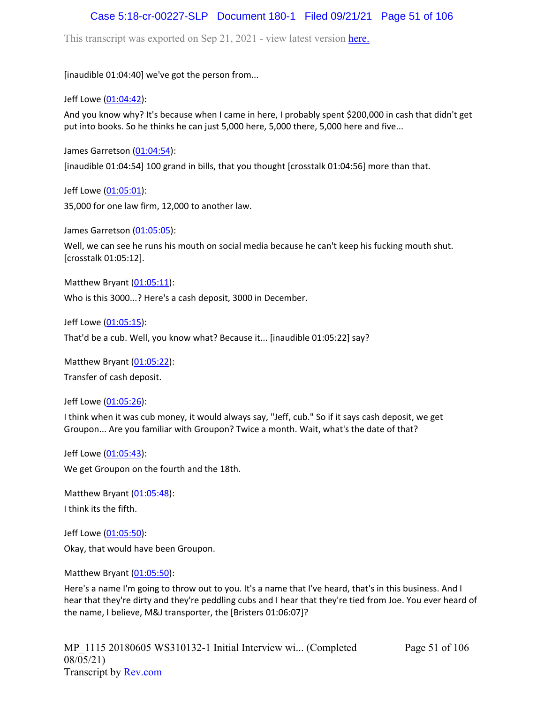## Case 5:18-cr-00227-SLP Document 180-1 Filed 09/21/21 Page 51 of 106

This transcript was exported on Sep 21, 2021 - view latest version [here.](https://www.rev.com/transcript-editor/Edit?token=amZQ9HHFTut_NOLFoO1lSR86cptioQiBp-VVq9f_BePwrTlAl64zFPqcRkwVvmM6GaAv4S7BniclRE4xdf7JBzULLcE&loadFrom=DocumentHeaderDeepLink)

[inaudible 01:04:40] we've got the person from...

Jeff Lowe ([01:04:42](https://www.rev.com/transcript-editor/Edit?token=DRI4lQQcz2-QMg-JIAngyvVfof1M8FHkMdR9TnpXSaaWMzvI3tOG1oGinsH9dAbo7X0CcCEr2Q39P3miV1RMdflyICg&loadFrom=DocumentDeeplink&ts=3882.5)):

And you know why? It's because when I came in here, I probably spent \$200,000 in cash that didn't get put into books. So he thinks he can just 5,000 here, 5,000 there, 5,000 here and five...

James Garretson ([01:04:54\)](https://www.rev.com/transcript-editor/Edit?token=9oZ1GVw6nFfJiRiO5dUAMCnpM4eMHUqwYqFusCjaXAQnjYOSipk2aQT0ZYe-DAiQep57bxUVEUOkcsrw5yC3E1S-Iaw&loadFrom=DocumentDeeplink&ts=3894):

[inaudible 01:04:54] 100 grand in bills, that you thought [crosstalk 01:04:56] more than that.

Jeff Lowe ([01:05:01](https://www.rev.com/transcript-editor/Edit?token=KtDVPcDeeU14lvrXb6ld-d5RrhCv6XJ3mk_hUGEwtgzkuOlFcVZKtQX7gzGtjLZS6SpPGJLFvXGpLEa1VrqW1FHFaJs&loadFrom=DocumentDeeplink&ts=3901.63)): 35,000 for one law firm, 12,000 to another law.

James Garretson ([01:05:05\)](https://www.rev.com/transcript-editor/Edit?token=Sm42aRPiYqgGpPghuAnLR8rpTnv-ysSY-sBYTXS58Poo3aRO7JRIZQYTuOP01aFeWXH7d_yr0M59c02K9U7PbUTK14M&loadFrom=DocumentDeeplink&ts=3905.75):

Well, we can see he runs his mouth on social media because he can't keep his fucking mouth shut. [crosstalk 01:05:12].

Matthew Bryant  $(01:05:11)$  $(01:05:11)$  $(01:05:11)$ :

Who is this 3000...? Here's a cash deposit, 3000 in December.

Jeff Lowe ([01:05:15](https://www.rev.com/transcript-editor/Edit?token=qJ7bR0vldDQ9eBT447ZTl5X3gFKjYAj3loaOgwhyWNEGAnMRs17b_e2OKM-J7b9y13DGM0vvECVlYfJfWGiStph6JjY&loadFrom=DocumentDeeplink&ts=3915.91)):

That'd be a cub. Well, you know what? Because it... [inaudible 01:05:22] say?

Matthew Bryant ([01:05:22](https://www.rev.com/transcript-editor/Edit?token=uEiHOrxEzI_wAS0qvTdQGvAu2PyVadTVU2bOsyXfPWHE1HcyHG8OxbJCkHrU7CFqJwT7YPcWO86HDfni9Fdeehh2WUU&loadFrom=DocumentDeeplink&ts=3922.65)):

Transfer of cash deposit.

Jeff Lowe ([01:05:26](https://www.rev.com/transcript-editor/Edit?token=VdKsJ6urFajdF1sZSGjUrJanaMve1Xm0XJ0WA0m3rRATkX2aVA14l3JpbsHArYzjOTXx9RlZ5ASd0e19EnesLhNutsY&loadFrom=DocumentDeeplink&ts=3926.66)):

I think when it was cub money, it would always say, "Jeff, cub." So if it says cash deposit, we get Groupon... Are you familiar with Groupon? Twice a month. Wait, what's the date of that?

Jeff Lowe ([01:05:43](https://www.rev.com/transcript-editor/Edit?token=vdavttCkjeRPsllCt35LoM-xzYbU2RmmZPCgE7-d7LceltbyCNn7fZ57UUmWvnqZdmfMoMji7w4gOPYSWR0SE7yOoMo&loadFrom=DocumentDeeplink&ts=3943.73)): We get Groupon on the fourth and the 18th.

Matthew Bryant ([01:05:48](https://www.rev.com/transcript-editor/Edit?token=tbKcbzxR1HVZT-if1oe9aJRtKVsioQjdYoJVbZ3uaOiO1A5ulaoFGk1KQtm5zlbKsgvf9bmyt79RtS3k51tdb2Wco8Y&loadFrom=DocumentDeeplink&ts=3948.78)): I think its the fifth.

Jeff Lowe ([01:05:50](https://www.rev.com/transcript-editor/Edit?token=PvLtrsP1YKH1it8Bngx9Z2SEIu0vcgX7CG9absApwgdAKzlKpcFShOVHHp3DQ-HyLi1SSeV0g-FeIsQB5NLEYdJfyBc&loadFrom=DocumentDeeplink&ts=3950.41)): Okay, that would have been Groupon.

Matthew Bryant ([01:05:50](https://www.rev.com/transcript-editor/Edit?token=iiPc1Uu7TTsW1HXUnK1CDnJhbJfLFNfxJe_63xveFFv_yC3iIg562LAK7l4_2bF4mWyn3TaOdeUXVDYQsqNSTYiRQMI&loadFrom=DocumentDeeplink&ts=3950.97)):

Here's a name I'm going to throw out to you. It's a name that I've heard, that's in this business. And I hear that they're dirty and they're peddling cubs and I hear that they're tied from Joe. You ever heard of the name, I believe, M&J transporter, the [Bristers 01:06:07]?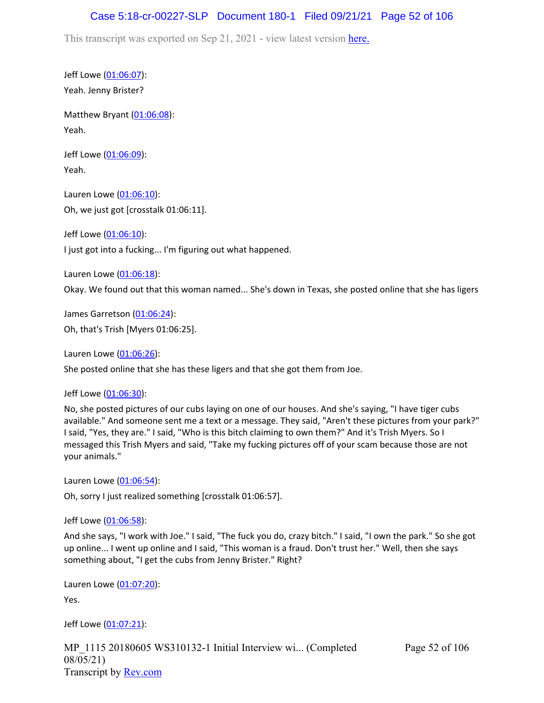## Case 5:18-cr-00227-SLP Document 180-1 Filed 09/21/21 Page 52 of 106

This transcript was exported on Sep 21, 2021 - view latest version [here.](https://www.rev.com/transcript-editor/Edit?token=amZQ9HHFTut_NOLFoO1lSR86cptioQiBp-VVq9f_BePwrTlAl64zFPqcRkwVvmM6GaAv4S7BniclRE4xdf7JBzULLcE&loadFrom=DocumentHeaderDeepLink)

Jeff Lowe ([01:06:07](https://www.rev.com/transcript-editor/Edit?token=LcpvDnNXeB5v8GzGYx4LBy_JZ0Q3U_Gvlw1QT8KwF8ZTIMjK5TeCUw7Eh4KlD2CWNwSr5X83bLu_3DurLis-YCTwTs4&loadFrom=DocumentDeeplink&ts=3967.35)): Yeah. Jenny Brister?

Matthew Bryant ([01:06:08](https://www.rev.com/transcript-editor/Edit?token=Z-idmyuiGNosIWCy1a_vs2lys7JUmv_jMTV4ZDDbZwc7FP3mH9aLA2ai60gjUNLK1y-yNC4mtDAWglm6-y0PGZAQqcs&loadFrom=DocumentDeeplink&ts=3968.27)): Yeah.

Jeff Lowe ([01:06:09](https://www.rev.com/transcript-editor/Edit?token=w8Y88AXGi918tGflOoFV_Ey0V2vCKeiygDN9Own921vE1gKxrP39p4pXu2S9l699xviuRhKRUYGHp5I77UMxQwCb1is&loadFrom=DocumentDeeplink&ts=3969.75)): Yeah.

Lauren Lowe ([01:06:10](https://www.rev.com/transcript-editor/Edit?token=pZWuT98C5Dmc_eKdbFBJs6nwbkNnZ2KGRl3by3vBjI68lkjZ82kTZV0_8YiFY0MdfqlNHV6pYTavu0_wIWSkroKkh0Q&loadFrom=DocumentDeeplink&ts=3970.29)): Oh, we just got [crosstalk 01:06:11].

Jeff Lowe ([01:06:10](https://www.rev.com/transcript-editor/Edit?token=1ImHHC_MnXPjh6Oy1C6O5KFsJVSHsmL-97BqUEUtFqsT-WtFpI_SwcZPTCGa4qiUOrFoMzhcqofPHvb6KatYyrorzCc&loadFrom=DocumentDeeplink&ts=3970.77)):

I just got into a fucking... I'm figuring out what happened.

Lauren Lowe ([01:06:18](https://www.rev.com/transcript-editor/Edit?token=ERgEVeZZddg4ZlLfWl8823sJEzTFI1v1P8T_E_KQ3JZcZ0tHK4Q-OtCrWgaalPKA1DZJvo83WfkXA_kOTrSrddIyW6I&loadFrom=DocumentDeeplink&ts=3978.35)):

Okay. We found out that this woman named... She's down in Texas, she posted online that she has ligers

James Garretson ([01:06:24\)](https://www.rev.com/transcript-editor/Edit?token=TgDNvYy8F2qtCKrVnccqgqQPjZxBBfIryK0R09lhtqV7TzElqc1w6yqzbpL4EWPLlt31E5UTMAw2xyos0iKFTAKagTA&loadFrom=DocumentDeeplink&ts=3984.22): Oh, that's Trish [Myers 01:06:25].

Lauren Lowe ([01:06:26](https://www.rev.com/transcript-editor/Edit?token=cKZIM38K9aHdl9gqqRgaeXNXQ_gjaFDFuo6Rq_KeE_f0swkqLYIbGrZXNVK3hnfJVt3cxZAPJhi4EqYCqpgocXu0_F8&loadFrom=DocumentDeeplink&ts=3986.71)):

She posted online that she has these ligers and that she got them from Joe.

Jeff Lowe ([01:06:30](https://www.rev.com/transcript-editor/Edit?token=AUBiS84VD4DXFI8pXLIQHmzDJ4v0srFgCl9vIUgc-g2zZkxaN1iykqH5C_NyatfynuMYCIT06ph5qV8Vkp4nQUtcncA&loadFrom=DocumentDeeplink&ts=3990.52)):

No, she posted pictures of our cubs laying on one of our houses. And she's saying, "I have tiger cubs available." And someone sent me a text or a message. They said, "Aren't these pictures from your park?" I said, "Yes, they are." I said, "Who is this bitch claiming to own them?" And it's Trish Myers. So I messaged this Trish Myers and said, "Take my fucking pictures off of your scam because those are not your animals."

Lauren Lowe ([01:06:54](https://www.rev.com/transcript-editor/Edit?token=9dsbw_eBC_t8E_E9j642TUW2FIQ611kB55QYN1z5T-BZc-qbjLiOJOj21tcPRsrdKovBHCVoqjGMFldvbk-G27lqZv4&loadFrom=DocumentDeeplink&ts=4014.76)):

Oh, sorry I just realized something [crosstalk 01:06:57].

Jeff Lowe ([01:06:58](https://www.rev.com/transcript-editor/Edit?token=WxjpW9P8APErDYq6F05i-QdoaaWp4ABdIs_cTyfkVU5SoKSm0SVDCajs0XVWCAJK7t5MVvDYpZBknabCwaR5rEeQPfA&loadFrom=DocumentDeeplink&ts=4018.36)):

And she says, "I work with Joe." I said, "The fuck you do, crazy bitch." I said, "I own the park." So she got up online... I went up online and I said, "This woman is a fraud. Don't trust her." Well, then she says something about, "I get the cubs from Jenny Brister." Right?

Lauren Lowe ([01:07:20](https://www.rev.com/transcript-editor/Edit?token=qMN5BT0fbdQrbkMIIznBgCI7943WwSL3_H4KekOTGFZgrhcKLcqqjTsLVmImyIajOn1HWsXaYHtj0qQ4pcRcx8p8xk8&loadFrom=DocumentDeeplink&ts=4040.33)):

Yes.

Jeff Lowe ([01:07:21](https://www.rev.com/transcript-editor/Edit?token=e7_-ri7NlgYWJ2FtfpZ2q3C8z01VFVNse0KTXlB26ZyrwXjwUtF8pnB08USjrAMMTUB96mIX7PFR5r7nCHJs4tn1f00&loadFrom=DocumentDeeplink&ts=4041.26)):

MP\_1115 20180605 WS310132-1 Initial Interview wi... (Completed 08/05/21) Transcript by [Rev.com](https://www.rev.com/)

Page 52 of 106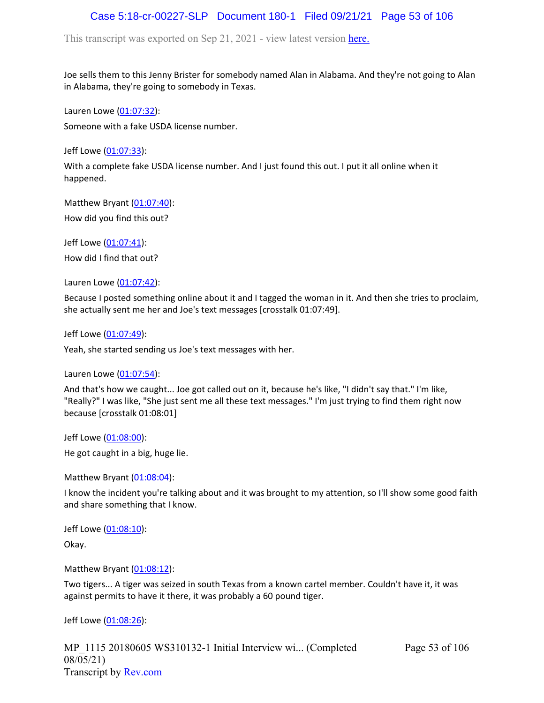# Case 5:18-cr-00227-SLP Document 180-1 Filed 09/21/21 Page 53 of 106

This transcript was exported on Sep 21, 2021 - view latest version [here.](https://www.rev.com/transcript-editor/Edit?token=amZQ9HHFTut_NOLFoO1lSR86cptioQiBp-VVq9f_BePwrTlAl64zFPqcRkwVvmM6GaAv4S7BniclRE4xdf7JBzULLcE&loadFrom=DocumentHeaderDeepLink)

Joe sells them to this Jenny Brister for somebody named Alan in Alabama. And they're not going to Alan in Alabama, they're going to somebody in Texas.

Lauren Lowe ([01:07:32](https://www.rev.com/transcript-editor/Edit?token=Lr6_xXz7TwiCb_S3Eo2N6eY-bOKwMsnlvKvQPOWkCd4rSHw9I23B6Vw-ceuKinRqo_InrqqUu4zi2nRbTB10k8b_pU4&loadFrom=DocumentDeeplink&ts=4052)): Someone with a fake USDA license number.

Jeff Lowe ([01:07:33](https://www.rev.com/transcript-editor/Edit?token=ndVZr_P5i-TikGVGFRV1pLWaTDZzqfGPVIy3aQ7LM2m7HSWW9xxk8q0qpLQMyBdGYS4s3l-J5HfXXjzlrBVHXfq2gPc&loadFrom=DocumentDeeplink&ts=4053.44)):

With a complete fake USDA license number. And I just found this out. I put it all online when it happened.

Matthew Bryant ([01:07:40](https://www.rev.com/transcript-editor/Edit?token=Y3Rx0hrNRq1PZu8fDHzzFaQUNGgIn1ZTyRpHuqr0kPPJbjFgc7NTl0Gt5jAwYTJHItTM43Bo-Xnmnwa8KOSTOHpWn-w&loadFrom=DocumentDeeplink&ts=4060.3)): How did you find this out?

Jeff Lowe ([01:07:41](https://www.rev.com/transcript-editor/Edit?token=OCffGDq-bPSVvPH_sDrJgyWlLq0XCtuKT4LV4YXJwKTp59jblO_smlAPDmvLS5xJibHXqI88DtfMqAsRa-oesQBfscQ&loadFrom=DocumentDeeplink&ts=4061.09)): How did I find that out?

Lauren Lowe ([01:07:42](https://www.rev.com/transcript-editor/Edit?token=6udnvo-Z7gPXGuOdcCsBld0e9rBjgRzzAdk1xvKXmQ23DIF2ibrvy8OPhfUDRxK__smqnpi_q0DYwn8VO1DjT1kvTsc&loadFrom=DocumentDeeplink&ts=4062.38)):

Because I posted something online about it and I tagged the woman in it. And then she tries to proclaim, she actually sent me her and Joe's text messages [crosstalk 01:07:49].

Jeff Lowe ([01:07:49](https://www.rev.com/transcript-editor/Edit?token=lGVZVpXvnvijsfYxvP9_IdWFtPHAIqNRljRAfgHto4U1CahykixU3E3Qex2e6WXKE7FkC4HQ9jAZi4DmiTJVzo_mewg&loadFrom=DocumentDeeplink&ts=4069.26)):

Yeah, she started sending us Joe's text messages with her.

Lauren Lowe ([01:07:54](https://www.rev.com/transcript-editor/Edit?token=vVUpU7_voaC7pFtV53-YOVwHiEDub2G4CJZF1Pdz4z1UMJgCRsZAL2c8pNEGn3Odj3UfMFVSHCL66zrll8kOzax0Eo0&loadFrom=DocumentDeeplink&ts=4074.2)):

And that's how we caught... Joe got called out on it, because he's like, "I didn't say that." I'm like, "Really?" I was like, "She just sent me all these text messages." I'm just trying to find them right now because [crosstalk 01:08:01]

Jeff Lowe ([01:08:00](https://www.rev.com/transcript-editor/Edit?token=xGLQxk1FBh6KhoVgBwztLIRkiFN2gO89RvHD0OtuhMP1zfZ7uY_shFxQ73YozwaZRxOztwRHYAOo1UM-wzSaiJDxXqE&loadFrom=DocumentDeeplink&ts=4080.88)):

He got caught in a big, huge lie.

Matthew Bryant ([01:08:04](https://www.rev.com/transcript-editor/Edit?token=4zvSwwr6HVyjiNorddbq4hGLG9YhMDNFs-bYejWXEHZVZKlKdHKNgPYMJXVsc-Zm4ClUNSNHfa6Kt2gRvfrQqje8qfE&loadFrom=DocumentDeeplink&ts=4084.22)):

I know the incident you're talking about and it was brought to my attention, so I'll show some good faith and share something that I know.

Jeff Lowe ([01:08:10](https://www.rev.com/transcript-editor/Edit?token=r5ThjpnU9f21jASN0bnUyifJbfbpZ3JWT5kwQ6lQ3s3osbd8nU9aAQTeQuNzb-Vba1ip0kagivLT9AzFI9o7qsNUGIw&loadFrom=DocumentDeeplink&ts=4090.08)):

Okay.

Matthew Bryant ([01:08:12](https://www.rev.com/transcript-editor/Edit?token=vveZruwr-DAvcdtVmvFKZ9ubTihcvHC62ubQaTJyZlz8ZokNGjd-4GU_cIK--sdr53LSoFW8AtYxv_SIE9IhpIt8gh8&loadFrom=DocumentDeeplink&ts=4092.44)):

Two tigers... A tiger was seized in south Texas from a known cartel member. Couldn't have it, it was against permits to have it there, it was probably a 60 pound tiger.

Jeff Lowe ([01:08:26](https://www.rev.com/transcript-editor/Edit?token=HlB3sxIn6jh8y3xvM845-Xhs4Vl7Fa-2YzWOLstSJKbeUHnfQc7n1aZQZZjZS5K_QzGqkTWQ5NSebEC-1VK8qjVa4f0&loadFrom=DocumentDeeplink&ts=4106.24)):

MP\_1115 20180605 WS310132-1 Initial Interview wi... (Completed 08/05/21) Transcript by [Rev.com](https://www.rev.com/)

Page 53 of 106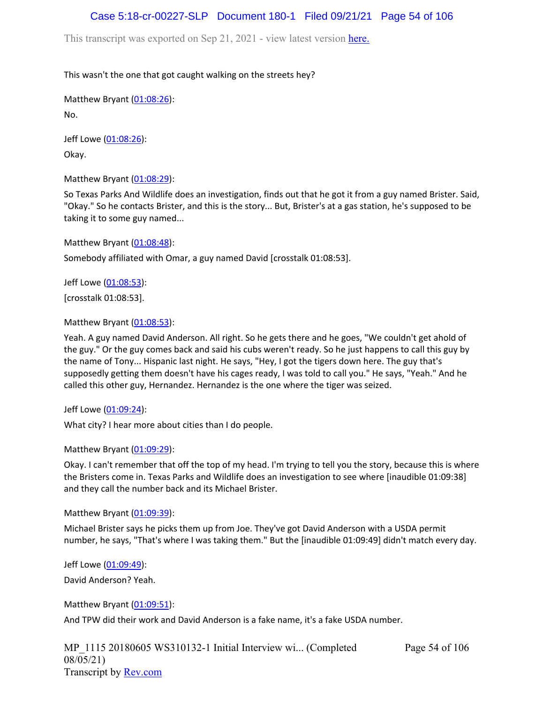# Case 5:18-cr-00227-SLP Document 180-1 Filed 09/21/21 Page 54 of 106

This transcript was exported on Sep 21, 2021 - view latest version [here.](https://www.rev.com/transcript-editor/Edit?token=amZQ9HHFTut_NOLFoO1lSR86cptioQiBp-VVq9f_BePwrTlAl64zFPqcRkwVvmM6GaAv4S7BniclRE4xdf7JBzULLcE&loadFrom=DocumentHeaderDeepLink)

### This wasn't the one that got caught walking on the streets hey?

Matthew Bryant ([01:08:26](https://www.rev.com/transcript-editor/Edit?token=qGrJY-iP3_AW6zjzF_0ztmY11xZCmbX1gyvO5YeCDbzKHlb_z3iJrJzclbCypM4bbvFXv_15pSZlgkT_xhnQfvU-uhA&loadFrom=DocumentDeeplink&ts=4106.58)): No.

Jeff Lowe ([01:08:26](https://www.rev.com/transcript-editor/Edit?token=LHn0XucTiHlaXWco6Kept93aKL0K-7uaQLUB6f5uNM4tnWjucoV1opbj_mMtvBm3OnzYFzAqUEDxKqIZgFdlOXPjXtk&loadFrom=DocumentDeeplink&ts=4106.58)): Okay.

Matthew Bryant ([01:08:29](https://www.rev.com/transcript-editor/Edit?token=3fIu-UzEJ_cKue7WWfYq5Vop8UoSKU9r8QmfVM1_1xZ4Rcy6TsEea1O46DV7fORdo5F9qRSy4BCvT8zPYjGpWnhdP28&loadFrom=DocumentDeeplink&ts=4109.43)):

So Texas Parks And Wildlife does an investigation, finds out that he got it from a guy named Brister. Said, "Okay." So he contacts Brister, and this is the story... But, Brister's at a gas station, he's supposed to be taking it to some guy named...

Matthew Bryant ([01:08:48](https://www.rev.com/transcript-editor/Edit?token=9rjeaBniq5KRCXsY2hgJDxP2uXROcyj1yiminUQdN3IGKvAd7GQBTVZmz0RAWSMSWcua-aI8cBewQfuuTVmFnm2ExBQ&loadFrom=DocumentDeeplink&ts=4128.9)):

Somebody affiliated with Omar, a guy named David [crosstalk 01:08:53].

Jeff Lowe ([01:08:53](https://www.rev.com/transcript-editor/Edit?token=Dxg21cAHpOXYg_EEqmpGeo1kQgdkttEUxP-QtHMOkQTRONwxn4L1l-OYvqH1IkUzsdNfXyUUDos4tYZgYrWjby5_8jU&loadFrom=DocumentDeeplink&ts=4133)):

[crosstalk 01:08:53].

Matthew Bryant ([01:08:53](https://www.rev.com/transcript-editor/Edit?token=s6PB4DnHGqojaT4cMwlv4akHdIVq1FZGS2MhgQC39t23hJ66WTJEDb1Sbw7qooB_Ioq4DnQoaRorCvvkkPFgaoGRq7E&loadFrom=DocumentDeeplink&ts=4133)):

Yeah. A guy named David Anderson. All right. So he gets there and he goes, "We couldn't get ahold of the guy." Or the guy comes back and said his cubs weren't ready. So he just happens to call this guy by the name of Tony... Hispanic last night. He says, "Hey, I got the tigers down here. The guy that's supposedly getting them doesn't have his cages ready, I was told to call you." He says, "Yeah." And he called this other guy, Hernandez. Hernandez is the one where the tiger was seized.

Jeff Lowe ([01:09:24](https://www.rev.com/transcript-editor/Edit?token=-yiBqQ2tMjl5vLDz571tH9wkxelhsqQsuX2H48UXXxxPqFPy49E2ZjeZRCmPOQcX5RdaLCWdEHP4NxAEgzhnWrKVVco&loadFrom=DocumentDeeplink&ts=4164.14)):

What city? I hear more about cities than I do people.

Matthew Bryant ([01:09:29](https://www.rev.com/transcript-editor/Edit?token=mhI8ENjrdIM6QgJPwh3asS5-Sm0I0z8rfmXTiZArlxTiTZCfaCXAoNNeK8IhjpE5WxdTwZ5BI0XVdH8Trgv8TThD4jo&loadFrom=DocumentDeeplink&ts=4169.61)):

Okay. I can't remember that off the top of my head. I'm trying to tell you the story, because this is where the Bristers come in. Texas Parks and Wildlife does an investigation to see where [inaudible 01:09:38] and they call the number back and its Michael Brister.

Matthew Bryant ([01:09:39](https://www.rev.com/transcript-editor/Edit?token=qZ98dqI-k_4RyoAUxEWbw1g_jpx-dvXzhUbVbGlCv4eJqILrkmLwUrbAy4-WZA-F-OarYDQ60VnhfbTyDQn4eznPOgU&loadFrom=DocumentDeeplink&ts=4179.78)):

Michael Brister says he picks them up from Joe. They've got David Anderson with a USDA permit number, he says, "That's where I was taking them." But the [inaudible 01:09:49] didn't match every day.

Jeff Lowe ([01:09:49](https://www.rev.com/transcript-editor/Edit?token=k9--LLzvfb7qpio0e-yHqtZU0mexHPlSR9-T7OnWAbDhcHKokVGnmf83BDPR61duUQJe2hEJg-ki3Ot97yNZSpn530o&loadFrom=DocumentDeeplink&ts=4189.62)):

David Anderson? Yeah.

Matthew Bryant ([01:09:51](https://www.rev.com/transcript-editor/Edit?token=1rygwNpGLw-miGZ7xOIELIe84ghlWiCaCu6dsgW66hyWMh3tH32zZ4H_nLlK4YPyrIwwitOVHou0f1aDVlO471-Ts3k&loadFrom=DocumentDeeplink&ts=4191.15)): And TPW did their work and David Anderson is a fake name, it's a fake USDA number.

MP\_1115 20180605 WS310132-1 Initial Interview wi... (Completed 08/05/21) Transcript by [Rev.com](https://www.rev.com/)

Page 54 of 106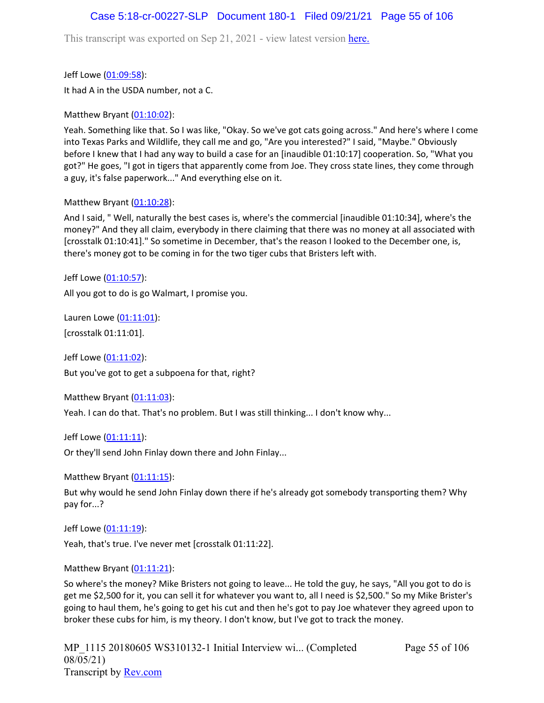## Case 5:18-cr-00227-SLP Document 180-1 Filed 09/21/21 Page 55 of 106

This transcript was exported on Sep 21, 2021 - view latest version [here.](https://www.rev.com/transcript-editor/Edit?token=amZQ9HHFTut_NOLFoO1lSR86cptioQiBp-VVq9f_BePwrTlAl64zFPqcRkwVvmM6GaAv4S7BniclRE4xdf7JBzULLcE&loadFrom=DocumentHeaderDeepLink)

Jeff Lowe ([01:09:58](https://www.rev.com/transcript-editor/Edit?token=rq1Oa8m7pBvn0x1Hmut68ljSFOqby5XeDBlLGea22u3MTZhjYMZy9YUWs7x95S1jjH_EnRBkIIoaoXTrMtSOKp7ZYp4&loadFrom=DocumentDeeplink&ts=4198.57)): It had A in the USDA number, not a C.

Matthew Bryant ([01:10:02](https://www.rev.com/transcript-editor/Edit?token=NOVGWnbM2XU3RL5_aH0-bvgyrARWDo5gkl43vf7L6030-AxTnt3-QUa5Ssi7ff2NS8in87vdUqxIn7y58PdY7_dyLWY&loadFrom=DocumentDeeplink&ts=4202.56)):

Yeah. Something like that. So I was like, "Okay. So we've got cats going across." And here's where I come into Texas Parks and Wildlife, they call me and go, "Are you interested?" I said, "Maybe." Obviously before I knew that I had any way to build a case for an [inaudible 01:10:17] cooperation. So, "What you got?" He goes, "I got in tigers that apparently come from Joe. They cross state lines, they come through a guy, it's false paperwork..." And everything else on it.

#### Matthew Bryant ([01:10:28](https://www.rev.com/transcript-editor/Edit?token=GwLchtedMxeLUNZvZOxLvKykiuqwItAb_laYiTSyeoxg35r475Au3t-HavDhpi4JAIIK0kmaXajyXGnaAdq_0HT6cY0&loadFrom=DocumentDeeplink&ts=4228.29)):

And I said, " Well, naturally the best cases is, where's the commercial [inaudible 01:10:34], where's the money?" And they all claim, everybody in there claiming that there was no money at all associated with [crosstalk 01:10:41]." So sometime in December, that's the reason I looked to the December one, is, there's money got to be coming in for the two tiger cubs that Bristers left with.

Jeff Lowe ([01:10:57](https://www.rev.com/transcript-editor/Edit?token=eRWbMkUOsGATM5knU58toSRHCdcsaYZATRZEsOS66y58qU1ljPZV2v6MO6xqzNavegQMEVQ_MutrIYOfBoPqiUo8tAw&loadFrom=DocumentDeeplink&ts=4257.85)):

All you got to do is go Walmart, I promise you.

Lauren Lowe ([01:11:01](https://www.rev.com/transcript-editor/Edit?token=UV637tzHhOPCh53-n4XdePrJ5QPIRGrvxvuC3l1luWv6HFqFWGxdSgLVh0R5A00KHW5Kna-oqALT2-aZig_cBZjFrvE&loadFrom=DocumentDeeplink&ts=4261)): [crosstalk 01:11:01].

Jeff Lowe ([01:11:02](https://www.rev.com/transcript-editor/Edit?token=t9FZq3fS1BoLuMMsrV9S7_I0PjtxBTPGK-8DS22qBnfl6uV7DZT7mlgyUU2Eloh7ZxMT3hWGJr_8mSxilKHwud8B_SE&loadFrom=DocumentDeeplink&ts=4262.44)): But you've got to get a subpoena for that, right?

Matthew Bryant ([01:11:03](https://www.rev.com/transcript-editor/Edit?token=hmpuU54_yU4ODYRLjF-wicLE-7K6DM3EkLn688wIfQH0UkP5OL-hVlDshzkrVUI3WZkZKIeroqXSlm4PyETduX97kkM&loadFrom=DocumentDeeplink&ts=4263.68)):

Yeah. I can do that. That's no problem. But I was still thinking... I don't know why...

Jeff Lowe ([01:11:11](https://www.rev.com/transcript-editor/Edit?token=SeuXZlFTsFmXzLAX5Yz8u9YeonFqGhgK6Vlm3wR3hFtGVyaj5CFz9xN4bVNh76dFUS0_ZxzrBQC_5lgrtDDowlHdatg&loadFrom=DocumentDeeplink&ts=4271.04)): Or they'll send John Finlay down there and John Finlay...

Matthew Bryant ([01:11:15](https://www.rev.com/transcript-editor/Edit?token=aZbjmHxaN7rnoRI9e1T3CJ2NMbUE0uK7Ku03pFWfMtpq6zEI-1_B3GVCEMjzZUqvch31yITbNTZDxU_LUar8QmVMlC0&loadFrom=DocumentDeeplink&ts=4275.19)):

But why would he send John Finlay down there if he's already got somebody transporting them? Why pay for...?

Jeff Lowe ([01:11:19](https://www.rev.com/transcript-editor/Edit?token=v1YzKIEV7llSYzqPYVYvY3qBbJCnDrjvFYtKVDap6FsKRKa_c8Mm5g5QK6bDYfbcwmbuigNixvzhrU9Zyp8nolwzOak&loadFrom=DocumentDeeplink&ts=4279.46)):

Yeah, that's true. I've never met [crosstalk 01:11:22].

Matthew Bryant ([01:11:21](https://www.rev.com/transcript-editor/Edit?token=v8Sizw2efvxZal76m-ENVqjW-CSoSmEl1vhQgWJcBJ1rMDY_o3I5Egp6ZvCP8d5_0TlOY47Y1UwBTnCxkBQdR86uLXs&loadFrom=DocumentDeeplink&ts=4281.8)):

So where's the money? Mike Bristers not going to leave... He told the guy, he says, "All you got to do is get me \$2,500 for it, you can sell it for whatever you want to, all I need is \$2,500." So my Mike Brister's going to haul them, he's going to get his cut and then he's got to pay Joe whatever they agreed upon to broker these cubs for him, is my theory. I don't know, but I've got to track the money.

Page 55 of 106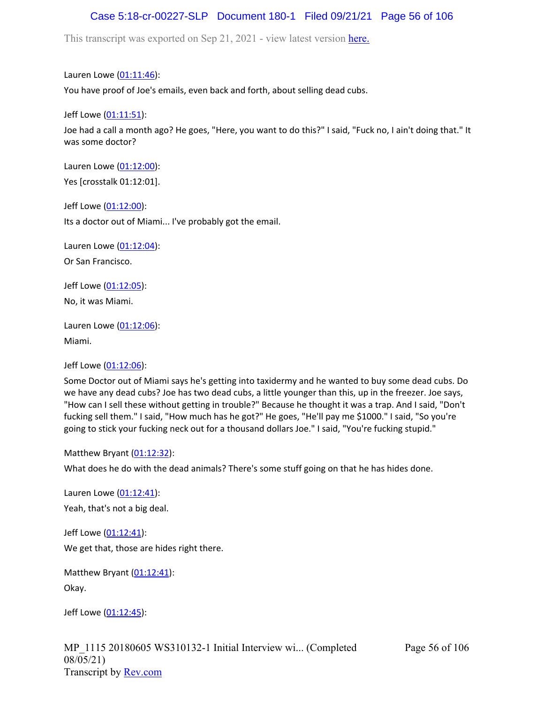# Case 5:18-cr-00227-SLP Document 180-1 Filed 09/21/21 Page 56 of 106

This transcript was exported on Sep 21, 2021 - view latest version [here.](https://www.rev.com/transcript-editor/Edit?token=amZQ9HHFTut_NOLFoO1lSR86cptioQiBp-VVq9f_BePwrTlAl64zFPqcRkwVvmM6GaAv4S7BniclRE4xdf7JBzULLcE&loadFrom=DocumentHeaderDeepLink)

Lauren Lowe ([01:11:46](https://www.rev.com/transcript-editor/Edit?token=l5ijr1GTZdvaJybx8Jn7_KJOrsLXd6cjNHlTRl53B91vhWo5KkyIhVooQzlpKfNfbUMVRAXEM3IgF34E7PNuchf7SaA&loadFrom=DocumentDeeplink&ts=4306.08)): You have proof of Joe's emails, even back and forth, about selling dead cubs.

Jeff Lowe ([01:11:51](https://www.rev.com/transcript-editor/Edit?token=1CmhoqBnLIaNshaPmwXBh1XzN5u9_5hfRNIBdQ9ONBNjq0u2FPW6koGSCldzqYGYg4d2ad9yJkoXozhCtLsHJeQd_oM&loadFrom=DocumentDeeplink&ts=4311.53)):

Joe had a call a month ago? He goes, "Here, you want to do this?" I said, "Fuck no, I ain't doing that." It was some doctor?

Lauren Lowe ([01:12:00](https://www.rev.com/transcript-editor/Edit?token=Ua_XapS8Xh9u6KiG3AlSGshemJF1DBI5x6OaEFH0nKC2PMVc2mAq9Zfz7oAV_lyIReMkrhwctaUucbYcL5em832-4Z0&loadFrom=DocumentDeeplink&ts=4320.12)): Yes [crosstalk 01:12:01].

Jeff Lowe ([01:12:00](https://www.rev.com/transcript-editor/Edit?token=siVADlV-cu2jI84eRRTpK1uFoY5y9fJjKEPOiWRnwPhXHKPPnxvD4-il1gu5P69fhiXRrWwjA4aL0CquX8Bp9V57coI&loadFrom=DocumentDeeplink&ts=4320.74)):

Its a doctor out of Miami... I've probably got the email.

Lauren Lowe ([01:12:04](https://www.rev.com/transcript-editor/Edit?token=v27zOvO0J7EfCeK-_-1IKrbaUc02NIe53Fi65-KHpkPBdGHrcsAW2Df2CCQS4cf0jsf7rwKzfrc8jic25Kn15c3bYW4&loadFrom=DocumentDeeplink&ts=4324.69)):

Or San Francisco.

Jeff Lowe ([01:12:05](https://www.rev.com/transcript-editor/Edit?token=4cu-q89QcxpZ18ZgIX9xhDJS3RsA7iHaYadqsgxhmLU381StnOA1rk0NW_WJ8e1mUxXuLYlcF3EXBUQOLBS3jOt7O3M&loadFrom=DocumentDeeplink&ts=4325.6)): No, it was Miami.

Lauren Lowe ([01:12:06](https://www.rev.com/transcript-editor/Edit?token=2EosXd7nqKHUeAtWbDD5zC-c5ynXTUYSKq77R1eqSOwn-SMF_cqcHWz4W5ZTeEayLy3v3O-gaG_MxCSDJHlW7plKR-E&loadFrom=DocumentDeeplink&ts=4326)): Miami.

Jeff Lowe ([01:12:06](https://www.rev.com/transcript-editor/Edit?token=nbbyvsZmu7-C-vUGvbmuv-NmTVD9iyohV7jByiipCnTy5-k-K5Ko_abI3CyZEzXZiYDDnDtaijxE9tMzea4KEvYaJWQ&loadFrom=DocumentDeeplink&ts=4326.75)):

Some Doctor out of Miami says he's getting into taxidermy and he wanted to buy some dead cubs. Do we have any dead cubs? Joe has two dead cubs, a little younger than this, up in the freezer. Joe says, "How can I sell these without getting in trouble?" Because he thought it was a trap. And I said, "Don't fucking sell them." I said, "How much has he got?" He goes, "He'll pay me \$1000." I said, "So you're going to stick your fucking neck out for a thousand dollars Joe." I said, "You're fucking stupid."

Matthew Bryant ([01:12:32](https://www.rev.com/transcript-editor/Edit?token=ikQ4ao_Gn1Hq-Y2CsHZ7BLY7zqY0QAVMSeNwlAwrltUg6TdHArscn9AtC5rix991qhexQDebipLtv_mKpov5LmI-faU&loadFrom=DocumentDeeplink&ts=4352.92)):

What does he do with the dead animals? There's some stuff going on that he has hides done.

Lauren Lowe ([01:12:41](https://www.rev.com/transcript-editor/Edit?token=iLVPNjgaAih1g1aFISmcTw743lZExrJsH40qHk2x4szeyVIm7u87M0rRf6H5TQ2Sg7YzYDJvAqRQGkyD5LCGmJIRqU4&loadFrom=DocumentDeeplink&ts=4361.64)): Yeah, that's not a big deal.

Jeff Lowe ([01:12:41](https://www.rev.com/transcript-editor/Edit?token=TOaFeZCdTpGfUgNd3PKMsic-VJG_oy1es4H96uFr9CRSgeI6vgllpPTITlUu3SVKIe5gtSxoTxRfh5f_8q5iLTMcxr0&loadFrom=DocumentDeeplink&ts=4361.72)): We get that, those are hides right there.

Matthew Bryant ([01:12:41](https://www.rev.com/transcript-editor/Edit?token=vWekOD4jxCgKCntKjg67YtS7DHHHbYNThdSypJed1H5HUkMlnKLH0eAomuEkfW6172mBIKv4vRJ67HM4uxFAT601OQ0&loadFrom=DocumentDeeplink&ts=4361.72)): Okay.

Jeff Lowe ([01:12:45](https://www.rev.com/transcript-editor/Edit?token=EaBSghn8hpJzU3OddBhCZc_du3MNUCTsBtX4JlF3rB1-H5iWuLyelm-Piaw8R4j0G-Iw4aYgi5En_PNtZaclwCHm6yQ&loadFrom=DocumentDeeplink&ts=4365.12)):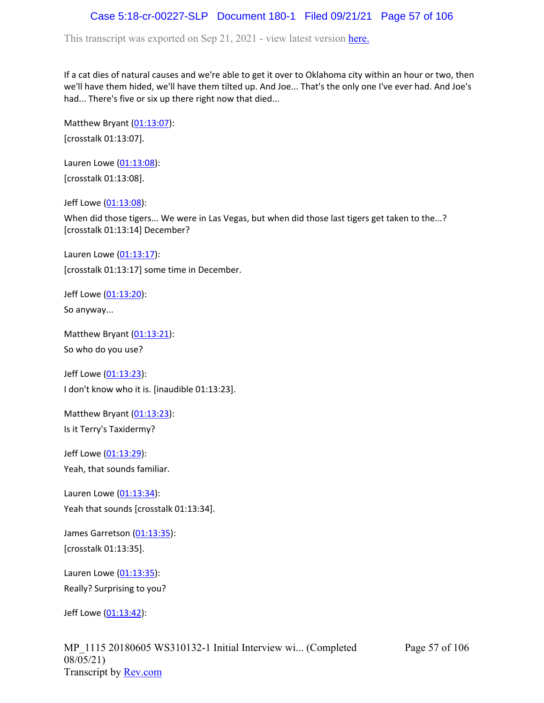# Case 5:18-cr-00227-SLP Document 180-1 Filed 09/21/21 Page 57 of 106

This transcript was exported on Sep 21, 2021 - view latest version [here.](https://www.rev.com/transcript-editor/Edit?token=amZQ9HHFTut_NOLFoO1lSR86cptioQiBp-VVq9f_BePwrTlAl64zFPqcRkwVvmM6GaAv4S7BniclRE4xdf7JBzULLcE&loadFrom=DocumentHeaderDeepLink)

If a cat dies of natural causes and we're able to get it over to Oklahoma city within an hour or two, then we'll have them hided, we'll have them tilted up. And Joe... That's the only one I've ever had. And Joe's had... There's five or six up there right now that died...

Matthew Bryant  $(01:13:07)$  $(01:13:07)$  $(01:13:07)$ : [crosstalk 01:13:07].

Lauren Lowe ([01:13:08](https://www.rev.com/transcript-editor/Edit?token=pMC5sduCPcbDRMUg8e48ojtwjBFyQPlpqhYtoSkNZbpkGEBz9pahZu-kgPi9NHdqrxnw-oqdNed4HRAtId0fQzsYFzA&loadFrom=DocumentDeeplink&ts=4388)): [crosstalk 01:13:08].

Jeff Lowe ([01:13:08](https://www.rev.com/transcript-editor/Edit?token=7gM7ivhApZlGOn_5p3gjyClLSBgTzb8083Ly3pzXfHXTL58WbvSnMdKOuLk1v3cZtlXzsk2TCqPp6K-uIcsvxdXsHEk&loadFrom=DocumentDeeplink&ts=4388.17)):

When did those tigers... We were in Las Vegas, but when did those last tigers get taken to the...? [crosstalk 01:13:14] December?

Lauren Lowe ([01:13:17](https://www.rev.com/transcript-editor/Edit?token=Jy-rnwTtYR3UhBAk9Lv7hSbQS0CgBWTn5TtXBzkfrLSoXfKt62ypNdXCd_UxYBrRZi3WZjCgJ7CWoLAnygohg7I5Uks&loadFrom=DocumentDeeplink&ts=4397)): [crosstalk 01:13:17] some time in December.

Jeff Lowe ([01:13:20](https://www.rev.com/transcript-editor/Edit?token=VFDJ_v88Q2nPvvDZOvDXFab2wTzmX9snO88de2KqO8Gm-xF9wu4shVyIyLP4yls0VWxViyR8sfKoI_Uql-GcctiKSX0&loadFrom=DocumentDeeplink&ts=4400.24)):

So anyway...

Matthew Bryant ([01:13:21](https://www.rev.com/transcript-editor/Edit?token=yEE2cKPtms03TbYzzMb60UHoTbKs12qTMdnX_7pmsHDcArw-xH1aCzVqH3xQ3K27_9Q1iU_fbrIi_6eZU_tmSSeJqL0&loadFrom=DocumentDeeplink&ts=4401.65)):

So who do you use?

Jeff Lowe ([01:13:23](https://www.rev.com/transcript-editor/Edit?token=r0OVztHor6J0tDNsRtFhDc1g_ZZLwxE0XU4O4VMltMWtcRH101HoxkPYDO8B6tujmfV4WBqx7b7Bh_3cAzXI6hDchYk&loadFrom=DocumentDeeplink&ts=4403.2)): I don't know who it is. [inaudible 01:13:23].

Matthew Bryant  $(01:13:23)$  $(01:13:23)$  $(01:13:23)$ : Is it Terry's Taxidermy?

Jeff Lowe ([01:13:29](https://www.rev.com/transcript-editor/Edit?token=Ol2W0qBdFkltRPDObdeIzzqMaraJSeXM-0dRqgB5E149HCmCkWwR9nySbilaZJ4P9i63rEMFda_zWwwDIfn-KB7HHiM&loadFrom=DocumentDeeplink&ts=4409.13)): Yeah, that sounds familiar.

Lauren Lowe ([01:13:34](https://www.rev.com/transcript-editor/Edit?token=pQQLukDUYQqI3qXnLjNVUBImoBU9hvfd4RJMtTcNtgKD5TBah87bhbjflVaG2AOkfzFpIQjdZOFslxDHIXG7EMuGh7c&loadFrom=DocumentDeeplink&ts=4414)): Yeah that sounds [crosstalk 01:13:34].

James Garretson ([01:13:35\)](https://www.rev.com/transcript-editor/Edit?token=F1IFCUx1oeAvhX-QP6Nv_aFZIb_xfFskB65qe3vfzYZWqiBEbgaSPcWD6K8oOQBoO_nv6Cgn-N2HwmXmFQYERq4qrH0&loadFrom=DocumentDeeplink&ts=4415): [crosstalk 01:13:35].

Lauren Lowe ([01:13:35](https://www.rev.com/transcript-editor/Edit?token=fLxAy3M38qlfLvG44BUFurWnDcARRUyses07I-SYobmOXx3xWMTc3p_XUtfRPl_LwMXE7geVcPA7E3B0zgzzvsbbEr4&loadFrom=DocumentDeeplink&ts=4415.24)): Really? Surprising to you?

Jeff Lowe ([01:13:42](https://www.rev.com/transcript-editor/Edit?token=jBsGUE2s--OdBhd4mQP6L-zWWkb_Iq1ANN4wg1j1ADQZ9NDAyH1FX3LEmHIePJfLBWO_krVX4o4TTUNIuqhVeQmDrdM&loadFrom=DocumentDeeplink&ts=4422)):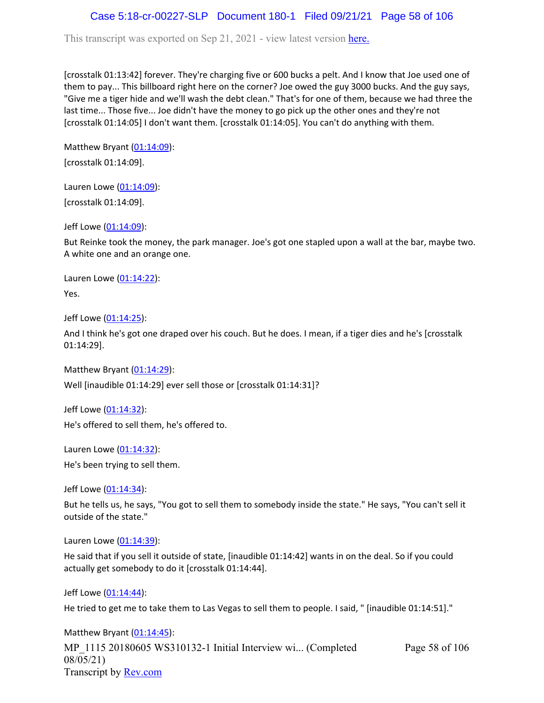## Case 5:18-cr-00227-SLP Document 180-1 Filed 09/21/21 Page 58 of 106

This transcript was exported on Sep 21, 2021 - view latest version [here.](https://www.rev.com/transcript-editor/Edit?token=amZQ9HHFTut_NOLFoO1lSR86cptioQiBp-VVq9f_BePwrTlAl64zFPqcRkwVvmM6GaAv4S7BniclRE4xdf7JBzULLcE&loadFrom=DocumentHeaderDeepLink)

[crosstalk 01:13:42] forever. They're charging five or 600 bucks a pelt. And I know that Joe used one of them to pay... This billboard right here on the corner? Joe owed the guy 3000 bucks. And the guy says, "Give me a tiger hide and we'll wash the debt clean." That's for one of them, because we had three the last time... Those five... Joe didn't have the money to go pick up the other ones and they're not [crosstalk 01:14:05] I don't want them. [crosstalk 01:14:05]. You can't do anything with them.

Matthew Bryant ([01:14:09](https://www.rev.com/transcript-editor/Edit?token=YldXY7UFTfUGHXZ6PQYH92ykL4i3XlVe8hOzKmr2O-Io_U4QrH860rx86xEcT5yfnOvUTq52HWbah_vx2DZSnHcwP0w&loadFrom=DocumentDeeplink&ts=4449)): [crosstalk 01:14:09].

Lauren Lowe ([01:14:09](https://www.rev.com/transcript-editor/Edit?token=NnByeROJ3afLDMpoG_A9KxRiClLrHursE7QKc1orfh4_azZcI4HIvKVQyr8aBOtZ7-T5q0FdEqnDFkGFRJ1olqpSQrc&loadFrom=DocumentDeeplink&ts=4449)): [crosstalk 01:14:09].

Jeff Lowe ([01:14:09](https://www.rev.com/transcript-editor/Edit?token=9trOwsnjXMgjfgne1wcw3vEDkt4iJ1OBCsHaGn3PLYk5zl5URMGMnjeBVmXGH4-pV2RaKF2fZFZPfEvxOu2Lbn7R_Fw&loadFrom=DocumentDeeplink&ts=4449)):

But Reinke took the money, the park manager. Joe's got one stapled upon a wall at the bar, maybe two. A white one and an orange one.

Lauren Lowe ([01:14:22](https://www.rev.com/transcript-editor/Edit?token=WO7yHXLXp7Z9lIil8_bKZibMw3YBgbvt-D_q0TXf8G61InEEtA3AkJsituO-WO3X0nCtWNzTf3F470s15UNNq8OKCuM&loadFrom=DocumentDeeplink&ts=4462.96)): Yes.

Jeff Lowe ([01:14:25](https://www.rev.com/transcript-editor/Edit?token=CzfeG3rWxSEeSl6xABkG8qKrS-BK12lUI0XK_rz13UIzI6aOrnM5YtLnu2K5pHuThXvQGBLA2vIROuwzENjWbSk3O2w&loadFrom=DocumentDeeplink&ts=4465.04)):

And I think he's got one draped over his couch. But he does. I mean, if a tiger dies and he's [crosstalk 01:14:29].

Matthew Bryant ([01:14:29](https://www.rev.com/transcript-editor/Edit?token=xmRxWD-djfKLCn-5pyiOdwi3pH3SRPTjyEkIWrfcVKBgnLbz5uxaA9yT7hY0ZDgSwmaKRMfucAnUbZCaIfczZ1a7L2c&loadFrom=DocumentDeeplink&ts=4469.34)): Well [inaudible 01:14:29] ever sell those or [crosstalk 01:14:31]?

Jeff Lowe ([01:14:32](https://www.rev.com/transcript-editor/Edit?token=1TSzzK4AbKtOkNounXusuuzZn_XMzz_SGPnYgDgZQ7fmOJqWAVSG84qdIEYHLO6gUlMAfnqa1v60jet2mNAesW1dTuA&loadFrom=DocumentDeeplink&ts=4472.41)): He's offered to sell them, he's offered to.

Lauren Lowe ([01:14:32](https://www.rev.com/transcript-editor/Edit?token=cS-R8ojkMS4shFmdvKe0KVCYNeQLxRcklpEuUf2ulkg0zmz3TXPlxHSSR6A-EyOYkgpK6Asfk2nnd0W07y7_w04peL0&loadFrom=DocumentDeeplink&ts=4472.97)): He's been trying to sell them.

Jeff Lowe ([01:14:34](https://www.rev.com/transcript-editor/Edit?token=iOfphSnmzV9rYN8ryylO7Glh7_ZtB3EgOxMR0Q49kpMi5K3VSGF9T3JXkudpG5TjMxX1KZl-kHJXaBk6-aEvUPZazi4&loadFrom=DocumentDeeplink&ts=4474.92)):

But he tells us, he says, "You got to sell them to somebody inside the state." He says, "You can't sell it outside of the state."

Lauren Lowe ([01:14:39](https://www.rev.com/transcript-editor/Edit?token=LC8pfDTN7N7IpkxN1XlCMNcmwejmTLSI-6CB4wc2zVIa6JHpnGmNpCsuEEGREO9qpy8ySo8_dIZ_CQJEiLDKwUFVh10&loadFrom=DocumentDeeplink&ts=4479.41)):

He said that if you sell it outside of state, [inaudible 01:14:42] wants in on the deal. So if you could actually get somebody to do it [crosstalk 01:14:44].

Jeff Lowe ([01:14:44](https://www.rev.com/transcript-editor/Edit?token=0AuPdimRbM0u4C9BoloK_BZKqCj_15VwUkXwOVNsdsSjXRj0nX-LAy7ZLe7s65l05Z1CpA-GBKW81Ig1jhqw-NWwfVo&loadFrom=DocumentDeeplink&ts=4484.97)):

He tried to get me to take them to Las Vegas to sell them to people. I said, " [inaudible 01:14:51]."

MP\_1115 20180605 WS310132-1 Initial Interview wi... (Completed 08/05/21) Transcript by [Rev.com](https://www.rev.com/) Page 58 of 106 Matthew Bryant  $(01:14:45)$  $(01:14:45)$  $(01:14:45)$ :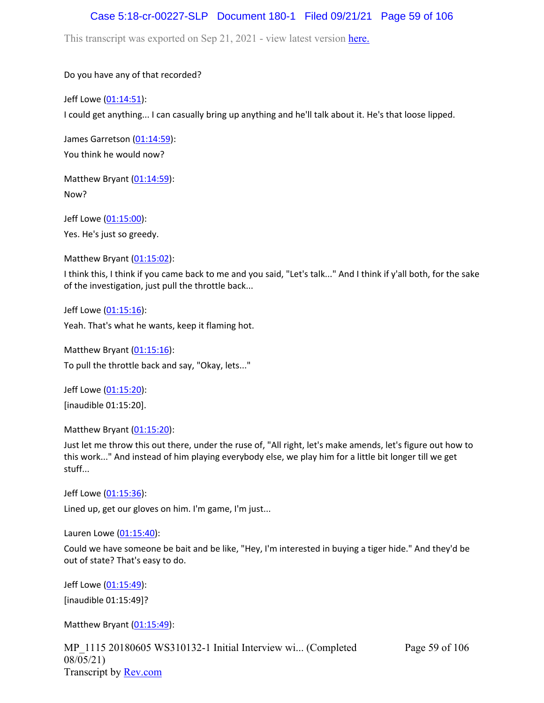## Case 5:18-cr-00227-SLP Document 180-1 Filed 09/21/21 Page 59 of 106

This transcript was exported on Sep 21, 2021 - view latest version [here.](https://www.rev.com/transcript-editor/Edit?token=amZQ9HHFTut_NOLFoO1lSR86cptioQiBp-VVq9f_BePwrTlAl64zFPqcRkwVvmM6GaAv4S7BniclRE4xdf7JBzULLcE&loadFrom=DocumentHeaderDeepLink)

Do you have any of that recorded?

Jeff Lowe ([01:14:51](https://www.rev.com/transcript-editor/Edit?token=jVPhDzqSTbh2evSXwQO70Y6lKRf4iyPEzjfUFLX7vyk6FWS-_s8Pr4ahEC1MrAiDldN6uE62yZSyLTCdSA7qcvqzYtY&loadFrom=DocumentDeeplink&ts=4491.19)):

I could get anything... I can casually bring up anything and he'll talk about it. He's that loose lipped.

James Garretson ([01:14:59\)](https://www.rev.com/transcript-editor/Edit?token=YkqmJgBfuNwKz4Cs-Zr9VkxJmGFwBSNsQ6g3irIMskIkTb4SX9zlDXSqOZiOYGslz44vUYE2MM3sfHk6by3xAeJOFpM&loadFrom=DocumentDeeplink&ts=4499.83): You think he would now?

Matthew Bryant ([01:14:59](https://www.rev.com/transcript-editor/Edit?token=kb75w6rMqDjs-zNE9fLDpKaOyHUu8Vq8lL7m7mmGo4hpjAk30hF43GVi9gsUrA3UvPVVLovzAu02Omi_xldVF2KZLbE&loadFrom=DocumentDeeplink&ts=4499.97)): Now?

Jeff Lowe ([01:15:00](https://www.rev.com/transcript-editor/Edit?token=lxTNVsfahSV3BA1e1K3B3__im3H5WG7uawZncQMNmknHX0178NsudH_K6BRnJ0V1wXbLqMeK8rTkcCg8Xz65tqEbMRA&loadFrom=DocumentDeeplink&ts=4500.05)): Yes. He's just so greedy.

Matthew Bryant ([01:15:02](https://www.rev.com/transcript-editor/Edit?token=bi5ieyk48e8IvX5rWCzLQWZOgN6vuzzaIduG5yDDuOIr8eROKIcLgA1D_t0wbvAUGhBx0uPE5WtaWQDn3eW6zJ3Cjp0&loadFrom=DocumentDeeplink&ts=4502.2)):

I think this, I think if you came back to me and you said, "Let's talk..." And I think if y'all both, for the sake of the investigation, just pull the throttle back...

Jeff Lowe ([01:15:16](https://www.rev.com/transcript-editor/Edit?token=un0l0Yv2PXnalJAedlJgwcriaBrm06Fpmi-enkbee3yy_q7vcR3Omr6kkDrfcXKEVaEyCYA6q3HJReCiYLEXWSo5s-c&loadFrom=DocumentDeeplink&ts=4516.27)): Yeah. That's what he wants, keep it flaming hot.

Matthew Bryant ([01:15:16](https://www.rev.com/transcript-editor/Edit?token=V75ObQPvfEWVgvooa5slOkrwstITvgeGykvoCbYgGcY60lRyPiCCPeMLFqKuIUyaeav2rq3sSRkwzAKi6sHi10u-un4&loadFrom=DocumentDeeplink&ts=4516.7)): To pull the throttle back and say, "Okay, lets..."

Jeff Lowe ([01:15:20](https://www.rev.com/transcript-editor/Edit?token=aurT5SGsv9GD2EA48xDT3lcKwsNvK-ZQoJ8GW3n8C8p687v0AJoJduPNH2oZjq51x8W3Gf4XCnjvRFwSAVpSk0bo-RY&loadFrom=DocumentDeeplink&ts=4520)): [inaudible 01:15:20].

Matthew Bryant ([01:15:20](https://www.rev.com/transcript-editor/Edit?token=ysSLGClTkg5ob7cbiFq8gHS1wJHmnyvcbxizNTzbRdNK4mhTz4CSee3INJLOqOvR4x5Bf1wgTAV8fJHwr94u4WGH6Q0&loadFrom=DocumentDeeplink&ts=4520.78)):

Just let me throw this out there, under the ruse of, "All right, let's make amends, let's figure out how to this work..." And instead of him playing everybody else, we play him for a little bit longer till we get stuff...

Jeff Lowe ([01:15:36](https://www.rev.com/transcript-editor/Edit?token=TZ-j73CKUJ2J7BdhhxOg7tKzLVcQXyurgpS6JlnZcbb2-QkGDh3u9KfLoML_oMmf0MtSFvsNQmFv6hNLHqZxxtTIXSs&loadFrom=DocumentDeeplink&ts=4536.76)): Lined up, get our gloves on him. I'm game, I'm just...

Lauren Lowe ([01:15:40](https://www.rev.com/transcript-editor/Edit?token=bQHAEStRDrFuqtPQ4j3TeldGxo7HRtK9HYmW2dk10kQC4vqYOdqVCP4gy0m0WWiKneOVbzpfNNtvM2QmbkDsxZYJBG4&loadFrom=DocumentDeeplink&ts=4540.56)):

Could we have someone be bait and be like, "Hey, I'm interested in buying a tiger hide." And they'd be out of state? That's easy to do.

Jeff Lowe ([01:15:49](https://www.rev.com/transcript-editor/Edit?token=Jx2aZ2xih1KpDksfSHNXp6J1U9-rSV9E9DzGEON_DHfU5efCTCFVB2sRVREwx_Ndqf9TMZdlv_hOM91_5XQ8yRn1-6U&loadFrom=DocumentDeeplink&ts=4549)): [inaudible 01:15:49]?

Matthew Bryant ([01:15:49](https://www.rev.com/transcript-editor/Edit?token=-PHNzuKY-IpJQ2T3I_Uihe4TT63yeagp5d3Yh_pSDRM1BNi5KOWoUXUNTGNR6aFS86scwwX2I_MinXku5qJ0OmnaY9w&loadFrom=DocumentDeeplink&ts=4549)):

MP\_1115 20180605 WS310132-1 Initial Interview wi... (Completed 08/05/21) Transcript by [Rev.com](https://www.rev.com/)

Page 59 of 106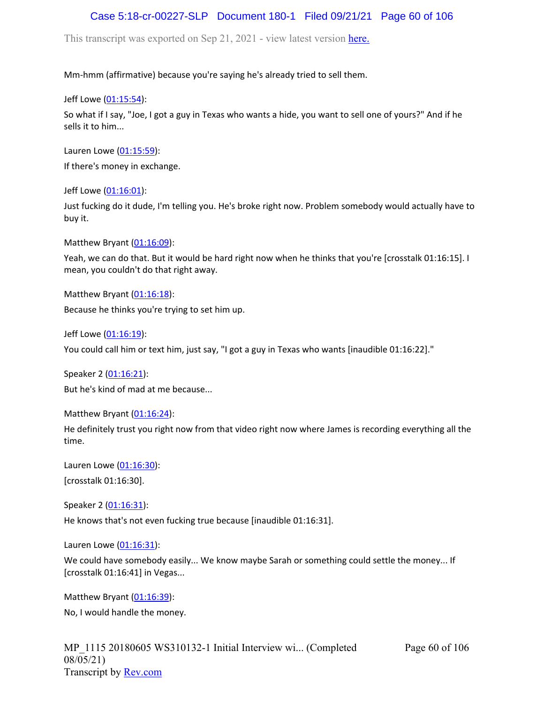## Case 5:18-cr-00227-SLP Document 180-1 Filed 09/21/21 Page 60 of 106

This transcript was exported on Sep 21, 2021 - view latest version [here.](https://www.rev.com/transcript-editor/Edit?token=amZQ9HHFTut_NOLFoO1lSR86cptioQiBp-VVq9f_BePwrTlAl64zFPqcRkwVvmM6GaAv4S7BniclRE4xdf7JBzULLcE&loadFrom=DocumentHeaderDeepLink)

Mm-hmm (affirmative) because you're saying he's already tried to sell them.

Jeff Lowe ([01:15:54](https://www.rev.com/transcript-editor/Edit?token=34qyPeiYR7C_JfYVJYyZu2VUTRuET5OmWh17KGUB9xVfCNVSns9aNbvwSDtTMjR2k8WFuScNy3OpHud1pYB7t81iaUU&loadFrom=DocumentDeeplink&ts=4554.02)):

So what if I say, "Joe, I got a guy in Texas who wants a hide, you want to sell one of yours?" And if he sells it to him...

Lauren Lowe ([01:15:59](https://www.rev.com/transcript-editor/Edit?token=p2RP214XffjeqxuDrL2A2oFWmdomx6dNB1vZAFKoMHr_VuXO8KlVPyCNcgFTM2l-B2gG-j41NDERKCof5BvvDwNYn0o&loadFrom=DocumentDeeplink&ts=4559.87)):

If there's money in exchange.

Jeff Lowe ([01:16:01](https://www.rev.com/transcript-editor/Edit?token=aKK9s7uhitWXOXbTQ_uqgFn318oFS_BixPpUqUAzsWVUNyG8RbRavHjyP0IIHG-Cw0pvjtF_8WsR-vvo5YZITK7CQoc&loadFrom=DocumentDeeplink&ts=4561.33)):

Just fucking do it dude, I'm telling you. He's broke right now. Problem somebody would actually have to buy it.

Matthew Bryant ([01:16:09](https://www.rev.com/transcript-editor/Edit?token=q_dJAR0L3w7rLg1dIi3Co0QbdocgbpyOF3CQGJuxSa2y-XPg9Zk5Qf7KiNLWPeZo7DUsUObcHugIK1Be734QlZVAhXs&loadFrom=DocumentDeeplink&ts=4569.02)):

Yeah, we can do that. But it would be hard right now when he thinks that you're [crosstalk 01:16:15]. I mean, you couldn't do that right away.

Matthew Bryant ([01:16:18](https://www.rev.com/transcript-editor/Edit?token=0_VpCvKjdjV0s9_QEDSYqC5mfOpwrgDBBQxZ3KFbfvgLmap7R660J8NufTZi_ZeWSj4WksCysWzLf8Le7HM0zi-V3Fk&loadFrom=DocumentDeeplink&ts=4578.55)):

Because he thinks you're trying to set him up.

Jeff Lowe ([01:16:19](https://www.rev.com/transcript-editor/Edit?token=vmztuJyt0h1qN5MamveBFDiGF7Bgytewr7A90Vq0MfS_lxcoY5ugsVTtP6dU5PgpHLAuN0nLxlsgE4oEy9Xi8_BJZNA&loadFrom=DocumentDeeplink&ts=4579.72)):

You could call him or text him, just say, "I got a guy in Texas who wants [inaudible 01:16:22]."

Speaker 2 ([01:16:21](https://www.rev.com/transcript-editor/Edit?token=aDUT06_eb2RQ5yIhCKGW4j1wbd1U9cznrcblKyhaGu3SV1MWLpJw5vpiEAwRvmmJwqD3Lwo3qItDIYYA8VLIJKKFCaw&loadFrom=DocumentDeeplink&ts=4581.73)): But he's kind of mad at me because...

Matthew Bryant ([01:16:24](https://www.rev.com/transcript-editor/Edit?token=Oqq8XDbe7ECHV56NggftaQIL43ufD0mKabxTV9QNyC8qcgGFh6WfIycPId2CDVuSAKzoMdjx5pCHJKs952odhWMVAa0&loadFrom=DocumentDeeplink&ts=4584.5)):

He definitely trust you right now from that video right now where James is recording everything all the time.

Lauren Lowe ([01:16:30](https://www.rev.com/transcript-editor/Edit?token=vRCrcVTKnvHW2CHtx01sq_uirXbSSI8kFf7TB8pspMOwr527yKhh8NiRh7ZDvOu0chYqaqxcilIy92-Aj_0evGFD6vw&loadFrom=DocumentDeeplink&ts=4590)): [crosstalk 01:16:30].

Speaker 2 ([01:16:31](https://www.rev.com/transcript-editor/Edit?token=M6dx7EF7AZZ8Skj_BpM56-6fVfUH3nAv2unIrY41u7GR3qU8DRE-rb3T32xyL83QzP75mZdl6YfRmTOTgP1UwF-ov8U&loadFrom=DocumentDeeplink&ts=4591)):

He knows that's not even fucking true because [inaudible 01:16:31].

Lauren Lowe ([01:16:31](https://www.rev.com/transcript-editor/Edit?token=uS2TYZeoB7AugQ1tU80vyA3sfbNW9l4lCWc9wxAjOCH0FpT7Z8UXpcH6fmAwuHX2XcBfMTnZO0V6UVkI_z0daAu8cQE&loadFrom=DocumentDeeplink&ts=4591)):

We could have somebody easily... We know maybe Sarah or something could settle the money... If [crosstalk 01:16:41] in Vegas...

Matthew Bryant ([01:16:39](https://www.rev.com/transcript-editor/Edit?token=jkmPIrBdjkIYKJ5Nz38Sp6-fkUDnqT2lrYoJViFFNf3SD9_HO9HMp4gVQTLxc3_Ile1XLDw9kOB9EtXJ0KIjFqAVgEM&loadFrom=DocumentDeeplink&ts=4599.96)): No, I would handle the money.

Page 60 of 106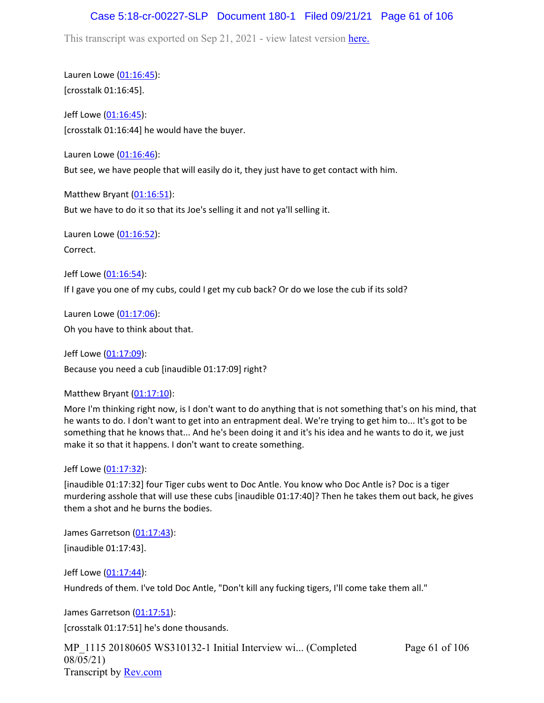## Case 5:18-cr-00227-SLP Document 180-1 Filed 09/21/21 Page 61 of 106

This transcript was exported on Sep 21, 2021 - view latest version [here.](https://www.rev.com/transcript-editor/Edit?token=amZQ9HHFTut_NOLFoO1lSR86cptioQiBp-VVq9f_BePwrTlAl64zFPqcRkwVvmM6GaAv4S7BniclRE4xdf7JBzULLcE&loadFrom=DocumentHeaderDeepLink)

Lauren Lowe ([01:16:45](https://www.rev.com/transcript-editor/Edit?token=AokCZ2vAke2rtsNWluiOUFBJd-jhYWtKGc2DcwSanxMG7p39VhuY240gqm7UxrS6rTr9k77xlPuK2ZUJN_Fq8lqL_Vs&loadFrom=DocumentDeeplink&ts=4605)): [crosstalk 01:16:45].

Jeff Lowe ([01:16:45](https://www.rev.com/transcript-editor/Edit?token=pa6CEdwDslK7U0FUP5V1rUnSiYn-inIV4QeEEPEPEHFMG-0Pq3RSYow-wtr0cjTyMGIfm3QO6-ZuT93LyA612Iw3VaM&loadFrom=DocumentDeeplink&ts=4605)): [crosstalk 01:16:44] he would have the buyer.

Lauren Lowe ([01:16:46](https://www.rev.com/transcript-editor/Edit?token=UCH4OAaaLWehv5hqN5_ToZ7QBPLq7hsWMLZW5bLvar0rAQrXgAp9hLI1BfLjmT4oai1l7K16yf4deTo2OhGUHjL7nT8&loadFrom=DocumentDeeplink&ts=4606.3)):

But see, we have people that will easily do it, they just have to get contact with him.

Matthew Bryant ([01:16:51](https://www.rev.com/transcript-editor/Edit?token=TtE5MOiMK51Em5je4QApR6jI7vDotTOWh61-AMbaJtPmYo6gI9qKWFNB23zSD52S4kfXSZBjXYxckX4elBUOghTeR8k&loadFrom=DocumentDeeplink&ts=4611.03)): But we have to do it so that its Joe's selling it and not ya'll selling it.

Lauren Lowe ([01:16:52](https://www.rev.com/transcript-editor/Edit?token=PhunPx-efabEEDAdkciRwjwtut5UHtMvhUnq7C7Gce5laZR2arPfIv94T-vdyCO-H2ByPUxBfP3YGrYRgn4rWYQqjX0&loadFrom=DocumentDeeplink&ts=4612.9)):

Correct.

Jeff Lowe ([01:16:54](https://www.rev.com/transcript-editor/Edit?token=Kd9nD1QGJbBWyMfOZiWJCstlGuA-ECQaHTxKPeeP0D_5PLiBx6Vjhwk6M1uYFfl0R6Dhug6r9BzE-H8bZGp-K_puC2M&loadFrom=DocumentDeeplink&ts=4614.49)): If I gave you one of my cubs, could I get my cub back? Or do we lose the cub if its sold?

Lauren Lowe ([01:17:06](https://www.rev.com/transcript-editor/Edit?token=ND2C_N5xoeqfCCkLxmMTwyuu5c1g5eOoxwropq8XB_W-VOoQSUWn9uHN2N8uQouXPf6bGLvVSyDzSlQWCuFHe7VwW_o&loadFrom=DocumentDeeplink&ts=4626.72)):

Oh you have to think about that.

Jeff Lowe ([01:17:09](https://www.rev.com/transcript-editor/Edit?token=l0FiFeEv6tXtzujdRf_O0COMC08SMGPzYjNYnN9qAUNKnqbnIwQLq56F4mYqL6z2cN_qJFQR06EUFXRlLy5-6lAR4CI&loadFrom=DocumentDeeplink&ts=4629)): Because you need a cub [inaudible 01:17:09] right?

### Matthew Bryant  $(01:17:10)$  $(01:17:10)$  $(01:17:10)$ :

More I'm thinking right now, is I don't want to do anything that is not something that's on his mind, that he wants to do. I don't want to get into an entrapment deal. We're trying to get him to... It's got to be something that he knows that... And he's been doing it and it's his idea and he wants to do it, we just make it so that it happens. I don't want to create something.

#### Jeff Lowe ([01:17:32](https://www.rev.com/transcript-editor/Edit?token=xejDLxx8BYgxqoShn5bnwjUx19xNjE-WVYSFv-SjoLabJ5QOZnnIiihj2NzLTEhYxJFF_WOYK2qZgkgPY5qZC9eovfQ&loadFrom=DocumentDeeplink&ts=4652)):

[inaudible 01:17:32] four Tiger cubs went to Doc Antle. You know who Doc Antle is? Doc is a tiger murdering asshole that will use these cubs [inaudible 01:17:40]? Then he takes them out back, he gives them a shot and he burns the bodies.

James Garretson ([01:17:43\)](https://www.rev.com/transcript-editor/Edit?token=5f_jVGjt6mgY-jrKzLRUShaV7MR_3nTmIfnpDKhVTjib6lsHSMEJ7LLiUIF2R4kHJFWxiauw1lnZip0wnRT5LYQOETA&loadFrom=DocumentDeeplink&ts=4663.101): [inaudible 01:17:43].

Jeff Lowe ([01:17:44](https://www.rev.com/transcript-editor/Edit?token=GBkxoOPgFYv_ZPELFxiG63AbfjXTD9t4xurYgxMQaYtYDU_M_NmTZyPxk8FPIJW65Zxi6_Zp9dtvd_L8vCdy2UykwTY&loadFrom=DocumentDeeplink&ts=4664.38)):

Hundreds of them. I've told Doc Antle, "Don't kill any fucking tigers, I'll come take them all."

James Garretson ([01:17:51\)](https://www.rev.com/transcript-editor/Edit?token=S8z3Bc5MBbITWTc5omjNgaf56Q0L52WcwfVcmdu7lwwTwzMKs6eBAFhOoFperSL-pexYl-kNKUt-M7aK3BJ5CACCdnw&loadFrom=DocumentDeeplink&ts=4671):

[crosstalk 01:17:51] he's done thousands.

MP\_1115 20180605 WS310132-1 Initial Interview wi... (Completed 08/05/21) Transcript by [Rev.com](https://www.rev.com/)

Page 61 of 106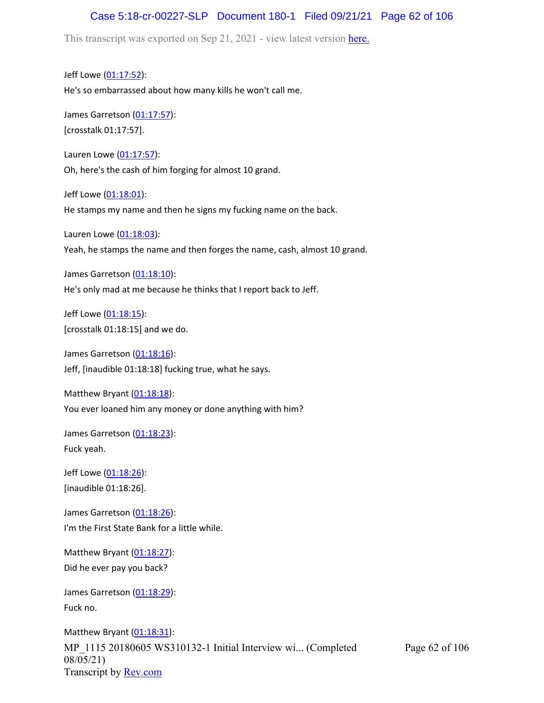## Case 5:18-cr-00227-SLP Document 180-1 Filed 09/21/21 Page 62 of 106

This transcript was exported on Sep 21, 2021 - view latest version [here.](https://www.rev.com/transcript-editor/Edit?token=amZQ9HHFTut_NOLFoO1lSR86cptioQiBp-VVq9f_BePwrTlAl64zFPqcRkwVvmM6GaAv4S7BniclRE4xdf7JBzULLcE&loadFrom=DocumentHeaderDeepLink)

Jeff Lowe ([01:17:52](https://www.rev.com/transcript-editor/Edit?token=_J-kW8cPO-CYN56hmF2lKJhBKxVnTr6PemzPr_exFhiiReWVAZVX2rgbvE1Cp6uCjwCa1X3e4_IkJCJI1w2kP9H_J1A&loadFrom=DocumentDeeplink&ts=4672.16)): He's so embarrassed about how many kills he won't call me.

James Garretson ([01:17:57\)](https://www.rev.com/transcript-editor/Edit?token=75BWSgicakR6PFcy5p_bzy9caYiSD67GbmKOttXddhIKheq08vpIiNTLbaEizjVlylKPA2v5-HsuaRibQdv_nrKsKNs&loadFrom=DocumentDeeplink&ts=4677): [crosstalk 01:17:57].

Lauren Lowe ([01:17:57](https://www.rev.com/transcript-editor/Edit?token=1fAtgJrWdNPyIVLU1ExR5tGSlMEhvNnIT6e8vUS7LPE60opTnZGres5CENGrv27QHuC-Hv-oygNtoReRIksvjPCn3lA&loadFrom=DocumentDeeplink&ts=4677.13)): Oh, here's the cash of him forging for almost 10 grand.

Jeff Lowe ([01:18:01](https://www.rev.com/transcript-editor/Edit?token=uJv39A97k6CAwLPk8Tme061FOok1eLK0JW6QIWHNjpsC31mQAL9Oram3xq00gbbgd47z_P-LEdtG7hK16U02Lx5egqM&loadFrom=DocumentDeeplink&ts=4681.84)): He stamps my name and then he signs my fucking name on the back.

Lauren Lowe ([01:18:03](https://www.rev.com/transcript-editor/Edit?token=15PMl7K5hsmRmtzEzVjdAMyDJF5IXnDetLZweFGpKuzUjBr2XVa-u4D1AW8ykvvdDqGz2Wvn6sprlLYt4VghCXBA5tU&loadFrom=DocumentDeeplink&ts=4683.54)):

Yeah, he stamps the name and then forges the name, cash, almost 10 grand.

James Garretson ([01:18:10\)](https://www.rev.com/transcript-editor/Edit?token=IlHGUs9qJFiMAHoQH4cF7TNgjQxAFedhK8cyNyhggOE5m7lopmnFcpKvlFLLp_R34YcSmxw9xKeMXOg8F0d9yT1uoQQ&loadFrom=DocumentDeeplink&ts=4690.8): He's only mad at me because he thinks that I report back to Jeff.

Jeff Lowe ([01:18:15](https://www.rev.com/transcript-editor/Edit?token=BrJUHCJZPsLxB2k8n4xINqA7vJ64newGDmm85AtNcBMG7pwxSNQ_yVxBW0H3BJdfQfnJwpRmiDoS3w3LLSvMADa58-o&loadFrom=DocumentDeeplink&ts=4695)): [crosstalk 01:18:15] and we do.

James Garretson ([01:18:16\)](https://www.rev.com/transcript-editor/Edit?token=YMuEKCzMy-WGE2TqhvXSQVdMDAQh7_pfY2z8FLE9cN4gjx28I9QQ2U_1BTeBKzXM32D-Rv5E1b3Nz3h5kSK056sV3GM&loadFrom=DocumentDeeplink&ts=4696.91): Jeff, [inaudible 01:18:18] fucking true, what he says.

Matthew Bryant  $(01:18:18)$  $(01:18:18)$  $(01:18:18)$ : You ever loaned him any money or done anything with him?

James Garretson ([01:18:23\)](https://www.rev.com/transcript-editor/Edit?token=A9geW0FNzHSqQYXlM-8iuni7WXjglqFRgqZwbnN6wb8nRRYQYqy4Luzav6JqpKXcwtAqzalAFoa5Hdw2kBo0JJAucHs&loadFrom=DocumentDeeplink&ts=4703.72): Fuck yeah.

Jeff Lowe ([01:18:26](https://www.rev.com/transcript-editor/Edit?token=yU_5UhorR4tov8PhQjcn622XR-N_9M83ZDKIirBB4kBSRvwR86Hzld5A-Jj6djBhjq7supymtbKX5BBimZHqaNYpc6s&loadFrom=DocumentDeeplink&ts=4706)): [inaudible 01:18:26].

James Garretson ([01:18:26\)](https://www.rev.com/transcript-editor/Edit?token=ehMahrb7vXiEKxCBNr5BgWrFWlWgBv9AxL4nNfIAiEnff2lmj9a4hVrH5V07y4olB41cYaNyDXfzOAU66LiZ7fw-mNY&loadFrom=DocumentDeeplink&ts=4706.66): I'm the First State Bank for a little while.

Matthew Bryant ([01:18:27](https://www.rev.com/transcript-editor/Edit?token=Y8CM7NlwFTsM_NM8HnULhoedaIqNe0UteNIAs09mgdZbRqVoidpBz4N8OqE6JQNOZHKT9d2Fm1IwiaDv-XJ5n3ZFwIQ&loadFrom=DocumentDeeplink&ts=4707.64)): Did he ever pay you back?

James Garretson ([01:18:29\)](https://www.rev.com/transcript-editor/Edit?token=dK3mHsJv1-wv-h98MlZDZCzbV9TNuhEOCFMAnHc-pQxkzACxOkFo-EkUyzQ7Ogs3LuU4Uw59myg7M4KgvlNiFOY9G-s&loadFrom=DocumentDeeplink&ts=4709.25): Fuck no.

MP\_1115 20180605 WS310132-1 Initial Interview wi... (Completed 08/05/21) Transcript by [Rev.com](https://www.rev.com/) Matthew Bryant ([01:18:31](https://www.rev.com/transcript-editor/Edit?token=IAOzfg-Nefb7tOnSDdrUl_QWsxIDvyzjYoH_Jc5Bpx_lm-E7r7CiChOIyn-E875aCdMVN4-KfB6imoQzcDpxc0MUuoY&loadFrom=DocumentDeeplink&ts=4711.5)):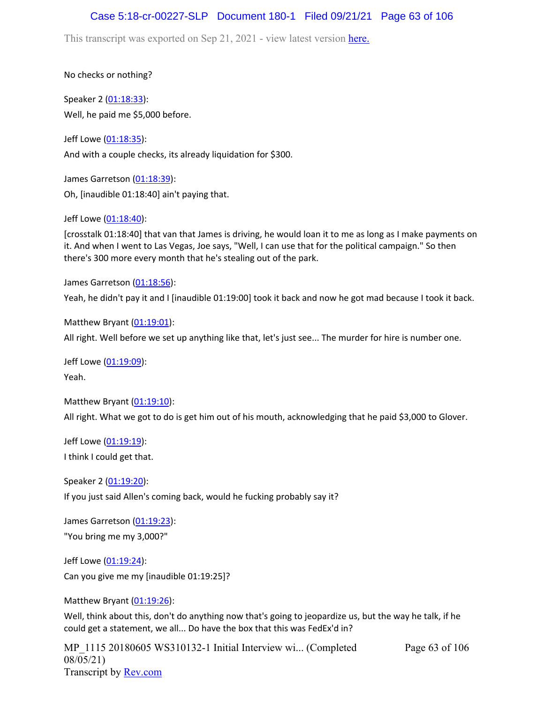## Case 5:18-cr-00227-SLP Document 180-1 Filed 09/21/21 Page 63 of 106

This transcript was exported on Sep 21, 2021 - view latest version [here.](https://www.rev.com/transcript-editor/Edit?token=amZQ9HHFTut_NOLFoO1lSR86cptioQiBp-VVq9f_BePwrTlAl64zFPqcRkwVvmM6GaAv4S7BniclRE4xdf7JBzULLcE&loadFrom=DocumentHeaderDeepLink)

No checks or nothing?

Speaker 2 ([01:18:33](https://www.rev.com/transcript-editor/Edit?token=F9MSnAj2pbkRjhrR3lEtEoXWuJ6QGrCFHBvf2yopDDnv48TcYjyv4pcG7Qn72ZqE4cVMjoBamlNHIsW8M00F5ts5ifE&loadFrom=DocumentDeeplink&ts=4713.03)): Well, he paid me \$5,000 before.

Jeff Lowe ([01:18:35](https://www.rev.com/transcript-editor/Edit?token=HnZesNh0oQqPK_wdmz_hEpj43e0hpg6jXt-Gp1k0lGlAdWDnuZUzS-ykb-GogIXDKR_beRr6Nbqyz-0JDArD-glIVY0&loadFrom=DocumentDeeplink&ts=4715.65)): And with a couple checks, its already liquidation for \$300.

James Garretson ([01:18:39\)](https://www.rev.com/transcript-editor/Edit?token=FmH8XG0Z233Ywe8CMRuwKdhR-fPWQMVT5XR6d00OT6bNwXb3mzXR2OZ-JeQtmAAKN4pV6a6HeCoe59GUWXsLo5Mm4yc&loadFrom=DocumentDeeplink&ts=4719.22): Oh, [inaudible 01:18:40] ain't paying that.

Jeff Lowe ([01:18:40](https://www.rev.com/transcript-editor/Edit?token=r4zfaIbDfKnszA0fjNLtjpE0nZT977Qyh3we88RQcUnuHSpG4UUoC0tU6tzAlvjfsSkK4bTlrkrfASy3NHpRi5uKxvY&loadFrom=DocumentDeeplink&ts=4720)):

[crosstalk 01:18:40] that van that James is driving, he would loan it to me as long as I make payments on it. And when I went to Las Vegas, Joe says, "Well, I can use that for the political campaign." So then there's 300 more every month that he's stealing out of the park.

James Garretson ([01:18:56\)](https://www.rev.com/transcript-editor/Edit?token=o5B6KCMQOs3t001frBgsNfrwMLeQlt6kg9KPoZ-ho5OZGfurnsqBFJ4OpOQGbXvJhHpT6CLQGxLBFmhziqGa11wzZdA&loadFrom=DocumentDeeplink&ts=4736.05):

Yeah, he didn't pay it and I [inaudible 01:19:00] took it back and now he got mad because I took it back.

Matthew Bryant  $(01:19:01)$  $(01:19:01)$  $(01:19:01)$ :

All right. Well before we set up anything like that, let's just see... The murder for hire is number one.

Jeff Lowe ([01:19:09](https://www.rev.com/transcript-editor/Edit?token=bOm-RXVWDy4YjhhUVW2YJVzX5NNlxW6e57e3oFY3MNvVuQ6B6bxmG8sGJa1dz-u0j-8DVN1pGFFXyLAwRrgyDkVBaIg&loadFrom=DocumentDeeplink&ts=4749.77)): Yeah.

Matthew Bryant ([01:19:10](https://www.rev.com/transcript-editor/Edit?token=iQIzE0g-RKP9LDIlpMuYR6tqRANdGpypXpQXF19tWGRAq4xwqU-xX8Zjuw-FIAv9HQXMVWinSbH9cqywtTVuNf2aJOo&loadFrom=DocumentDeeplink&ts=4750.3)): All right. What we got to do is get him out of his mouth, acknowledging that he paid \$3,000 to Glover.

Jeff Lowe ([01:19:19](https://www.rev.com/transcript-editor/Edit?token=oPwiW8aMq7yqG_KM7Xubm1aqQ5LOKA9z-nAqbvyJcaDAP50rUdvX2nIPu4SQZrXbuxTdvu-GKBQf-adAMePZ9bJW2KE&loadFrom=DocumentDeeplink&ts=4759.24)): I think I could get that.

Speaker 2 ([01:19:20](https://www.rev.com/transcript-editor/Edit?token=O1D7acfzn6ejG9MPkxfIYKhWNxTePPp3K12brFeMHAr0S0k5DJOv0fKBii8iM5QNSFbiKu4GHswgwxob1hhMn8Mcly4&loadFrom=DocumentDeeplink&ts=4760.01)):

If you just said Allen's coming back, would he fucking probably say it?

James Garretson ([01:19:23\)](https://www.rev.com/transcript-editor/Edit?token=JKCLKBGkqNgSH-Az-7Mt20N1pyNvh40jlcBqxvwjaejZO6wrjp8sDWYKGbg1rrORw3LU2okp0ePpJ6IMB1brR6PPJ3g&loadFrom=DocumentDeeplink&ts=4763.3): "You bring me my 3,000?"

Jeff Lowe ([01:19:24](https://www.rev.com/transcript-editor/Edit?token=mb5A1MU_J92YoaLiiJge4qy8VBX40kp9KdxydjAiZNcgdG6jhIacR7Yce2zZnN9L85Ohj3-a52sH8jcjbD3bDZlaErw&loadFrom=DocumentDeeplink&ts=4764.43)):

Can you give me my [inaudible 01:19:25]?

Matthew Bryant ([01:19:26](https://www.rev.com/transcript-editor/Edit?token=TK_wj764J8JKFwCl1wxBzsEgx9xU7KMnAI39o3T3HplKURm6_Fh6tVAF5ZHYociXFpX7ItgGqcdtrA1F53IjtmnW7RU&loadFrom=DocumentDeeplink&ts=4766.04)):

Well, think about this, don't do anything now that's going to jeopardize us, but the way he talk, if he could get a statement, we all... Do have the box that this was FedEx'd in?

MP\_1115 20180605 WS310132-1 Initial Interview wi... (Completed 08/05/21) Transcript by [Rev.com](https://www.rev.com/)

Page 63 of 106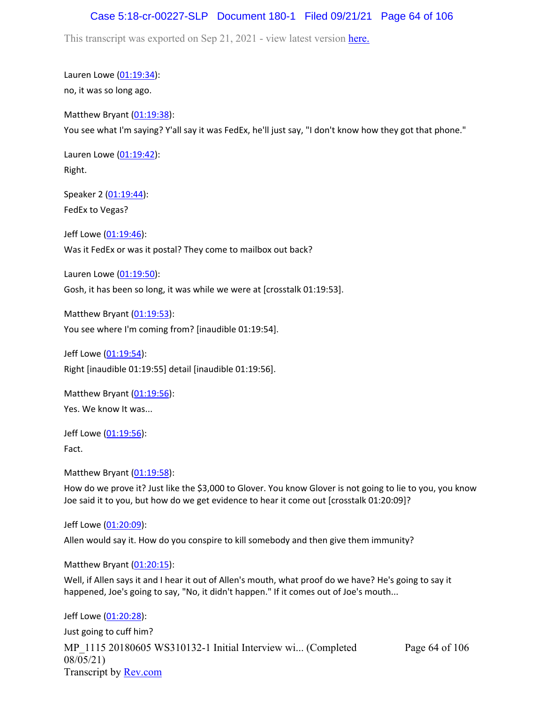### Case 5:18-cr-00227-SLP Document 180-1 Filed 09/21/21 Page 64 of 106

This transcript was exported on Sep 21, 2021 - view latest version [here.](https://www.rev.com/transcript-editor/Edit?token=amZQ9HHFTut_NOLFoO1lSR86cptioQiBp-VVq9f_BePwrTlAl64zFPqcRkwVvmM6GaAv4S7BniclRE4xdf7JBzULLcE&loadFrom=DocumentHeaderDeepLink)

Lauren Lowe ([01:19:34](https://www.rev.com/transcript-editor/Edit?token=Ox9dLMxCj1AwE1v8KwaivbGpTAcEGNYfzZ-81RqwP26-iEAICuZMUSMbbkhoo6apNzkNp0za7ROX13hV4RP3HXjOUCk&loadFrom=DocumentDeeplink&ts=4774.72)): no, it was so long ago.

Matthew Bryant ([01:19:38](https://www.rev.com/transcript-editor/Edit?token=6NJL5WcUw09xUAXtYxkiL1kPW3oQCuAc2bllhx4QlcnNXLHyoAg9n8PRyZV4a2R2hzCex2XA3LX4FkmqWACvyQzJd2g&loadFrom=DocumentDeeplink&ts=4778.62)): You see what I'm saying? Y'all say it was FedEx, he'll just say, "I don't know how they got that phone."

Lauren Lowe ([01:19:42](https://www.rev.com/transcript-editor/Edit?token=9Imbdc9MbRmVCR5Qp4_6sUSR436KjmI1-AWbHmrMQmSUSdMQ6I1qQcPIa9ruxTevmfT9s_t5mWdGbF0SYZN2LJWw7tU&loadFrom=DocumentDeeplink&ts=4782.56)): Right.

Speaker 2 ([01:19:44](https://www.rev.com/transcript-editor/Edit?token=Ykcqs8381mvEAMAhnkmC8ULzjxFbrKH8J7DhtsB72buK37MTjQ9cHy3_S1u7ebgl8nfQ--_P-pwVfOMSlIgoItstnLs&loadFrom=DocumentDeeplink&ts=4784.49)): FedEx to Vegas?

Jeff Lowe ([01:19:46](https://www.rev.com/transcript-editor/Edit?token=v_WwRVm-RG1vKu-oMLJAcfzxlM7k8LZdb63kgg0C4chMAt17PGe4DVBtTw9YsQ5CjTe4B42MmdTxSEn4FHAeDu9GnSg&loadFrom=DocumentDeeplink&ts=4786.27)): Was it FedEx or was it postal? They come to mailbox out back?

Lauren Lowe ([01:19:50](https://www.rev.com/transcript-editor/Edit?token=USLHskyfRCuBG2Q6O4R04rxDW8Q4oaoeufSuDd5N81EDBVhnErWOlxGxEXiYrktD59g5czj7hU5g0z_8oZ0uzcccfsE&loadFrom=DocumentDeeplink&ts=4790.56)):

Gosh, it has been so long, it was while we were at [crosstalk 01:19:53].

Matthew Bryant ([01:19:53](https://www.rev.com/transcript-editor/Edit?token=BxiZaNmuxA780QGcIS1oVkvWDLqFLW68VbBHZl5lg-tkyJ9-dy7jQ6beRvCnAUARG4T4tCiRvr0WswVRHjhg6Mst4KY&loadFrom=DocumentDeeplink&ts=4793.4)): You see where I'm coming from? [inaudible 01:19:54].

Jeff Lowe ([01:19:54](https://www.rev.com/transcript-editor/Edit?token=uf1knZ9FasUcRdvmsLcOasqwLqQ_IonCrxICBfzsPFZ-WRHh3WOx_eFkeE4lW8miQx_g7P9HKvaRKQEoPuOCIrkHxmI&loadFrom=DocumentDeeplink&ts=4794.48)): Right [inaudible 01:19:55] detail [inaudible 01:19:56].

Matthew Bryant  $(01:19:56)$  $(01:19:56)$  $(01:19:56)$ : Yes. We know It was...

Jeff Lowe ([01:19:56](https://www.rev.com/transcript-editor/Edit?token=Eu7-9VC6NpQ7bF0WoCbWifYL7c50fnsA18Xdn-KAl3S6IUzthKghfRo7VEcfJS3b0O1yLgCVcj1GqHHJLMPj5x53eTw&loadFrom=DocumentDeeplink&ts=4796.82)): Fact.

Matthew Bryant ([01:19:58](https://www.rev.com/transcript-editor/Edit?token=DoxhXyKnK50SGx4Skn_5TsTSXFTzSLQyH6cmkONYMK4Goyp9XeJbYnvcHQyMwAArSQo-aTkFwViiJO5bDD_Zq8ljESw&loadFrom=DocumentDeeplink&ts=4798.48)):

How do we prove it? Just like the \$3,000 to Glover. You know Glover is not going to lie to you, you know Joe said it to you, but how do we get evidence to hear it come out [crosstalk 01:20:09]?

Jeff Lowe ([01:20:09](https://www.rev.com/transcript-editor/Edit?token=gbzWywFiXMMSjLe401IaVdhY8FaQRFlO7vg6jjc44VBFOWX2jluwHDCl04HZGtgNVnr08Zjw_6ixpIN3gNPFSvFE_LM&loadFrom=DocumentDeeplink&ts=4809.45)):

Allen would say it. How do you conspire to kill somebody and then give them immunity?

Matthew Bryant ([01:20:15](https://www.rev.com/transcript-editor/Edit?token=itClEfF2ZWCwaK3rHVa1EHBbvyvVt5hFOq3di77FrrhC6Q_rwL68qtMIw5GO2kojMeYUmdSzB0FOTykY4d28p8i219U&loadFrom=DocumentDeeplink&ts=4815.15)):

Well, if Allen says it and I hear it out of Allen's mouth, what proof do we have? He's going to say it happened, Joe's going to say, "No, it didn't happen." If it comes out of Joe's mouth...

MP\_1115 20180605 WS310132-1 Initial Interview wi... (Completed 08/05/21) Transcript by [Rev.com](https://www.rev.com/) Page 64 of 106 Jeff Lowe ([01:20:28](https://www.rev.com/transcript-editor/Edit?token=EHR7BFo5wtBkSBy-gpX6Gu77s4jOJPU45PCW0Tm3PLIL6YAoJEhdyRQGWn8cZkOrjYcDkf0tdI152AnwATJFYpzL5p0&loadFrom=DocumentDeeplink&ts=4828.41)): Just going to cuff him?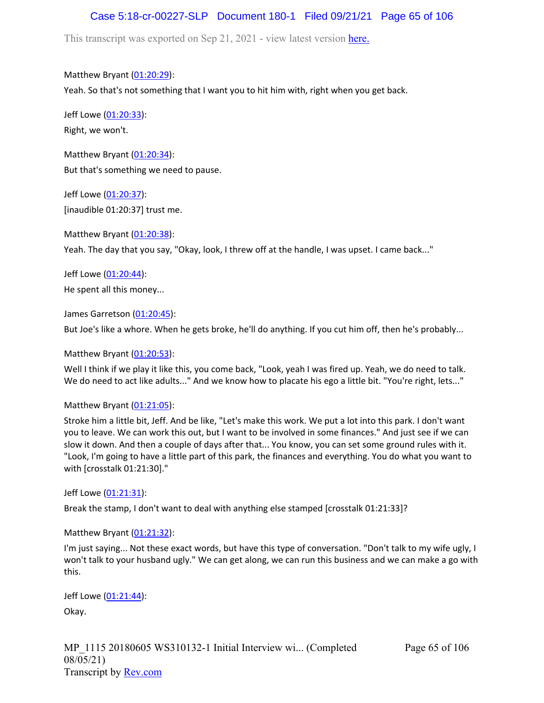## Case 5:18-cr-00227-SLP Document 180-1 Filed 09/21/21 Page 65 of 106

This transcript was exported on Sep 21, 2021 - view latest version [here.](https://www.rev.com/transcript-editor/Edit?token=amZQ9HHFTut_NOLFoO1lSR86cptioQiBp-VVq9f_BePwrTlAl64zFPqcRkwVvmM6GaAv4S7BniclRE4xdf7JBzULLcE&loadFrom=DocumentHeaderDeepLink)

Matthew Bryant ([01:20:29](https://www.rev.com/transcript-editor/Edit?token=UgLWZxw6NAfrvni8MZXAdEBPI_RFw7gR7FgVpeRkW8tzIV4b_2L0o-oIpIx6mKbCM0xio4ZDcfVZqVKh-FDef3LencI&loadFrom=DocumentDeeplink&ts=4829.2)): Yeah. So that's not something that I want you to hit him with, right when you get back.

Jeff Lowe ([01:20:33](https://www.rev.com/transcript-editor/Edit?token=iIE6Crcne8madCmsBY3hRpOGb-1aeoNkVMx1aKmVrKC38R97GlSFjMEYLwmtSJH3lmllGQgFJcvQ7TBPopEzYoUbQus&loadFrom=DocumentDeeplink&ts=4833.47)): Right, we won't.

Matthew Bryant ([01:20:34](https://www.rev.com/transcript-editor/Edit?token=tqZjwv1q75igaqlrXq_5AOO45PX9ttDgBtHOEIfQKNo8nLViDf9mmoWjqcP9w2F3h9n6oI7xBsVg5GPbM-Jm3DLZyw8&loadFrom=DocumentDeeplink&ts=4834.92)): But that's something we need to pause.

Jeff Lowe ([01:20:37](https://www.rev.com/transcript-editor/Edit?token=hYRdBK1OpkSWhKFJBwwVLspvTjXJv-nUnXBN0vRNQdbhT_-iUJyMWsgsptLMuOsO3eYSYHUycwOUPadvaUiXzoib500&loadFrom=DocumentDeeplink&ts=4837)): [inaudible 01:20:37] trust me.

Matthew Bryant ([01:20:38](https://www.rev.com/transcript-editor/Edit?token=DTeAbgWlzZpxPfvZvRl8TQM4EmlVinIzLlpZ4ByVGkI5_F763KBC23f3mnGj5MVytf2GRVJTKpMy79vZA57HU9xfic4&loadFrom=DocumentDeeplink&ts=4838.44)): Yeah. The day that you say, "Okay, look, I threw off at the handle, I was upset. I came back..."

Jeff Lowe ([01:20:44](https://www.rev.com/transcript-editor/Edit?token=6ccNqfOnEba88oe120gCR5MwIMQbrcMbXiXWxorCL1a_Pt6k6tnovFkFEk1zl7GssL86NTg684gd6lhI8YYSlpG2dJk&loadFrom=DocumentDeeplink&ts=4844.8)): He spent all this money...

James Garretson ([01:20:45\)](https://www.rev.com/transcript-editor/Edit?token=K519E3yvbKh4laEq41-gCF4yRdMZx71dcO8nk7MOqXIjda8CNnTCFoBLUEPWhmj6N3PuiSVOk74vSDuOt_Sal_mUHVQ&loadFrom=DocumentDeeplink&ts=4845.87):

But Joe's like a whore. When he gets broke, he'll do anything. If you cut him off, then he's probably...

Matthew Bryant  $(01:20:53)$  $(01:20:53)$  $(01:20:53)$ :

Well I think if we play it like this, you come back, "Look, yeah I was fired up. Yeah, we do need to talk. We do need to act like adults..." And we know how to placate his ego a little bit. "You're right, lets..."

### Matthew Bryant ([01:21:05](https://www.rev.com/transcript-editor/Edit?token=TilCIJAU4xC-VdJngFX7yxqrzK9uiBPYt-3vixtGNVUFb6FPNTRBEReGAczf4FxwZTopAERmTL0bw4W0dju5glCzhWo&loadFrom=DocumentDeeplink&ts=4865.76)):

Stroke him a little bit, Jeff. And be like, "Let's make this work. We put a lot into this park. I don't want you to leave. We can work this out, but I want to be involved in some finances." And just see if we can slow it down. And then a couple of days after that... You know, you can set some ground rules with it. "Look, I'm going to have a little part of this park, the finances and everything. You do what you want to with [crosstalk 01:21:30]."

Jeff Lowe ([01:21:31](https://www.rev.com/transcript-editor/Edit?token=t7Y53jXkxDxysT-w2UMvzqO3mkDHTPPxZ5Raq4MH1ZfiKkChTESAzyfieTuETaSvEh2cR8tg6u9x3zVYI0mp3YmyORU&loadFrom=DocumentDeeplink&ts=4891.18)):

Break the stamp, I don't want to deal with anything else stamped [crosstalk 01:21:33]?

Matthew Bryant  $(01:21:32)$  $(01:21:32)$  $(01:21:32)$ :

I'm just saying... Not these exact words, but have this type of conversation. "Don't talk to my wife ugly, I won't talk to your husband ugly." We can get along, we can run this business and we can make a go with this.

Jeff Lowe ([01:21:44](https://www.rev.com/transcript-editor/Edit?token=HL0CElrZzJ5iUmM7mZKIxwnXn5v4lzhg1XsLiE7hj0tWl5kuejQxpVNFwFxP9AmHiIccVOz0w_bkDNVYtcRaPAuW2vo&loadFrom=DocumentDeeplink&ts=4904.88)):

Okay.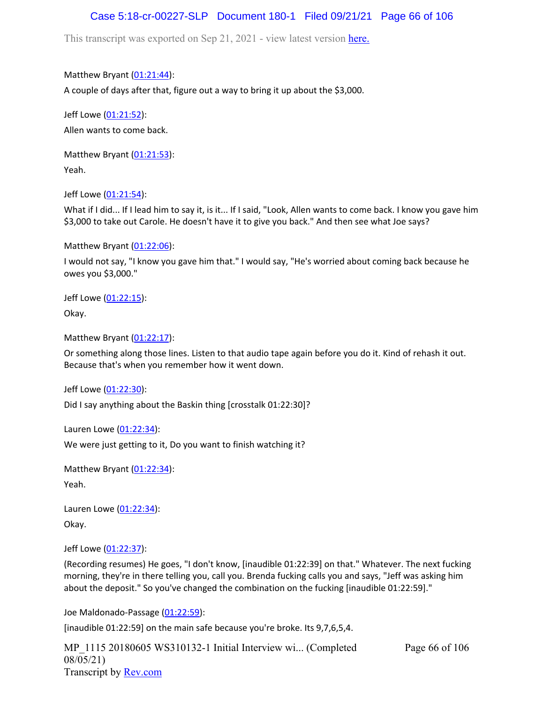## Case 5:18-cr-00227-SLP Document 180-1 Filed 09/21/21 Page 66 of 106

This transcript was exported on Sep 21, 2021 - view latest version [here.](https://www.rev.com/transcript-editor/Edit?token=amZQ9HHFTut_NOLFoO1lSR86cptioQiBp-VVq9f_BePwrTlAl64zFPqcRkwVvmM6GaAv4S7BniclRE4xdf7JBzULLcE&loadFrom=DocumentHeaderDeepLink)

Matthew Bryant ([01:21:44](https://www.rev.com/transcript-editor/Edit?token=keWA5MVw4jEuOBbmKQBgkq34T_cRRe_LVp5V0kO3HvfEuXsoydsJ22YlRZF5kxwApxu3OOjpgL74UA4qZHxOJJB5DpI&loadFrom=DocumentDeeplink&ts=4904.89)):

A couple of days after that, figure out a way to bring it up about the \$3,000.

Jeff Lowe ([01:21:52](https://www.rev.com/transcript-editor/Edit?token=z0YHHprTqa9Dot_qP73C7NX-UqhXEUWUDHXBrtaCQQ1627AdNL5XlS3_9lhMGcU6fG-zsM27bYJyHQwdlQvcC69w-n0&loadFrom=DocumentDeeplink&ts=4912.28)): Allen wants to come back.

Matthew Bryant ([01:21:53](https://www.rev.com/transcript-editor/Edit?token=7pYqFBQFmZPQi8ZoLVe7YVHngWJbZMywnwZCzVuPlMtnMHpzpHuiX2E5_sDi07GjWcc31eRBRtRHMs13bjRvrIqHGMk&loadFrom=DocumentDeeplink&ts=4913.82)): Yeah.

Jeff Lowe ([01:21:54](https://www.rev.com/transcript-editor/Edit?token=vzV9QBPWkL9zG46iajTM_Pzl0yr2ROzUjss6wZMDxJoRneZeslQGl1t2tTPV6FrOJMJf1Rz4y1QiDRI-e1b1cKpeKgU&loadFrom=DocumentDeeplink&ts=4914.2)):

What if I did... If I lead him to say it, is it... If I said, "Look, Allen wants to come back. I know you gave him \$3,000 to take out Carole. He doesn't have it to give you back." And then see what Joe says?

Matthew Bryant ([01:22:06](https://www.rev.com/transcript-editor/Edit?token=xp85-gXGfggA7x42oIETOZn6unlLfHFeHIegWywhG39nBNSrP2DPrXLCDvWB0aEU0AvUDlSBPhAzO40kMe1iG1DBhVU&loadFrom=DocumentDeeplink&ts=4926.71)):

I would not say, "I know you gave him that." I would say, "He's worried about coming back because he owes you \$3,000."

Jeff Lowe ([01:22:15](https://www.rev.com/transcript-editor/Edit?token=IAWfi4lkgGQL7HFCmo_-ofVlZzjFIbZw3YJxkJE6ogUOYtLJNQsHLwGebhG02uNKmdGLi9hIPbZJxeMQpF_HyNp4JWM&loadFrom=DocumentDeeplink&ts=4935.29)):

Okay.

Matthew Bryant ([01:22:17](https://www.rev.com/transcript-editor/Edit?token=26naV_6k3h3QJHKtAY9ZIvJJDIidBmhysd7EQUQDNcggpZP9v7jsGCaGAu0iOtdEWGe_dehQQV3WE-X4GDkB8SiXg_Q&loadFrom=DocumentDeeplink&ts=4937.52)):

Or something along those lines. Listen to that audio tape again before you do it. Kind of rehash it out. Because that's when you remember how it went down.

Jeff Lowe ([01:22:30](https://www.rev.com/transcript-editor/Edit?token=SCC1H9tOJSlxR-wWVjxt243biBP_AcCfudNtmyiuO8WM0V_wqWTYYnUyiajDGPFUacRhE4rGUoFwZnCIh-zBF7DM__o&loadFrom=DocumentDeeplink&ts=4950)):

Did I say anything about the Baskin thing [crosstalk 01:22:30]?

Lauren Lowe ([01:22:34](https://www.rev.com/transcript-editor/Edit?token=zilWG1mgI5XKq8Zicxj9NRIol02-Xao_TeAMsp4ZLUBu1B9Q5l-vH97P_iu5OeC1v_fQjKDJklnBgNAYkd9SNWr3fuY&loadFrom=DocumentDeeplink&ts=4954)):

We were just getting to it, Do you want to finish watching it?

Matthew Bryant ([01:22:34](https://www.rev.com/transcript-editor/Edit?token=An0AyVKFqxzAoqpw6zEbjHrJ1ee19ftW9ikmnEpUBO93izxPOZu327jatZeza5RB7mO6g0Cm-tSIzOJw9W4BPkeJj8g&loadFrom=DocumentDeeplink&ts=4954.31)): Yeah.

Lauren Lowe ([01:22:34](https://www.rev.com/transcript-editor/Edit?token=xYp6pMvXfLSG-G8CYPCHSsC3fWUwgLZ70dFYX4kkSUxp62Ge3gNngFh0VI6Axq1KwCawaRye3I_Txdo49nZIHEcPSLs&loadFrom=DocumentDeeplink&ts=4954.31)): Okay.

Jeff Lowe ([01:22:37](https://www.rev.com/transcript-editor/Edit?token=EDFus6MM-KfHNeTvi8Y-YN2lJuSO1odsWVGz6wKhCR70DvQgNXkx6iJZ8ges7HFSgL20p4uqLOdhfNqs7sd1exnfiTE&loadFrom=DocumentDeeplink&ts=4957)):

(Recording resumes) He goes, "I don't know, [inaudible 01:22:39] on that." Whatever. The next fucking morning, they're in there telling you, call you. Brenda fucking calls you and says, "Jeff was asking him about the deposit." So you've changed the combination on the fucking [inaudible 01:22:59]."

Joe Maldonado-Passage [\(01:22:59\)](https://www.rev.com/transcript-editor/Edit?token=R2MIfyeloo3vI4_LdiDFSQuvfWmeSW39c3-LDGKtoRbQr_-1pchRYDsniddW15S84tHV2fLy3lXuAJh_mcwoofbGen4&loadFrom=DocumentDeeplink&ts=4979):

[inaudible 01:22:59] on the main safe because you're broke. Its 9,7,6,5,4.

MP 1115 20180605 WS310132-1 Initial Interview wi... (Completed 08/05/21) Transcript by [Rev.com](https://www.rev.com/) Page 66 of 106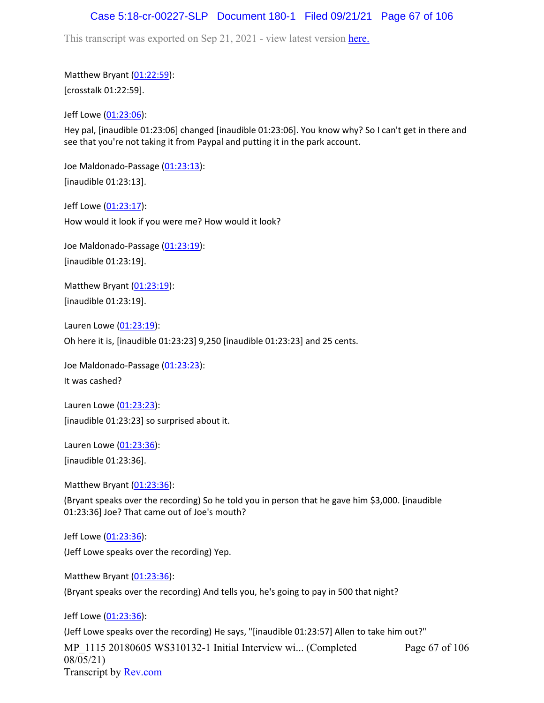## Case 5:18-cr-00227-SLP Document 180-1 Filed 09/21/21 Page 67 of 106

This transcript was exported on Sep 21, 2021 - view latest version [here.](https://www.rev.com/transcript-editor/Edit?token=amZQ9HHFTut_NOLFoO1lSR86cptioQiBp-VVq9f_BePwrTlAl64zFPqcRkwVvmM6GaAv4S7BniclRE4xdf7JBzULLcE&loadFrom=DocumentHeaderDeepLink)

Matthew Bryant ([01:22:59](https://www.rev.com/transcript-editor/Edit?token=NY17htIwVPmrkDA-XA2Gql4iQJu75OGglghu0CBW81Sy3qYTNj7Lz2v7phGP43FRnZi-Dcj5E_1voEdkF_Iv_bI-xyU&loadFrom=DocumentDeeplink&ts=4979)): [crosstalk 01:22:59].

Jeff Lowe ([01:23:06](https://www.rev.com/transcript-editor/Edit?token=v-HZjqtW7nJ1xJioqCJG0WvMZvvQIa8IDumJY2QrA9VjBM34ee5RtH6gp0pyl2QNozOvRiyZh07Ycvara-byBrETTmA&loadFrom=DocumentDeeplink&ts=4986)):

Hey pal, [inaudible 01:23:06] changed [inaudible 01:23:06]. You know why? So I can't get in there and see that you're not taking it from Paypal and putting it in the park account.

Joe Maldonado-Passage [\(01:23:13\)](https://www.rev.com/transcript-editor/Edit?token=Yy22rwKUErLlY3MNcJOk-8cRfXV956-F8ZCxPkaPlpU3EcOG-y_Ei8GdQ3glHQMWiip1-X8T5kqGf4gcxTO-wxl3rgA&loadFrom=DocumentDeeplink&ts=4993): [inaudible 01:23:13].

Jeff Lowe ([01:23:17](https://www.rev.com/transcript-editor/Edit?token=2nOLR3vbYyvFJ7HKygVLbtcOzGPUiSV1rWE1MeE3Iv5dRAHASNBLO5wCkv5SArvYgNOixAheSLDx4VKmG8qBYtpA-gk&loadFrom=DocumentDeeplink&ts=4997.23)): How would it look if you were me? How would it look?

Joe Maldonado-Passage [\(01:23:19\)](https://www.rev.com/transcript-editor/Edit?token=dm_nvyQFW69hiTckO7d8iDGkF2SobeBkmQy1mAi2lEuFiYcXMnFZBY1tEYZHbs57e-M1VFyyB7Hoo8Knr9PD9yeqa-I&loadFrom=DocumentDeeplink&ts=4999.241): [inaudible 01:23:19].

Matthew Bryant ([01:23:19](https://www.rev.com/transcript-editor/Edit?token=-ls5L_iTq0qG9XhIOIr64ZNNj7M7ETSdOFRztJ_D9BSerGIlP6nNdvHPf7BPEBd9sctBdu4tKLTkHMlvEnTYbIM__qY&loadFrom=DocumentDeeplink&ts=4999.27)): [inaudible 01:23:19].

Lauren Lowe ([01:23:19](https://www.rev.com/transcript-editor/Edit?token=agqnqhoFN_xDCBx0H_6NohTZ_C7q_Q3RowHeEGMngBxU2hy5xTYPYKFV-_F3K7mizC0XcM0ouejYz7c-plqUwC0Wdu8&loadFrom=DocumentDeeplink&ts=4999.3)):

Oh here it is, [inaudible 01:23:23] 9,250 [inaudible 01:23:23] and 25 cents.

Joe Maldonado-Passage [\(01:23:23\)](https://www.rev.com/transcript-editor/Edit?token=CddvT0q8pE7feuMDmEKXDgHRxdBpGzDrrfI1-lEw3olPJzHlS8gA-kzO_LBb7_crm6rxDlXtHDA-fmmrkYSTUNsDcnw&loadFrom=DocumentDeeplink&ts=5003): It was cashed?

Lauren Lowe ([01:23:23](https://www.rev.com/transcript-editor/Edit?token=HXkHVLWzJMpV5J4627soja2nefZJSDlzxTfKul5vB56rOrDexUZQvVSpNwiqWXP_nWhdfOVLYYbyBD4SQbOGb2zqPTI&loadFrom=DocumentDeeplink&ts=5003)): [inaudible 01:23:23] so surprised about it.

Lauren Lowe ([01:23:36](https://www.rev.com/transcript-editor/Edit?token=jVEoB7_Fxpo59NGvaZwUyV74MOCBTK_dNlr0_e8-9mDtHFQRt9v08F5_a-jhuatPmFg48qulOS6BSkpLczDM55uCW5o&loadFrom=DocumentDeeplink&ts=5016)):

[inaudible 01:23:36].

Matthew Bryant ([01:23:36](https://www.rev.com/transcript-editor/Edit?token=itOFyPsJJPZWGYU-bTYjn0-mqoeFcYyt58EXEwO3YxG734XgIZDVPepFoWR7BWYIEO3QpS_9wU5rXjc9IJIuqUAKzno&loadFrom=DocumentDeeplink&ts=5016)):

(Bryant speaks over the recording) So he told you in person that he gave him \$3,000. [inaudible 01:23:36] Joe? That came out of Joe's mouth?

Jeff Lowe ([01:23:36](https://www.rev.com/transcript-editor/Edit?token=0I3DzpMtGyzeVKZkZyvUpy480p5ts4Uyl5mWtBxJXdjBjAInqKE9XGysMbGmyE0HRQuwAHZY8JtWJqgG0kDp6vcZT2c&loadFrom=DocumentDeeplink&ts=5016)): (Jeff Lowe speaks over the recording) Yep.

Matthew Bryant ([01:23:36](https://www.rev.com/transcript-editor/Edit?token=426Qi19U3a25mr9f9pO_5at9apfIMR6DgP6cwDYIVSDZyj8RVt-KBMEzgv8RS51zQkrmeAe2oi8yt_6HV9xUFvloDBc&loadFrom=DocumentDeeplink&ts=5016)):

(Bryant speaks over the recording) And tells you, he's going to pay in 500 that night?

Jeff Lowe ([01:23:36](https://www.rev.com/transcript-editor/Edit?token=5rla8egxVwsaOTgTciwNHgk86kR_FtK91g_Y5EiUJBJzAGUOD0_DFm-A7hHBzP-IBgsto2xP64rO1aK6_5aoWEHC7XE&loadFrom=DocumentDeeplink&ts=5016)):

MP\_1115 20180605 WS310132-1 Initial Interview wi... (Completed 08/05/21) Transcript by [Rev.com](https://www.rev.com/) Page 67 of 106 (Jeff Lowe speaks over the recording) He says, "[inaudible 01:23:57] Allen to take him out?"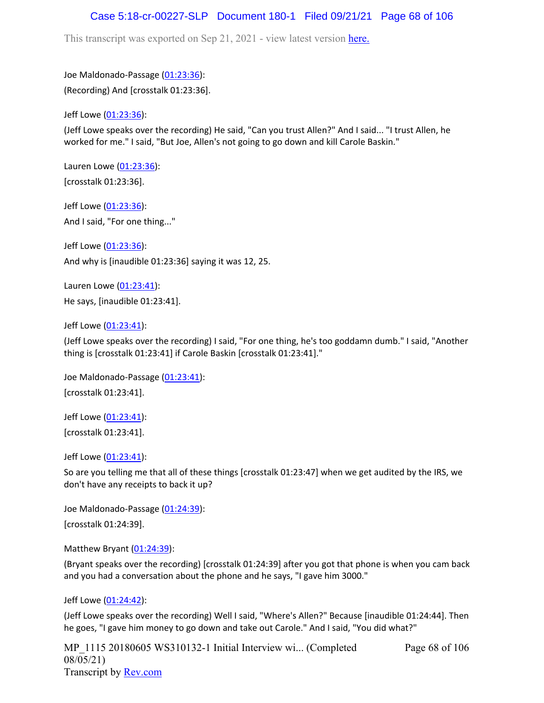## Case 5:18-cr-00227-SLP Document 180-1 Filed 09/21/21 Page 68 of 106

This transcript was exported on Sep 21, 2021 - view latest version [here.](https://www.rev.com/transcript-editor/Edit?token=amZQ9HHFTut_NOLFoO1lSR86cptioQiBp-VVq9f_BePwrTlAl64zFPqcRkwVvmM6GaAv4S7BniclRE4xdf7JBzULLcE&loadFrom=DocumentHeaderDeepLink)

Joe Maldonado-Passage [\(01:23:36\)](https://www.rev.com/transcript-editor/Edit?token=oQ2hKkL24wRj8lyljR-z0tAQmBBJMEEcrYkge14Gbe1UHUhJh0D4rczAQka7fQqcv-gfRWVf7H3dnumxt_ilAmWg06k&loadFrom=DocumentDeeplink&ts=5016): (Recording) And [crosstalk 01:23:36].

Jeff Lowe ([01:23:36](https://www.rev.com/transcript-editor/Edit?token=IssxYem0ZCILZohqlJxsepzYvsCQcKhF8z4enjUtLjO0G_gQwYXOMSzCMX2s4z8cPIhCmlkeyUDxeXpzluYYasS4qoI&loadFrom=DocumentDeeplink&ts=5016)):

(Jeff Lowe speaks over the recording) He said, "Can you trust Allen?" And I said... "I trust Allen, he worked for me." I said, "But Joe, Allen's not going to go down and kill Carole Baskin."

Lauren Lowe ([01:23:36](https://www.rev.com/transcript-editor/Edit?token=uohnQVSp76zVKE835cpSL1JxqHFa5FtmbN6OQktC2D4B0hX3imdMMIOLkP04qXDCyJIzr_04d8L_TGpNQpb20RcmDAo&loadFrom=DocumentDeeplink&ts=5016)): [crosstalk 01:23:36].

Jeff Lowe ([01:23:36](https://www.rev.com/transcript-editor/Edit?token=psiAqyaM_Krx9yC3AXdJx6jPU_C37JjqSrCkY3ZvvtkJkdrG_xIOA1I9ntWGMko3jgRLqooTfDI6o3WmQEPa9lWjMcI&loadFrom=DocumentDeeplink&ts=5016)): And I said, "For one thing..."

Jeff Lowe ([01:23:36](https://www.rev.com/transcript-editor/Edit?token=JybCh9kh29TSNpGbNarU_ZcM0Cng0adnH5DweGhBGCNnt_c9Pi67NupJZ4LH9hJhc1so_pYeSxfTsnACAgOOuGcIV_0&loadFrom=DocumentDeeplink&ts=5016)): And why is [inaudible 01:23:36] saying it was 12, 25.

Lauren Lowe ([01:23:41](https://www.rev.com/transcript-editor/Edit?token=DI1c5qY72ceXiFfZ40NViW_K9PGkWf-_bd1OmWUzzZpkQegphZV18N3HX25q5S58pn-4-GN7xTj5def7e1wxgURKUMU&loadFrom=DocumentDeeplink&ts=5021)): He says, [inaudible 01:23:41].

Jeff Lowe ([01:23:41](https://www.rev.com/transcript-editor/Edit?token=WkuakY90wfXc3JdkP850Rfq5d96tt-RG4dE6ATMl-ddYRSj9Bsdn4l-ZyLnCKAcstlk8aUw1t9sOAZvAFLHki1a5f7A&loadFrom=DocumentDeeplink&ts=5021)):

(Jeff Lowe speaks over the recording) I said, "For one thing, he's too goddamn dumb." I said, "Another thing is [crosstalk 01:23:41] if Carole Baskin [crosstalk 01:23:41]."

Joe Maldonado-Passage [\(01:23:41\)](https://www.rev.com/transcript-editor/Edit?token=WzOmHwcwiNZlHY68YWc7EoSS0fZ8DGtP7NCzET1WCuM1ojPCR0Ffmomc6C34vLlu-Llr6igEg9QMCG76lmCTtsv81NE&loadFrom=DocumentDeeplink&ts=5021): [crosstalk 01:23:41].

Jeff Lowe ([01:23:41](https://www.rev.com/transcript-editor/Edit?token=tDAzdtl6mNR68FYyQTzrSKQqWDPl2RFGqeWtea8J7dGVG4YJgMAyy8QlpgIaYb7qwiILn7Oerihp-UPWH7ONiHoFR-4&loadFrom=DocumentDeeplink&ts=5021)): [crosstalk 01:23:41].

Jeff Lowe ([01:23:41](https://www.rev.com/transcript-editor/Edit?token=hHs4k5afVE7VCF8hi0sV6DI1-9ghXJNBnDL-7EX02YLrBnTarUu0abqdQIgDDnX8ftNkoJg9bjqNR2VO6sRNbtIjKtw&loadFrom=DocumentDeeplink&ts=5021.27)):

So are you telling me that all of these things [crosstalk 01:23:47] when we get audited by the IRS, we don't have any receipts to back it up?

Joe Maldonado-Passage [\(01:24:39\)](https://www.rev.com/transcript-editor/Edit?token=m-LitGxWcdCn0DJyRaYB7Aq-H-emcLkcY8h6TKex9QqVtjwo60TqDb7886oZuEjUHE4f_W8TtTX8-fkknkxR13dvDE4&loadFrom=DocumentDeeplink&ts=5079): [crosstalk 01:24:39].

Matthew Bryant ([01:24:39](https://www.rev.com/transcript-editor/Edit?token=aoL9_oGupcEyihk4wdcOWSbKyxFNIGdB3Zd-Ff8NY1UlWG0f6Af8HGij2WNALEYieZeRn9gaP0KXvWBGwKrvEkqOKNM&loadFrom=DocumentDeeplink&ts=5079)):

(Bryant speaks over the recording) [crosstalk 01:24:39] after you got that phone is when you cam back and you had a conversation about the phone and he says, "I gave him 3000."

Jeff Lowe ([01:24:42](https://www.rev.com/transcript-editor/Edit?token=sFKkh_onsNb2HCcMFR6R25sbNXdLad6TmYPgyuEamlfr38hIqF3ZoxRB2j1C0KOo8x53oEzvagg_ynVV31uxY1PFXSQ&loadFrom=DocumentDeeplink&ts=5082.89)):

(Jeff Lowe speaks over the recording) Well I said, "Where's Allen?" Because [inaudible 01:24:44]. Then he goes, "I gave him money to go down and take out Carole." And I said, "You did what?"

MP 1115 20180605 WS310132-1 Initial Interview wi... (Completed 08/05/21) Transcript by [Rev.com](https://www.rev.com/) Page 68 of 106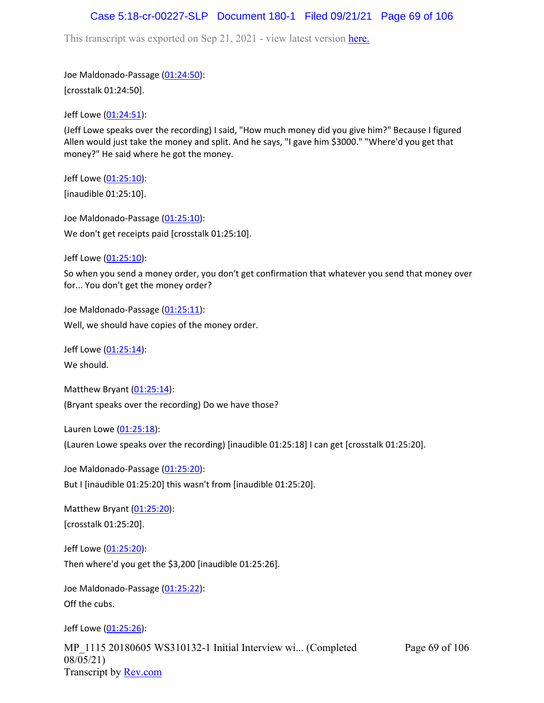### Case 5:18-cr-00227-SLP Document 180-1 Filed 09/21/21 Page 69 of 106

This transcript was exported on Sep 21, 2021 - view latest version [here.](https://www.rev.com/transcript-editor/Edit?token=amZQ9HHFTut_NOLFoO1lSR86cptioQiBp-VVq9f_BePwrTlAl64zFPqcRkwVvmM6GaAv4S7BniclRE4xdf7JBzULLcE&loadFrom=DocumentHeaderDeepLink)

Joe Maldonado-Passage [\(01:24:50\)](https://www.rev.com/transcript-editor/Edit?token=v_mY6GHPxXlHbHwQbDfpbCj5RMThHVDXcfP-fUNN9L65JPy42IF2yHWHuQNxArek3eHUusbbf7MSLDn-ZnOP90bgoMM&loadFrom=DocumentDeeplink&ts=5090): [crosstalk 01:24:50].

Jeff Lowe ([01:24:51](https://www.rev.com/transcript-editor/Edit?token=No76C9YrILJwSPkh1A19VtF_t_LpHjczTMXw4fu_nvaqxO-YfsuSUNFnbFf6CGdVRsEMeIJkAjAs39QYqCymEeAhlQw&loadFrom=DocumentDeeplink&ts=5091.96)):

(Jeff Lowe speaks over the recording) I said, "How much money did you give him?" Because I figured Allen would just take the money and split. And he says, "I gave him \$3000." "Where'd you get that money?" He said where he got the money.

Jeff Lowe ([01:25:10](https://www.rev.com/transcript-editor/Edit?token=YKykIJ-0zvvjeBGuSB8P5Nu455jFqM1n2hrKUjuQrMMnKkXXirWzfy3sa7CkOgU8MkGM6t56cvPZ0BmppgUCfGa1v-o&loadFrom=DocumentDeeplink&ts=5110.41)): [inaudible 01:25:10].

Joe Maldonado-Passage [\(01:25:10\)](https://www.rev.com/transcript-editor/Edit?token=Oz94gKlIc-LevzIfdbswyMTw-lVlpErcafQUKAlKLu_pUrwiOT4QaSJyiExze_sGu6wAXW2aSuORmrU4epzZy8G7Tsw&loadFrom=DocumentDeeplink&ts=5110.41): We don't get receipts paid [crosstalk 01:25:10].

Jeff Lowe ([01:25:10](https://www.rev.com/transcript-editor/Edit?token=wPk2IMv3nVVP1slmd_8Hv0LZmUqc9feZx25lXsheIlhgENDE6ybnCpYW4GG6gC4NHxNB8P_X4vXOUyz1Z3ZOhTfBjDQ&loadFrom=DocumentDeeplink&ts=5110.41)):

So when you send a money order, you don't get confirmation that whatever you send that money over for... You don't get the money order?

Joe Maldonado-Passage [\(01:25:11\)](https://www.rev.com/transcript-editor/Edit?token=wZRm1KuIszSmVqqpmL_sSd2SeQw63K-1JiuqnkVIY8UTKG4QMfUrvu1I21emEil6BbUDX9pTdxDvlDHbVogC9pheGUY&loadFrom=DocumentDeeplink&ts=5111.39): Well, we should have copies of the money order.

Jeff Lowe ([01:25:14](https://www.rev.com/transcript-editor/Edit?token=jz6D6r5bvT5VmBmJWy4cb96XqYroe-mT-imsdea2pVLoWQrMYICf-rOMUDjEMgMA1u7MXyl9Q9MyQs-NfddK6Dseus4&loadFrom=DocumentDeeplink&ts=5114.56)): We should.

Matthew Bryant ([01:25:14](https://www.rev.com/transcript-editor/Edit?token=yTlucKZL6QsNEfYloDF0sfq_qQSUwYf5zRjq1LCqnUez_fPv1FYFduK3oic6HRIcMW3xkyTM9nj9qFyg0rGeETxSmYM&loadFrom=DocumentDeeplink&ts=5114.62)): (Bryant speaks over the recording) Do we have those?

Lauren Lowe ([01:25:18](https://www.rev.com/transcript-editor/Edit?token=GQPGoIp28iLKsBUBk7g3vMi2SUuYstQrnt2EvgHuJ9vbc31KlPL9_f77yVhJGvzd5kohENIkqIyCCRDPTS7XSQCGWHc&loadFrom=DocumentDeeplink&ts=5118)):

(Lauren Lowe speaks over the recording) [inaudible 01:25:18] I can get [crosstalk 01:25:20].

Joe Maldonado-Passage [\(01:25:20\)](https://www.rev.com/transcript-editor/Edit?token=4mIHYYEUPBQ3X6DFuiLBgLEcowR8emSxnYlcnR2nqcjxceKT3Bw-Sf8Znh_6eN2TT8lH2AbQcrA7u5wG3IkvFeuoxQ0&loadFrom=DocumentDeeplink&ts=5120): But I [inaudible 01:25:20] this wasn't from [inaudible 01:25:20].

Matthew Bryant ([01:25:20](https://www.rev.com/transcript-editor/Edit?token=kIjor_q68fYOlDvKKT-RhCmTeOrb0xUC5o_Lo2UJY88DOHNQrks3CQv7IPQeUPPAV_b5VcW4TmAef-FkhTLVlnpil3Y&loadFrom=DocumentDeeplink&ts=5120.13)): [crosstalk 01:25:20].

Jeff Lowe ([01:25:20](https://www.rev.com/transcript-editor/Edit?token=ogwIs0vHX7yv0aMzquwxfqBrlLak91_4eMiBB8lZExAHGKYlQNoDAbxvTJsVoq1EVfXA3_aIphE-HhREvM-IudunWzw&loadFrom=DocumentDeeplink&ts=5120.13)): Then where'd you get the \$3,200 [inaudible 01:25:26].

Joe Maldonado-Passage [\(01:25:22\)](https://www.rev.com/transcript-editor/Edit?token=Gey5Izl1GuQzKXU6sY4wMhGizK4uw5Bl2-X1UhBymANvSdezHWWjf0iD9BbWyiLQb3Nr19ICHzGxDzRIvH6ruIr1tD8&loadFrom=DocumentDeeplink&ts=5122.28): Off the cubs.

Jeff Lowe ([01:25:26](https://www.rev.com/transcript-editor/Edit?token=4uXpk2vCoBdnr6IS_oWqEiXVoY_z3zdkFN0AvJxX8QWkK48HaTFnZGIWs0JArcEXqe7BKAh7Pi6XmtZi0aI3NwfTxfE&loadFrom=DocumentDeeplink&ts=5126.28)):

MP\_1115 20180605 WS310132-1 Initial Interview wi... (Completed 08/05/21) Transcript by [Rev.com](https://www.rev.com/)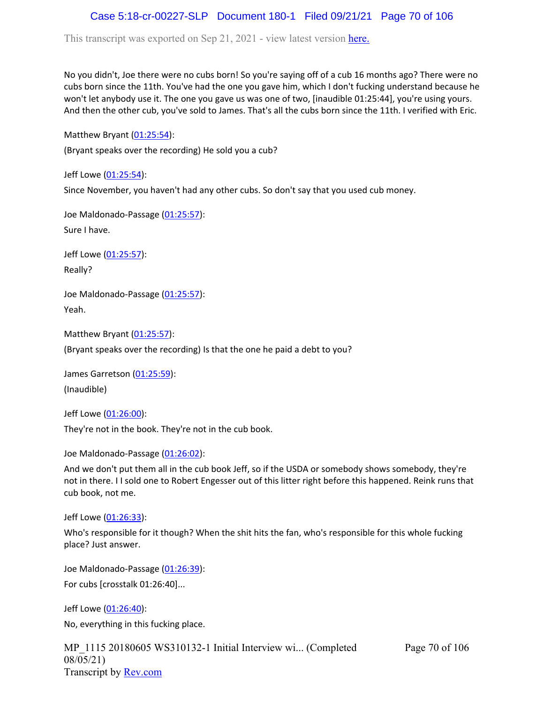# Case 5:18-cr-00227-SLP Document 180-1 Filed 09/21/21 Page 70 of 106

This transcript was exported on Sep 21, 2021 - view latest version [here.](https://www.rev.com/transcript-editor/Edit?token=amZQ9HHFTut_NOLFoO1lSR86cptioQiBp-VVq9f_BePwrTlAl64zFPqcRkwVvmM6GaAv4S7BniclRE4xdf7JBzULLcE&loadFrom=DocumentHeaderDeepLink)

No you didn't, Joe there were no cubs born! So you're saying off of a cub 16 months ago? There were no cubs born since the 11th. You've had the one you gave him, which I don't fucking understand because he won't let anybody use it. The one you gave us was one of two, [inaudible 01:25:44], you're using yours. And then the other cub, you've sold to James. That's all the cubs born since the 11th. I verified with Eric.

Matthew Bryant ([01:25:54](https://www.rev.com/transcript-editor/Edit?token=YsrcIlU_nfs0lJLWwMcI7WP1WLV5zpfO-irdg-haF3IN2OYBjPFcCIuaMcSJ09EEGAbyluVuArgocq7LVKoK1mqMLzw&loadFrom=DocumentDeeplink&ts=5154)):

(Bryant speaks over the recording) He sold you a cub?

Jeff Lowe ([01:25:54](https://www.rev.com/transcript-editor/Edit?token=qNZ2Os_KXaSR1TyHudXctGAbsCSxQtyZeDlsyUd3KeS9WMmyiGTqNpxdXKfyQo74A-wCijqvGlwnFF06eHSX83OrJ3Y&loadFrom=DocumentDeeplink&ts=5154)): Since November, you haven't had any other cubs. So don't say that you used cub money.

Joe Maldonado-Passage [\(01:25:57\)](https://www.rev.com/transcript-editor/Edit?token=HxpxzW_UK3X2-2JkZb4AeNMJeKV9NjjNDIsIdJayosTZPuCPpQoDhc-g_6csJZnmPV7o6FB7grlZZ5o6wtEjv87idy8&loadFrom=DocumentDeeplink&ts=5157.75): Sure I have.

Jeff Lowe ([01:25:57](https://www.rev.com/transcript-editor/Edit?token=f4OELTk9xurS3EqvtFFTZTAc8slxsZGMFC_mw_t6eUOiskQmdYJIl-9-0asn8jEDN3yXHUyrNOTjTYb8WoWTMlPUADI&loadFrom=DocumentDeeplink&ts=5157.86)): Really?

Joe Maldonado-Passage [\(01:25:57\)](https://www.rev.com/transcript-editor/Edit?token=0cMgJONCvpSUBm5FsmGMwvsrorpdAOnlVIPKw7AsMQqY-fIFi1FgR6ENgxT8Rx9VqDck55UibObnMiwl0LmkdurUfpU&loadFrom=DocumentDeeplink&ts=5157.9): Yeah.

Matthew Bryant ([01:25:57](https://www.rev.com/transcript-editor/Edit?token=sJ6NnSAKqkFI7oyn0XGOJV1TsLJI1CGGs-qUBqugtJl1n_dAG94AbHjrYzXnyqi-PJjhRl4lyBFR45dmEhcO0O78hcc&loadFrom=DocumentDeeplink&ts=5157.92)):

(Bryant speaks over the recording) Is that the one he paid a debt to you?

James Garretson ([01:25:59\)](https://www.rev.com/transcript-editor/Edit?token=SKqy5BkGi06qtKusPLSYBljnU7ZSBQ1BhowIRoacd0f0DSHQPeKwwcyRnYvSL8TOKuXo0n-oVv0pQv-4-NZC77gRenU&loadFrom=DocumentDeeplink&ts=5159.981): (Inaudible)

Jeff Lowe ([01:26:00](https://www.rev.com/transcript-editor/Edit?token=ApDBzuXtmnWU262NwbPK8Z32_kTZmW82QCdGOYtoGSQXgxJABUpgQxTMzpf4XozaQEk2j3P9bhrxyD13NNKZsUw71ak&loadFrom=DocumentDeeplink&ts=5160)):

They're not in the book. They're not in the cub book.

Joe Maldonado-Passage [\(01:26:02\)](https://www.rev.com/transcript-editor/Edit?token=cU5iiYR0vve5SBJYo1S9Fbdr_bnxBp-qJT60-zMAZoS_Tl-3yetpcbOyfThG7zXkXUmqMNZfFkMWC-9vdf-Qh11GuUs&loadFrom=DocumentDeeplink&ts=5162.85):

And we don't put them all in the cub book Jeff, so if the USDA or somebody shows somebody, they're not in there. I I sold one to Robert Engesser out of this litter right before this happened. Reink runs that cub book, not me.

Jeff Lowe ([01:26:33](https://www.rev.com/transcript-editor/Edit?token=w23qumzEOu2i7iAqc1xqxQGzOfFulb4w-Gr2hKUnAQTv8roU5qBFVnfelvj7VHvuWqnCi93EmET1zrubetVPNuSSk5I&loadFrom=DocumentDeeplink&ts=5193.16)):

Who's responsible for it though? When the shit hits the fan, who's responsible for this whole fucking place? Just answer.

Joe Maldonado-Passage [\(01:26:39\)](https://www.rev.com/transcript-editor/Edit?token=ZPQawoLFhFfJ6WNuCQSrOs71Bo-m5w9eCwnGAKg_NAs7387DszSxgjXzxPpyTG-EdAJK-kxhwRrVyr5cJCiAWuPAopU&loadFrom=DocumentDeeplink&ts=5199.38): For cubs [crosstalk 01:26:40]...

Jeff Lowe ([01:26:40](https://www.rev.com/transcript-editor/Edit?token=OVXNM0ikCeenHfxqWo06rQYPQFc6Y3svOozxtgLM7TTj2rjtiqfgE2DJUm3RxA0na5lML4gw3FnRxiggzbr2TbI7iiM&loadFrom=DocumentDeeplink&ts=5200.59)): No, everything in this fucking place.

MP\_1115 20180605 WS310132-1 Initial Interview wi... (Completed 08/05/21) Transcript by [Rev.com](https://www.rev.com/)

Page 70 of 106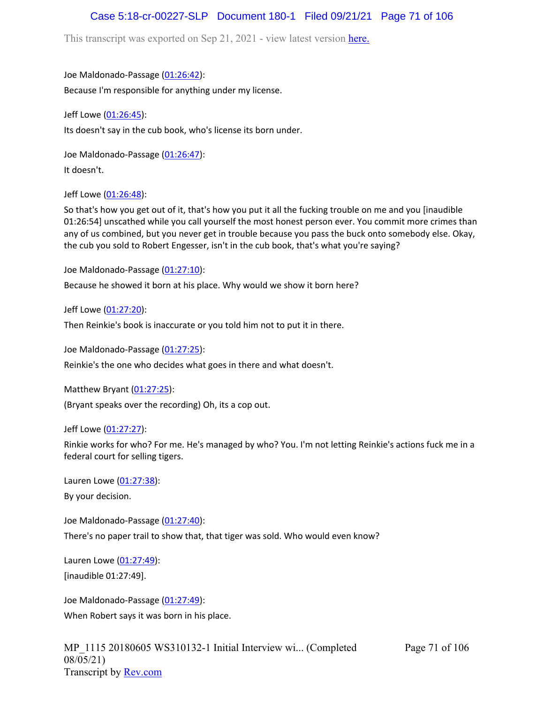# Case 5:18-cr-00227-SLP Document 180-1 Filed 09/21/21 Page 71 of 106

This transcript was exported on Sep 21, 2021 - view latest version [here.](https://www.rev.com/transcript-editor/Edit?token=amZQ9HHFTut_NOLFoO1lSR86cptioQiBp-VVq9f_BePwrTlAl64zFPqcRkwVvmM6GaAv4S7BniclRE4xdf7JBzULLcE&loadFrom=DocumentHeaderDeepLink)

Joe Maldonado-Passage [\(01:26:42\)](https://www.rev.com/transcript-editor/Edit?token=tdBtcfmnTZrnSxIeAXTma6BCEIhgR55a_zvboXubRm7rRbFAnEgfYVBD8q1Mr5xdyzd9gan9D86pLqJXGcBpR9L2a30&loadFrom=DocumentDeeplink&ts=5202.03):

Because I'm responsible for anything under my license.

Jeff Lowe ([01:26:45](https://www.rev.com/transcript-editor/Edit?token=KSGiQ-4Sd30vOilnhT1o7vxsizCjmXaHlatc0gKt6aujA2VGSPxKFZUoqLw2p3l0Amhx8qsqIZCMUBt89DeCqa9wkCQ&loadFrom=DocumentDeeplink&ts=5205.25)): Its doesn't say in the cub book, who's license its born under.

Joe Maldonado-Passage [\(01:26:47\)](https://www.rev.com/transcript-editor/Edit?token=q0LxSUgwn_sstOEVP4DfJB9yqrYqeRwF5EmIKyJi9geE_uc-754f9yEtXSxPA-qraWz43r2N6b8LIXE7R-utHVy1zMo&loadFrom=DocumentDeeplink&ts=5207.36): It doesn't.

Jeff Lowe ([01:26:48](https://www.rev.com/transcript-editor/Edit?token=9hXKgRLNk0qzt8_rcLl3zB3M7hmV8sY1ynjeMtRaqmtlNWss4tixTQS_zY1ASfJfYQSFse5LFgYVWQQl8MuLe2BB5qI&loadFrom=DocumentDeeplink&ts=5208.31)):

So that's how you get out of it, that's how you put it all the fucking trouble on me and you [inaudible 01:26:54] unscathed while you call yourself the most honest person ever. You commit more crimes than any of us combined, but you never get in trouble because you pass the buck onto somebody else. Okay, the cub you sold to Robert Engesser, isn't in the cub book, that's what you're saying?

Joe Maldonado-Passage [\(01:27:10\)](https://www.rev.com/transcript-editor/Edit?token=ZKMPCswpTIae30rJSZWT1awp-LKCnyGEfuttZuKpHVRb5WiTu5nT-ecLO7lXQ5ydjpaSWNslJil3lUZwjKMlbWFxTpQ&loadFrom=DocumentDeeplink&ts=5230.67):

Because he showed it born at his place. Why would we show it born here?

Jeff Lowe ([01:27:20](https://www.rev.com/transcript-editor/Edit?token=fqQlE_NZkLjAJ9-EFc_AnPro45pUO73y2HXEVgDR5EU4ikL7SROvHS7tL7m4afkfPtwgo57WzJbl6uPMsZcWiEXEqOs&loadFrom=DocumentDeeplink&ts=5240.42)):

Then Reinkie's book is inaccurate or you told him not to put it in there.

Joe Maldonado-Passage [\(01:27:25\)](https://www.rev.com/transcript-editor/Edit?token=bA0YKs9t3Dw-FE_twz6fDZTvuMMmy8K3WycikhT6iM7qodAp5ppbPL5px_UxO1NColLvJsnbZ6h5rpZFc8560C0t-ik&loadFrom=DocumentDeeplink&ts=5245.58):

Reinkie's the one who decides what goes in there and what doesn't.

Matthew Bryant ([01:27:25](https://www.rev.com/transcript-editor/Edit?token=F_oedUeiCmQ4qqYXruF9nTDIypXEpuz90_MmoDrA1mvkHtOETwhpWGyrRHzAsH84fK39teyRhTDcl02z8T6Pj_ooZvw&loadFrom=DocumentDeeplink&ts=5245.6)):

(Bryant speaks over the recording) Oh, its a cop out.

Jeff Lowe ([01:27:27](https://www.rev.com/transcript-editor/Edit?token=dWKKvrTpvEWjQtQjD2vh_MoaY3g52X9kZhhdF3LB_VqbInvDpTB62Y3xXHSXuk-g7YGXNx3yT1D3loXa0WLjJLIVw1M&loadFrom=DocumentDeeplink&ts=5247.78)):

Rinkie works for who? For me. He's managed by who? You. I'm not letting Reinkie's actions fuck me in a federal court for selling tigers.

Lauren Lowe ([01:27:38](https://www.rev.com/transcript-editor/Edit?token=TolSyFw-aLTtM3gmcGgyPbtjUBjeldMGtZh8MXJ3kx6cNrlDT0FeiJDL242v7d5diz3r0-a8dmP52Z_x-jvFCmYJHlM&loadFrom=DocumentDeeplink&ts=5258.43)): By your decision.

Joe Maldonado-Passage [\(01:27:40\)](https://www.rev.com/transcript-editor/Edit?token=a8u1asQyvSaz06aKj98BJXz7Co9k-RtWGYZq9bq6Wjm8so2DeCnm1GdOc8_nOtjZxG4GJlsEr-2qCM-FdP_aMuEh0AY&loadFrom=DocumentDeeplink&ts=5260.89): There's no paper trail to show that, that tiger was sold. Who would even know?

Lauren Lowe ([01:27:49](https://www.rev.com/transcript-editor/Edit?token=7pPIvedZXC1u2rF3ExIBPuipYkWft-zNn_86tUFacrUOogCg2yGjMhHnYiiLPPu12YdgrAOpCWy5VGYi7SUlj0e6WAY&loadFrom=DocumentDeeplink&ts=5269)): [inaudible 01:27:49].

Joe Maldonado-Passage [\(01:27:49\)](https://www.rev.com/transcript-editor/Edit?token=FrbeTiLBPlUTm7s0eAMRlXBU0I2NjxIFR29Mk1wamAPVj6gY9JimCUxweNOt5xoLhdeTNjVeryavSf7wE1Y-GclSgek&loadFrom=DocumentDeeplink&ts=5269): When Robert says it was born in his place.

Page 71 of 106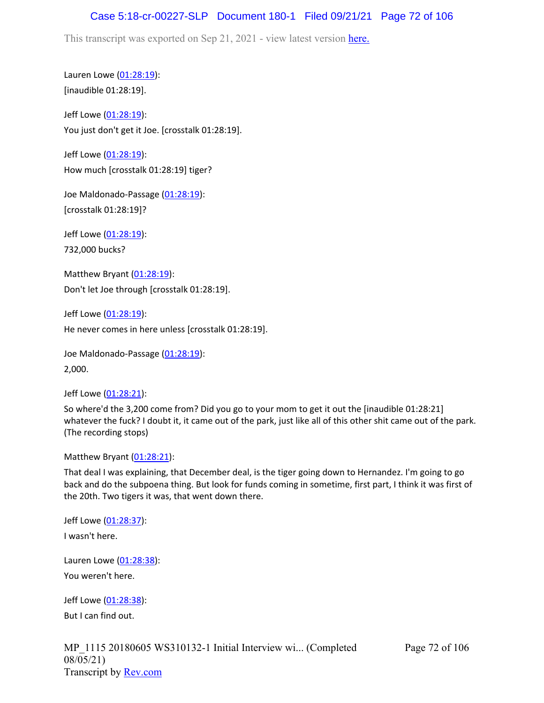## Case 5:18-cr-00227-SLP Document 180-1 Filed 09/21/21 Page 72 of 106

This transcript was exported on Sep 21, 2021 - view latest version [here.](https://www.rev.com/transcript-editor/Edit?token=amZQ9HHFTut_NOLFoO1lSR86cptioQiBp-VVq9f_BePwrTlAl64zFPqcRkwVvmM6GaAv4S7BniclRE4xdf7JBzULLcE&loadFrom=DocumentHeaderDeepLink)

Lauren Lowe ([01:28:19](https://www.rev.com/transcript-editor/Edit?token=capmyG5TAqerviQKiFSJAgZa6RHBsCbRYKDrGxBBtTm_-hr0h74NOQaFuFKqW2ylSUgX7tL5U9wgTzzWbVgPq8p8r0I&loadFrom=DocumentDeeplink&ts=5299.05)): [inaudible 01:28:19].

Jeff Lowe ([01:28:19](https://www.rev.com/transcript-editor/Edit?token=vNORROaZVMnzrTnIp9Rkpyo6dUOKy5a6SQQAVPQkOv3WivUKsCOP2EkFrZMsn3qJfxdUW9pu1bhNQk3PSFJIqjxPhMg&loadFrom=DocumentDeeplink&ts=5299.05)): You just don't get it Joe. [crosstalk 01:28:19].

Jeff Lowe ([01:28:19](https://www.rev.com/transcript-editor/Edit?token=ZRwJNOk6YBgTbWIi2ysp0P5_arpf9F0uFGBUZa94LSNu4YwsoOPEL02xwjpQOj7JMEMoDRU7p5nMBq_f-nBqPRVjZvU&loadFrom=DocumentDeeplink&ts=5299.05)): How much [crosstalk 01:28:19] tiger?

Joe Maldonado-Passage [\(01:28:19\)](https://www.rev.com/transcript-editor/Edit?token=s9ubmdFLbs45youHd_q2WNXpHLObCTsDSQzFt3PWpef_ia3qMiyrYnwBBqXjay6R6HKIj7jbg7ZqR3Kba4L0mdtln04&loadFrom=DocumentDeeplink&ts=5299.05): [crosstalk 01:28:19]?

Jeff Lowe ([01:28:19](https://www.rev.com/transcript-editor/Edit?token=up8oSQ72CpGxSvp5QPOG322plntf99tkHlpoac3x4G4jPCCvXHLGKT04o-pVrexRUAVZr8w8tMFDvwimKBUg9xCcmlM&loadFrom=DocumentDeeplink&ts=5299.05)):

732,000 bucks?

Matthew Bryant ([01:28:19](https://www.rev.com/transcript-editor/Edit?token=QuvtnjHtKnRd-LtaeSMaHcijTLJD1zbnjFHCcoVpwvZgx3FHzMQaqYLN-5LQXs1l57ARS8vnY3xHKfprEcVP_kaO69c&loadFrom=DocumentDeeplink&ts=5299.06)): Don't let Joe through [crosstalk 01:28:19].

Jeff Lowe ([01:28:19](https://www.rev.com/transcript-editor/Edit?token=MOsuyBtY_QZ2VHhiuxdc4M7wENR8BpLlzKpOje3q6LuJshg-hYzb1fUJ1Vo_pdmimo6LKptGf_yqUNCJ0HahKlQuyN8&loadFrom=DocumentDeeplink&ts=5299.06)): He never comes in here unless [crosstalk 01:28:19].

Joe Maldonado-Passage [\(01:28:19\)](https://www.rev.com/transcript-editor/Edit?token=PKNZ2i39Ib387xy9wr0uvTH960CCiVSh6pU8RWkAoeBnA2QkRumeyhR_SnYYmolyNkt32xaEkS0jirdcNr5daqlFlc8&loadFrom=DocumentDeeplink&ts=5299.74): 2,000.

Jeff Lowe ([01:28:21](https://www.rev.com/transcript-editor/Edit?token=JH1I6UFCKL98c3wA-VznBdqqgrjGhz-RLRx1aGQOicME8cJ9Er2KAYcwS1HB0PjgJBQYDnC9DrjzpVw44Y5NlWv6Quo&loadFrom=DocumentDeeplink&ts=5301)):

So where'd the 3,200 come from? Did you go to your mom to get it out the [inaudible 01:28:21] whatever the fuck? I doubt it, it came out of the park, just like all of this other shit came out of the park. (The recording stops)

Matthew Bryant ([01:28:21](https://www.rev.com/transcript-editor/Edit?token=-m7-SZ1KHxBOFHCPSn85nlEZN-bqs1FgMPQBtFfwvO3cHErHRd6Pib9iF5RkThrqpcOUVtkdt5F-nqTN41f8bE4PSyU&loadFrom=DocumentDeeplink&ts=5301)):

That deal I was explaining, that December deal, is the tiger going down to Hernandez. I'm going to go back and do the subpoena thing. But look for funds coming in sometime, first part, I think it was first of the 20th. Two tigers it was, that went down there.

Jeff Lowe ([01:28:37](https://www.rev.com/transcript-editor/Edit?token=h1ej7wuq1dzrQnKuivFk6t0xlwQhu4flX_wt38hRmjCa4LdJLGrOgUD5sEsIwzUPU5xMJo0VV3aBqxF_TefJ8rZr-mI&loadFrom=DocumentDeeplink&ts=5317.29)):

I wasn't here.

Lauren Lowe ([01:28:38](https://www.rev.com/transcript-editor/Edit?token=rveTq4z5jFr72aTzJlX2nZq69xKlmoNGXzYE7LuQ_A8ZiXWIDQ8usAHTqW5GCCIKoRdXEZG-fCpJqPDkvQ6KzMxPTJo&loadFrom=DocumentDeeplink&ts=5318.52)): You weren't here.

Jeff Lowe ([01:28:38](https://www.rev.com/transcript-editor/Edit?token=sbxXOEyVs-3A70O_enw9aOfcR7DZjHGGY0JKl7xFJCRzlhYpokPyGbxMMukRmRVu8vtiFkiSBDI_Gsd4ZeBzEAn34kE&loadFrom=DocumentDeeplink&ts=5318.79)): But I can find out.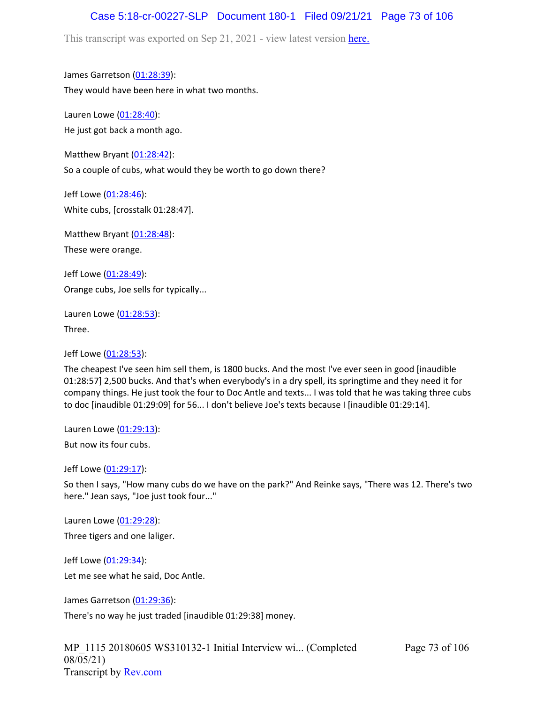## Case 5:18-cr-00227-SLP Document 180-1 Filed 09/21/21 Page 73 of 106

This transcript was exported on Sep 21, 2021 - view latest version [here.](https://www.rev.com/transcript-editor/Edit?token=amZQ9HHFTut_NOLFoO1lSR86cptioQiBp-VVq9f_BePwrTlAl64zFPqcRkwVvmM6GaAv4S7BniclRE4xdf7JBzULLcE&loadFrom=DocumentHeaderDeepLink)

James Garretson ([01:28:39\)](https://www.rev.com/transcript-editor/Edit?token=JUp_7bJAG0O6twEfj2itHVKVUOqBQixb9MhLgqXm-ha_xOKnN8Y7BRU0e_Al74H3yyMQRHzmeiqZFG7fF3_I_3nIBaw&loadFrom=DocumentDeeplink&ts=5319.71): They would have been here in what two months.

Lauren Lowe ([01:28:40](https://www.rev.com/transcript-editor/Edit?token=VeNeLCoxAccFam8AFz3fSWDh5lB0WqngXGrFvEk4Kwjg497XMSFXtpZz9T4PhKvnT2U6HIh8qdgE80quSfF9g4ONbnE&loadFrom=DocumentDeeplink&ts=5320.19)): He just got back a month ago.

Matthew Bryant ([01:28:42](https://www.rev.com/transcript-editor/Edit?token=QDmjYWBJoHm3G7G7wlz1rwzJcDWNVm3HtWtJ6X4cz2pHfWIgpE3VObyJ-iTYlkMbkS5-2Ji9vR5_KeRanTOKAi6edWA&loadFrom=DocumentDeeplink&ts=5322.66)): So a couple of cubs, what would they be worth to go down there?

Jeff Lowe ([01:28:46](https://www.rev.com/transcript-editor/Edit?token=sw-zLSOLbzK6Y2sJYZCX6LX92Ato-FNGp5OIpoGwMvyqcXrwKfr0EAlM0DBLXcu8shbSk8AE-BuNsq428y4dLXniSv8&loadFrom=DocumentDeeplink&ts=5326.35)): White cubs, [crosstalk 01:28:47].

Matthew Bryant ([01:28:48](https://www.rev.com/transcript-editor/Edit?token=l9w1tqI0t-vxmoj21eVMh67Fu4uuhLXR_Kdqqdtg13DVZIG7Pz8NXe421qrjIhR2oJlepmbt8kMUNAwqv5uSvlAjsoM&loadFrom=DocumentDeeplink&ts=5328.76)):

These were orange.

Jeff Lowe ([01:28:49](https://www.rev.com/transcript-editor/Edit?token=cwARi0a9dYxRjZMm_w8Ti8_eoDrhAW2Z65p1tXzKx7PdjyniElSfD9FD2IzhzEqHAsvqd8WCtlpl_xWt6dE5vhGQLxo&loadFrom=DocumentDeeplink&ts=5329.87)): Orange cubs, Joe sells for typically...

Lauren Lowe ([01:28:53](https://www.rev.com/transcript-editor/Edit?token=1g1rOKBPpespYOxznpLygBNUqT5fjrkVK4eDqyXr1bSvLpgtXl6DggwOdT2GgEXpFg_TLm7b7MLEorkN2koa93cuos0&loadFrom=DocumentDeeplink&ts=5333.12)): Three.

Jeff Lowe ([01:28:53](https://www.rev.com/transcript-editor/Edit?token=AWIyZ9InpAffg5pKkTiTjc60XAKsFA-DZqVpGYgqMmZu6g0aiYV2TwEUV_oUTIx-QI1j40vNECTYS0vcKhM5p5suFig&loadFrom=DocumentDeeplink&ts=5333.15)):

The cheapest I've seen him sell them, is 1800 bucks. And the most I've ever seen in good [inaudible 01:28:57] 2,500 bucks. And that's when everybody's in a dry spell, its springtime and they need it for company things. He just took the four to Doc Antle and texts... I was told that he was taking three cubs to doc [inaudible 01:29:09] for 56... I don't believe Joe's texts because I [inaudible 01:29:14].

Lauren Lowe ([01:29:13](https://www.rev.com/transcript-editor/Edit?token=EOOngpNDQLNDs72cBC5yeFK5K48TrnWE2-r2JITQ0ENbVL37zhte-9IaEFJGo_YQcU543izR8v6CbxmoXrtwCQ0DzFk&loadFrom=DocumentDeeplink&ts=5353.54)):

But now its four cubs.

Jeff Lowe ([01:29:17](https://www.rev.com/transcript-editor/Edit?token=biGTsIw07MzeP-PaIKgj-AtRrWoOqjNXOHQOj1VqhmLPcBrhjFmGNgrE-NQ1GbKs7ASEzUzaIIPm_lyOJVeAOE4AG1M&loadFrom=DocumentDeeplink&ts=5357.22)):

So then I says, "How many cubs do we have on the park?" And Reinke says, "There was 12. There's two here." Jean says, "Joe just took four..."

Lauren Lowe ([01:29:28](https://www.rev.com/transcript-editor/Edit?token=yvvg_RyLPDscJb8OkLCuYDeln6MrrdV5AfqE_7cOtd-dAnLBZ1Rt5kjk42mBzxy_9j2fvTSruUbwkdQIaDixcatNA0c&loadFrom=DocumentDeeplink&ts=5368.99)):

Three tigers and one laliger.

Jeff Lowe ([01:29:34](https://www.rev.com/transcript-editor/Edit?token=oXDNTnq-TtP797Sl8S4VqzU8tv3rjfJgfWuhOcnVhZsTt-hzDNzudb_iLEaWlG6zRNZwHMhYcbBxojncDGq4T7KksDQ&loadFrom=DocumentDeeplink&ts=5374.21)): Let me see what he said, Doc Antle.

James Garretson ([01:29:36\)](https://www.rev.com/transcript-editor/Edit?token=Rg54Yq4ixU5ZbHYHDbqKQIiLo6cO84942esykVD-ZYvh9lOPekXuiJ7o5TtwagYvMyJyy5qW01ebry7eytC7-_TU6uU&loadFrom=DocumentDeeplink&ts=5376.74):

There's no way he just traded [inaudible 01:29:38] money.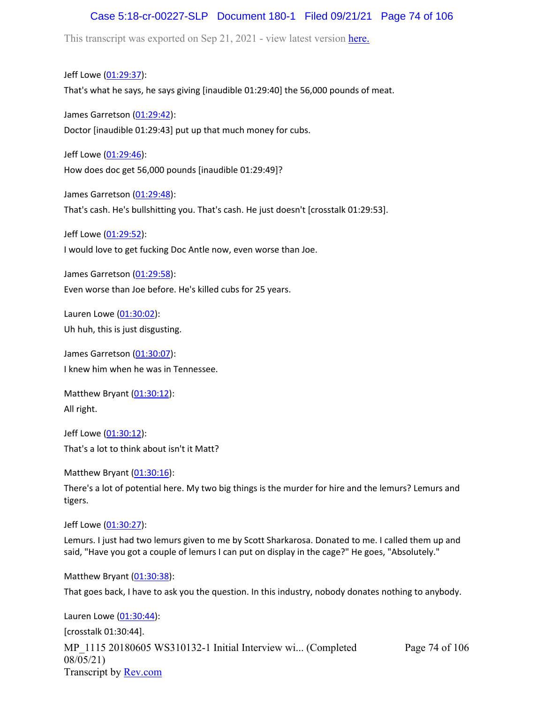#### Case 5:18-cr-00227-SLP Document 180-1 Filed 09/21/21 Page 74 of 106

This transcript was exported on Sep 21, 2021 - view latest version [here.](https://www.rev.com/transcript-editor/Edit?token=amZQ9HHFTut_NOLFoO1lSR86cptioQiBp-VVq9f_BePwrTlAl64zFPqcRkwVvmM6GaAv4S7BniclRE4xdf7JBzULLcE&loadFrom=DocumentHeaderDeepLink)

Jeff Lowe ([01:29:37](https://www.rev.com/transcript-editor/Edit?token=fsBaKSbWzQv1rkBNVCI6GLpEl7el87N_rr-dwVXKiaHRyBtS7p4Kl1sbqA4RIrsV7nU0I_ykJeouJgEXQ3Y8FbB_Iwg&loadFrom=DocumentDeeplink&ts=5377.8)): That's what he says, he says giving [inaudible 01:29:40] the 56,000 pounds of meat.

James Garretson ([01:29:42\)](https://www.rev.com/transcript-editor/Edit?token=y27OVYowgqRTFwPIWdKQxJeOOSi88s2LN1HPhduDa7lZZiQnX8GpKwjMRO5Pb-wGpfxEaupFGkyvdt-krYhvQ-TgOpo&loadFrom=DocumentDeeplink&ts=5382.44): Doctor [inaudible 01:29:43] put up that much money for cubs.

Jeff Lowe ([01:29:46](https://www.rev.com/transcript-editor/Edit?token=qwh5PUiKg0x63UnrvEAVuoDrt_4B3NxUhtr5cYrx_Xxz9c-YEtdv0YcesVtL4cOAMEOer24BoDb-d0qXC7Y7u1wJGVc&loadFrom=DocumentDeeplink&ts=5386.2)): How does doc get 56,000 pounds [inaudible 01:29:49]?

James Garretson ([01:29:48\)](https://www.rev.com/transcript-editor/Edit?token=2gNnq1-FU8n65cXkKEv1tGXtS0er51PWg-zuDfoY84sSXpsvGnfKn5-Eo1OeMZA-pwVQq1yze6Lg9Vh0qMRWx5Hn-jA&loadFrom=DocumentDeeplink&ts=5388.88): That's cash. He's bullshitting you. That's cash. He just doesn't [crosstalk 01:29:53].

Jeff Lowe ([01:29:52](https://www.rev.com/transcript-editor/Edit?token=glYzHbSYnCe8gk9zW9cckiLKGA2GH_QdSTrh00vcal0ox_conD7J9NASghKVlxyRoHfiilRnOf75NocHEAWeqJFqeYM&loadFrom=DocumentDeeplink&ts=5392.99)):

I would love to get fucking Doc Antle now, even worse than Joe.

James Garretson ([01:29:58\)](https://www.rev.com/transcript-editor/Edit?token=16luSxq1RCfa4QBQ9Djjmug1okyakrnyHt7axUFvjpNevN4noPXrW8GrOOwtLAN-RFv8hW-bcEL-zvbyg-oxE30N6dE&loadFrom=DocumentDeeplink&ts=5398.23): Even worse than Joe before. He's killed cubs for 25 years.

Lauren Lowe ([01:30:02](https://www.rev.com/transcript-editor/Edit?token=wlgluvGFveV5Gnpp7MAG_RQWG8f7OcDHvGa9NjeFT0ObCvz7sinWNmqwzokAqAiXGy3q9Qkea_n2BHUr6yw-z-_eNGU&loadFrom=DocumentDeeplink&ts=5402.85)): Uh huh, this is just disgusting.

James Garretson ([01:30:07\)](https://www.rev.com/transcript-editor/Edit?token=VT2fcV82ffx1vi2_1x0c2OPA4As4kCCk2NkHvXv9IP_qbB-BDxhB6urEXBbkD-T4bC9M22IDpQ515wE8bUz0XKer73E&loadFrom=DocumentDeeplink&ts=5407.35): I knew him when he was in Tennessee.

Matthew Bryant ([01:30:12](https://www.rev.com/transcript-editor/Edit?token=66srQuXSOOGfB4tVbHIaQHYwe9cJDkrtJdvoBet015pYh7ywD_DF-IuHLnPFyYab1dDhDExebtDbRUUtqPn9XixSkU8&loadFrom=DocumentDeeplink&ts=5412.76)): All right.

Jeff Lowe ([01:30:12](https://www.rev.com/transcript-editor/Edit?token=Dawez9smXYu-jtlCMojx-47udzw7CFEu0-EmzdTAp0x1SW3nQrLU4fAbDtNrRQYXBjKEFJOyC6HlU0oXPsWTTDQlaNA&loadFrom=DocumentDeeplink&ts=5412.92)): That's a lot to think about isn't it Matt?

Matthew Bryant ([01:30:16](https://www.rev.com/transcript-editor/Edit?token=ANJVzcS_PzWZjhEZ0Ibqui1sg3s7tYqld081TvSc3JLgUM20_HEUpD53QMenFDH7Jj9l7PgP1jl81hz6kTFcHATgfrM&loadFrom=DocumentDeeplink&ts=5416.36)):

There's a lot of potential here. My two big things is the murder for hire and the lemurs? Lemurs and tigers.

Jeff Lowe ([01:30:27](https://www.rev.com/transcript-editor/Edit?token=GWSIJoEgGZ33aEI7RzWRdMPe-W4Z1OBQNjA3969ty59wRoCAyBMN0XMyNis12p0oGR1pZFjJ0B5ccTKEIvJOvpdViCM&loadFrom=DocumentDeeplink&ts=5427.27)):

Lemurs. I just had two lemurs given to me by Scott Sharkarosa. Donated to me. I called them up and said, "Have you got a couple of lemurs I can put on display in the cage?" He goes, "Absolutely."

Matthew Bryant ([01:30:38](https://www.rev.com/transcript-editor/Edit?token=MrInnXceuLwKLAf0ER9rMs6Cxuo8o-WTSjPXskWNZWEQP1Uv86yM4a2aWkJ8CHKj-cckvHRQdXvGNW2OGPAz4YE9eNs&loadFrom=DocumentDeeplink&ts=5438.38)):

That goes back, I have to ask you the question. In this industry, nobody donates nothing to anybody.

MP\_1115 20180605 WS310132-1 Initial Interview wi... (Completed 08/05/21) Transcript by [Rev.com](https://www.rev.com/) Page 74 of 106 Lauren Lowe ([01:30:44](https://www.rev.com/transcript-editor/Edit?token=Z4l8EBv-vvu-PujJNoWtW7qiVcg8X2xd_U5Cq7rL244mwT8en2hUAR5iO0q3KKBHrEtvWdlqAkEzYtq6abO8Dj9CM7g&loadFrom=DocumentDeeplink&ts=5444)): [crosstalk 01:30:44].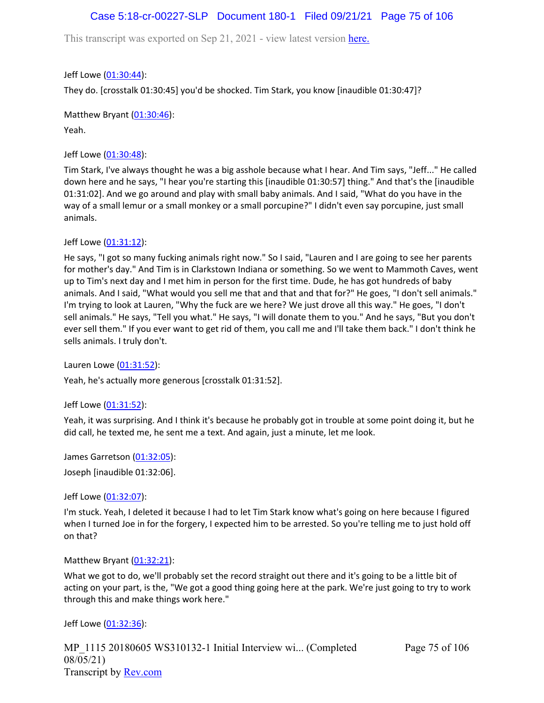## Case 5:18-cr-00227-SLP Document 180-1 Filed 09/21/21 Page 75 of 106

This transcript was exported on Sep 21, 2021 - view latest version [here.](https://www.rev.com/transcript-editor/Edit?token=amZQ9HHFTut_NOLFoO1lSR86cptioQiBp-VVq9f_BePwrTlAl64zFPqcRkwVvmM6GaAv4S7BniclRE4xdf7JBzULLcE&loadFrom=DocumentHeaderDeepLink)

Jeff Lowe ([01:30:44](https://www.rev.com/transcript-editor/Edit?token=5PCMm8eRh87sb1qfo9kECh7z0whu2lv2jLdNwJSwI71SLhiT8WI4cFYe3NEzRANNRLjaNfX8fiCLwj2e3JyoQgLnniI&loadFrom=DocumentDeeplink&ts=5444)):

They do. [crosstalk 01:30:45] you'd be shocked. Tim Stark, you know [inaudible 01:30:47]?

Matthew Bryant ([01:30:46](https://www.rev.com/transcript-editor/Edit?token=6KcIlgclR1ujhkkW_IdcN-bzGE8enmJC3UnrzTmrFv-wxQ9ICOph0ta_WUjwF1KKfceHPk6GbFSGV7bPJYqBcIFSuuY&loadFrom=DocumentDeeplink&ts=5446.83)):

Yeah.

Jeff Lowe ([01:30:48](https://www.rev.com/transcript-editor/Edit?token=vXU-OmyV4LjTUNZLm-6UthBOqZQkG2e392NE1BRhWfylmr9a3vQ1rec3beNTSxd64PxGKkT8dS4UoTi0qWos1EZlO_E&loadFrom=DocumentDeeplink&ts=5448.12)):

Tim Stark, I've always thought he was a big asshole because what I hear. And Tim says, "Jeff..." He called down here and he says, "I hear you're starting this [inaudible 01:30:57] thing." And that's the [inaudible 01:31:02]. And we go around and play with small baby animals. And I said, "What do you have in the way of a small lemur or a small monkey or a small porcupine?" I didn't even say porcupine, just small animals.

Jeff Lowe ([01:31:12](https://www.rev.com/transcript-editor/Edit?token=ClRFOL6zX9RmCgURQ1hQnR1S9fRMAECU9ihMPPrGuBEfNq21GxlxTVqk9jxbDskMF20M7X6XjTFf_sLXTK3dzYoPhAw&loadFrom=DocumentDeeplink&ts=5472.34)):

He says, "I got so many fucking animals right now." So I said, "Lauren and I are going to see her parents for mother's day." And Tim is in Clarkstown Indiana or something. So we went to Mammoth Caves, went up to Tim's next day and I met him in person for the first time. Dude, he has got hundreds of baby animals. And I said, "What would you sell me that and that and that for?" He goes, "I don't sell animals." I'm trying to look at Lauren, "Why the fuck are we here? We just drove all this way." He goes, "I don't sell animals." He says, "Tell you what." He says, "I will donate them to you." And he says, "But you don't ever sell them." If you ever want to get rid of them, you call me and I'll take them back." I don't think he sells animals. I truly don't.

Lauren Lowe ([01:31:52](https://www.rev.com/transcript-editor/Edit?token=E74aCseH0OMUPFvDL2ytGZxi9KqI8QN0H8DMhoI7o7xhi2PMDll_ZWrsP1kvrayln6MS738eV4lK2YaLS8hf3t1Zgdw&loadFrom=DocumentDeeplink&ts=5512)):

Yeah, he's actually more generous [crosstalk 01:31:52].

Jeff Lowe ([01:31:52](https://www.rev.com/transcript-editor/Edit?token=ZTpkcJ4HzVLwfk1so_qwuzy-sQW-Jj66P4SyLJpWKeY5kzlnP8G0Q3DvR5S3dgXnxfKTuP7CfjQZ_fDPGhsfn-WK7Ts&loadFrom=DocumentDeeplink&ts=5512.3)):

Yeah, it was surprising. And I think it's because he probably got in trouble at some point doing it, but he did call, he texted me, he sent me a text. And again, just a minute, let me look.

James Garretson ([01:32:05\)](https://www.rev.com/transcript-editor/Edit?token=69tiHh9nE0o-Di9Di7-oqrQ4aLvQ6yzP6O9hsPtJyIpw2WHnkVG0Pf6b57emoGH51aBAO252k1ucKm8VRRWN6OSrBBg&loadFrom=DocumentDeeplink&ts=5525.59): Joseph [inaudible 01:32:06].

Jeff Lowe ([01:32:07](https://www.rev.com/transcript-editor/Edit?token=G9E5EZxhYoaIT1Ulc5WNtXXwDg3tH2eXZAJAMR15FMcAQfjZR4fB9vNQSH3ZUF4axpyXanVvOyGgX22uYKzzNLHUubk&loadFrom=DocumentDeeplink&ts=5527.52)):

I'm stuck. Yeah, I deleted it because I had to let Tim Stark know what's going on here because I figured when I turned Joe in for the forgery, I expected him to be arrested. So you're telling me to just hold off on that?

Matthew Bryant ([01:32:21](https://www.rev.com/transcript-editor/Edit?token=brfug8azMMBrwZdLgfrUSvT7oBzSDDK5IUTOtAQpNNxJi5zPyPCEHkbMThmYzDQ8Pp-XgZL79Cq-LczeYIS53I3IKRU&loadFrom=DocumentDeeplink&ts=5541.27)):

What we got to do, we'll probably set the record straight out there and it's going to be a little bit of acting on your part, is the, "We got a good thing going here at the park. We're just going to try to work through this and make things work here."

Jeff Lowe ([01:32:36](https://www.rev.com/transcript-editor/Edit?token=vxu2ClGkAowf-tFRDlyqFlaQufxrkkGFMRHpi-NvH2q4HqJw8Ies07hnjfam3PTuFau_RBKNkedIMnmTvDuD6zl4ubs&loadFrom=DocumentDeeplink&ts=5556.48)):

MP\_1115 20180605 WS310132-1 Initial Interview wi... (Completed 08/05/21) Transcript by [Rev.com](https://www.rev.com/)

Page 75 of 106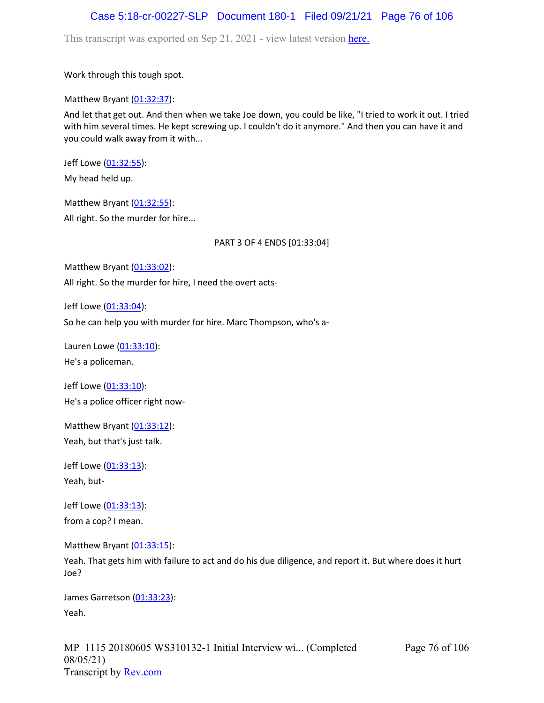#### Case 5:18-cr-00227-SLP Document 180-1 Filed 09/21/21 Page 76 of 106

This transcript was exported on Sep 21, 2021 - view latest version [here.](https://www.rev.com/transcript-editor/Edit?token=amZQ9HHFTut_NOLFoO1lSR86cptioQiBp-VVq9f_BePwrTlAl64zFPqcRkwVvmM6GaAv4S7BniclRE4xdf7JBzULLcE&loadFrom=DocumentHeaderDeepLink)

Work through this tough spot.

Matthew Bryant  $(01:32:37)$  $(01:32:37)$  $(01:32:37)$ :

And let that get out. And then when we take Joe down, you could be like, "I tried to work it out. I tried with him several times. He kept screwing up. I couldn't do it anymore." And then you can have it and you could walk away from it with...

Jeff Lowe ([01:32:55](https://www.rev.com/transcript-editor/Edit?token=_vag5NpQcmbszVU-tsiGvE90BisJay-wTFoFwfTP3e6qNzWDuHLIIZI3Whb9eyVdyGUb6hHsycukQdlpS3FCMbPK-ng&loadFrom=DocumentDeeplink&ts=5575.73)):

My head held up.

Matthew Bryant ([01:32:55](https://www.rev.com/transcript-editor/Edit?token=BO2ADT81M1kZVaJWrAyCaektBg1Wd_Bl_kxdFPz7HeIhaEFXwxyNkwGeTpv99Qfq21-WgAi391MkR_9gY60fo71L2rc&loadFrom=DocumentDeeplink&ts=5575.73)): All right. So the murder for hire...

PART 3 OF 4 ENDS [01:33:04]

Matthew Bryant ([01:33:02](https://www.rev.com/transcript-editor/Edit?token=gl11BapyuGz8tT4d_p7jwJ7patzbS7lfB-e_TOKpYUS6I1zqz1Dgrb05VnYCb-FOf5yckndEyAhiuS_iusDcs0L_UAo&loadFrom=DocumentDeeplink&ts=5582.571)):

All right. So the murder for hire, I need the overt acts-

Jeff Lowe ([01:33:04](https://www.rev.com/transcript-editor/Edit?token=Ma4OXd1riUzz35vlrWHgMc4xdI0B4fMMDRYYGMlbZJnZQOnrNZLKHHsU6gkLN8ZZSO5ketC75L2ChrrtiGajK-tpz4c&loadFrom=DocumentDeeplink&ts=5584.55)):

So he can help you with murder for hire. Marc Thompson, who's a-

Lauren Lowe ([01:33:10](https://www.rev.com/transcript-editor/Edit?token=-Hf-Sk5XEwCdssSNIp6PeTSeKNHzzR3rwTWwo5erH0nozk6NBS29siLjw0LH4o8ZtIyJ0P09nVPOfKr7j7qjepU4gVI&loadFrom=DocumentDeeplink&ts=5590.57)): He's a policeman.

Jeff Lowe ([01:33:10](https://www.rev.com/transcript-editor/Edit?token=MGLyi3YU0zfcXQxSuzcF3bcBniWWGeiGeT1d1CpM5Slj7udJFyzBkLpaKkcLrJe6IKFkxDjYoxFcBDSXwh1w5gHIe6A&loadFrom=DocumentDeeplink&ts=5590.85)): He's a police officer right now-

Matthew Bryant  $(01:33:12)$  $(01:33:12)$  $(01:33:12)$ : Yeah, but that's just talk.

Jeff Lowe ([01:33:13](https://www.rev.com/transcript-editor/Edit?token=mfvG__daw6_L7JGyfKXRamYN1jYl9fezYjiVOU99xsdPBQuO_nJTa4s5ZPtnM1xsPAWCNuA6GopmLmdoVJWPoGQUAPg&loadFrom=DocumentDeeplink&ts=5593.1)): Yeah, but-

Jeff Lowe ([01:33:13](https://www.rev.com/transcript-editor/Edit?token=qKIAdwpt0c26VPNABBJTnxJFI3UJ5KsKU1yxvdbzpAPTCTMHBOezrhRSOLUpFgE7Uuw5_wrIk0oAEV4Vn8Bvb-AnJ5o&loadFrom=DocumentDeeplink&ts=5593.88)): from a cop? I mean.

Matthew Bryant ([01:33:15](https://www.rev.com/transcript-editor/Edit?token=FTx61h04TIfFvXrC23V5ajTBM8SY5PvBpXliqvEWMBLQYVywmFOzOP_vVwF6K8tv9WHAbI4M8ymDbTS4bdn9YeUNgXk&loadFrom=DocumentDeeplink&ts=5595.97)):

Yeah. That gets him with failure to act and do his due diligence, and report it. But where does it hurt Joe?

James Garretson ([01:33:23\)](https://www.rev.com/transcript-editor/Edit?token=TXCxVjTAF6EnxV573c1gGfDAM4naNKbv8gKFzv9Sot6bzI2g6SqJYTihFSuLo-PlPqhKAjY8I6SHvDMiTjV5RAMPCmA&loadFrom=DocumentDeeplink&ts=5603.6): Yeah.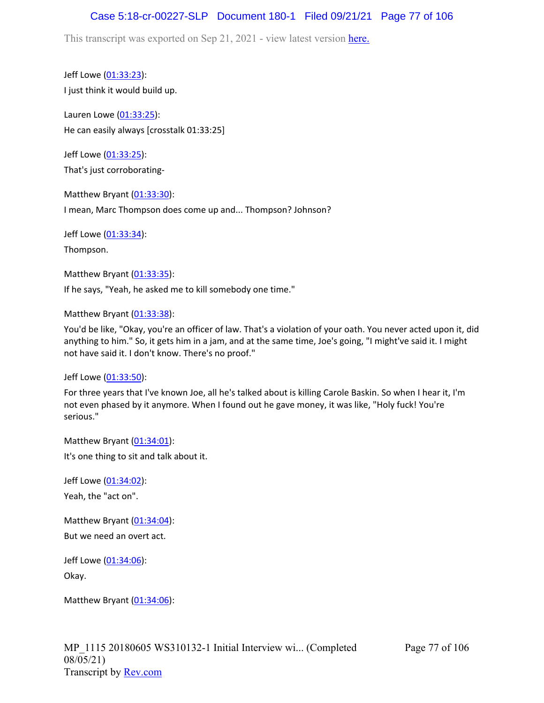## Case 5:18-cr-00227-SLP Document 180-1 Filed 09/21/21 Page 77 of 106

This transcript was exported on Sep 21, 2021 - view latest version [here.](https://www.rev.com/transcript-editor/Edit?token=amZQ9HHFTut_NOLFoO1lSR86cptioQiBp-VVq9f_BePwrTlAl64zFPqcRkwVvmM6GaAv4S7BniclRE4xdf7JBzULLcE&loadFrom=DocumentHeaderDeepLink)

Jeff Lowe ([01:33:23](https://www.rev.com/transcript-editor/Edit?token=yRLsBo0LW_grdhHu4Ix2_UMQEbTRUoTQokMA6BKJAQgf5HRdCw1JDcwk7GCZAL2JtVsMLDX0QciPbrCGP9ZMaRLlhtE&loadFrom=DocumentDeeplink&ts=5603.62)): I just think it would build up.

Lauren Lowe ([01:33:25](https://www.rev.com/transcript-editor/Edit?token=1tJZJKzA5L-hvq7tD4q802Z3sx-ZGx_5mO7PrRU3AQDlMzoNZsyYgvix4fvD_knNehuQEc_gqcdY2eCNQ8G_e76EOLI&loadFrom=DocumentDeeplink&ts=5605)): He can easily always [crosstalk 01:33:25]

Jeff Lowe ([01:33:25](https://www.rev.com/transcript-editor/Edit?token=G9iDNQmrjpNbtaOO_-d_NYR_MkKcno9VGOIYlKV766n-dnZ4mCZkqDkoeKZc4o-YwiFBI48_PymFnizzEjw01drvywk&loadFrom=DocumentDeeplink&ts=5605.1)): That's just corroborating-

Matthew Bryant ([01:33:30](https://www.rev.com/transcript-editor/Edit?token=8qBJsO1_iXnaXt90su03Rm3yZCPe6rFO-McsR6BKIErEHR0DCNAyrJXSMax-Y88aZ6zdrtipg7em34TmoYzW4KuEkdA&loadFrom=DocumentDeeplink&ts=5610.87)): I mean, Marc Thompson does come up and... Thompson? Johnson?

Jeff Lowe ([01:33:34](https://www.rev.com/transcript-editor/Edit?token=QLiI-TBHITLITHo6i16KJNs7bduylrQlvP76oFCASWayYebaFAaclv4r_HthltW3MnTxKxh-U8gTLs6Y2r2pogiE3k0&loadFrom=DocumentDeeplink&ts=5614.68)):

Thompson.

Matthew Bryant ([01:33:35](https://www.rev.com/transcript-editor/Edit?token=PUZome_shOUrXIbTg2gsbY7YRbmUP8-6zJrb81Kdi0ZnyrIk_o06Xtz-zD95ntc7rtIBFRH-Rz2msNwRVAZmaixyBrQ&loadFrom=DocumentDeeplink&ts=5615.9)): If he says, "Yeah, he asked me to kill somebody one time."

Matthew Bryant ([01:33:38](https://www.rev.com/transcript-editor/Edit?token=hSOLHR1K0cJzwLzTw7Xm4j2dbVqp-bFYw16XbfiIQDaAoY8_1bmklNRuamQ-3mB-XuVDJYYX9ZlybcG8u2PiN_2cFwk&loadFrom=DocumentDeeplink&ts=5618.71)):

You'd be like, "Okay, you're an officer of law. That's a violation of your oath. You never acted upon it, did anything to him." So, it gets him in a jam, and at the same time, Joe's going, "I might've said it. I might not have said it. I don't know. There's no proof."

Jeff Lowe ([01:33:50](https://www.rev.com/transcript-editor/Edit?token=BqbMxQozMemsYzYw4fhW6WbgQWqI2g3L0N9tRF4LVdvybr1pvL3kVcBgsH_EfWXeE4P1n1kB-i7inLn494NY3W0F6Xo&loadFrom=DocumentDeeplink&ts=5630.91)):

For three years that I've known Joe, all he's talked about is killing Carole Baskin. So when I hear it, I'm not even phased by it anymore. When I found out he gave money, it was like, "Holy fuck! You're serious."

Matthew Bryant ([01:34:01](https://www.rev.com/transcript-editor/Edit?token=3nMdsRVr8a2Ah9rHzRCVMP7EpP10HwWbR8ihOEgAoXt9pA2fg0_Q3T4KJAcSAjxwUGClw8QjAomTlsrNHmqrwAUpIWw&loadFrom=DocumentDeeplink&ts=5641.26)): It's one thing to sit and talk about it.

Jeff Lowe ([01:34:02](https://www.rev.com/transcript-editor/Edit?token=XkR2135Xt1UuQ-uL5hQIysQlfK7npMZwuTYtI803_4UCaG9cxqpSm2w3CJ0RMSgeiTe_nr8bejBjLWdtJ0n6J4cQcRs&loadFrom=DocumentDeeplink&ts=5642.75)): Yeah, the "act on".

Matthew Bryant ([01:34:04](https://www.rev.com/transcript-editor/Edit?token=_yqkp5QQ1gCtAkNsBz6-zcpyWkqvd2lPSTWkfRqAjOUnAv8MjOofyx2NV8s9AqDLAlZxdXwveK6gVtzD3L4zvScLlVc&loadFrom=DocumentDeeplink&ts=5644.68)): But we need an overt act.

Jeff Lowe ([01:34:06](https://www.rev.com/transcript-editor/Edit?token=KdgGa2T7LX2ZQWY5ldr88ug1QSHODMCzgKkhuvUxW62cVZUc_P5QtFJlNgM9wiJmD4mDkRVIfuiR16Yaaf9JXPQDoKE&loadFrom=DocumentDeeplink&ts=5646.04)): Okay.

Matthew Bryant ([01:34:06](https://www.rev.com/transcript-editor/Edit?token=AwE2lMREr_6T-tTWmnSzQtvRO5R_Hwrs9lbK1N6KFxA6v2AySKU0tpt_YCy9fml_YgVKfjzJT8gZpJHtgWHuE-_8ywg&loadFrom=DocumentDeeplink&ts=5646.73)):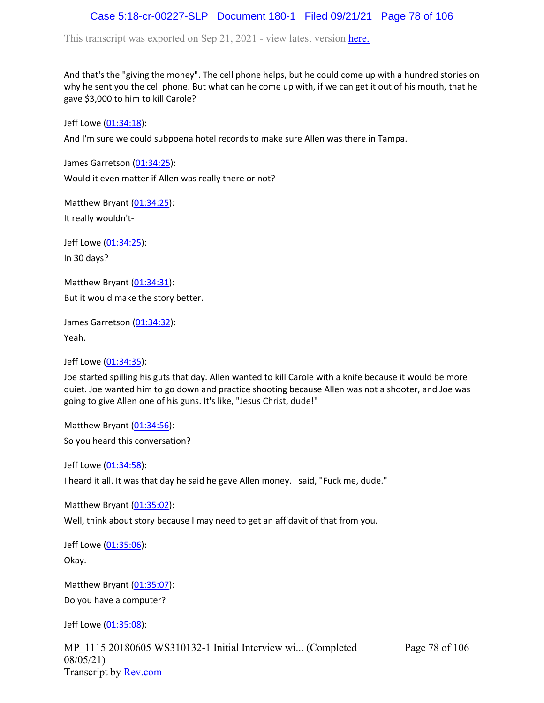## Case 5:18-cr-00227-SLP Document 180-1 Filed 09/21/21 Page 78 of 106

This transcript was exported on Sep 21, 2021 - view latest version [here.](https://www.rev.com/transcript-editor/Edit?token=amZQ9HHFTut_NOLFoO1lSR86cptioQiBp-VVq9f_BePwrTlAl64zFPqcRkwVvmM6GaAv4S7BniclRE4xdf7JBzULLcE&loadFrom=DocumentHeaderDeepLink)

And that's the "giving the money". The cell phone helps, but he could come up with a hundred stories on why he sent you the cell phone. But what can he come up with, if we can get it out of his mouth, that he gave \$3,000 to him to kill Carole?

Jeff Lowe ([01:34:18](https://www.rev.com/transcript-editor/Edit?token=gPWPuR8OL1MOvI8kJ31r41eN7xTQ9ZYLUjuSvGXgWeQBTgfZZ3df9h-2cDqmXAUjDw-5U-ZsL2a-FeskLKYXVJaViL4&loadFrom=DocumentDeeplink&ts=5658.87)):

And I'm sure we could subpoena hotel records to make sure Allen was there in Tampa.

James Garretson ([01:34:25\)](https://www.rev.com/transcript-editor/Edit?token=SmULWTUdsTdq4amFwWksg_Irl0bNnBhwfVbevH_dMXxPxcn-PJ61ntJjj-MKSTU7JO8q-fl1YHCwBbvhlX1t3V7BRqI&loadFrom=DocumentDeeplink&ts=5665.6):

Would it even matter if Allen was really there or not?

Matthew Bryant ([01:34:25](https://www.rev.com/transcript-editor/Edit?token=Y0exFKdCO7l68jlfWHQaRWfrZLFrNLYLdelIhFWYLspArlOKWMydef55JGU158YNuwdbltOfy9ZUMTUrJKjItVU6t3E&loadFrom=DocumentDeeplink&ts=5665.65)): It really wouldn't-

Jeff Lowe ([01:34:25](https://www.rev.com/transcript-editor/Edit?token=8DhPh3DNyyjj1I6jEIBlh4KvTdFU7V_25uelo-w3h9MU7oC_eloP0-1JkVjKs3CrALyNxMUJVsHqzuQiOla6x_fFIIU&loadFrom=DocumentDeeplink&ts=5665.65)): In 30 days?

Matthew Bryant ([01:34:31](https://www.rev.com/transcript-editor/Edit?token=1xAXzj2MLrp-dkI0VKrlfk-vZ18jXNwMU7ycLgnOyK-VgQBmLx3bcf1DdJGKrYIm4BHKm2J9ck7tMBOpdKKtyR5x9TM&loadFrom=DocumentDeeplink&ts=5671.27)): But it would make the story better.

James Garretson ([01:34:32\)](https://www.rev.com/transcript-editor/Edit?token=zRBZ2qiWbzz-9kpIReziHB_Of97EcTc2bbm9ZgjVjMWFFA1q3ugsId3hs-eUEAVaYpDufaINGmUUWfo7pQyS5cdaCzg&loadFrom=DocumentDeeplink&ts=5672): Yeah.

Jeff Lowe ([01:34:35](https://www.rev.com/transcript-editor/Edit?token=xSQWAT1b3ncYiMCeYgQR-8d-d6KL3eLuY4rTHy0UscCU7RLZ-D4kHUevFfO2Vq6pwbwc3gaGLRvf6dO8gfgoUyQC1wQ&loadFrom=DocumentDeeplink&ts=5675.64)):

Joe started spilling his guts that day. Allen wanted to kill Carole with a knife because it would be more quiet. Joe wanted him to go down and practice shooting because Allen was not a shooter, and Joe was going to give Allen one of his guns. It's like, "Jesus Christ, dude!"

Matthew Bryant ([01:34:56](https://www.rev.com/transcript-editor/Edit?token=f7nWIQPaf7LqMOma2xEaDXWDc7nN8Vt-3MwxNQYnN0dRYo9SnxCFWLAJSkG1iNFooQ5YPDABpuxiwjXvRl-2YoGNEO0&loadFrom=DocumentDeeplink&ts=5696.63)):

So you heard this conversation?

Jeff Lowe ([01:34:58](https://www.rev.com/transcript-editor/Edit?token=5HZsbmKVvcBKU0twXKhop8mx0-b4rjKAcAV6TQy6s2zBclcVqkVuuTKNlv4qytO_tlynPwSlS3ckozvfVibneIyy_YQ&loadFrom=DocumentDeeplink&ts=5698.29)): I heard it all. It was that day he said he gave Allen money. I said, "Fuck me, dude."

Matthew Bryant ([01:35:02](https://www.rev.com/transcript-editor/Edit?token=WecK-zedVutsi-SLCsoECEu6s8H-gN3rr6qM28JFEV6H2f_c63tRut2oSyplNpEOolJQJ3Y5l-VAho6Ap8og4C7l3-M&loadFrom=DocumentDeeplink&ts=5702.24)):

Well, think about story because I may need to get an affidavit of that from you.

Jeff Lowe ([01:35:06](https://www.rev.com/transcript-editor/Edit?token=yEBEAZfo5Q-3UEveDoLW1NSvioNVVXdk_QTARHgNDYPgINkQbAQ6lbRAZmkyksiqTsyOx7Jh1vjPx5shhei6raJu0TQ&loadFrom=DocumentDeeplink&ts=5706.58)):

Okay.

Matthew Bryant ([01:35:07](https://www.rev.com/transcript-editor/Edit?token=wv8qtOwBKsO9oafWJUH5gsWAZDJrTKB6SEj1Wsuxpq5EE4ZMIwoR4--JqUHo73rh_R2J0H6bqV5QWviDNc-uvjtMFnk&loadFrom=DocumentDeeplink&ts=5707.78)): Do you have a computer?

Jeff Lowe ([01:35:08](https://www.rev.com/transcript-editor/Edit?token=80PU9FGj_Y0Za3O5_eEECL4w9kMl-B4Z933MXUEk5QBAuxCpz1kgPNG-yToc2fonpZYJiJ_8YpcZirGP44ARywpzIhE&loadFrom=DocumentDeeplink&ts=5708.94)):

MP\_1115 20180605 WS310132-1 Initial Interview wi... (Completed 08/05/21) Transcript by [Rev.com](https://www.rev.com/)

Page 78 of 106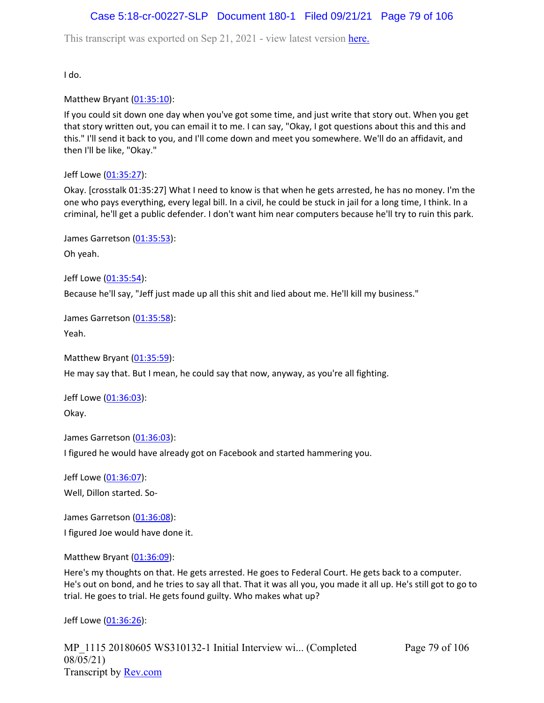## Case 5:18-cr-00227-SLP Document 180-1 Filed 09/21/21 Page 79 of 106

This transcript was exported on Sep 21, 2021 - view latest version [here.](https://www.rev.com/transcript-editor/Edit?token=amZQ9HHFTut_NOLFoO1lSR86cptioQiBp-VVq9f_BePwrTlAl64zFPqcRkwVvmM6GaAv4S7BniclRE4xdf7JBzULLcE&loadFrom=DocumentHeaderDeepLink)

I do.

Matthew Bryant ([01:35:10](https://www.rev.com/transcript-editor/Edit?token=JMAuB32OGvZ3E9k8ZkNLZp4k4aE8wb6fym8DjBiWq95Q05xOwtjrMjOhTglktXEkyOkzROpr_aZwK29Qu9JpWDHwSIA&loadFrom=DocumentDeeplink&ts=5710.45)):

If you could sit down one day when you've got some time, and just write that story out. When you get that story written out, you can email it to me. I can say, "Okay, I got questions about this and this and this." I'll send it back to you, and I'll come down and meet you somewhere. We'll do an affidavit, and then I'll be like, "Okay."

Jeff Lowe ([01:35:27](https://www.rev.com/transcript-editor/Edit?token=b2XpNqiYoFknozSxMCOz_exUJs35YbRnMZ7NtCs50cpRRZonTsIYGqza8mywZUlBJrMLAZJdmk724hQGsyTozKoeNyE&loadFrom=DocumentDeeplink&ts=5727.25)):

Okay. [crosstalk 01:35:27] What I need to know is that when he gets arrested, he has no money. I'm the one who pays everything, every legal bill. In a civil, he could be stuck in jail for a long time, I think. In a criminal, he'll get a public defender. I don't want him near computers because he'll try to ruin this park.

James Garretson ([01:35:53\)](https://www.rev.com/transcript-editor/Edit?token=EZ24j4M6Q4GK_KKicwZl45bQvOGiZAIn8hI2y3g-PTXyE69LqcXiXuFtg8BRo9GzI5v2EmNvWJ_h2uvXlPJAsMt3uRk&loadFrom=DocumentDeeplink&ts=5753.81): Oh yeah.

Jeff Lowe ([01:35:54](https://www.rev.com/transcript-editor/Edit?token=4nrrLwa8rU3dND7fHcZHzIZaHSHcH80Fp0aIMDuA9cHpnGl7qW6Wpr1e74TCGamReFrYbQlHVCgYg0xza6iWcJ-lL3c&loadFrom=DocumentDeeplink&ts=5754.38)):

Because he'll say, "Jeff just made up all this shit and lied about me. He'll kill my business."

James Garretson ([01:35:58\)](https://www.rev.com/transcript-editor/Edit?token=AKvH9RU2tBw6rXxw3NgGDEFqXt_Dx5014zz85ywoNpoP_Be8JvHbJu2f_n5FofZHDko1PRp9XnL10ILdKs0atMllamA&loadFrom=DocumentDeeplink&ts=5758.49): Yeah.

Matthew Bryant ([01:35:59](https://www.rev.com/transcript-editor/Edit?token=vqSLPtg2wkVv7Hx_CbMf8tqBOVYCW8lCwdC_BOfNf9hNv7vblfHadimRq85fqfOMnPc31T6BTl5se7Z0aCtRK_hI_Mg&loadFrom=DocumentDeeplink&ts=5759.05)):

He may say that. But I mean, he could say that now, anyway, as you're all fighting.

Jeff Lowe ([01:36:03](https://www.rev.com/transcript-editor/Edit?token=5WfZaynnTxSRaj_5uGjfwkDqE9eKEiv53RgvbcL5yFLg38SXdsxtDHmYelvAH8-XfRWp9CT8akhi-QZbBwum3-OOHyA&loadFrom=DocumentDeeplink&ts=5763.13)): Okay.

James Garretson ([01:36:03\)](https://www.rev.com/transcript-editor/Edit?token=svofgBZKXdWMPiWlngvKu3tWpZYlRsKZ8ptd5U4C898x1T1PuNkFfcmMcDMuRBe6OH6PaKLDi6pzSd4_0lMyRLuBTpc&loadFrom=DocumentDeeplink&ts=5763.33):

I figured he would have already got on Facebook and started hammering you.

Jeff Lowe ([01:36:07](https://www.rev.com/transcript-editor/Edit?token=iv-2CTi9KLCK5qXubUYtc65kDaS4gO0rC3AWLT0eIwJ4ae_6uywj6FfkX8fFf9YMZzj-KR7ahd-qZelvyYb6YdOATZY&loadFrom=DocumentDeeplink&ts=5767.54)): Well, Dillon started. So-

James Garretson ([01:36:08\)](https://www.rev.com/transcript-editor/Edit?token=nPDFsOW2oAFS0Ix0RqJix6_yBVue9cnustjPjVt6uPSxkhI01ktIsHGnM5VVThN-qwfnXpHjC4rd3A816iOmn-Fl8Lw&loadFrom=DocumentDeeplink&ts=5768.25):

I figured Joe would have done it.

Matthew Bryant ([01:36:09](https://www.rev.com/transcript-editor/Edit?token=olUijws5CZW6y8fHxPZfcA-gCfeKnxmMpXI4QFN0I2PBKMmq9yY1tYI6gQww-wuIFzMxwqiQpQVeBg22Fig0bx6hOf0&loadFrom=DocumentDeeplink&ts=5769.9)):

Here's my thoughts on that. He gets arrested. He goes to Federal Court. He gets back to a computer. He's out on bond, and he tries to say all that. That it was all you, you made it all up. He's still got to go to trial. He goes to trial. He gets found guilty. Who makes what up?

Jeff Lowe ([01:36:26](https://www.rev.com/transcript-editor/Edit?token=jMRury1jdwypkRbzcdp4hg8Eb81VOfBNnYIFivT5HySPa8xEMLx0FNMLm9P0yuNEOmDLqHhHKgj1PZUVTZsg99Mw7qw&loadFrom=DocumentDeeplink&ts=5786.76)):

MP\_1115 20180605 WS310132-1 Initial Interview wi... (Completed 08/05/21) Transcript by [Rev.com](https://www.rev.com/)

Page 79 of 106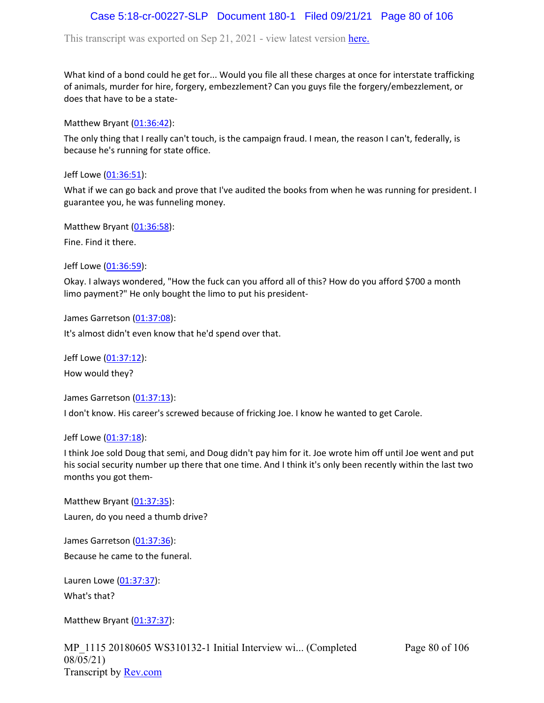## Case 5:18-cr-00227-SLP Document 180-1 Filed 09/21/21 Page 80 of 106

This transcript was exported on Sep 21, 2021 - view latest version [here.](https://www.rev.com/transcript-editor/Edit?token=amZQ9HHFTut_NOLFoO1lSR86cptioQiBp-VVq9f_BePwrTlAl64zFPqcRkwVvmM6GaAv4S7BniclRE4xdf7JBzULLcE&loadFrom=DocumentHeaderDeepLink)

What kind of a bond could he get for... Would you file all these charges at once for interstate trafficking of animals, murder for hire, forgery, embezzlement? Can you guys file the forgery/embezzlement, or does that have to be a state-

Matthew Bryant ([01:36:42](https://www.rev.com/transcript-editor/Edit?token=mjPoI3MuvoVEbhqRRXhzQpFKWHfs6gqijlJRmgnhM_VNc2b--NwoMv0LXq1F25XH3kVabEoEPrTEPg-jEJ_Ld6H6ClY&loadFrom=DocumentDeeplink&ts=5802)):

The only thing that I really can't touch, is the campaign fraud. I mean, the reason I can't, federally, is because he's running for state office.

Jeff Lowe ([01:36:51](https://www.rev.com/transcript-editor/Edit?token=0wU1zhh9FO3ts-ADplFtEzoL14UxtJXXUPIqq-xOoaZdybX45dp2NDFs98ZdS01MocV1QcQ8YgHBN3HuUoChqbXtACU&loadFrom=DocumentDeeplink&ts=5811.41)):

What if we can go back and prove that I've audited the books from when he was running for president. I guarantee you, he was funneling money.

Matthew Bryant ([01:36:58](https://www.rev.com/transcript-editor/Edit?token=ziTnGsKUIVkHxSU09x5u4uPEm1f3Dp0v2d1ac7_wLmX9_uFFtX_otlOVRTGzJhYvZio27BMERVbtNyscAXPbRn7HHzo&loadFrom=DocumentDeeplink&ts=5818.3)):

Fine. Find it there.

Jeff Lowe ([01:36:59](https://www.rev.com/transcript-editor/Edit?token=4G_nJ7kCpEtwjFOidq_oLwZ7x0VTpyMUgBI_eqsjVwN_MuobOxzs1mFDqx2b3rIZ0B4V1L2Cp1EqPDFJNzF1fu4hPE4&loadFrom=DocumentDeeplink&ts=5819.36)):

Okay. I always wondered, "How the fuck can you afford all of this? How do you afford \$700 a month limo payment?" He only bought the limo to put his president-

James Garretson ([01:37:08\)](https://www.rev.com/transcript-editor/Edit?token=k6bb50hl8QMDIANiOG5RmDeS58YtuZd6Cj5Fl6Gu2-p2kgWhUbHsAnPshN4rd0O57rTszUR5K3YfmfUAk9uPGRvWeYU&loadFrom=DocumentDeeplink&ts=5828.16):

It's almost didn't even know that he'd spend over that.

Jeff Lowe ([01:37:12](https://www.rev.com/transcript-editor/Edit?token=NCeDl_MC2PaJ11MoCjuZVzxz9mTXXTzCKWydYo7EfCkIhdtzJJWmpfTSegl8gBabmA4gZtSrqHF_VY_K4QL8DpGdeHA&loadFrom=DocumentDeeplink&ts=5832.83)):

How would they?

James Garretson ([01:37:13\)](https://www.rev.com/transcript-editor/Edit?token=l3EdhFDs61t9tccSLCPADRxHfKQfF_YZ9wWQwi31MWqNRQ1Uf7hqh9v-e1xejPjQR_rkbsYx2sS8qIxhUNkhdF4eWpU&loadFrom=DocumentDeeplink&ts=5833.27):

I don't know. His career's screwed because of fricking Joe. I know he wanted to get Carole.

Jeff Lowe ([01:37:18](https://www.rev.com/transcript-editor/Edit?token=ZKBz5q1FFAuFSdjW9BpcpejgqoPD1Ew2Jez4fl2eH0Bqw_eJzAFH-75Gfg5WANK8K_OC8N33ec6prAHhyhLPcGGKGmc&loadFrom=DocumentDeeplink&ts=5838.61)):

I think Joe sold Doug that semi, and Doug didn't pay him for it. Joe wrote him off until Joe went and put his social security number up there that one time. And I think it's only been recently within the last two months you got them-

Matthew Bryant ([01:37:35](https://www.rev.com/transcript-editor/Edit?token=GiWwMh1B0s59SfSVO8Q0vq0E330D9NvbxwyoTxyoUejAkos3EfVccCxI1KEIENRmnegZxZ7sed_0mqKktQCPCsv-rt4&loadFrom=DocumentDeeplink&ts=5855.9)): Lauren, do you need a thumb drive?

James Garretson ([01:37:36\)](https://www.rev.com/transcript-editor/Edit?token=JTwZqgWAMkijEGqoUFym0L9Or45x7XCtTrfZsCUCtPcalsEy3S-WZlj93ZFeihCwJCL_IGgLUeCjD7OdB1rgIEyJgc0&loadFrom=DocumentDeeplink&ts=5856.9): Because he came to the funeral.

Lauren Lowe ([01:37:37](https://www.rev.com/transcript-editor/Edit?token=7QEY4ZppJJX5VNh6Wzyod00DffVNBDkPgQZVGfa9wkARQBlEG-4yEABMbdXPvutPi_8Q-wJ6ngd81P4Wmg_iubq1BxA&loadFrom=DocumentDeeplink&ts=5857.64)): What's that?

Matthew Bryant ([01:37:37](https://www.rev.com/transcript-editor/Edit?token=7883BbsiJ5tYm-Jom91ymTw5pJk1KklqnONCQzcEBDcq6AFvnNIyqdXBUiOMeYkmNBVxYBH5KKkzTzxngwjEbTrlDOs&loadFrom=DocumentDeeplink&ts=5857.64)):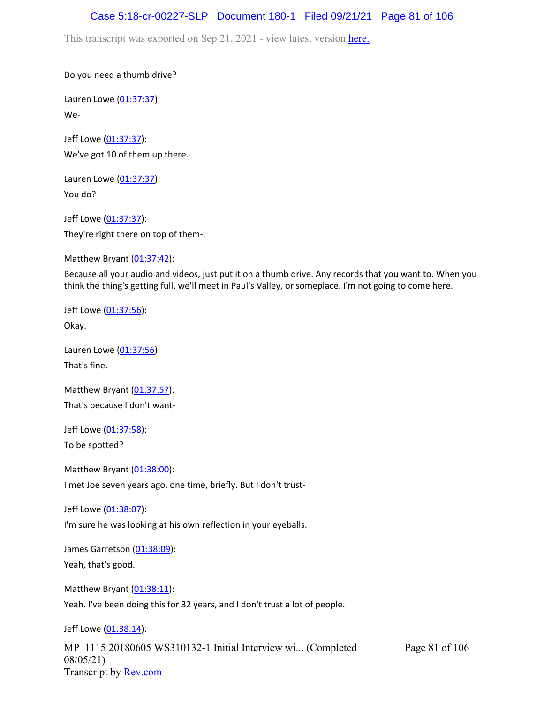#### Case 5:18-cr-00227-SLP Document 180-1 Filed 09/21/21 Page 81 of 106

This transcript was exported on Sep 21, 2021 - view latest version [here.](https://www.rev.com/transcript-editor/Edit?token=amZQ9HHFTut_NOLFoO1lSR86cptioQiBp-VVq9f_BePwrTlAl64zFPqcRkwVvmM6GaAv4S7BniclRE4xdf7JBzULLcE&loadFrom=DocumentHeaderDeepLink)

Do you need a thumb drive?

Lauren Lowe ([01:37:37](https://www.rev.com/transcript-editor/Edit?token=OigvuBTu2citLoGYsP6UpDTY9s7YyxbA48ebWkQRKGpxYs9GLZxPRdw-IrhaPxosoyVH96h79Hmjv25fEcJqQw83CTw&loadFrom=DocumentDeeplink&ts=5857.64)): We-

Jeff Lowe ([01:37:37](https://www.rev.com/transcript-editor/Edit?token=Dc7VrI6K3L69DHJfxlFMhPxQayNXmtB9mERJaLzMNYIIZ5BnQG2OlBHoRKY8wD4EXEEdiSVJdTectx05wBeZ3ljm2Os&loadFrom=DocumentDeeplink&ts=5857.64)): We've got 10 of them up there.

Lauren Lowe ([01:37:37](https://www.rev.com/transcript-editor/Edit?token=jarBKtA_tqY5_grqwFgHosFDyghZfNsFRDjV59r23CWDP-CI3No6PxrsQuhzESF31ChTfhJ_8VFKtkBLOYa_bkFXzDM&loadFrom=DocumentDeeplink&ts=5857.64)): You do?

Jeff Lowe ([01:37:37](https://www.rev.com/transcript-editor/Edit?token=sA2w01Lpab21BB2gJI54odDQECKy5dyTjGEBTSYdoZ7uh_NRfmEyOW7EwDkr78qHpwEes8vJogY-Bn2roniqwUBN8Do&loadFrom=DocumentDeeplink&ts=5857.64)): They're right there on top of them-.

Matthew Bryant ([01:37:42](https://www.rev.com/transcript-editor/Edit?token=XVxe0mtJdzToBebr1Zwwgj3Fh35CH-4SQYqSwtq1zmLi_B07VOnX5cOG_SYwUdXNTGvZDmfbnXNoj1T3HaPjFGbS8uI&loadFrom=DocumentDeeplink&ts=5862.24)):

Because all your audio and videos, just put it on a thumb drive. Any records that you want to. When you think the thing's getting full, we'll meet in Paul's Valley, or someplace. I'm not going to come here.

Jeff Lowe ([01:37:56](https://www.rev.com/transcript-editor/Edit?token=LU6iXcSqbKyhYv3O4zxScD6BXTjBOgQgo1OHziTyDlFg83j2bRFFlA-hcIZnfdNEyoMOv5IZw1u0c8n2AK-mfQ3WGTU&loadFrom=DocumentDeeplink&ts=5876.08)): Okay.

Lauren Lowe ([01:37:56](https://www.rev.com/transcript-editor/Edit?token=S441rabWr_szN4iw1auWi-o8WrS7pPdTaiHZHG1S_vLIM3GjiKMWZYVLSOt4wKhZje-ixov4HI9p6WTTkp1e7_kFum8&loadFrom=DocumentDeeplink&ts=5876.11)): That's fine.

Matthew Bryant ([01:37:57](https://www.rev.com/transcript-editor/Edit?token=_fpQU31VxnvknnHoH50MfB4FfsgSljpp3jTAN479NGSYlb072nD1zgktssyUqmtuyzQN4WLrCZiFbxE_bXW1LLubmsg&loadFrom=DocumentDeeplink&ts=5877.71)): That's because I don't want-

Jeff Lowe ([01:37:58](https://www.rev.com/transcript-editor/Edit?token=MLqV2FDE9womiC9gtAXJQkYWQHba-2Hi5JXhv5Oc0fERDptPS2p-sN0W2t_nmcYSI6k095k5szQD4j7EL5kf29BnEuA&loadFrom=DocumentDeeplink&ts=5878.97)): To be spotted?

Matthew Bryant ([01:38:00](https://www.rev.com/transcript-editor/Edit?token=VIFgfge2Aze8y5JTgtYXE1tokTbkLUqXIs4w_aRUe7qbF6GrdH8ErNE5UX8dNIlFKGnf5QaTmX5JhcwjjkYxcRwnET0&loadFrom=DocumentDeeplink&ts=5880.47)): I met Joe seven years ago, one time, briefly. But I don't trust-

Jeff Lowe ([01:38:07](https://www.rev.com/transcript-editor/Edit?token=oCYpBf5sf6NCfBo_coUqwAVnPcdBmvskd_bTaILkfad8tJVBocI7kcOtVtj9196JARsBjujBVuSybou5knztDpwpyIg&loadFrom=DocumentDeeplink&ts=5887.04)):

I'm sure he was looking at his own reflection in your eyeballs.

James Garretson ([01:38:09\)](https://www.rev.com/transcript-editor/Edit?token=O1yMFZ0w1FXQvhMFnW-PbD8fMG_JMz0nbRpNsaJdYaF7Q1p4fH9BsBWMo90lcud0FV1wmM8NEyvpfQI9uXBrjvdQ1Gw&loadFrom=DocumentDeeplink&ts=5889.99): Yeah, that's good.

Matthew Bryant ([01:38:11](https://www.rev.com/transcript-editor/Edit?token=PvxRkCbsopXCKGqBREIg1RS4mMJBtH80WpvFuE1cSAmGPcvByfw5gC41BovuBPZTINpb3lJmLfBF8yt9LwvzQ1V4h6I&loadFrom=DocumentDeeplink&ts=5891.05)): Yeah. I've been doing this for 32 years, and I don't trust a lot of people.

Jeff Lowe ([01:38:14](https://www.rev.com/transcript-editor/Edit?token=aYSRVYix6L7fn-5WvILuB1bGbV0v7A3HJbQN6DmRak-fD3tysRYanmbt7uNpqd_jwH3pkaiNWXRzUnR1ORtsFdQJpzU&loadFrom=DocumentDeeplink&ts=5894.68)):

MP\_1115 20180605 WS310132-1 Initial Interview wi... (Completed 08/05/21) Transcript by [Rev.com](https://www.rev.com/) Page 81 of 106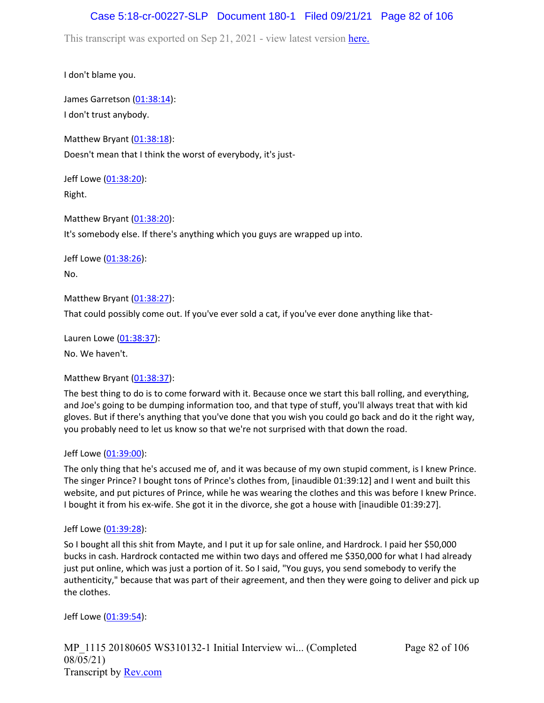## Case 5:18-cr-00227-SLP Document 180-1 Filed 09/21/21 Page 82 of 106

This transcript was exported on Sep 21, 2021 - view latest version [here.](https://www.rev.com/transcript-editor/Edit?token=amZQ9HHFTut_NOLFoO1lSR86cptioQiBp-VVq9f_BePwrTlAl64zFPqcRkwVvmM6GaAv4S7BniclRE4xdf7JBzULLcE&loadFrom=DocumentHeaderDeepLink)

I don't blame you.

James Garretson ([01:38:14\)](https://www.rev.com/transcript-editor/Edit?token=EE9A7cDzKeWAxQKv1nJVCgSA7Zjwk9aiYd6RF3QVEk73vfVqqSriUT53SLUGBby8QjjEmMB2LvO1dWCktAnUhhF7qvY&loadFrom=DocumentDeeplink&ts=5894.68): I don't trust anybody.

Matthew Bryant  $(01:38:18)$  $(01:38:18)$  $(01:38:18)$ : Doesn't mean that I think the worst of everybody, it's just-

Jeff Lowe ([01:38:20](https://www.rev.com/transcript-editor/Edit?token=mVczL4zcdyDZ68n1wQhrcVPL8i3FXUyGGLJeQuoJcenKzg8SOdsLrfR1mkZSa5qiiIEE85_XyLkmWEKJV-VCu9RwztA&loadFrom=DocumentDeeplink&ts=5900.16)): Right.

Matthew Bryant ([01:38:20](https://www.rev.com/transcript-editor/Edit?token=y7CX-nNDOCSUUoCE2BU6vPrOfA1ELGUWvYAGpQmiJQukmsys3gK7ngIeL-TdEYuRASGOlDgcItgVzxcqVdZoo-o7Bnk&loadFrom=DocumentDeeplink&ts=5900.16)): It's somebody else. If there's anything which you guys are wrapped up into.

Jeff Lowe ([01:38:26](https://www.rev.com/transcript-editor/Edit?token=KVDSeS7gqkiBQWRIV6__FJxhChVvEdaCBs5un0_ySPZnZ44L8bYp7uHfh8qRTT9UpUSqlA2Oo9ASG3LhMt3XgWvBcro&loadFrom=DocumentDeeplink&ts=5906.68)): No.

Matthew Bryant ([01:38:27](https://www.rev.com/transcript-editor/Edit?token=s6JVHeH2t29cC7jqk9dpecjc5t5B55SD0eM28kLr0UqTeM8Dlt6MvcpkdKcFu8Vfl9gd0i6PoFtXjxp7Beaom2Pep1Y&loadFrom=DocumentDeeplink&ts=5907.73)):

That could possibly come out. If you've ever sold a cat, if you've ever done anything like that-

Lauren Lowe ([01:38:37](https://www.rev.com/transcript-editor/Edit?token=0dCzzBzJmiKT_kXLQtzylxm3LhsPTycnQjUydAvLHTpIhWuu1lo3v4Kw8fv161KoraITa7VtKNBG_V2wO4c7iPGDR3E&loadFrom=DocumentDeeplink&ts=5917.52)): No. We haven't.

#### Matthew Bryant ([01:38:37](https://www.rev.com/transcript-editor/Edit?token=xa1VChkdgm5k6hdnUJNdr6YVTvAkh8LLiec8zYYn0PM1ASWA3u3D6fgSDP3qDuWAOJrz_pfqsthFPTFXI9_BAO0dIp0&loadFrom=DocumentDeeplink&ts=5917.97)):

The best thing to do is to come forward with it. Because once we start this ball rolling, and everything, and Joe's going to be dumping information too, and that type of stuff, you'll always treat that with kid gloves. But if there's anything that you've done that you wish you could go back and do it the right way, you probably need to let us know so that we're not surprised with that down the road.

#### Jeff Lowe ([01:39:00](https://www.rev.com/transcript-editor/Edit?token=1XUrFeBpYtcQWNAjafiht6-7WKxEvVM3DLGy1Lmu8-ggN6Sr-1Nq-bHxvqxTYYMM5_1HZexM19sPGnkcuuiRSrLVZRY&loadFrom=DocumentDeeplink&ts=5940.37)):

The only thing that he's accused me of, and it was because of my own stupid comment, is I knew Prince. The singer Prince? I bought tons of Prince's clothes from, [inaudible 01:39:12] and I went and built this website, and put pictures of Prince, while he was wearing the clothes and this was before I knew Prince. I bought it from his ex-wife. She got it in the divorce, she got a house with [inaudible 01:39:27].

#### Jeff Lowe ([01:39:28](https://www.rev.com/transcript-editor/Edit?token=08hehA1DVGxN8wmbx80diMDEoRWRgBagCnpWXs_CF83zR17bSerClopoTtVgcz7ZU9eZ8gQZmvI2MslW8GPnNq8Htbc&loadFrom=DocumentDeeplink&ts=5968.44)):

So I bought all this shit from Mayte, and I put it up for sale online, and Hardrock. I paid her \$50,000 bucks in cash. Hardrock contacted me within two days and offered me \$350,000 for what I had already just put online, which was just a portion of it. So I said, "You guys, you send somebody to verify the authenticity," because that was part of their agreement, and then they were going to deliver and pick up the clothes.

Jeff Lowe ([01:39:54](https://www.rev.com/transcript-editor/Edit?token=C5DTFVhZ8NylTbARBxQK--JESAOwkhpVafN72xOfzWvUXrI0P2dN1LjahFRB2Ezp57FptAdiqJLMX7DT4cutvbB1QDk&loadFrom=DocumentDeeplink&ts=5994.85)):

MP\_1115 20180605 WS310132-1 Initial Interview wi... (Completed 08/05/21) Transcript by [Rev.com](https://www.rev.com/)

Page 82 of 106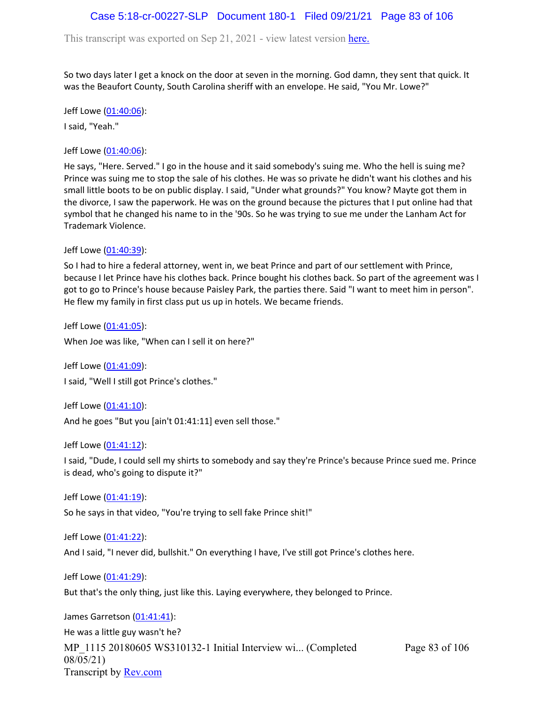### Case 5:18-cr-00227-SLP Document 180-1 Filed 09/21/21 Page 83 of 106

This transcript was exported on Sep 21, 2021 - view latest version [here.](https://www.rev.com/transcript-editor/Edit?token=amZQ9HHFTut_NOLFoO1lSR86cptioQiBp-VVq9f_BePwrTlAl64zFPqcRkwVvmM6GaAv4S7BniclRE4xdf7JBzULLcE&loadFrom=DocumentHeaderDeepLink)

So two days later I get a knock on the door at seven in the morning. God damn, they sent that quick. It was the Beaufort County, South Carolina sheriff with an envelope. He said, "You Mr. Lowe?"

Jeff Lowe ([01:40:06](https://www.rev.com/transcript-editor/Edit?token=N7cAP_6tcE2XkLsTdhDKVdoD82_-hXUSp6Jv0ELitdsISvI_DoLYtBsQYPMwR8BNFZnXVgl0CsTRNTnLhK3ikxDVkqg&loadFrom=DocumentDeeplink&ts=6006.28)): I said, "Yeah."

Jeff Lowe ([01:40:06](https://www.rev.com/transcript-editor/Edit?token=gcJA62rmLd1nAW2lobO9ngh9Z-aJMX7_alTo6GlbtEhnwgHrrlR6l7Iw0flyR2zg-4Sq5OK58UlXNbW9_VF3CZdr3cY&loadFrom=DocumentDeeplink&ts=6006.36)):

He says, "Here. Served." I go in the house and it said somebody's suing me. Who the hell is suing me? Prince was suing me to stop the sale of his clothes. He was so private he didn't want his clothes and his small little boots to be on public display. I said, "Under what grounds?" You know? Mayte got them in the divorce, I saw the paperwork. He was on the ground because the pictures that I put online had that symbol that he changed his name to in the '90s. So he was trying to sue me under the Lanham Act for Trademark Violence.

Jeff Lowe ([01:40:39](https://www.rev.com/transcript-editor/Edit?token=rdk_yXrBDjSsUXLG7xOO8WqsJHnCLg9yyg-1Z_Xt0aYjcrp-PdoiAROmcuO2hP2vt0Th63mObRiTxFRI24d_FQhgiL0&loadFrom=DocumentDeeplink&ts=6039.38)):

So I had to hire a federal attorney, went in, we beat Prince and part of our settlement with Prince, because I let Prince have his clothes back. Prince bought his clothes back. So part of the agreement was I got to go to Prince's house because Paisley Park, the parties there. Said "I want to meet him in person". He flew my family in first class put us up in hotels. We became friends.

Jeff Lowe ([01:41:05](https://www.rev.com/transcript-editor/Edit?token=2SW7LB446Y3IslWLEI4MqUWOjjZUm6OQgkF91rs6UUNHGBI22J5w5AjrqMNDmeyI30Lvt7uH94jvYPoQD0OVKYGwDwA&loadFrom=DocumentDeeplink&ts=6065.13)):

When Joe was like, "When can I sell it on here?"

Jeff Lowe ([01:41:09](https://www.rev.com/transcript-editor/Edit?token=Y27LOcpm6fzsM5P1vf0nGUv70t-lkbBmdFCxqHMdRpklS8M-cziIsHTxTWG02JVJrQnk7upnyNFLGHeYkNMrTCJy7PM&loadFrom=DocumentDeeplink&ts=6069.29)): I said, "Well I still got Prince's clothes."

Jeff Lowe ([01:41:10](https://www.rev.com/transcript-editor/Edit?token=edEz462ZBdxbL_-Zzo_n79-YaHNTQJj58_dypQl148vtxITJAcpnsAhlILhjU_io8cxlMEQJ-fzYVd2Uoc5uztdBbW8&loadFrom=DocumentDeeplink&ts=6070.84)): And he goes "But you [ain't 01:41:11] even sell those."

Jeff Lowe ([01:41:12](https://www.rev.com/transcript-editor/Edit?token=T9jfzh5oAWm-3QoepDKNAszOONRCb0qh2ejlQpZglKUJzS9S8brpf7afPhGhK8AiHLtlaPxASQsoE-nUEUs8ow9zbwU&loadFrom=DocumentDeeplink&ts=6072.08)):

I said, "Dude, I could sell my shirts to somebody and say they're Prince's because Prince sued me. Prince is dead, who's going to dispute it?"

Jeff Lowe ([01:41:19](https://www.rev.com/transcript-editor/Edit?token=DIfI_P017SJaDCh6jpxlvX80s_--Ins5vBERC-KUda23TkoFu7pLZOHMECWXha8j9oy43cZ4TfVP39_GwhrBcC1B0mk&loadFrom=DocumentDeeplink&ts=6079.61)):

So he says in that video, "You're trying to sell fake Prince shit!"

Jeff Lowe ([01:41:22](https://www.rev.com/transcript-editor/Edit?token=EuuVIgVrP2XQmtaUsn2XA7tLfSGzoxUNrfxz73Eu1ql3wr2wT-1YDa4QIBOBbXzdaPWzerGnxGn0ggBDin7cWp_pKWI&loadFrom=DocumentDeeplink&ts=6082.72)): And I said, "I never did, bullshit." On everything I have, I've still got Prince's clothes here.

Jeff Lowe ([01:41:29](https://www.rev.com/transcript-editor/Edit?token=p5WFnCtmCcPL21qxLhEvLOf4kBYI7cprJMQbd3xkELWvKbKIhUrq2Zc3HL2uivvCfuJTOpOkE6cGXkOWbTTsJtzcMbo&loadFrom=DocumentDeeplink&ts=6089.97)):

But that's the only thing, just like this. Laying everywhere, they belonged to Prince.

MP\_1115 20180605 WS310132-1 Initial Interview wi... (Completed 08/05/21) Transcript by [Rev.com](https://www.rev.com/) Page 83 of 106 James Garretson ([01:41:41\)](https://www.rev.com/transcript-editor/Edit?token=jXoM0IyIhWinuvV_zxZw9PCQ9-HdwbneXD_T1EDn6oNmyKE4rV-3CnFDS1egFi-kfuz-mCdCj6_69WLLOrzOXFAuFyo&loadFrom=DocumentDeeplink&ts=6101.31): He was a little guy wasn't he?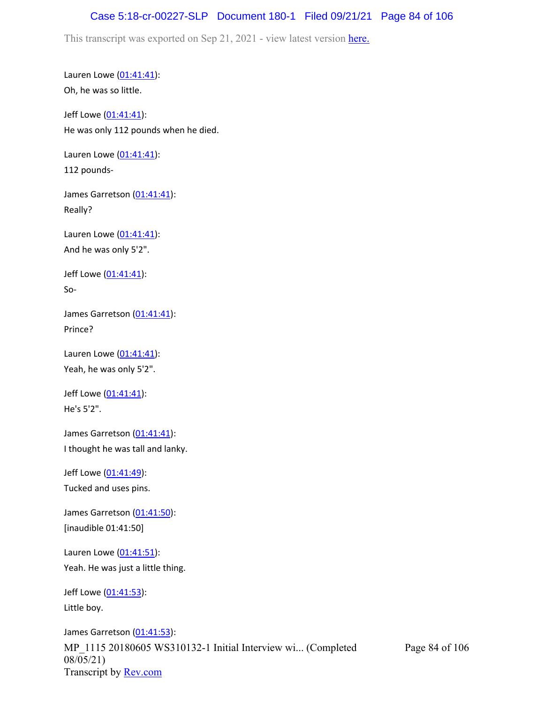## Case 5:18-cr-00227-SLP Document 180-1 Filed 09/21/21 Page 84 of 106

This transcript was exported on Sep 21, 2021 - view latest version [here.](https://www.rev.com/transcript-editor/Edit?token=amZQ9HHFTut_NOLFoO1lSR86cptioQiBp-VVq9f_BePwrTlAl64zFPqcRkwVvmM6GaAv4S7BniclRE4xdf7JBzULLcE&loadFrom=DocumentHeaderDeepLink)

Lauren Lowe ([01:41:41](https://www.rev.com/transcript-editor/Edit?token=PDTMDWqUNWYnd7PcktlbYNTG1Xj6YxYlXh4SiK15GT1Hyqi5wRhYB8FK4FLa-dO_8LP-d3g4eUxyp-JecLyzcNGkpNU&loadFrom=DocumentDeeplink&ts=6101.47)): Oh, he was so little.

Jeff Lowe ([01:41:41](https://www.rev.com/transcript-editor/Edit?token=gNpjOHsKslhxDU6GCju47ZJhcRCoCIoapKKm2oCugZukIz7OHMbl2QpNyrRHhjpBXk2G8Pcb74A39-DGZkPDAlvdCpo&loadFrom=DocumentDeeplink&ts=6101.47)): He was only 112 pounds when he died.

Lauren Lowe ([01:41:41](https://www.rev.com/transcript-editor/Edit?token=JTlhevPyCRXIAVvYMSgwyOJ87doa73y2GT3NWWZkVsQStkJcHpoB_61NpPYHk4EziRyPsfLL9ZWBld2qwNeN90Az-ks&loadFrom=DocumentDeeplink&ts=6101.47)): 112 pounds-

James Garretson ([01:41:41\)](https://www.rev.com/transcript-editor/Edit?token=vrExSTitwrcSvXhfWe4ITg96EGbs7WNcd5EjfPFHir1A3ULy6vO2S0iNo4rXKh1zPq4BoUh7OverljL9F4sq7x0l8-g&loadFrom=DocumentDeeplink&ts=6101.47): Really?

Lauren Lowe  $(01:41:41)$  $(01:41:41)$  $(01:41:41)$ : And he was only 5'2".

Jeff Lowe ([01:41:41](https://www.rev.com/transcript-editor/Edit?token=48nWtrJ2O9CROok-0UmO_ztelSExlTCKgatX-VZv0pKbQPj06Ja2qpZToWRl8JlxA2MVqtNKrw9y2FtNsSg6zauzTPw&loadFrom=DocumentDeeplink&ts=6101.47)): So-

James Garretson ([01:41:41\)](https://www.rev.com/transcript-editor/Edit?token=wlj92KRCvIU_MKEAkwfKEZmkhqfPQYnHwvw_WXcD0xyvt7xiPjqrFIZH-104LL4mBxiQXnDULs7YOcZLrdawq6Ao1-0&loadFrom=DocumentDeeplink&ts=6101.47): Prince?

Lauren Lowe  $(01:41:41)$  $(01:41:41)$  $(01:41:41)$ : Yeah, he was only 5'2".

Jeff Lowe ([01:41:41](https://www.rev.com/transcript-editor/Edit?token=Ppxvd5eNMok6Yg9hIMvf0Xf0hHZAmFzDUJ37XHSYzOEgT59veFNRm4O_1lhzcp4_xPUbJZZJvqcuVWw8EYwR_jD_ElU&loadFrom=DocumentDeeplink&ts=6101.47)): He's 5'2".

James Garretson ([01:41:41\)](https://www.rev.com/transcript-editor/Edit?token=DgbcUWbuhbg-HvbOFcKn8tbXGtD_Ke2qPbA8WGjaNvfg4Y1x3y3bPmWvFzKxDXOaIp4AyM8WoQDbZQIfbhaFYLkCb3M&loadFrom=DocumentDeeplink&ts=6101.47): I thought he was tall and lanky.

Jeff Lowe ([01:41:49](https://www.rev.com/transcript-editor/Edit?token=Yhjyg3CMSwVR-i50JTZNvK6AeroGpwiC7H4mnDVhyjKeiStfYOp2lsROw1zQLYBw_lBTaehk788bFG6FBmYWg_mAXJQ&loadFrom=DocumentDeeplink&ts=6109.55)): Tucked and uses pins.

James Garretson ([01:41:50\)](https://www.rev.com/transcript-editor/Edit?token=28e9Hrnwym_otu9q0H42GET68rFArqGdcc0hZLyoCk2Nfp788oQkDnbuxTppG_NU4hv3XGKOFu4wCjEcbGV7EKLc7yM&loadFrom=DocumentDeeplink&ts=6110): [inaudible 01:41:50]

Lauren Lowe ([01:41:51](https://www.rev.com/transcript-editor/Edit?token=shzL2qFQyIKsxmrGL1Unl4qhsMCZafMZiVWVRDV6KmHKFvO2_vqi6c6OaL0YLh-5IG2YuOW5JyvtRu24fLT-4MDTmu0&loadFrom=DocumentDeeplink&ts=6111.31)): Yeah. He was just a little thing.

Jeff Lowe ([01:41:53](https://www.rev.com/transcript-editor/Edit?token=YoSh37AwFE9eBtH4wA-WFEjSQzCVI2Z06ctNX-1_3JzK8IgDw1cwANMOOiBH8G2PsF68AmPjyRGEpMIOOgwcls0dkGo&loadFrom=DocumentDeeplink&ts=6113.07)): Little boy.

MP\_1115 20180605 WS310132-1 Initial Interview wi... (Completed 08/05/21) Transcript by **Rev.com** James Garretson ([01:41:53\)](https://www.rev.com/transcript-editor/Edit?token=_lXzp72DlAb3IdcwN1er7GqKcJwk4CljsOdNkjAgDsOMrGFoScBKBiq7UjreC4UKB4baxF9EETjIeFs4WSOU2nl1qqU&loadFrom=DocumentDeeplink&ts=6113.7):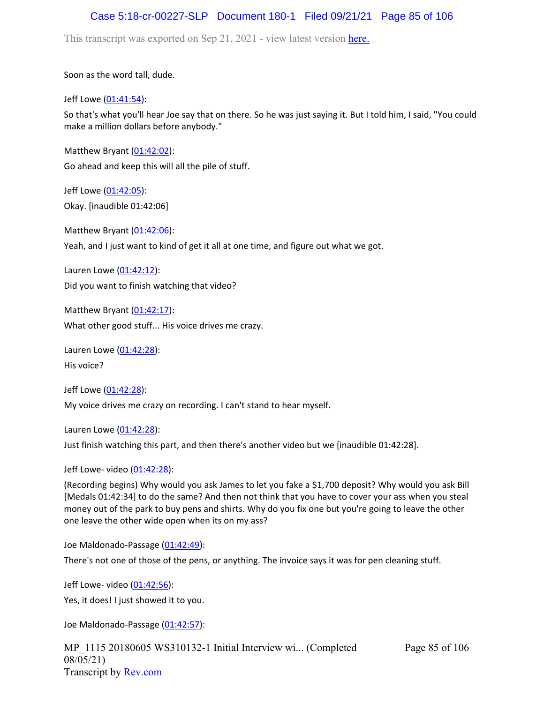#### Case 5:18-cr-00227-SLP Document 180-1 Filed 09/21/21 Page 85 of 106

This transcript was exported on Sep 21, 2021 - view latest version [here.](https://www.rev.com/transcript-editor/Edit?token=amZQ9HHFTut_NOLFoO1lSR86cptioQiBp-VVq9f_BePwrTlAl64zFPqcRkwVvmM6GaAv4S7BniclRE4xdf7JBzULLcE&loadFrom=DocumentHeaderDeepLink)

Soon as the word tall, dude.

Jeff Lowe ([01:41:54](https://www.rev.com/transcript-editor/Edit?token=OttH4BtiPRpilCQlQtoWsoSkYgzQQzXG36BsBbAsFrCtVzm_onE6WV5MfpP5Iqj_z4jRajsSJO8NV907BLmnsPyUl80&loadFrom=DocumentDeeplink&ts=6114.43)):

So that's what you'll hear Joe say that on there. So he was just saying it. But I told him, I said, "You could make a million dollars before anybody."

Matthew Bryant ([01:42:02](https://www.rev.com/transcript-editor/Edit?token=cWK6Op84XjWA_Y0le1unfrGHEtahCfFdEnWPXfqA0aJyufh1NdPRbyv0x9U92tV3WaAEEZAFATeM2gYDYqR0-5XjaJE&loadFrom=DocumentDeeplink&ts=6122.81)): Go ahead and keep this will all the pile of stuff.

Jeff Lowe ([01:42:05](https://www.rev.com/transcript-editor/Edit?token=bmMJnsot_NGaxElCyN-TAgDSb3PdwUEES-pKdbEoiBqAnLZSdoOM7HCY0EpQhG2Xdy_FVIuyR154HuLvhmxkHuAvWno&loadFrom=DocumentDeeplink&ts=6125.57)): Okay. [inaudible 01:42:06]

Matthew Bryant ([01:42:06](https://www.rev.com/transcript-editor/Edit?token=1oSHQP_PbCdNJHQ4zIA4w54q_d73j4anZQyiHd9yPXx4WGxUGhK0_gxua73HPKGELDY0wXab2bMEP6ciTLWaUbkbye4&loadFrom=DocumentDeeplink&ts=6126.96)): Yeah, and I just want to kind of get it all at one time, and figure out what we got.

Lauren Lowe ([01:42:12](https://www.rev.com/transcript-editor/Edit?token=3RoU2A1iWZoP3VDVoJbKieblWmlrhZcfSX_2YZqdMmsg3S0wPl1PQI3Vh3REDWkeEIi56DIxMcUrJYlbB8upqpYEQCI&loadFrom=DocumentDeeplink&ts=6132.47)): Did you want to finish watching that video?

Matthew Bryant  $(01:42:17)$  $(01:42:17)$  $(01:42:17)$ : What other good stuff... His voice drives me crazy.

Lauren Lowe ([01:42:28](https://www.rev.com/transcript-editor/Edit?token=YHSy8JArYigKwHoXEVuZDpztSj0iUuwJDr38akZM79Yosm-asPAQRExZNN58nvRvw_mjLUPB8nSotOtxJhGiryA6v0o&loadFrom=DocumentDeeplink&ts=6148.27)): His voice?

Jeff Lowe ([01:42:28](https://www.rev.com/transcript-editor/Edit?token=kB0K2Cj-pYx44Pxfz7HftVNbbeZIMZMzvv2oaUMzdQZZGvL8HfCrDW3mzg2U2-AVQ5_Yv1Rva1NZD2nEbNi4CezTVDY&loadFrom=DocumentDeeplink&ts=6148.29)): My voice drives me crazy on recording. I can't stand to hear myself.

Lauren Lowe ([01:42:28](https://www.rev.com/transcript-editor/Edit?token=8Jbz7AZ_HAeBLyayF-bLv0JvzODJPIeJoNvi7zZV5scUc1L5RNsn0NJJvjsHJjJkXouv5po6JXqqat9XEK2kZlxOIXY&loadFrom=DocumentDeeplink&ts=6148.29)):

Just finish watching this part, and then there's another video but we [inaudible 01:42:28].

Jeff Lowe- video [\(01:42:28\)](https://www.rev.com/transcript-editor/Edit?token=YXsHAjJzaJeKhEXeEzLJrJnIcCsIa9XUCiiS3ApnzTZ1GtYqktaM15lZqa8wuDV_fwPU6e4HUAGcYZUJPOoJRcfu7Rk&loadFrom=DocumentDeeplink&ts=6148.4):

(Recording begins) Why would you ask James to let you fake a \$1,700 deposit? Why would you ask Bill [Medals 01:42:34] to do the same? And then not think that you have to cover your ass when you steal money out of the park to buy pens and shirts. Why do you fix one but you're going to leave the other one leave the other wide open when its on my ass?

Joe Maldonado-Passage [\(01:42:49\)](https://www.rev.com/transcript-editor/Edit?token=e87uMszFTb6W_xQ01Ft7F9wuq_eRSWQKA9kfvQtqTUDRaTt99BbpV5ZOmTkTCgXmuPdoNLR6MKcMjjGNLK1_C4m0GGk&loadFrom=DocumentDeeplink&ts=6169.01):

There's not one of those of the pens, or anything. The invoice says it was for pen cleaning stuff.

Jeff Lowe- video [\(01:42:56\)](https://www.rev.com/transcript-editor/Edit?token=IFy0Kuc815RnCgbygznbRQ0ojiewzc5Hc01-IAVBL-KrHijYh7LYIT9jt7mrJIjh1Au-6tXBmJuBZh6hak_kH5a-2wY&loadFrom=DocumentDeeplink&ts=6176.23): Yes, it does! I just showed it to you.

Joe Maldonado-Passage [\(01:42:57\)](https://www.rev.com/transcript-editor/Edit?token=wohCwIKcFl2AmM1fVRhcxNCxtbLq2YgAPsXZzjUdvkB3nfu8W16QCra3960IFiVlO2vgVSPg2Eti9v0dzllkCX4YI8g&loadFrom=DocumentDeeplink&ts=6177.81):

MP\_1115 20180605 WS310132-1 Initial Interview wi... (Completed 08/05/21) Transcript by [Rev.com](https://www.rev.com/)

Page 85 of 106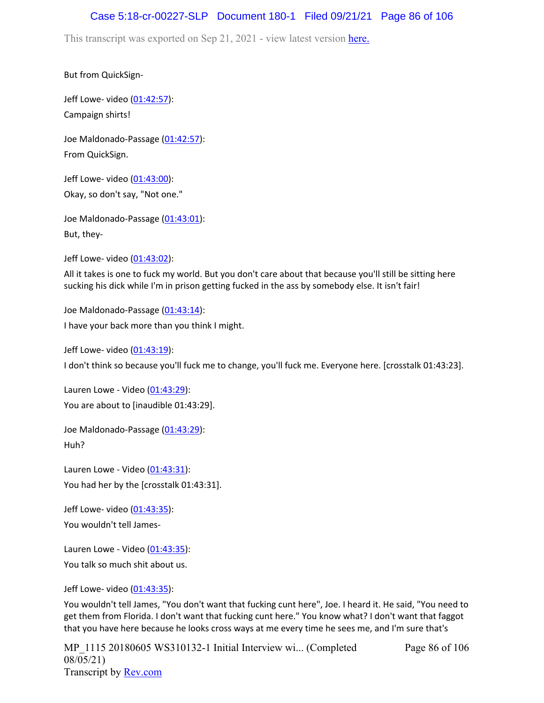## Case 5:18-cr-00227-SLP Document 180-1 Filed 09/21/21 Page 86 of 106

This transcript was exported on Sep 21, 2021 - view latest version [here.](https://www.rev.com/transcript-editor/Edit?token=amZQ9HHFTut_NOLFoO1lSR86cptioQiBp-VVq9f_BePwrTlAl64zFPqcRkwVvmM6GaAv4S7BniclRE4xdf7JBzULLcE&loadFrom=DocumentHeaderDeepLink)

But from QuickSign-

Jeff Lowe- video [\(01:42:57\)](https://www.rev.com/transcript-editor/Edit?token=sdLqx27FdFVuK_AGWb43N94FAm4DvErPx-w8OrLILeIb0LtjpN0Gx_aAvJZGDKdC5GxpZ9YzD5GA8jKu7V--ebHthYk&loadFrom=DocumentDeeplink&ts=6177.81): Campaign shirts!

Joe Maldonado-Passage [\(01:42:57\)](https://www.rev.com/transcript-editor/Edit?token=5-VDki8QTH5z_WGGnyiU1r4_TdkTqGHfUWaRYexQ5nus8i-vO6paHc4roQhs8MyhwkSAJEM65ylMaeFvZnT5h1BWm14&loadFrom=DocumentDeeplink&ts=6177.93): From QuickSign.

Jeff Lowe- video [\(01:43:00\)](https://www.rev.com/transcript-editor/Edit?token=vjsdJ1YFqyNMg__62nArCCzfq24GzPnYCIIH7u5S0hvyEqFj8foz-BAhrHdsje5tiHX7afA3n9D1vqXGEdXnUqCtjAw&loadFrom=DocumentDeeplink&ts=6180.26): Okay, so don't say, "Not one."

Joe Maldonado-Passage [\(01:43:01\)](https://www.rev.com/transcript-editor/Edit?token=4uUwN75lHzxNTyU9bhT1_T4UgwBRLvElZ1QLho8WUZm-dVSm2osywAlnAHDvqJP6Uk4KOzrBEH7hBJtqPfp899FjuPE&loadFrom=DocumentDeeplink&ts=6181.84): But, they-

Jeff Lowe- video [\(01:43:02\)](https://www.rev.com/transcript-editor/Edit?token=HH7nbk7_IJ_cKC69IP-NQ2EGCPXWcSKWgYhX8A0kFrnhHxuEBh4b94pqBHqITjAZXSByHrXFVmlHtXW4TIKizTT2Rv0&loadFrom=DocumentDeeplink&ts=6182.64):

All it takes is one to fuck my world. But you don't care about that because you'll still be sitting here sucking his dick while I'm in prison getting fucked in the ass by somebody else. It isn't fair!

Joe Maldonado-Passage [\(01:43:14\)](https://www.rev.com/transcript-editor/Edit?token=R5fT4CnjCmgMFLgxrS-qIUTVy0zqkp_xzZyGiBgFslym10jtNu6L8dEe2Y9OfXp07CPfUKUBiU9bjW1ghg7VT3K8nas&loadFrom=DocumentDeeplink&ts=6194.32): I have your back more than you think I might.

Jeff Lowe- video [\(01:43:19\)](https://www.rev.com/transcript-editor/Edit?token=-n5JAGA4zj_ctQiJZRpY0NY3y4571MQ8PqtxmfCxRpeFFozS_sBWHxHRdfwCLXwMPU2pTxMF3JTDRAgiLbreXUaJT1A&loadFrom=DocumentDeeplink&ts=6199.73):

I don't think so because you'll fuck me to change, you'll fuck me. Everyone here. [crosstalk 01:43:23].

Lauren Lowe - Video ([01:43:29](https://www.rev.com/transcript-editor/Edit?token=Hr17OZQfRD-_PVLPvP6lC5YYUM9iGiz3zIeUPwWLx6OnT9c12AT1EaA8LiYlqK-ZxNKygfpWurgfn-8qAFngR7qBcbU&loadFrom=DocumentDeeplink&ts=6209)): You are about to [inaudible 01:43:29].

Joe Maldonado-Passage [\(01:43:29\)](https://www.rev.com/transcript-editor/Edit?token=jFaHt7A_buZegS1fRrql10XOmpwPYjD5OVchrm7anmoiH16s8IUjX9C3eJcjYRde73B-fkGN21ODKf4EIqfPpbwaqE8&loadFrom=DocumentDeeplink&ts=6209): Huh?

Lauren Lowe - Video ([01:43:31](https://www.rev.com/transcript-editor/Edit?token=Syw4RGhQVxQtbZAtRjjg5mhn0XN1SY-GIvgRwTfzOo_vvQFpChuAABgRnqPxHew8vWvBSwbb3tmes4WAeJ0Z8jA-e9c&loadFrom=DocumentDeeplink&ts=6211)): You had her by the [crosstalk 01:43:31].

Jeff Lowe- video [\(01:43:35\)](https://www.rev.com/transcript-editor/Edit?token=XAhrmDJhtOF6IhNKbwdnRT8NYQLYK4wMDxI4RAqPwu0Zl_p3Y6Sv2A2_jh7MxrgMPmyMhOZgtyB4TlU6fMGv--68H88&loadFrom=DocumentDeeplink&ts=6215.02): You wouldn't tell James-

Lauren Lowe - Video ([01:43:35](https://www.rev.com/transcript-editor/Edit?token=zgW-iZ_ScyBiLO2RUQ5zCMQRBtBQwYFuYrDIZbH4cOIGKXueFB6DvtVCdSggT72jthQ8lVq185f_7LDgxvUg_bXMZmw&loadFrom=DocumentDeeplink&ts=6215.75)): You talk so much shit about us.

Jeff Lowe- video [\(01:43:35\)](https://www.rev.com/transcript-editor/Edit?token=ElnauG3NpTJaJp1V5ftSa0TsLE0AYvtrJlDDsZiT0GuYPLe-LiDioa1wlM8Hu0T7JLgTfNTepdsgNEehA2XSOeeCOO8&loadFrom=DocumentDeeplink&ts=6215.81):

You wouldn't tell James, "You don't want that fucking cunt here", Joe. I heard it. He said, "You need to get them from Florida. I don't want that fucking cunt here." You know what? I don't want that faggot that you have here because he looks cross ways at me every time he sees me, and I'm sure that's

MP\_1115 20180605 WS310132-1 Initial Interview wi... (Completed 08/05/21) Transcript by [Rev.com](https://www.rev.com/)

Page 86 of 106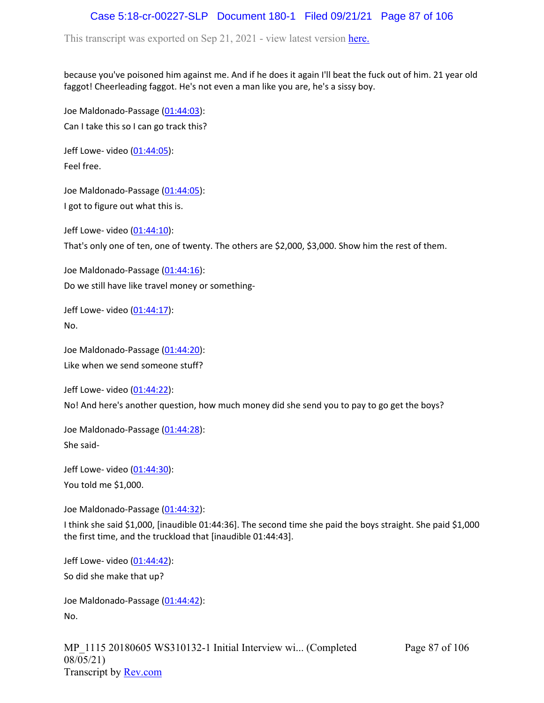# Case 5:18-cr-00227-SLP Document 180-1 Filed 09/21/21 Page 87 of 106

This transcript was exported on Sep 21, 2021 - view latest version [here.](https://www.rev.com/transcript-editor/Edit?token=amZQ9HHFTut_NOLFoO1lSR86cptioQiBp-VVq9f_BePwrTlAl64zFPqcRkwVvmM6GaAv4S7BniclRE4xdf7JBzULLcE&loadFrom=DocumentHeaderDeepLink)

because you've poisoned him against me. And if he does it again I'll beat the fuck out of him. 21 year old faggot! Cheerleading faggot. He's not even a man like you are, he's a sissy boy.

Joe Maldonado-Passage [\(01:44:03\)](https://www.rev.com/transcript-editor/Edit?token=5wCdf01khhAvl_YIZDhUyTwdOTBufEcGYaYPqAhxXhBQihVJ_zt5yV22YLAdelVwWttTwkMP4grCquTIq_P-OlRHdK4&loadFrom=DocumentDeeplink&ts=6243.31): Can I take this so I can go track this?

Jeff Lowe- video [\(01:44:05\)](https://www.rev.com/transcript-editor/Edit?token=WWpb6I4UsVWh2KMPzOzzkIgZ-t2WEjd6QTKN8xk6QG-8y2mJHv7dYEynoFSUr0-qNIOeonUoUcT9iBzZ6-dogro5A3Q&loadFrom=DocumentDeeplink&ts=6245.22): Feel free.

Joe Maldonado-Passage [\(01:44:05\)](https://www.rev.com/transcript-editor/Edit?token=ZhnTvfgp4RhndvRzJ6heQrmk-ft4OlB5Qe8IZYMzbpXTgZD0tsi5q5ymVfN-2oAe_gaaVwiBT3gwfiXgP0vmQdVHe6c&loadFrom=DocumentDeeplink&ts=6245.22): I got to figure out what this is.

Jeff Lowe- video [\(01:44:10\)](https://www.rev.com/transcript-editor/Edit?token=VgTm830PJt8HHp-gg8s0pBYi7i06lMl7Bt5K-0NzKQGBLKaLQ3dIKb-cNUhM9DvCsJaWnVCMlwHVTRteplr_wNbOVAc&loadFrom=DocumentDeeplink&ts=6250.65): That's only one of ten, one of twenty. The others are \$2,000, \$3,000. Show him the rest of them.

Joe Maldonado-Passage [\(01:44:16\)](https://www.rev.com/transcript-editor/Edit?token=HelGXLela9mm4C3xXNHdKeGCbT3kslWZN6ZF-yROOPl3bcoystIJxL8A5ahqIjh5ytrYxiAGZZc5L8KRrIzx9GGJ6dA&loadFrom=DocumentDeeplink&ts=6256.76): Do we still have like travel money or something-

Jeff Lowe- video  $(01:44:17)$ : No.

Joe Maldonado-Passage [\(01:44:20\)](https://www.rev.com/transcript-editor/Edit?token=TZJVmbGRA2fv9UFnYuhnFuQc0PWARqUVTACZxpampJK_6Hev-8aGmz8g15UMIL7NtkcncUEPobgFDI1iVosRCKqbswU&loadFrom=DocumentDeeplink&ts=6260.96): Like when we send someone stuff?

Jeff Lowe- video [\(01:44:22\)](https://www.rev.com/transcript-editor/Edit?token=FLr6C20BBDpJmhGDqMjEsaeaB4oDL8v1KBB2LIgbvOZZbhLZuxuqCDNdTxb7FLz4UJOGTXPdR3qy4-N-RGefWXkSu3Y&loadFrom=DocumentDeeplink&ts=6262.96):

No! And here's another question, how much money did she send you to pay to go get the boys?

Joe Maldonado-Passage [\(01:44:28\)](https://www.rev.com/transcript-editor/Edit?token=5Z8fnyRkTbKSaxZRSuU5Y1ynUVipVmUYtpVAOvILU6ZwITocHOzTOH4zrdyFQNPaSPCv2u5vtY74QBb84e8Z7KxRcWk&loadFrom=DocumentDeeplink&ts=6268.29): She said-

Jeff Lowe- video [\(01:44:30\)](https://www.rev.com/transcript-editor/Edit?token=HlJBYg4rBDI9-XQtXAaciPPUei2sI2TYcG2a4lkairmovWM4SXJeJkouHDjo-CxHpLMjz3p1qZWTsIwtM1qoE3rdobE&loadFrom=DocumentDeeplink&ts=6270.3): You told me \$1,000.

Joe Maldonado-Passage [\(01:44:32\)](https://www.rev.com/transcript-editor/Edit?token=yrDjw6ggkX6g2tNW5Q-burql_pNmVmO9FzvXlnP50uJ7_P-epCQdpIok3NvC7J73dfHgnFZrD_TYdNoZ-0IprSWKtLc&loadFrom=DocumentDeeplink&ts=6272.25):

I think she said \$1,000, [inaudible 01:44:36]. The second time she paid the boys straight. She paid \$1,000 the first time, and the truckload that [inaudible 01:44:43].

Jeff Lowe- video [\(01:44:42\)](https://www.rev.com/transcript-editor/Edit?token=6xXg9NoVXbTKhjo_wtTjjDETQ2V4MA9tBBy4CudUUh4az3ScvCBaN1n_MqtD-AF9KyNbVOLpu0vVUHelPpqTUsnqr9Y&loadFrom=DocumentDeeplink&ts=6282.51):

So did she make that up?

Joe Maldonado-Passage [\(01:44:42\)](https://www.rev.com/transcript-editor/Edit?token=6NRIrLus-maEYnXIstfT9ppRtFaF3Tsf3EsXdp32fGZ_XUV52FY_1sCdKcLYTPV5kwdVNdvwfofydRJHX2ZS_EYuTzA&loadFrom=DocumentDeeplink&ts=6282.51): No.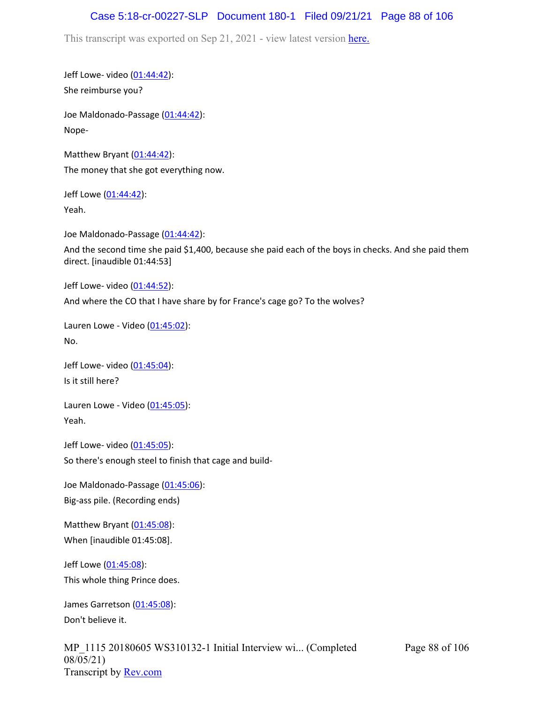#### Case 5:18-cr-00227-SLP Document 180-1 Filed 09/21/21 Page 88 of 106

This transcript was exported on Sep 21, 2021 - view latest version [here.](https://www.rev.com/transcript-editor/Edit?token=amZQ9HHFTut_NOLFoO1lSR86cptioQiBp-VVq9f_BePwrTlAl64zFPqcRkwVvmM6GaAv4S7BniclRE4xdf7JBzULLcE&loadFrom=DocumentHeaderDeepLink)

Jeff Lowe- video [\(01:44:42\)](https://www.rev.com/transcript-editor/Edit?token=j5vd3F1gajcV9VNuwpihvlr4tPpbqhscg1uTohfgnPyz5q9rU0r__pSYg0_Nl8qsMwt2yOQxJbnTSueve7z35mrMZcs&loadFrom=DocumentDeeplink&ts=6282.51): She reimburse you?

Joe Maldonado-Passage [\(01:44:42\)](https://www.rev.com/transcript-editor/Edit?token=E-hEOsk53paahbm4V2VZpj8ovH4tLoVLvWdqV-Hgf4-01zJdri_ACpe1eSxO7GpE30kYqvZAOkXbh-dsaYyBNTjxx8c&loadFrom=DocumentDeeplink&ts=6282.51): Nope-

Matthew Bryant  $(01:44:42)$  $(01:44:42)$  $(01:44:42)$ : The money that she got everything now.

Jeff Lowe ([01:44:42](https://www.rev.com/transcript-editor/Edit?token=1luLUbyfCmWe7ppd3GIgUbHLr21rQ4TJaO1z-9Eab9adraEjreD6-3pYI40-9d-6DTvp0FTeU9_BQdMhQEjTzZ-tSKc&loadFrom=DocumentDeeplink&ts=6282.51)): Yeah.

Joe Maldonado-Passage [\(01:44:42\)](https://www.rev.com/transcript-editor/Edit?token=SBxk7EuVRMRy0PSS_xbJolVO2dmi_SWweVtBXLJeWlUbRXeV8jbwALs3If00OxyKi1Ct8lnXWwwdZc00JRGRdaWY-yo&loadFrom=DocumentDeeplink&ts=6282.69):

And the second time she paid \$1,400, because she paid each of the boys in checks. And she paid them direct. [inaudible 01:44:53]

Jeff Lowe- video [\(01:44:52\)](https://www.rev.com/transcript-editor/Edit?token=ArTjyDtU3VQASn4ldhaWDBWqpkjh_xcjf3YGx0VXkMYqSfG1Vpa7BqtX7L6H0F5h85HECAzJ_TGd59_Eny1pmOxIAKI&loadFrom=DocumentDeeplink&ts=6292.62): And where the CO that I have share by for France's cage go? To the wolves?

Lauren Lowe - Video  $(01:45:02)$  $(01:45:02)$  $(01:45:02)$ : No.

Jeff Lowe- video [\(01:45:04\)](https://www.rev.com/transcript-editor/Edit?token=MMu-X-yYxoqeiJxd0dqLzURRhcVVd7162-dXT5gVGmjGtdilc99in0Y3Kyoz1A1LgXtYnn2-jUQuDFm8z4Gfq5HxKKA&loadFrom=DocumentDeeplink&ts=6304.62): Is it still here?

Lauren Lowe - Video ([01:45:05](https://www.rev.com/transcript-editor/Edit?token=d8M4MTAuyvNqFa-1d9KsIFGpyW2KQ9G3wD9p32BGpVhZGWGuaDesSTMlLZ1egGxWTYo-SLK3eNGd-52fI8bDbpe23C0&loadFrom=DocumentDeeplink&ts=6305.59)): Yeah.

Jeff Lowe- video [\(01:45:05\)](https://www.rev.com/transcript-editor/Edit?token=gj52Po82S-D2Fuuv5_aD1HVlpkx0NxTC_Jxf4vG_ADUJomfHohedAzOIoZaClE1h6IWNaM0wGhOPXMzDeak6yIxCG6U&loadFrom=DocumentDeeplink&ts=6305.61): So there's enough steel to finish that cage and build-

Joe Maldonado-Passage [\(01:45:06\)](https://www.rev.com/transcript-editor/Edit?token=rQ8U4pCyog-DLqNNBG9-ZL3x35RCI72DkgiMURTmWiqtIuCgklUXJUo5BYwnk4vU7bzxFstxm7v30zBVWsUofWm7pnk&loadFrom=DocumentDeeplink&ts=6306.63): Big-ass pile. (Recording ends)

Matthew Bryant ([01:45:08](https://www.rev.com/transcript-editor/Edit?token=MRkxbvxdmHxb_6OLbfGpAEtbienYNeLGfjdbHEnAnyFxlDB28h-A-0x82BKv5GnFCTnTjW2deL7N8H42iiwYGVD2uFE&loadFrom=DocumentDeeplink&ts=6308)): When [inaudible 01:45:08].

Jeff Lowe ([01:45:08](https://www.rev.com/transcript-editor/Edit?token=HgKPFkOmWESqHt6UbZV7zsLBmI2wEUADGc_7W-kxPyOLLLaUApH1MA7uZ2uE4hq0EMputKSxyMeTMCHTbKcAKV86mzA&loadFrom=DocumentDeeplink&ts=6308)): This whole thing Prince does.

James Garretson ([01:45:08\)](https://www.rev.com/transcript-editor/Edit?token=Sw0aCDMkNTlRb1SHZP96w9jWHXMCGusEYW-V5lodgugAka-fILlS1jwZzFVLH5wk-e0-NjYVTX8amGhkP3r5PH0jEsw&loadFrom=DocumentDeeplink&ts=6308): Don't believe it.

MP\_1115 20180605 WS310132-1 Initial Interview wi... (Completed 08/05/21) Transcript by **Rev.com**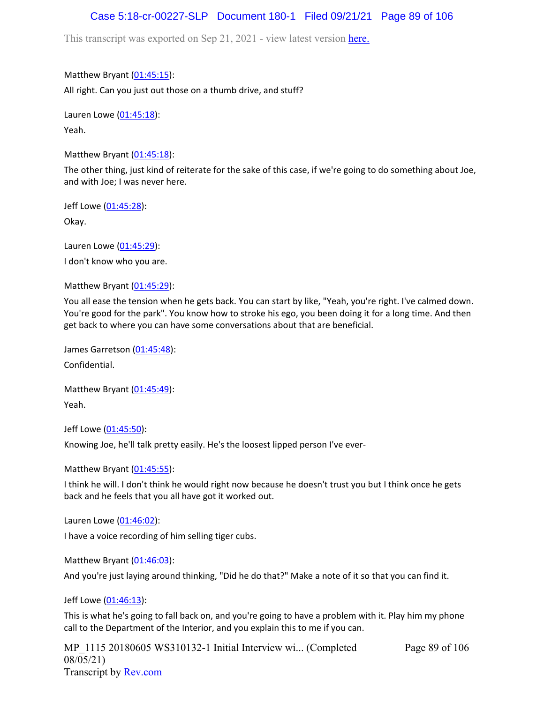#### Case 5:18-cr-00227-SLP Document 180-1 Filed 09/21/21 Page 89 of 106

This transcript was exported on Sep 21, 2021 - view latest version [here.](https://www.rev.com/transcript-editor/Edit?token=amZQ9HHFTut_NOLFoO1lSR86cptioQiBp-VVq9f_BePwrTlAl64zFPqcRkwVvmM6GaAv4S7BniclRE4xdf7JBzULLcE&loadFrom=DocumentHeaderDeepLink)

Matthew Bryant ([01:45:15](https://www.rev.com/transcript-editor/Edit?token=kJCtWBQmZbAjEyCk5TqG9O_9v3ab-1BG2x9eWeHE-ZKHOT3jnLM2oVRV_XhivLaouQZWbfsLla4uKLnXQ_GpGGNRcVE&loadFrom=DocumentDeeplink&ts=6315.68)): All right. Can you just out those on a thumb drive, and stuff?

Lauren Lowe ([01:45:18](https://www.rev.com/transcript-editor/Edit?token=1zXaGO6BlG0wy1iko1W3Ot59fcSptqsCV5JmsWP4Qrny3ffT5zND3LgxIqvQvcXY1VKIrF8CNSlBASVr5WiNvtJBRNE&loadFrom=DocumentDeeplink&ts=6318.49)): Yeah.

Matthew Bryant  $(01:45:18)$  $(01:45:18)$  $(01:45:18)$ :

The other thing, just kind of reiterate for the sake of this case, if we're going to do something about Joe, and with Joe; I was never here.

Jeff Lowe ([01:45:28](https://www.rev.com/transcript-editor/Edit?token=yZaY_4cFFyPqzznAhx6tXbjmuC2humpu5kdl-g6J1UKHGOVacVX_HhhBQS_NUL6Ov55iygo0ekYiVj88TrAWGhefGbw&loadFrom=DocumentDeeplink&ts=6328.25)):

Okay.

Lauren Lowe ([01:45:29](https://www.rev.com/transcript-editor/Edit?token=BGlHQXJHEwZUH4WpVDc_qYGib7sc1iL4KbhmNX7ugwaItxPKFRzk3j-d3WZhSzdRNspYJJ7e8F38BgJKSCBtaXzjk8M&loadFrom=DocumentDeeplink&ts=6329.24)):

I don't know who you are.

Matthew Bryant ([01:45:29](https://www.rev.com/transcript-editor/Edit?token=uvncxShI3XB63nsWhNfH2d0s9W6nTUU4ERtCImiZRt-L9zNbsYe__zlH2YhcxtiKyEStM1nunhfM954nuSFHkWkT54k&loadFrom=DocumentDeeplink&ts=6329.95)):

You all ease the tension when he gets back. You can start by like, "Yeah, you're right. I've calmed down. You're good for the park". You know how to stroke his ego, you been doing it for a long time. And then get back to where you can have some conversations about that are beneficial.

James Garretson ([01:45:48\)](https://www.rev.com/transcript-editor/Edit?token=le_gfG1pv9Ny9VWvk5ZKNLmBnrzFBJbICOsF_tba315BK4DhtXqUolVxZMaEYvd7LfzqQXoGYVM_ZF4ouVI98Jxf4xo&loadFrom=DocumentDeeplink&ts=6348.49): Confidential.

Matthew Bryant ([01:45:49](https://www.rev.com/transcript-editor/Edit?token=Sw6NYALwl7pCf4K1zKnEsEWUUqcv7bl6VaMQcKjj3nsnr-yZFlIp4eBwSDX5GxRKTVRrLtwCF3Y882ouEe894dzOnFM&loadFrom=DocumentDeeplink&ts=6349.48)): Yeah.

Jeff Lowe ([01:45:50](https://www.rev.com/transcript-editor/Edit?token=ZTm96U03xcJ1ak-eLeozR9OU5je1v2edH-CcyzfTJrxrJicJch0UWznm4nChKbHW0LWicib6Nz4or3ANroXpYFDetQ0&loadFrom=DocumentDeeplink&ts=6350.71)):

Knowing Joe, he'll talk pretty easily. He's the loosest lipped person I've ever-

Matthew Bryant ([01:45:55](https://www.rev.com/transcript-editor/Edit?token=d_-lqNog7NEWpbVBOzx7xJ5Lexj6J5LcOCNWnZ4v4_CkOmPS8plvB-v_kbvx5VXEGWmb72BqNVAAPfFaW0R_bHUAHTM&loadFrom=DocumentDeeplink&ts=6355.81)):

I think he will. I don't think he would right now because he doesn't trust you but I think once he gets back and he feels that you all have got it worked out.

Lauren Lowe ([01:46:02](https://www.rev.com/transcript-editor/Edit?token=IkC4aW92H9dkSJnvoH6sE7ZYdxMaFonwGc-cxb5wxkE29ftjLymQ4_dJun3rPXQb45KCTMI7ftgxTouioQoyK03tka4&loadFrom=DocumentDeeplink&ts=6362.13)):

I have a voice recording of him selling tiger cubs.

Matthew Bryant ([01:46:03](https://www.rev.com/transcript-editor/Edit?token=2QDicXdU_P3jWMinkVQPSLQTRtfVNtnUOutVwGBHmsJwcFq_iw9S6AcNdau_lfrcRfW7Jqq0iGSALEH2hUaug6GMRWk&loadFrom=DocumentDeeplink&ts=6363.98)):

And you're just laying around thinking, "Did he do that?" Make a note of it so that you can find it.

Jeff Lowe ([01:46:13](https://www.rev.com/transcript-editor/Edit?token=t0JQWsFS_u6w7t8oU9cMlmn76Cvfwjlu0HezaKWnn1gNqjYw4EkR9_U9lnLEVM4QlRQSf4D334_qcY0aLaiosx0bSDo&loadFrom=DocumentDeeplink&ts=6373.2)):

This is what he's going to fall back on, and you're going to have a problem with it. Play him my phone call to the Department of the Interior, and you explain this to me if you can.

MP\_1115 20180605 WS310132-1 Initial Interview wi... (Completed 08/05/21) Transcript by [Rev.com](https://www.rev.com/)

Page 89 of 106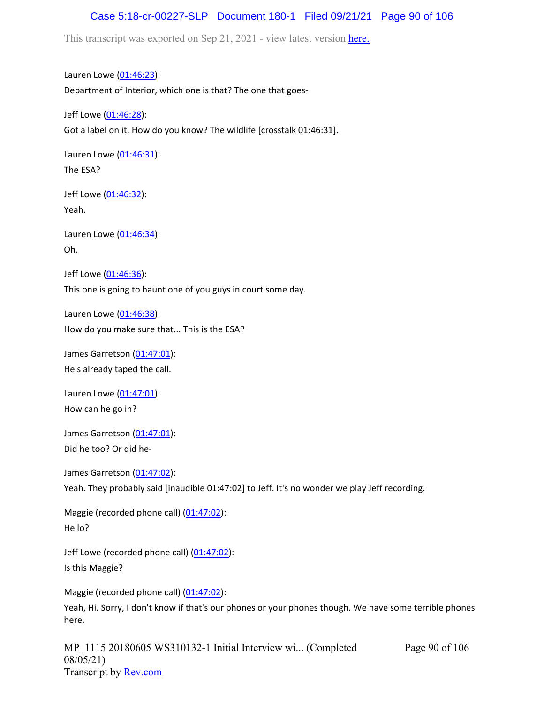## Case 5:18-cr-00227-SLP Document 180-1 Filed 09/21/21 Page 90 of 106

This transcript was exported on Sep 21, 2021 - view latest version [here.](https://www.rev.com/transcript-editor/Edit?token=amZQ9HHFTut_NOLFoO1lSR86cptioQiBp-VVq9f_BePwrTlAl64zFPqcRkwVvmM6GaAv4S7BniclRE4xdf7JBzULLcE&loadFrom=DocumentHeaderDeepLink)

Lauren Lowe ([01:46:23](https://www.rev.com/transcript-editor/Edit?token=B3Bq029Ws-AkuTWqbQha38WGPuJHhr-C8kZ620lp9tfQEGRnw5W7Goyli0H4U-fRcF3MGx6Me2Duh7nm7xYi0f5kjO0&loadFrom=DocumentDeeplink&ts=6383.99)): Department of Interior, which one is that? The one that goes-

Jeff Lowe ([01:46:28](https://www.rev.com/transcript-editor/Edit?token=tT0VKI-_orvq0Ac10_Fp4MVqrJAlduvFmSNWdHsuBnzLOHVHwy99ZDxGM4XfMFxirrpBNvQB8WXLD6l0-H4TCdhRQ3E&loadFrom=DocumentDeeplink&ts=6388.47)): Got a label on it. How do you know? The wildlife [crosstalk 01:46:31].

Lauren Lowe ([01:46:31](https://www.rev.com/transcript-editor/Edit?token=DQFEwA901WM8oFc7zAUFEfyd4bLtufs-Sr6oCHbeXpp5lMjkdch2vyJR9-s5sJewgya_XjKjxcZvfyWLROcPkbRuGLw&loadFrom=DocumentDeeplink&ts=6391.97)): The ESA?

Jeff Lowe ([01:46:32](https://www.rev.com/transcript-editor/Edit?token=haqmKAZGY0_h1kiF32ENszok00pGCOVnqmsuvoZMoWDsR0feYvwkVdq1IfD3VIljAVXPRtov2dFUn2EKuj-2HYO_HKM&loadFrom=DocumentDeeplink&ts=6392.13)): Yeah.

Lauren Lowe ([01:46:34](https://www.rev.com/transcript-editor/Edit?token=ReoG3RWlP3U9wwcL8E27xiL_jpfncqLLmageDRQJzCf81OZCmTWMMCKrEeByXjrOtKZ-eLFJIM9P8lwfs12UofvigIk&loadFrom=DocumentDeeplink&ts=6394.46)): Oh.

Jeff Lowe ([01:46:36](https://www.rev.com/transcript-editor/Edit?token=leUWWhhLcfwHPxI_6YPffnRQUrlDrxR5jyI29kCERPyrWPDsuoOpygznKhZmMGcQFzd0GwrCzdq3BpcyEUR_Y4Nlw5I&loadFrom=DocumentDeeplink&ts=6396.49)): This one is going to haunt one of you guys in court some day.

Lauren Lowe ([01:46:38](https://www.rev.com/transcript-editor/Edit?token=LwXJHf8QG6DPSgTyaPfC82m7D2TUOCdWRsGleAeOmdxqyhGA3qfRwB1cNJ8zioY3pu3BQqdqtZLuC9LlzGdJdGallxQ&loadFrom=DocumentDeeplink&ts=6398.76)): How do you make sure that... This is the ESA?

James Garretson ([01:47:01\)](https://www.rev.com/transcript-editor/Edit?token=hqwSPXvCcI4EvCoDTR35LxFBIibMDJVgqHdZWXT2FEsYYZ-pL4PXxaXbsxe1jM59VJo90rL1776oJzfLaeYdBeKlyZA&loadFrom=DocumentDeeplink&ts=6421.5): He's already taped the call.

Lauren Lowe ([01:47:01](https://www.rev.com/transcript-editor/Edit?token=ALgaLDzwaNK_tPxztGwJ8qiCESbYBq4-s6Bxv9Z71hpyMPoed-yFIXLkF7GN4u5aaa_MFmyq6D-Yl6QT5vCbq8YnGyw&loadFrom=DocumentDeeplink&ts=6421.5)): How can he go in?

James Garretson ([01:47:01\)](https://www.rev.com/transcript-editor/Edit?token=n7wfbmd8svVRhKWVyzrtvSVusk9xNwXAutYbEyRJjagqI4ZueD3L5AZRVdBkMH7zdkbrg4vxyhfDBmRfybxwBZKjTK8&loadFrom=DocumentDeeplink&ts=6421.5):

Did he too? Or did he-

James Garretson ([01:47:02\)](https://www.rev.com/transcript-editor/Edit?token=Gozm8UUO3iCwWtjNVva9R-o7B3FBf3gCfRgdIm-oOycJqrc_Z-c-q9BTCOyi6UKFjzWtfw_IwP4lvK3E1wnQqF_xcuw&loadFrom=DocumentDeeplink&ts=6422): Yeah. They probably said [inaudible 01:47:02] to Jeff. It's no wonder we play Jeff recording.

Maggie (recorded phone call) [\(01:47:02\)](https://www.rev.com/transcript-editor/Edit?token=6fp1pUGYnWDCEbwrEwzH36NK-oCmXQwizH2abucg6ONO-bg8T-j-9GJJGKLBi5ho800jQ2BTH1jWLoRLvb-WjxWVjRc&loadFrom=DocumentDeeplink&ts=6422): Hello?

Jeff Lowe (recorded phone call) [\(01:47:02](https://www.rev.com/transcript-editor/Edit?token=8ndaDH2X93djbibWvGNOq4qUuBslmFAiMQQ-7ESaB46Zebraue94gF0xPgUEBwtXXRoKEUzbzMIq6opJ_QBy-royvHw&loadFrom=DocumentDeeplink&ts=6422)): Is this Maggie?

Maggie (recorded phone call) [\(01:47:02\)](https://www.rev.com/transcript-editor/Edit?token=tB4p8sIxroqOCfuykoU7wLQC366024or14QHwaqN5oaVVCp3myXFGqQ-eAoGkfcv4302rt6Llo2dzh45EkXxG8B6txw&loadFrom=DocumentDeeplink&ts=6422):

Yeah, Hi. Sorry, I don't know if that's our phones or your phones though. We have some terrible phones here.

MP\_1115 20180605 WS310132-1 Initial Interview wi... (Completed 08/05/21) Transcript by [Rev.com](https://www.rev.com/)

Page 90 of 106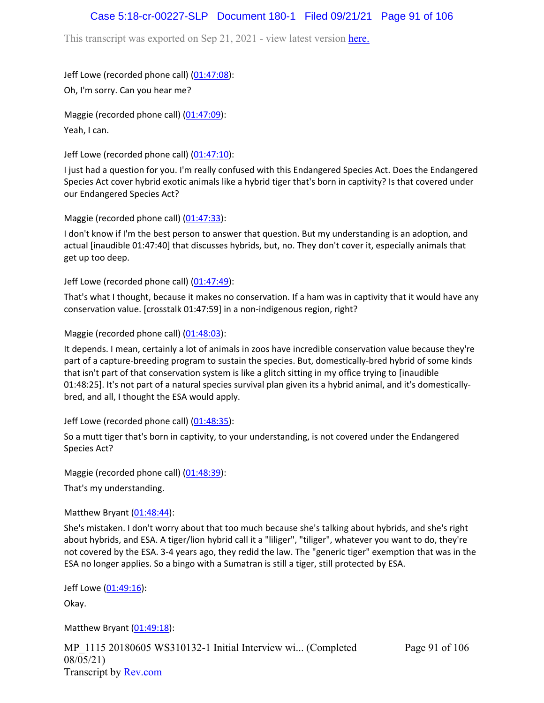## Case 5:18-cr-00227-SLP Document 180-1 Filed 09/21/21 Page 91 of 106

This transcript was exported on Sep 21, 2021 - view latest version [here.](https://www.rev.com/transcript-editor/Edit?token=amZQ9HHFTut_NOLFoO1lSR86cptioQiBp-VVq9f_BePwrTlAl64zFPqcRkwVvmM6GaAv4S7BniclRE4xdf7JBzULLcE&loadFrom=DocumentHeaderDeepLink)

Jeff Lowe (recorded phone call) [\(01:47:08](https://www.rev.com/transcript-editor/Edit?token=WcCIaIwBjYZOfcuItaFq28_PucnwKsZpvVTxmWadtlX8LUcLTmRE5blPpPpysYRmZ2Pz4EYW2TcsM1yKuQurblPNrFk&loadFrom=DocumentDeeplink&ts=6428.26)):

Oh, I'm sorry. Can you hear me?

Maggie (recorded phone call) [\(01:47:09\)](https://www.rev.com/transcript-editor/Edit?token=ijaLXvWVOREKEr0Au-ZJoWENEYPkJ5fiXrXi9wekGryCWC4GVpHkW_iGTkbY2qXDge7ThWqjUSphBa4H_n859uCWj5A&loadFrom=DocumentDeeplink&ts=6429.43): Yeah, I can.

Jeff Lowe (recorded phone call) [\(01:47:10](https://www.rev.com/transcript-editor/Edit?token=jXFr__Gi0BzRdvejErC7vb0d0C1z4RFKCdNoU9IZ_LcBuHCoihlN3tAA-2dZzz0tg4WNRspEzjxy5iTGmn1PZOtYkBk&loadFrom=DocumentDeeplink&ts=6430.86)):

I just had a question for you. I'm really confused with this Endangered Species Act. Does the Endangered Species Act cover hybrid exotic animals like a hybrid tiger that's born in captivity? Is that covered under our Endangered Species Act?

Maggie (recorded phone call) [\(01:47:33\)](https://www.rev.com/transcript-editor/Edit?token=WcGUVOIpT2ieL1ebFgdL5v3s3ImJUGw4dyFnTVQfr_RqSL9fktkQnDyXq0NhFPLJZgjRow560O4RvaApd7w2STXyNZ0&loadFrom=DocumentDeeplink&ts=6453.84):

I don't know if I'm the best person to answer that question. But my understanding is an adoption, and actual [inaudible 01:47:40] that discusses hybrids, but, no. They don't cover it, especially animals that get up too deep.

Jeff Lowe (recorded phone call) [\(01:47:49](https://www.rev.com/transcript-editor/Edit?token=Mqxs5tRDVBL67Ehdqbdq0X75-fFcmLvuX3ANe88DgWZiKsuS77Kx3v1al_uFioKD4iC2BezZxoXvi-djO1dU2pPlI10&loadFrom=DocumentDeeplink&ts=6469.77)):

That's what I thought, because it makes no conservation. If a ham was in captivity that it would have any conservation value. [crosstalk 01:47:59] in a non-indigenous region, right?

Maggie (recorded phone call)  $(01:48:03)$ :

It depends. I mean, certainly a lot of animals in zoos have incredible conservation value because they're part of a capture-breeding program to sustain the species. But, domestically-bred hybrid of some kinds that isn't part of that conservation system is like a glitch sitting in my office trying to [inaudible 01:48:25]. It's not part of a natural species survival plan given its a hybrid animal, and it's domesticallybred, and all, I thought the ESA would apply.

Jeff Lowe (recorded phone call) [\(01:48:35](https://www.rev.com/transcript-editor/Edit?token=UdYeb5zmg2KgpcNHJ2EJ7HNLhWqg67znGRaFjDG4Bmbcyze-tnjeNBvEQvq03q0L4SBAXiQSoq9iBygu4I-k1vCl0kg&loadFrom=DocumentDeeplink&ts=6515.06)):

So a mutt tiger that's born in captivity, to your understanding, is not covered under the Endangered Species Act?

Maggie (recorded phone call) [\(01:48:39\)](https://www.rev.com/transcript-editor/Edit?token=Xn0lHwlOWP4vMzDvSlArQRv4ePP45KYskSb1uaZKu0bBUNbUN_iJHXiia9U6diHde7DIiHVPATIHa3UNSm5-W-5t1Lg&loadFrom=DocumentDeeplink&ts=6519.05):

That's my understanding.

Matthew Bryant  $(01:48:44)$  $(01:48:44)$  $(01:48:44)$ :

She's mistaken. I don't worry about that too much because she's talking about hybrids, and she's right about hybrids, and ESA. A tiger/lion hybrid call it a "liliger", "tiliger", whatever you want to do, they're not covered by the ESA. 3-4 years ago, they redid the law. The "generic tiger" exemption that was in the ESA no longer applies. So a bingo with a Sumatran is still a tiger, still protected by ESA.

Jeff Lowe ([01:49:16](https://www.rev.com/transcript-editor/Edit?token=BQtZ3dsAA40KgXzvbticSex41Hbq4R6ZdhNPRPhApiGF6mt1R-yf40iSkVDfWFjwff1OY884poKyYfY1Xn91joml59w&loadFrom=DocumentDeeplink&ts=6556.71)):

Okay.

Matthew Bryant ([01:49:18](https://www.rev.com/transcript-editor/Edit?token=93BJoYqzPLK_aRjI6RuRxkeB75z2KL6K4ETLq7FjkGkxKZ1ceRB6k9NFND_NPeA3miB0WGqEFIqHovq-jeYnJiJOhwM&loadFrom=DocumentDeeplink&ts=6558.95)):

MP 1115 20180605 WS310132-1 Initial Interview wi... (Completed 08/05/21) Transcript by [Rev.com](https://www.rev.com/)

Page 91 of 106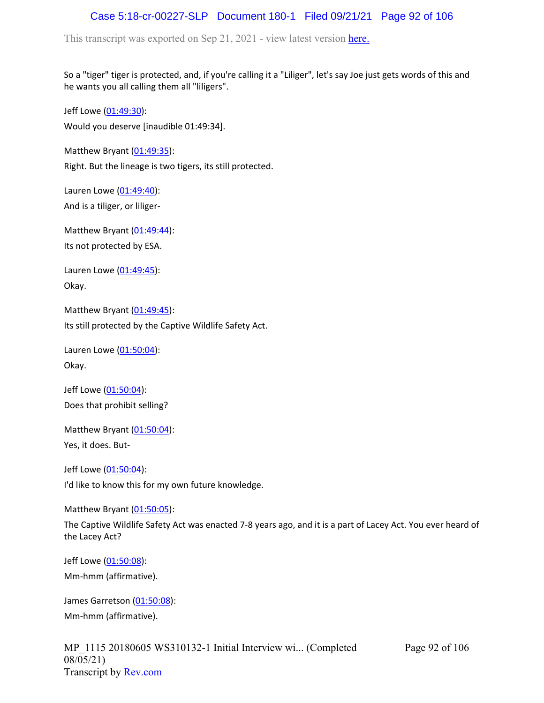## Case 5:18-cr-00227-SLP Document 180-1 Filed 09/21/21 Page 92 of 106

This transcript was exported on Sep 21, 2021 - view latest version [here.](https://www.rev.com/transcript-editor/Edit?token=amZQ9HHFTut_NOLFoO1lSR86cptioQiBp-VVq9f_BePwrTlAl64zFPqcRkwVvmM6GaAv4S7BniclRE4xdf7JBzULLcE&loadFrom=DocumentHeaderDeepLink)

So a "tiger" tiger is protected, and, if you're calling it a "Liliger", let's say Joe just gets words of this and he wants you all calling them all "liligers".

Jeff Lowe ([01:49:30](https://www.rev.com/transcript-editor/Edit?token=QRx-EJlphj7t4nEFyfVuWF9vXZyUNkpryLjLHfy-kLvldNgf5Ssz5JwTjXB4lnwFUwYnrmLhAsEIH-jRK-7enuKiIOs&loadFrom=DocumentDeeplink&ts=6570.72)): Would you deserve [inaudible 01:49:34].

Matthew Bryant ([01:49:35](https://www.rev.com/transcript-editor/Edit?token=uU7Q9MKxwQiUE4lyTeFJAjBG2zOczVVLvJQAxVw2aP3C2M0-Mig1nEZaJo0yGAbBGa3eu3p5-ESAOE3H0koa4cGqY9I&loadFrom=DocumentDeeplink&ts=6575.09)):

Right. But the lineage is two tigers, its still protected.

Lauren Lowe ([01:49:40](https://www.rev.com/transcript-editor/Edit?token=6Gj_uQ_dVVAvvWHUw8gAppSCMRBiTxuTOAw3aVwN20mqzALtMtU93a-14YlqHRasDb9QTMdvH-eHIjnw_CPqdZNc2JA&loadFrom=DocumentDeeplink&ts=6580.15)): And is a tiliger, or liliger-

Matthew Bryant ([01:49:44](https://www.rev.com/transcript-editor/Edit?token=rJjiw372SHWJgAOeYZxaWclOfRVfEaSwIiH7AdEUHbZHCVtmvPBy01FuDLEJP1gDkp0OvV2qtEG4VZ_MqhSXM_7ecPU&loadFrom=DocumentDeeplink&ts=6584.14)): Its not protected by ESA.

Lauren Lowe ([01:49:45](https://www.rev.com/transcript-editor/Edit?token=-slfRw9CGN9emQqOfR63sonx2bIVHC7yMqZBvQ2MilXIo2ecqx6J_Uoiw8ydRHE7tkZngnCn3gifX1xpSyiK5nh8nUo&loadFrom=DocumentDeeplink&ts=6585)): Okay.

Matthew Bryant ([01:49:45](https://www.rev.com/transcript-editor/Edit?token=VdoUGqG5P1_emk-EhpTD_lGbHLpZI5ZZ2kiWBkD2ALVoHsvV34w4xiiUP3uIplRtSgvHebH-xKvMAP-2hV-_V4_SuPA&loadFrom=DocumentDeeplink&ts=6585)): Its still protected by the Captive Wildlife Safety Act.

Lauren Lowe ([01:50:04](https://www.rev.com/transcript-editor/Edit?token=KiMZxsH-sp-piv5rjnGKq0x0m4l-Tf5wrJ7iz16kaGfeFgG1vbwVvfc8GmIioPibJ50mNI7XKh0PiJYdo6P4MfEuUl0&loadFrom=DocumentDeeplink&ts=6604.36)): Okay.

Jeff Lowe ([01:50:04](https://www.rev.com/transcript-editor/Edit?token=ySHEhc5guNEpE84eJnTRifTLHhrZaxc6_iSCvAvL6O7cT7fjQHjLktH4XHvTCDmw7McQqJAdK9eafsBFP6zF8sILzsQ&loadFrom=DocumentDeeplink&ts=6604.37)): Does that prohibit selling?

Matthew Bryant ([01:50:04](https://www.rev.com/transcript-editor/Edit?token=h_wYdX-VUD0_PXu0Ks1R721wOPr5FeZT5-UKexGHP-40XNEcvAOVAcAHtp1HY6oggXdbe84qkpBKaVm9Ak-jK9A3ZDs&loadFrom=DocumentDeeplink&ts=6604.56)): Yes, it does. But-

Jeff Lowe ([01:50:04](https://www.rev.com/transcript-editor/Edit?token=ZrexLf9EPLicBMIiF60j0PYBt1pRHfpCNt7-l1OzDlsa1hQN0ms8GzJ4tcYRURRLiuyyhXLCwyt8KAyoLN9fu6yArQU&loadFrom=DocumentDeeplink&ts=6604.59)): I'd like to know this for my own future knowledge.

Matthew Bryant ([01:50:05](https://www.rev.com/transcript-editor/Edit?token=JvWTWyWIiyFIRIcpgu7OQthq16IqJdonY3jaAzEIMnfsO1o1OjtveDwFeqdbpBcUeK_Xg-XNvkFk2LJkjpI_JQWaOlk&loadFrom=DocumentDeeplink&ts=6605.4)):

The Captive Wildlife Safety Act was enacted 7-8 years ago, and it is a part of Lacey Act. You ever heard of the Lacey Act?

Jeff Lowe ([01:50:08](https://www.rev.com/transcript-editor/Edit?token=lSNsFJRubyrEQ-UctRdvfc9ybhzI2W5_mtFHczhQUKfUmI10VyVTBufRv8c6aUZumpBf_DhgzxIkpRoGoAV2U6otvXI&loadFrom=DocumentDeeplink&ts=6608.87)):

Mm-hmm (affirmative).

James Garretson ([01:50:08\)](https://www.rev.com/transcript-editor/Edit?token=t0pfHWJaiu0v4wSaDFkcOCB5vgtrfQzsBY9hxqX8NBgmRzudROlYUfRsXnEGM66uSez-dlbUWBHhsj3CkJcjOYP5OXg&loadFrom=DocumentDeeplink&ts=6608.87): Mm-hmm (affirmative).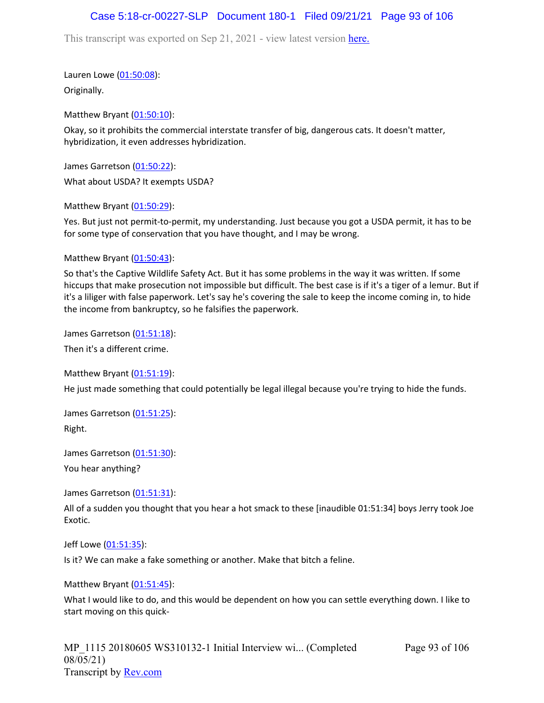## Case 5:18-cr-00227-SLP Document 180-1 Filed 09/21/21 Page 93 of 106

This transcript was exported on Sep 21, 2021 - view latest version [here.](https://www.rev.com/transcript-editor/Edit?token=amZQ9HHFTut_NOLFoO1lSR86cptioQiBp-VVq9f_BePwrTlAl64zFPqcRkwVvmM6GaAv4S7BniclRE4xdf7JBzULLcE&loadFrom=DocumentHeaderDeepLink)

Lauren Lowe ([01:50:08](https://www.rev.com/transcript-editor/Edit?token=uzwhftl93ZKQCa9YmiMo9Oj0m6x7k-tI88iQaDVsLrXLrkkWiQeUNkySAUi1ZOwGzRBgeaU9zhjIQQJosuBsDXSVuR0&loadFrom=DocumentDeeplink&ts=6608.87)):

Originally.

Matthew Bryant ([01:50:10](https://www.rev.com/transcript-editor/Edit?token=oG6G_8DyZXR9ClJkzysK0K7TPCNCtdh6aOAhhk9tzpfZadIYi8FNZPeZDefydsGEsf3IpvwJlYzuHr44Sg6pInbaWtA&loadFrom=DocumentDeeplink&ts=6610.65)):

Okay, so it prohibits the commercial interstate transfer of big, dangerous cats. It doesn't matter, hybridization, it even addresses hybridization.

James Garretson ([01:50:22\)](https://www.rev.com/transcript-editor/Edit?token=ZPPU2CDOdQViaQ0YCJnIIamZYwHuRIWWycLcr8wrVuQ5RRr_yT_thydaudRbAhOFY9X61K-_DhYCsh-XGCrQWoq6euM&loadFrom=DocumentDeeplink&ts=6622.21):

What about USDA? It exempts USDA?

Matthew Bryant ([01:50:29](https://www.rev.com/transcript-editor/Edit?token=G_jh6IgYwtPzHr-gr5Ul_EZ6NwWFmttV3SKwaDCihyebG1_YGiCL9JCMkseubozOTjnls4EUFpG7LW6nLFejtWv-kDo&loadFrom=DocumentDeeplink&ts=6629.56)):

Yes. But just not permit-to-permit, my understanding. Just because you got a USDA permit, it has to be for some type of conservation that you have thought, and I may be wrong.

Matthew Bryant ([01:50:43](https://www.rev.com/transcript-editor/Edit?token=v-lb8e7vo76XDgbEnxfeph0S2haYaATmXR4F2xEWUGiPstWTfNhpFOA8zwWgsQqhDhYEeOv9cRgSmCWcjsjmXhEbE1w&loadFrom=DocumentDeeplink&ts=6643.81)):

So that's the Captive Wildlife Safety Act. But it has some problems in the way it was written. If some hiccups that make prosecution not impossible but difficult. The best case is if it's a tiger of a lemur. But if it's a liliger with false paperwork. Let's say he's covering the sale to keep the income coming in, to hide the income from bankruptcy, so he falsifies the paperwork.

James Garretson ([01:51:18\)](https://www.rev.com/transcript-editor/Edit?token=cblVwN_Uu7bJTjT9vaLIpW72nhV5huVaFGnWVf3xLe8ANYT_f_OWHrWWI24JRgYj1mGgIwM6EKA96t6pqjsPLnlqoXM&loadFrom=DocumentDeeplink&ts=6678.14):

Then it's a different crime.

Matthew Bryant ([01:51:19](https://www.rev.com/transcript-editor/Edit?token=QN96628069MXqD1ERPoQ6YjnKzKhE-rZUj23EqpoWU6M1XHInnBJ-h7uv_JtH9M-s4SebwQzFYbdCDmQSu7KmMZ2N2E&loadFrom=DocumentDeeplink&ts=6679.91)):

He just made something that could potentially be legal illegal because you're trying to hide the funds.

James Garretson ([01:51:25\)](https://www.rev.com/transcript-editor/Edit?token=YP4BEUsQBCTWlYaK-dPudp9pfjzFAUpCqGpMip2VwhQ2bYSAHg5Up4Ctxc2CCST-XH3-wlaTxLJ_KKmGmeCnRNGbspY&loadFrom=DocumentDeeplink&ts=6685.84): Right.

James Garretson ([01:51:30\)](https://www.rev.com/transcript-editor/Edit?token=zBdlngwKCQeTPg4n_nrHcSUtq8ZQ4ltv00tPRo1IUvK9nAWsJAZ1a99WBfC5gS_pz5mTQUMf78Wt1W41ErgsSMx8DJw&loadFrom=DocumentDeeplink&ts=6690.41): You hear anything?

James Garretson ([01:51:31\)](https://www.rev.com/transcript-editor/Edit?token=3ufIhx4nP04rkE8Rr40aM8A9bJSJwn6aYFj1U1JtvJR8iDPS8jQS2Ocp41NWVO5wYio-9KcSmkpJm0ztd--d5MeWQCk&loadFrom=DocumentDeeplink&ts=6691.58):

All of a sudden you thought that you hear a hot smack to these [inaudible 01:51:34] boys Jerry took Joe Exotic.

Jeff Lowe ([01:51:35](https://www.rev.com/transcript-editor/Edit?token=fqepkqVzmClGl-x5CJnf8TfHMBE-10r0fZRzSUMerTH_v-5vdBtlRkzc97_pei6GWc-1T241Ra62Q0qgQDdkFsmEpXA&loadFrom=DocumentDeeplink&ts=6695.59)):

Is it? We can make a fake something or another. Make that bitch a feline.

Matthew Bryant ([01:51:45](https://www.rev.com/transcript-editor/Edit?token=Inxoncgp4mX1zerlEAriO-ESCEVQbS5cwfXrlkW9iW2PR3aVn-Co0sAyhQNvr7yFCzXIXjaZD2r_t62mAF1fFM8Js6M&loadFrom=DocumentDeeplink&ts=6705.57)):

What I would like to do, and this would be dependent on how you can settle everything down. I like to start moving on this quick-

Page 93 of 106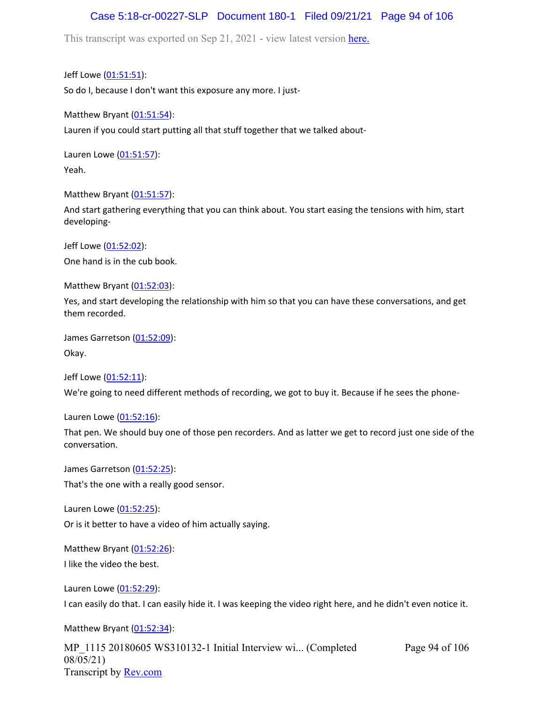## Case 5:18-cr-00227-SLP Document 180-1 Filed 09/21/21 Page 94 of 106

This transcript was exported on Sep 21, 2021 - view latest version [here.](https://www.rev.com/transcript-editor/Edit?token=amZQ9HHFTut_NOLFoO1lSR86cptioQiBp-VVq9f_BePwrTlAl64zFPqcRkwVvmM6GaAv4S7BniclRE4xdf7JBzULLcE&loadFrom=DocumentHeaderDeepLink)

Jeff Lowe ([01:51:51](https://www.rev.com/transcript-editor/Edit?token=VIiNzRS3UXY6qClacmAcm44ZoKX8htF8hPUItd2vXLLbN7fpxMPlu4qGc3MuIvRiYkit9oYMmL74RLuAWp0Szap3vGw&loadFrom=DocumentDeeplink&ts=6711.06)): So do I, because I don't want this exposure any more. I just-

Matthew Bryant ([01:51:54](https://www.rev.com/transcript-editor/Edit?token=eRFCGKjI5FGsW2-lwfTE7ByHp1nMtES3JE-U7xhquucj3alA-bkNoupjiZ9YWTsw7RhfpkNxQ_KvUvo5fumN3EAHwNQ&loadFrom=DocumentDeeplink&ts=6714.32)): Lauren if you could start putting all that stuff together that we talked about-

Lauren Lowe ([01:51:57](https://www.rev.com/transcript-editor/Edit?token=uN4qV4ZWEdCWz1LC-l6HKDs-hosJsy8Rg7xpMJtHedbEbODISu-MU-TQKFwA3wH6gG7OoxJcq_qVOXiJUHz30pyLQwk&loadFrom=DocumentDeeplink&ts=6717.42)): Yeah.

Matthew Bryant ([01:51:57](https://www.rev.com/transcript-editor/Edit?token=fGF2NXc2rBEnuVb17hzX9BwJL7dBFQ3LlHnKvqgINs9QhJANVECBVURl-1nff6Z-qpVbEjTJvJzjgMn7B7yFWTi2kGA&loadFrom=DocumentDeeplink&ts=6717.44)):

And start gathering everything that you can think about. You start easing the tensions with him, start developing-

Jeff Lowe ([01:52:02](https://www.rev.com/transcript-editor/Edit?token=FBLcKmqA7i2RihGj4NRN-ZV6K0GVIXTQWnlIGAUHyQxmt5RnbqyaAIsTZMTH1vHLVLJev9m_IS4sxsVxZavbcsI6X38&loadFrom=DocumentDeeplink&ts=6722.89)): One hand is in the cub book.

Matthew Bryant ([01:52:03](https://www.rev.com/transcript-editor/Edit?token=0sJ5hNDAiyU--ZEBykP8GwfYvAb_MVcUxAgcHsR6vSx6FgXoFd8Dl2UadqCTeE9Jj6A-CCthp42voOLgyWKs_1BYhgM&loadFrom=DocumentDeeplink&ts=6723.99)):

Yes, and start developing the relationship with him so that you can have these conversations, and get them recorded.

James Garretson ([01:52:09\)](https://www.rev.com/transcript-editor/Edit?token=RkunbLSMua4XEOKnXtfLRKZd6JOqjxzw1NmD4oYIx_Hz3xgpRYE0vbBZ-uhSEptyazChzMmSvBjMy5qisrSgzk7ARIQ&loadFrom=DocumentDeeplink&ts=6729.05): Okay.

Jeff Lowe ([01:52:11](https://www.rev.com/transcript-editor/Edit?token=HCzy4Nup_obPPLIVD8bBxhUg7El8f_fXW521CKDIzmcSQmh6e8tBeuMsiufYGDMO3caYyLwpODAw4Tf3-4Hl5XVTYlA&loadFrom=DocumentDeeplink&ts=6731.77)):

We're going to need different methods of recording, we got to buy it. Because if he sees the phone-

Lauren Lowe ([01:52:16](https://www.rev.com/transcript-editor/Edit?token=UwHO53wxXtlqA0Eg4myODMpGxEBY86nxZBAVrPeqFxUW2BXTGClEBnCN7RCqGmQH9kSD65EZM4CdRk4wevsrY47z-ug&loadFrom=DocumentDeeplink&ts=6736.83)):

That pen. We should buy one of those pen recorders. And as latter we get to record just one side of the conversation.

James Garretson ([01:52:25\)](https://www.rev.com/transcript-editor/Edit?token=9LrbZq6lYyXLaNsK3yGeJZnbksbzIJSi5-pinAZr9t2n75Rfh-kc8ciKQQau7MYnyst_vD0A6hX-ImHV8lwTBn8t2Jk&loadFrom=DocumentDeeplink&ts=6745.29): That's the one with a really good sensor.

Lauren Lowe ([01:52:25](https://www.rev.com/transcript-editor/Edit?token=jWBBAWdgbJBOgkOJBhAvssN5MVqJBBIh9aW87B5_0GJh0mhwdTXuwOVheARMxWnzI3EgRAXIMnwZxh97Mt0bA_i7PTk&loadFrom=DocumentDeeplink&ts=6745.31)):

Or is it better to have a video of him actually saying.

Matthew Bryant ([01:52:26](https://www.rev.com/transcript-editor/Edit?token=rP7lQ7gnhYe1UxAT4Tjde2EkoHHq7QS0vr3QiBwDFvR4eTuM_vbwMxrlb9AtbhtQf9YJDXmy7SSXyOzSi-qWJw8ysZ4&loadFrom=DocumentDeeplink&ts=6746.75)): I like the video the best.

Lauren Lowe ([01:52:29](https://www.rev.com/transcript-editor/Edit?token=SEMzYPLxMbS7zbeUD-H9mgTzZeb9ppQ-h6uh0x_1_L8CQBVW0bqcWLsoHzp-E8qxN3YO5sMFrjRZ_NfqBGo81sROqF4&loadFrom=DocumentDeeplink&ts=6749.13)): I can easily do that. I can easily hide it. I was keeping the video right here, and he didn't even notice it.

Matthew Bryant ([01:52:34](https://www.rev.com/transcript-editor/Edit?token=jPTIYGTSdAWc6ZVSQG7hpldTTyfD4TZirAe-xj_0zIbLGLfIun8Yu-Pc7IF42e9NI-WHjK3YvxDYkx-UKSJydJbSAs0&loadFrom=DocumentDeeplink&ts=6754.69)):

MP\_1115 20180605 WS310132-1 Initial Interview wi... (Completed 08/05/21) Transcript by [Rev.com](https://www.rev.com/)

Page 94 of 106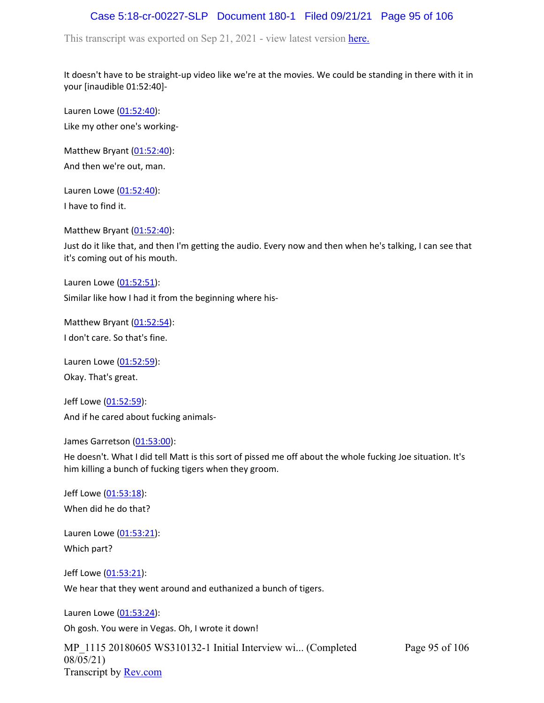## Case 5:18-cr-00227-SLP Document 180-1 Filed 09/21/21 Page 95 of 106

This transcript was exported on Sep 21, 2021 - view latest version [here.](https://www.rev.com/transcript-editor/Edit?token=amZQ9HHFTut_NOLFoO1lSR86cptioQiBp-VVq9f_BePwrTlAl64zFPqcRkwVvmM6GaAv4S7BniclRE4xdf7JBzULLcE&loadFrom=DocumentHeaderDeepLink)

It doesn't have to be straight-up video like we're at the movies. We could be standing in there with it in your [inaudible 01:52:40]-

Lauren Lowe ([01:52:40](https://www.rev.com/transcript-editor/Edit?token=xn-cGO9bMqBlLEU6mMt37QfYktcuvqJhG0h0iHOzfyJA26yAXibZmZCYwmLiHTiJvzDiRBxs5l5Lbro8n5L-dQ_OryU&loadFrom=DocumentDeeplink&ts=6760.2)): Like my other one's working-

Matthew Bryant ([01:52:40](https://www.rev.com/transcript-editor/Edit?token=8uws_kDnM27UJnn7r7K3fGgGzKUTjZbQ-OIYRvfJFDU7-10s8Pxa7dwXS5Slf71U5W_PS_b969btPgzjQPzproC9t7s&loadFrom=DocumentDeeplink&ts=6760.2)): And then we're out, man.

Lauren Lowe ([01:52:40](https://www.rev.com/transcript-editor/Edit?token=vhMfhkgb4WinAKA4MgznntNYvZiOqOFMMlHGserO_C_3LLigjAsfPttwAJ9hO3xVyaz-ONUlKYcHA_itw-Q50bxJieA&loadFrom=DocumentDeeplink&ts=6760.2)): I have to find it.

Matthew Bryant ([01:52:40](https://www.rev.com/transcript-editor/Edit?token=ZQ0LBAE3XKE-alylviVLfQqM2Layfn85lo0kUaUXd5gFUpqGiqF59V0NUm3k4D4C8gz8d-KlGIb-gOVUmwTlfx3rIhc&loadFrom=DocumentDeeplink&ts=6760.42)):

Just do it like that, and then I'm getting the audio. Every now and then when he's talking, I can see that it's coming out of his mouth.

Lauren Lowe ([01:52:51](https://www.rev.com/transcript-editor/Edit?token=y6rIE5jkY5Cu2-WFNvhF9yLXPwT-0aIwVRm-qQkFnj_C8aFs8nEtHpK8jMvozt5iPhu_8vKavdoozifz0aybJOQI8eo&loadFrom=DocumentDeeplink&ts=6771.69)):

Similar like how I had it from the beginning where his-

Matthew Bryant ([01:52:54](https://www.rev.com/transcript-editor/Edit?token=BytrlEI0xWbZnpyB6r7zOY-IFf31f47WIVhM3GzaDbLc6sW9xvThHi-GqsIZ_JIOJNe6VevpPDYoN3H0HlYFDQjjiiA&loadFrom=DocumentDeeplink&ts=6774.01)): I don't care. So that's fine.

Lauren Lowe ([01:52:59](https://www.rev.com/transcript-editor/Edit?token=m-WSmNRdhAD3j8IIUfAxT2wIcMEOlvi32UC_OimxeVHZQq-ZmIl4mPndCBYUPAiVQmct7mel5inmd0_dRpgm5DmRnsU&loadFrom=DocumentDeeplink&ts=6779.31)): Okay. That's great.

Jeff Lowe ([01:52:59](https://www.rev.com/transcript-editor/Edit?token=Ec4mE4NiEU5B4GxjCe5Sx_IiuXBaTsqrIyDV-tyxSTI5l2_NVaxJ5mhkBJfRmYhDMwvGAauB_7Z5km-HfTkdnfgx-zM&loadFrom=DocumentDeeplink&ts=6779.33)): And if he cared about fucking animals-

James Garretson ([01:53:00\)](https://www.rev.com/transcript-editor/Edit?token=Ktzp7r5wjpJHez_slBeGbtciADva-0sgwYm-D-lZTahvAV7-6OTJkD2yYpTw7j1gSqXZzZPhxIH2EEfOs_iFnaXWwQc&loadFrom=DocumentDeeplink&ts=6780.9):

He doesn't. What I did tell Matt is this sort of pissed me off about the whole fucking Joe situation. It's him killing a bunch of fucking tigers when they groom.

Page 95 of 106

Jeff Lowe ([01:53:18](https://www.rev.com/transcript-editor/Edit?token=Km7paMs-sBeYnfg8CJMl6qoUywf2cac-Mgk1j1D8XA6VSAXk7e2wtQ-WQp359Rru97QxttT3_k7oXcAms8QjSv0EISo&loadFrom=DocumentDeeplink&ts=6798.82)): When did he do that?

Lauren Lowe ([01:53:21](https://www.rev.com/transcript-editor/Edit?token=q2dPWsWh9vUn8-IrNlj9kcxkG0MtLVjbpSbBVGfGXPm3-yyCHtEr3ztBDkxyCraxntnjjvIfhzHoqrBhdZ5Hxe_GvH8&loadFrom=DocumentDeeplink&ts=6801.02)): Which part?

Jeff Lowe ([01:53:21](https://www.rev.com/transcript-editor/Edit?token=PkMT5D5YbllICBqY49Yx8gNaVCKhK0UT4IeXBbtxivn-iSHrmpU8FcUvJOizoIJoI-HU2FlWp_VzM0fmrdk-7JdnESI&loadFrom=DocumentDeeplink&ts=6801.92)):

We hear that they went around and euthanized a bunch of tigers.

Lauren Lowe ([01:53:24](https://www.rev.com/transcript-editor/Edit?token=uJB8Ph8LyM33ILA_g1q8ux7gkN5YouVIioYTYAmq3-HAoYrE3fN9LhwRdLKAKbsoWY-9kWKXmh7att2_HHvt6UVYDUY&loadFrom=DocumentDeeplink&ts=6804.42)):

Oh gosh. You were in Vegas. Oh, I wrote it down!

MP\_1115 20180605 WS310132-1 Initial Interview wi... (Completed 08/05/21) Transcript by [Rev.com](https://www.rev.com/)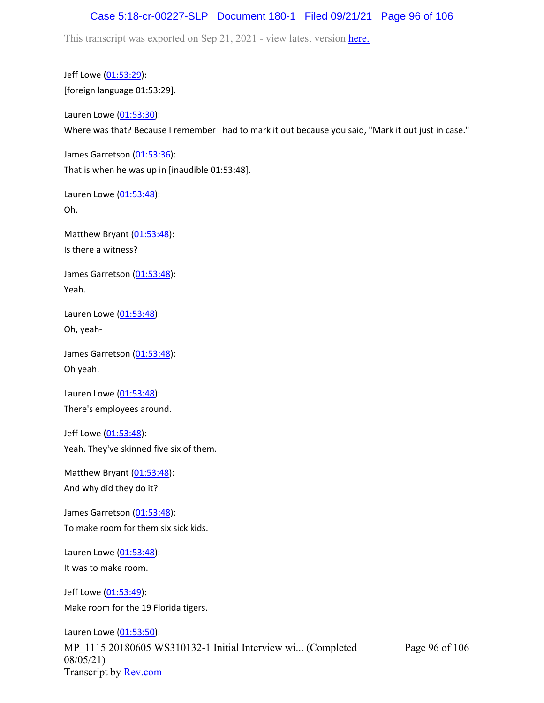#### Case 5:18-cr-00227-SLP Document 180-1 Filed 09/21/21 Page 96 of 106

This transcript was exported on Sep 21, 2021 - view latest version [here.](https://www.rev.com/transcript-editor/Edit?token=amZQ9HHFTut_NOLFoO1lSR86cptioQiBp-VVq9f_BePwrTlAl64zFPqcRkwVvmM6GaAv4S7BniclRE4xdf7JBzULLcE&loadFrom=DocumentHeaderDeepLink)

Jeff Lowe ([01:53:29](https://www.rev.com/transcript-editor/Edit?token=MqtqN2g8JZSmqMYWYhhPnvKNoBaEeEGb5LcI1xtH7B2IVVGTySJzZlpDe8jrlENla784mJpgPX4kYHBriPx4LxTdSIs&loadFrom=DocumentDeeplink&ts=6809)): [foreign language 01:53:29].

Lauren Lowe ([01:53:30](https://www.rev.com/transcript-editor/Edit?token=GeRmGxaC5dIQLXux67lzp2-gu-d01-6-sk2wR4xA5WEQMcpkJwXzRGLPi0cpOR88MCbQV5AVsZXsaWObdQXYw-t0D-M&loadFrom=DocumentDeeplink&ts=6810.9)): Where was that? Because I remember I had to mark it out because you said, "Mark it out just in case."

James Garretson ([01:53:36\)](https://www.rev.com/transcript-editor/Edit?token=hwnb5GXp1751KAaZD6if1gatyGbUJaCJw2xjeuntE1hkWxYbqRhbWRyXicqHC1SHQB8uA3_SmC3tbul-OVR2EnrpQt0&loadFrom=DocumentDeeplink&ts=6816.18): That is when he was up in [inaudible 01:53:48].

Lauren Lowe ([01:53:48](https://www.rev.com/transcript-editor/Edit?token=ADAKkxTYomSe4gJYoijeSnF6y5Gau_nBZmGg94VgsMIsbkslhGkGoGGH9EMPN5UHCdrZ3vZQgr-Vp54eEVGeh6e_waU&loadFrom=DocumentDeeplink&ts=6828.01)): Oh.

Matthew Bryant ([01:53:48](https://www.rev.com/transcript-editor/Edit?token=pxf6bILuCy-zlHj003QCZjigVaRN9Js_M852F1zTE2oX_zPKZEdgNMvhgrD9f7uVwh4bIeozvKQsVD1FwsKtpoJ-fDo&loadFrom=DocumentDeeplink&ts=6828.01)): Is there a witness?

James Garretson ([01:53:48\)](https://www.rev.com/transcript-editor/Edit?token=5KYXPdEZW8JyxOaMjmfNsqfJgoLE9qpM6EgpAX0dmB32VNfzkWN_1VOKV25s0swh_bqe06PF8tO5hufJJ2zF-bbTKcA&loadFrom=DocumentDeeplink&ts=6828.01): Yeah.

Lauren Lowe ([01:53:48](https://www.rev.com/transcript-editor/Edit?token=PQFUwWs4IGAPZkFfvs31zfdCFVsMTK3RIV96Z67sdRAVAlO1KeJOuX5J4goF_vVhvNgA1hkU8yT_7WY-C5rELwtFEAg&loadFrom=DocumentDeeplink&ts=6828.01)): Oh, yeah-

James Garretson ([01:53:48\)](https://www.rev.com/transcript-editor/Edit?token=eEqiLexDLo-A_Znev6mmhjYRg7gSB8kXhsoIPPYWLwFwgLuMPaHkSYEmSekJoPZziTHQQR77sOGwEXZNC_syQ3zLGgM&loadFrom=DocumentDeeplink&ts=6828.01): Oh yeah.

Lauren Lowe ([01:53:48](https://www.rev.com/transcript-editor/Edit?token=H_BesYec_0mKL0Ps53uAc6n-jdJdZn_9VuQw6oZPohYIoMuyUzUh29F1qTVok3js3f-6vjFGB2QXyyTLg75Y5VglK5E&loadFrom=DocumentDeeplink&ts=6828.01)): There's employees around.

Jeff Lowe ([01:53:48](https://www.rev.com/transcript-editor/Edit?token=6w0xNEMHNjCuKlE4YFXYbZY2EocaAPcfYixGM0KRRMvy8XmfqePPiu99Z5l8dFEfzHCsRc8479EMaIOV-KJFvXObN1M&loadFrom=DocumentDeeplink&ts=6828.01)): Yeah. They've skinned five six of them.

Matthew Bryant ([01:53:48](https://www.rev.com/transcript-editor/Edit?token=V5mNLP0U1OZ-TqzIsnS52T9XcLFbvHgRU3az4g1z9zbPM97iKHXCOHE3JvYyOq8dlKkeLmve4Xvk3cE5FxelCwSj5_4&loadFrom=DocumentDeeplink&ts=6828.01)): And why did they do it?

James Garretson ([01:53:48\)](https://www.rev.com/transcript-editor/Edit?token=oPXpTv6tkmeL1gJ1I-KlAnnWFhlerxPfa9zT1yhA3pfBeRCkb-ZZyJZzH9hZhjF220EQljyUKWuQNSAuAdLexLOCTSI&loadFrom=DocumentDeeplink&ts=6828.01): To make room for them six sick kids.

Lauren Lowe ([01:53:48](https://www.rev.com/transcript-editor/Edit?token=g8sFcYasFiRf50Aiwfg94AdE3ENnGFLUbSRurisKzl0UkslEQaP7uXyMhU68gf1-nBQBKoJSKzdooyi5BzFb47-ktbI&loadFrom=DocumentDeeplink&ts=6828.01)): It was to make room.

Jeff Lowe ([01:53:49](https://www.rev.com/transcript-editor/Edit?token=LBZHGpbQXxeQZUmH6AqvWxTujblSitdxLiT3HLSYyEilG9GRm8oS9tFll_eiwoEdieo3raxTwm6IDZsu6zdNK1dj6tw&loadFrom=DocumentDeeplink&ts=6829.17)): Make room for the 19 Florida tigers.

MP\_1115 20180605 WS310132-1 Initial Interview wi... (Completed 08/05/21) Transcript by [Rev.com](https://www.rev.com/) Lauren Lowe ([01:53:50](https://www.rev.com/transcript-editor/Edit?token=U5jMJ3NM_hO_lriFLb5ScPUoCnEeJ1CA_mwV_aGc4T_aYIxdXYK3xQ02E5Kas38cDg1zTdTFWXrBCKsgfsl4AeDGqpY&loadFrom=DocumentDeeplink&ts=6830.94)):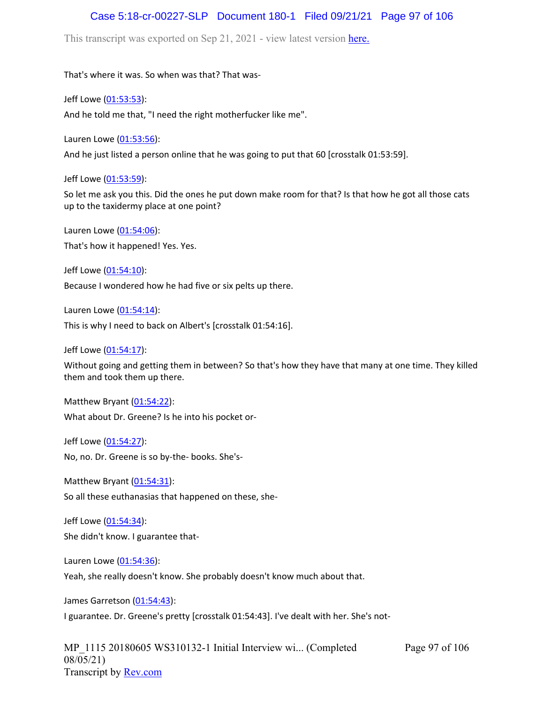#### Case 5:18-cr-00227-SLP Document 180-1 Filed 09/21/21 Page 97 of 106

This transcript was exported on Sep 21, 2021 - view latest version [here.](https://www.rev.com/transcript-editor/Edit?token=amZQ9HHFTut_NOLFoO1lSR86cptioQiBp-VVq9f_BePwrTlAl64zFPqcRkwVvmM6GaAv4S7BniclRE4xdf7JBzULLcE&loadFrom=DocumentHeaderDeepLink)

That's where it was. So when was that? That was-

Jeff Lowe ([01:53:53](https://www.rev.com/transcript-editor/Edit?token=ia6-BKZ2kcrzSiLGlX0uHB0OYSZQn1ZRkzChL-peMP49Y9uFcaN3s5K7Ze3G7WKAcbul5YKks3P8ORHM9Ov6xjGfAj8&loadFrom=DocumentDeeplink&ts=6833.48)):

And he told me that, "I need the right motherfucker like me".

Lauren Lowe ([01:53:56](https://www.rev.com/transcript-editor/Edit?token=dujMMWRTVqGnowN7rXrukRaSEEG9Cz6jes-kSpx5iBmUTMWy9GGFKkLhh30qWGgPpSahFBkFfy0atSAYpx4uu5C4N-c&loadFrom=DocumentDeeplink&ts=6836.74)):

And he just listed a person online that he was going to put that 60 [crosstalk 01:53:59].

Jeff Lowe ([01:53:59](https://www.rev.com/transcript-editor/Edit?token=tQVoQOkC7e_iTmZBR-4QcP3mQEDiy6QvkZ8scX5LPi95Rio4-UvonbHiBdIJJMrGvRFFstU2Jk9qdThvLR4wbqmMW9c&loadFrom=DocumentDeeplink&ts=6839.29)):

So let me ask you this. Did the ones he put down make room for that? Is that how he got all those cats up to the taxidermy place at one point?

Lauren Lowe ([01:54:06](https://www.rev.com/transcript-editor/Edit?token=4jCs8ppSOXkluHwNRlIQ6blTFyB7lvy4hUczr6hyqpMdeBqgAs9w8gC2S-Ir_PICgS40RzcMqxL3pLtP9uSdCLbJWlQ&loadFrom=DocumentDeeplink&ts=6846.23)): That's how it happened! Yes. Yes.

Jeff Lowe ([01:54:10](https://www.rev.com/transcript-editor/Edit?token=pgwupLL3JN4VWprTz3V9H_SRghajM5IY3bIKCk3-Ye3xWJNQRJXgBkt3V7fZWH1-_pvzXkRGT-rxDdBosLtOutMNaSk&loadFrom=DocumentDeeplink&ts=6850.78)): Because I wondered how he had five or six pelts up there.

Lauren Lowe ([01:54:14](https://www.rev.com/transcript-editor/Edit?token=wEssq5Xa8VyZqprBCONxc-gTwvsNUfkENRu02ECUH6WpFXZudKw-ADew0M2yIeZVlp2bSHjuMLAdwLjwElayxB1VMRY&loadFrom=DocumentDeeplink&ts=6854.2)):

This is why I need to back on Albert's [crosstalk 01:54:16].

Jeff Lowe ([01:54:17](https://www.rev.com/transcript-editor/Edit?token=8yP1UIognn60fTzITyfjp9zw2jcUvvfdgxUZZYOEESI-ASnzXK2qlIyKaAjtkfgz5K_TB_8iJqN8Z98OQAdCaNe9qnU&loadFrom=DocumentDeeplink&ts=6857.58)):

Without going and getting them in between? So that's how they have that many at one time. They killed them and took them up there.

Matthew Bryant ([01:54:22](https://www.rev.com/transcript-editor/Edit?token=pczDcekdn9ldCs1KKtBefWcdOc8HPb9lLuAFgdtWMnztOGpte_SldiUsdqcNAB2Wlpsk3wy_H6tqhAhfvcXDryJALT4&loadFrom=DocumentDeeplink&ts=6862.93)): What about Dr. Greene? Is he into his pocket or-

Jeff Lowe ([01:54:27](https://www.rev.com/transcript-editor/Edit?token=x6M4NprG9_BQl019o95E3PZvIRJlqlL4p1DuFF5kyT4yFQ4itkzBqOUcA37W4niqN8mnL9ftArg_6bm-4rIKC6JPI1A&loadFrom=DocumentDeeplink&ts=6867.16)): No, no. Dr. Greene is so by-the- books. She's-

Matthew Bryant ([01:54:31](https://www.rev.com/transcript-editor/Edit?token=gIKArtG7kV_yIx6UZplb8mfiBhPlsP1_S6j9xBzdnqVtsh7tOe80GPdjwMmPon6vWZ-TNrZqNIPlEMpzbragINzDkUw&loadFrom=DocumentDeeplink&ts=6871.83)):

So all these euthanasias that happened on these, she-

Jeff Lowe ([01:54:34](https://www.rev.com/transcript-editor/Edit?token=WIQk9swUJxU5ygfLr5zmhPAO3pvm_w7ASP9jJlxwTGTh0PAxrl_R5cm0UypvMOvgPXWXRQT3WLYfxhMdCSLm45qQnRs&loadFrom=DocumentDeeplink&ts=6874.59)): She didn't know. I guarantee that-

Lauren Lowe ([01:54:36](https://www.rev.com/transcript-editor/Edit?token=hCcciTecZUS8zGnl1Uci1CNR_Stuo8BAFAUq1HpSiqOxCyJhf7_94gUqboHygFedL4HEyRkBkEiLWcwrBYuDD2J7XpM&loadFrom=DocumentDeeplink&ts=6876.66)):

Yeah, she really doesn't know. She probably doesn't know much about that.

James Garretson ([01:54:43\)](https://www.rev.com/transcript-editor/Edit?token=r_2E5QYFMsMl03amnvHcF_y0aykuO6LfC9ugaaud-KSUN6cgRD2Kgxuv5NzvBV_kB1SmsJ0mOaZzKNKTFTHVeaAvYXg&loadFrom=DocumentDeeplink&ts=6883): I guarantee. Dr. Greene's pretty [crosstalk 01:54:43]. I've dealt with her. She's not-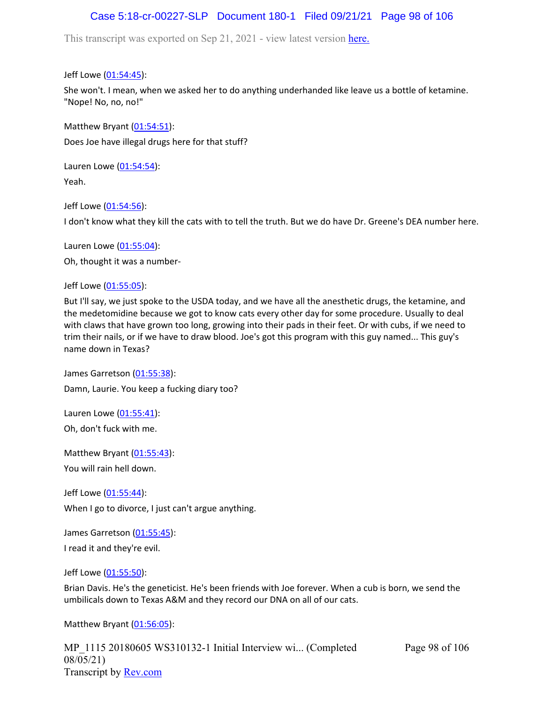# Case 5:18-cr-00227-SLP Document 180-1 Filed 09/21/21 Page 98 of 106

This transcript was exported on Sep 21, 2021 - view latest version [here.](https://www.rev.com/transcript-editor/Edit?token=amZQ9HHFTut_NOLFoO1lSR86cptioQiBp-VVq9f_BePwrTlAl64zFPqcRkwVvmM6GaAv4S7BniclRE4xdf7JBzULLcE&loadFrom=DocumentHeaderDeepLink)

Jeff Lowe ([01:54:45](https://www.rev.com/transcript-editor/Edit?token=3J36bDNAsGZU1aeuZrHQOtxaZfgC_VhGAI58xTRikzrhlf7lMRUPS0ORSg69MavbXQgRgtRsJ_om1sm4gei4AA4rffk&loadFrom=DocumentDeeplink&ts=6885.4)):

She won't. I mean, when we asked her to do anything underhanded like leave us a bottle of ketamine. "Nope! No, no, no!"

Matthew Bryant ([01:54:51](https://www.rev.com/transcript-editor/Edit?token=RV4bnPNMHntAzPIcknI4cVvHwwx9CNioFdAysuNgS259WyI2LbmNHrYotC3PU9MQCh2OPCIYakj-kYeQ5-DCdQ-8ikM&loadFrom=DocumentDeeplink&ts=6891.1)): Does Joe have illegal drugs here for that stuff?

Lauren Lowe ([01:54:54](https://www.rev.com/transcript-editor/Edit?token=gEr9p4PoyJ8k3GFtWU1j7mEutlajWjervFzP9ymqlkLR5OANFHiARjseY0xV8bVJG5oO7SDyHHq8aMZ0FrI5nRBq14k&loadFrom=DocumentDeeplink&ts=6894.84)): Yeah.

Jeff Lowe ([01:54:56](https://www.rev.com/transcript-editor/Edit?token=GiWcM2w_6tQPSPlLmdm4APM2AkMcu5KHqVvqG0kqj23e-TL027-6o25SCzPbNxjkCbXlpwoSxUekQmtDy2b6cy2pAJk&loadFrom=DocumentDeeplink&ts=6896.23)):

I don't know what they kill the cats with to tell the truth. But we do have Dr. Greene's DEA number here.

Lauren Lowe ([01:55:04](https://www.rev.com/transcript-editor/Edit?token=HSOYFotwV9xums299F7dXdg7ZS5_BCeUk_J_R8ZkN3Wd7elmAkC4lRy-YRP6Xl1yJIbHwj1nQOaCn5cvzOoDCHxz7hg&loadFrom=DocumentDeeplink&ts=6904.89)):

Oh, thought it was a number-

Jeff Lowe ([01:55:05](https://www.rev.com/transcript-editor/Edit?token=CXJuDWcMt1qfox9_fFfjeIDIt3PNEE9gjOoz-1lkPGyfJHKLlY9PqbA9dXYsyg4LR120WU5RD0EHK_kMcKlDPQMEGiU&loadFrom=DocumentDeeplink&ts=6905.28)):

But I'll say, we just spoke to the USDA today, and we have all the anesthetic drugs, the ketamine, and the medetomidine because we got to know cats every other day for some procedure. Usually to deal with claws that have grown too long, growing into their pads in their feet. Or with cubs, if we need to trim their nails, or if we have to draw blood. Joe's got this program with this guy named... This guy's name down in Texas?

James Garretson ([01:55:38\)](https://www.rev.com/transcript-editor/Edit?token=UOBdft1tlsQeUkSQcrLuC8mqV4gCZsKnMbxwzrDTh_-H-F4PEpZFmkgtmldPTJgwWogpZh2CsDlDtJaAYtt7iIaUw4c&loadFrom=DocumentDeeplink&ts=6938.67): Damn, Laurie. You keep a fucking diary too?

Lauren Lowe ([01:55:41](https://www.rev.com/transcript-editor/Edit?token=on-K4Et9tcHVSTgVfgazwNnbuEuZeHGnl_Uf_-WBgaSYQrnVFXVVa4lWS69nUQH_Ymz_wwmoRdjndl9HYPl_l6VI2Ac&loadFrom=DocumentDeeplink&ts=6941.05)): Oh, don't fuck with me.

Matthew Bryant ([01:55:43](https://www.rev.com/transcript-editor/Edit?token=xrbj8a9VF1TsUN7KjOlGk_QZTbgKu5KdllEp52KNcG3fvj9eIPxrk_UQ47zXK5gqIXGl2JrFwXCjxtsnjk2beMhGXAA&loadFrom=DocumentDeeplink&ts=6943.05)): You will rain hell down.

Jeff Lowe ([01:55:44](https://www.rev.com/transcript-editor/Edit?token=7zs4soZytwzyNqkNtCRtLRk61BsDT_cOWAG8ydso3quyoqwEYPvr-C6svz9dgcPgeMOxKrUgkgw3b-WpnkYibkOtPD8&loadFrom=DocumentDeeplink&ts=6944.65)): When I go to divorce, I just can't argue anything.

James Garretson ([01:55:45\)](https://www.rev.com/transcript-editor/Edit?token=6_BTpXtsfSDqrGLjGrvDKluFED9yLnRx_IQZ6phiJw4W824UQjFNjKzQGdw-wf4kaEXOQf9fzriQOnmlAuZDZkXNFg0&loadFrom=DocumentDeeplink&ts=6945.89): I read it and they're evil.

Jeff Lowe ([01:55:50](https://www.rev.com/transcript-editor/Edit?token=QmFf4VyiyIsM9ivyLvxj-0_a1Uth6IbmOAjxyua4x5VtXL33TLnINLBOgb7fTriBlH51Bycd7O2VxsWO0ksGBi7IAoI&loadFrom=DocumentDeeplink&ts=6950.48)):

Brian Davis. He's the geneticist. He's been friends with Joe forever. When a cub is born, we send the umbilicals down to Texas A&M and they record our DNA on all of our cats.

Matthew Bryant ([01:56:05](https://www.rev.com/transcript-editor/Edit?token=WYcnZDJ2hhzRzX5FMlTSC_8fhCskK5tg7ykXDpIRgUoRX4A9BdW-ZCITyqB6WqFJPwHqUFQDTTbSZ5GQ4x8jR3OemBk&loadFrom=DocumentDeeplink&ts=6965.45)):

MP\_1115 20180605 WS310132-1 Initial Interview wi... (Completed 08/05/21) Transcript by [Rev.com](https://www.rev.com/)

Page 98 of 106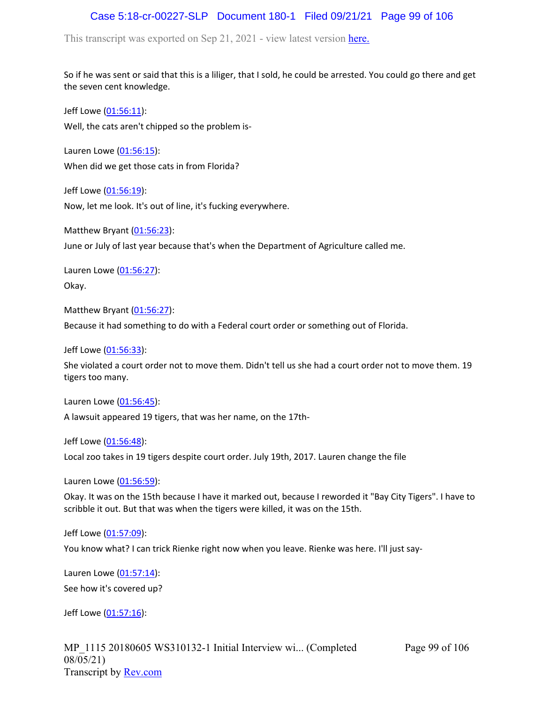## Case 5:18-cr-00227-SLP Document 180-1 Filed 09/21/21 Page 99 of 106

This transcript was exported on Sep 21, 2021 - view latest version [here.](https://www.rev.com/transcript-editor/Edit?token=amZQ9HHFTut_NOLFoO1lSR86cptioQiBp-VVq9f_BePwrTlAl64zFPqcRkwVvmM6GaAv4S7BniclRE4xdf7JBzULLcE&loadFrom=DocumentHeaderDeepLink)

So if he was sent or said that this is a liliger, that I sold, he could be arrested. You could go there and get the seven cent knowledge.

Jeff Lowe ([01:56:11](https://www.rev.com/transcript-editor/Edit?token=-QZRvSckf73orPPIkyEr-IAm8RnD-1Zl28e2ZGfYvordnt_5u4MbDm99RmA3mOGprRcjcKuCHBjLIeMf1IFaqWVMwS8&loadFrom=DocumentDeeplink&ts=6971.32)): Well, the cats aren't chipped so the problem is-

Lauren Lowe ([01:56:15](https://www.rev.com/transcript-editor/Edit?token=m-ttSc6Ws3WOkg9kc-X_WpEG2YwAYo6HJ0c7ptfxY8O0G56wOW-GRSEdpYNdH9bW7BhmfpDqboazA2s8nZZspgZvaQQ&loadFrom=DocumentDeeplink&ts=6975.19)): When did we get those cats in from Florida?

Jeff Lowe ([01:56:19](https://www.rev.com/transcript-editor/Edit?token=6IrjitCV4o1GUcin5uhWOGL8UKXtNRX-zEw92l9uKevCVeewWPXYy2XdakH7YQoRc17SJWVgOX0kafTbh_-ZwF_QuFg&loadFrom=DocumentDeeplink&ts=6979.52)): Now, let me look. It's out of line, it's fucking everywhere.

Matthew Bryant ([01:56:23](https://www.rev.com/transcript-editor/Edit?token=mJxk1ExCedvFRsTJHq9hCLyg-lDE5ZONNb0LCQMcAnmB8qlF7YkLif3PDlmQhHbMp2trqm8Od2gHHdXIUmlTEaSbn-s&loadFrom=DocumentDeeplink&ts=6983.03)):

June or July of last year because that's when the Department of Agriculture called me.

Lauren Lowe ([01:56:27](https://www.rev.com/transcript-editor/Edit?token=q3OuM1W1ylqZnUluXjtjM6xks2p_7GI37Kx2Ohym6sKWOKnNCr730KqspgSouRQqgB_n98xTu3BRKTxwJrjkOlzKUk4&loadFrom=DocumentDeeplink&ts=6987.51)): Okay.

Matthew Bryant ([01:56:27](https://www.rev.com/transcript-editor/Edit?token=UKQwPxY_Jx1NMmIg_lX3wy8MGfFU6c5tqNr6wOD-vFyVyhNOhpQC1RPCW-oiesI5HXKLaJcfaMlAXD0xOk-x8ub9zqE&loadFrom=DocumentDeeplink&ts=6987.51)):

Because it had something to do with a Federal court order or something out of Florida.

Jeff Lowe ([01:56:33](https://www.rev.com/transcript-editor/Edit?token=E0SYT-EMTpRCrmbhGq3Mn9Nksr7Pka7LwqJm28K16Og1YmBbZ-7t3jZUeQ1EOOKgiP7Z_0dPnST5R4dMOz26P7IWgxs&loadFrom=DocumentDeeplink&ts=6993.25)):

She violated a court order not to move them. Didn't tell us she had a court order not to move them. 19 tigers too many.

Lauren Lowe ([01:56:45](https://www.rev.com/transcript-editor/Edit?token=4VbkRFpvr-_sa2-1KMi8T0IsooN2A9NsxASJPrfOpdNj-IxWD288qVhppvzJ4oHFM6hxSrednDPg3r_P5HGbzBpBksg&loadFrom=DocumentDeeplink&ts=7005.73)):

A lawsuit appeared 19 tigers, that was her name, on the 17th-

Jeff Lowe ([01:56:48](https://www.rev.com/transcript-editor/Edit?token=242D0pPg3WRKHa42wwR1IPFcAlnC6pBZsv6Wz1OCdnFgD99jb78VY9k-7tF-_HMs396QCDXwQ4BmR0beHlKn1fBA_CE&loadFrom=DocumentDeeplink&ts=7008.78)):

Local zoo takes in 19 tigers despite court order. July 19th, 2017. Lauren change the file

Lauren Lowe ([01:56:59](https://www.rev.com/transcript-editor/Edit?token=6KURCLFdLauEbzl0b1egq9DqkKD9dZ0uaS3FmcmWZ6-_OHg1H3gPfnTD-HmgBczpa4tqQufp_pe4YNuH3FXXqa_fZeM&loadFrom=DocumentDeeplink&ts=7019.53)):

Okay. It was on the 15th because I have it marked out, because I reworded it "Bay City Tigers". I have to scribble it out. But that was when the tigers were killed, it was on the 15th.

Jeff Lowe ([01:57:09](https://www.rev.com/transcript-editor/Edit?token=twiUCVGKECYxmHeVTUitkrFZuzYvhvKrg6hcKJbtJefsfVfpKeSQsmvNmrUbirB_Tcq9rHX8Yf_sqyTfs8ua4Cj0B1k&loadFrom=DocumentDeeplink&ts=7029.32)):

You know what? I can trick Rienke right now when you leave. Rienke was here. I'll just say-

Lauren Lowe ([01:57:14](https://www.rev.com/transcript-editor/Edit?token=50RiLwAcPmjBpaNgEferFmLA_80m6VB-U_Sido_rbR6qPL1wcsqAt6PAwLUFbIxT8VGm-JdH_vhzKKvdry-8pKEbOfM&loadFrom=DocumentDeeplink&ts=7034.35)): See how it's covered up?

Jeff Lowe ([01:57:16](https://www.rev.com/transcript-editor/Edit?token=2jHUMr9hr_wAVzFwbTyh6aSSbhq8-V0n4gdU3CUJS1booJplUrCi11mVYE2AIpqpmaqrAXA1hWj3GQAue7OrGuIRmZ4&loadFrom=DocumentDeeplink&ts=7036.5)):

MP\_1115 20180605 WS310132-1 Initial Interview wi... (Completed 08/05/21) Transcript by [Rev.com](https://www.rev.com/)

Page 99 of 106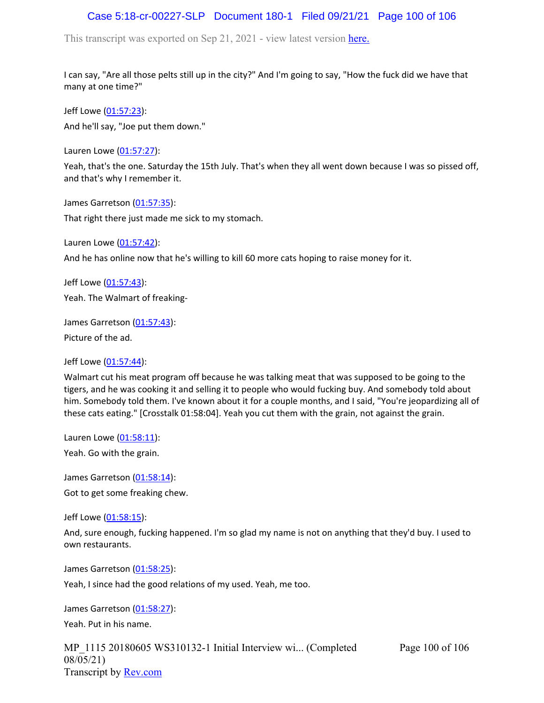## Case 5:18-cr-00227-SLP Document 180-1 Filed 09/21/21 Page 100 of 106

This transcript was exported on Sep 21, 2021 - view latest version [here.](https://www.rev.com/transcript-editor/Edit?token=amZQ9HHFTut_NOLFoO1lSR86cptioQiBp-VVq9f_BePwrTlAl64zFPqcRkwVvmM6GaAv4S7BniclRE4xdf7JBzULLcE&loadFrom=DocumentHeaderDeepLink)

I can say, "Are all those pelts still up in the city?" And I'm going to say, "How the fuck did we have that many at one time?"

Jeff Lowe ([01:57:23](https://www.rev.com/transcript-editor/Edit?token=Zq61UKaLiKGMNuDhfKc7emA21si9mAi6MHMUPcTMsAbUASk5bHwKQCpWKcD0w-bpnwe1qtOOje51xRlNOk1ljR2_ofo&loadFrom=DocumentDeeplink&ts=7043.79)): And he'll say, "Joe put them down."

Lauren Lowe ([01:57:27](https://www.rev.com/transcript-editor/Edit?token=tRQd8Pyo9F7P-rSfWv_6WiMnY9geKMwcHEva9-mpxrkgB8L0kPaRLApnBCHZnagwigYXEqHykZwuUQIkq9ytrCnt2pQ&loadFrom=DocumentDeeplink&ts=7047.87)):

Yeah, that's the one. Saturday the 15th July. That's when they all went down because I was so pissed off, and that's why I remember it.

James Garretson ([01:57:35\)](https://www.rev.com/transcript-editor/Edit?token=W78FDPM2LtBHbVWqa-GPJ6OM7PDwIANmJCj6L_RjRApgxa9eCXKiu_TMXtrfnFsTtJEwFM4d5re2ZbTQWIrmtZrQwL8&loadFrom=DocumentDeeplink&ts=7055.4): That right there just made me sick to my stomach.

Lauren Lowe ([01:57:42](https://www.rev.com/transcript-editor/Edit?token=Exio7kVqvMGLirIH8HOh7q0sQVlldFb2rK6pkhstMkP5FT7McNUq8-9kMYOf5OG4jLnA1QdfNuzmPIHSguv9SjDQcGE&loadFrom=DocumentDeeplink&ts=7062.98)): And he has online now that he's willing to kill 60 more cats hoping to raise money for it.

Jeff Lowe ([01:57:43](https://www.rev.com/transcript-editor/Edit?token=3cJmUQaIK4qXNzk1khVU3yf9ATtQyd6JmYS_c4m_vWx16m6jkx7YewktK3exqPJXpNsxj3CU1N6wX7LIPLAhPvSb4gQ&loadFrom=DocumentDeeplink&ts=7063)): Yeah. The Walmart of freaking-

James Garretson ([01:57:43\)](https://www.rev.com/transcript-editor/Edit?token=w23tlxkInu2gwYi9IAZJYlIvB4tJtPaWBJQU7I1KBbWSLS02y-pDS_KzGtC0TQsqs603cpj9BmQFMlncFfnABJERQqU&loadFrom=DocumentDeeplink&ts=7063.93): Picture of the ad.

Jeff Lowe ([01:57:44](https://www.rev.com/transcript-editor/Edit?token=88HqR7km6wQdIeA6XaHWdFJOhSbTDKLz7MMbYPxezQ-EBzdRO2KYv809gEoZnVv3_LxCZpo-hRnOH_76RRW_cNTBMjc&loadFrom=DocumentDeeplink&ts=7064.82)):

Walmart cut his meat program off because he was talking meat that was supposed to be going to the tigers, and he was cooking it and selling it to people who would fucking buy. And somebody told about him. Somebody told them. I've known about it for a couple months, and I said, "You're jeopardizing all of these cats eating." [Crosstalk 01:58:04]. Yeah you cut them with the grain, not against the grain.

Lauren Lowe ([01:58:11](https://www.rev.com/transcript-editor/Edit?token=sCbix08_hPbxTphLuyKq4uBGHWLy4LmEb4kV99ukKjrFDfflw0fDKn2_d7V9pwoc3dvZYXYJvk1Xg4Eqw72_G2hbeBY&loadFrom=DocumentDeeplink&ts=7091.17)):

Yeah. Go with the grain.

James Garretson ([01:58:14\)](https://www.rev.com/transcript-editor/Edit?token=40hk8d9_ajpStduBfHyM2sbiNq3YhG-EGUkGTyprRF6EkOJ9h7OoLBCBmu-x4Ec6m_8tu4iNbu-WcSulrANpP6-JU2o&loadFrom=DocumentDeeplink&ts=7094.15): Got to get some freaking chew.

Jeff Lowe ([01:58:15](https://www.rev.com/transcript-editor/Edit?token=l7v-uDAXa4tjoEsZZPSjMgVIQUsOa0kLhJ7Rzkvb1tw3Vq2fOdwhXeDGI6nibQ5kWQMIUXMBLDO8YQQUcLuf17Gp5-E&loadFrom=DocumentDeeplink&ts=7095.44)):

And, sure enough, fucking happened. I'm so glad my name is not on anything that they'd buy. I used to own restaurants.

James Garretson ([01:58:25\)](https://www.rev.com/transcript-editor/Edit?token=_x6rGqDI6F__Mt7NLiNmJy7jEcZc-cB2WOqGrMHJDSkCjGDprxRuCqBFwmjjo5-3OZXZosZMVa3q0b4V2lD723QZJfw&loadFrom=DocumentDeeplink&ts=7105.77):

Yeah, I since had the good relations of my used. Yeah, me too.

James Garretson ([01:58:27\)](https://www.rev.com/transcript-editor/Edit?token=yDmrs-B-KdHttbN6v2Nuqec9oGO2_fGierOLMK26jE9sbrKDARGYyy_PWnqMd9LiiQOCMGh4HpFBSehN84Hxd4SHPC0&loadFrom=DocumentDeeplink&ts=7107.09): Yeah. Put in his name.

MP\_1115 20180605 WS310132-1 Initial Interview wi... (Completed 08/05/21) Transcript by [Rev.com](https://www.rev.com/)

Page 100 of 106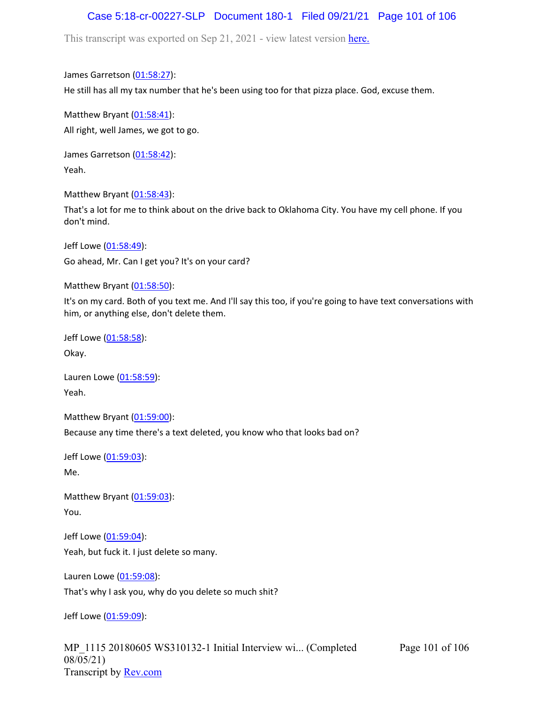## Case 5:18-cr-00227-SLP Document 180-1 Filed 09/21/21 Page 101 of 106

This transcript was exported on Sep 21, 2021 - view latest version [here.](https://www.rev.com/transcript-editor/Edit?token=amZQ9HHFTut_NOLFoO1lSR86cptioQiBp-VVq9f_BePwrTlAl64zFPqcRkwVvmM6GaAv4S7BniclRE4xdf7JBzULLcE&loadFrom=DocumentHeaderDeepLink)

James Garretson ([01:58:27\)](https://www.rev.com/transcript-editor/Edit?token=MDuv74Dm32OAsbEsT_oOM0LNUZTv3zDJcoh2frqz1JcfVENhpmP6bTs8vxSbhitQQpmZbvYcRsUUY-Yab0Gh9qKIQ80&loadFrom=DocumentDeeplink&ts=7107.33):

He still has all my tax number that he's been using too for that pizza place. God, excuse them.

Matthew Bryant ([01:58:41](https://www.rev.com/transcript-editor/Edit?token=0cjQ0b3CqiMijBWUcslBaVVtIvS98nX-wEiHTKzD3PG35x_VfpePFYuCvr9tfKPE17U7Ny-HJDeW6Z6Rpof1l4uOk-o&loadFrom=DocumentDeeplink&ts=7121.51)): All right, well James, we got to go.

James Garretson ([01:58:42\)](https://www.rev.com/transcript-editor/Edit?token=r7pSmEOOjq6Jgtn7u77CwiilniWp4FdphrXkWv0RVTWv50oqQ_YVaD-bCK1S1NfzZAZiILMzN9TBmA5rpv0Nd-6jexg&loadFrom=DocumentDeeplink&ts=7122.87): Yeah.

Matthew Bryant ([01:58:43](https://www.rev.com/transcript-editor/Edit?token=M0jB3rge-q3x4x3qDji9J3RDfsxbhrbTarFA3sHLEnMsC1KM6ko6NDQ_9bNwY6m3_i7pq3sG4cT4FRYjXaal2JFZ_yE&loadFrom=DocumentDeeplink&ts=7123.32)):

That's a lot for me to think about on the drive back to Oklahoma City. You have my cell phone. If you don't mind.

Jeff Lowe ([01:58:49](https://www.rev.com/transcript-editor/Edit?token=P8KmT75TEiMXDgCbLclJG_3Z9ntHid4efdwO9pqWDvoLgiLNsmOSi64QeDKCr9S8yRGXqoUboDFmgU7stivq4wdSfuo&loadFrom=DocumentDeeplink&ts=7129.1)): Go ahead, Mr. Can I get you? It's on your card?

Matthew Bryant ([01:58:50](https://www.rev.com/transcript-editor/Edit?token=-Un9oMcsuj80U6IJOE_5jUmzLxCtJ6nGYX2dsHPd1pkD1tExHV_JjcgFjd-ACdJ9X0Ij3Lpwa-chxw8iZGbWn8pECvs&loadFrom=DocumentDeeplink&ts=7130.85)):

It's on my card. Both of you text me. And I'll say this too, if you're going to have text conversations with him, or anything else, don't delete them.

Jeff Lowe ([01:58:58](https://www.rev.com/transcript-editor/Edit?token=xbE83_TYCcU6KRbM6IbJK0ypyP7nJ8_8E-JZ6Kw3noOhH67gsMrA9wyOumzAr_e0iZcrtzWLVW7mek6WZpUUstxm0B4&loadFrom=DocumentDeeplink&ts=7138.96)): Okay.

Lauren Lowe ([01:58:59](https://www.rev.com/transcript-editor/Edit?token=YKkV8F2tvM75WDiVVLG1y8VozCfUh1XGEBhYn5avAubC3rCN96FvHOplZg95glsmw0ZaqbNa8VA6MgUmPybF-iLF1Ow&loadFrom=DocumentDeeplink&ts=7139.37)): Yeah.

Matthew Bryant ([01:59:00](https://www.rev.com/transcript-editor/Edit?token=rCRtvh_HKTBw9sRNWpe5FWZdKRf7Gr1Zf7EraUVvKtwgqrnfhybY-VlPDtx_o0dd54NRkpOJiPuJX1elISFd-gAi8Mc&loadFrom=DocumentDeeplink&ts=7140.12)): Because any time there's a text deleted, you know who that looks bad on?

Jeff Lowe ([01:59:03](https://www.rev.com/transcript-editor/Edit?token=FSv2_z2LMeqQMgL2IJjNh1tCpUGTyulzpxwnUDs9pfnfEB0MhVAaVDrcTrnyvK4-6_HGo9_ArbVXrJ85BDHh376CXOY&loadFrom=DocumentDeeplink&ts=7143.22)): Me.

Matthew Bryant ([01:59:03](https://www.rev.com/transcript-editor/Edit?token=zAkAGj57ufqKOc6EYC7YnR5AMxDIRBXeTKB3UYrDpWvPtk4_76Yds61Q7BGrYpYEW2Z14IVi5hhPt8gJTjG_pAq2AbE&loadFrom=DocumentDeeplink&ts=7143.82)): You.

Jeff Lowe ([01:59:04](https://www.rev.com/transcript-editor/Edit?token=yaM_JAr9TdkUurDXXicA1iIDCK9thk7w72eVuzz87mEoO4zjjnDNPkWtRh083ms6Cj9Xi4TPsygyO3-d_UBEDJkkNcQ&loadFrom=DocumentDeeplink&ts=7144.22)): Yeah, but fuck it. I just delete so many.

Lauren Lowe ([01:59:08](https://www.rev.com/transcript-editor/Edit?token=oH-XZu19mznHERj7nJloz_MXA_T2yC8fhcMJuRRFiPWwlT3FXguN22JPUnde14g7I3JhkShxbDdPGrgIN67HMT-O35Y&loadFrom=DocumentDeeplink&ts=7148.1)):

That's why I ask you, why do you delete so much shit?

Jeff Lowe ([01:59:09](https://www.rev.com/transcript-editor/Edit?token=7yWVN6z5CyplDRS9U9JciO1zJmeGx4T1vV-zpmf2kCgTYB7VJ5XQXR5nLetUb2dn--41D6DiqmwLgEaku1v-GAJSBM8&loadFrom=DocumentDeeplink&ts=7149.94)):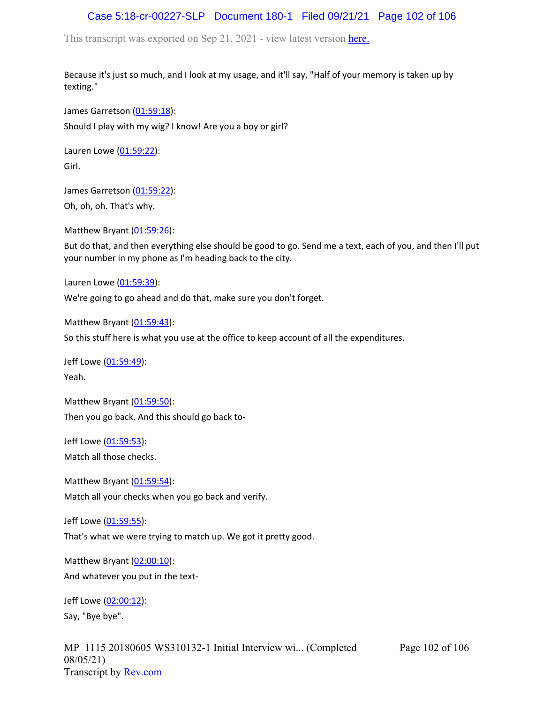## Case 5:18-cr-00227-SLP Document 180-1 Filed 09/21/21 Page 102 of 106

This transcript was exported on Sep 21, 2021 - view latest version [here.](https://www.rev.com/transcript-editor/Edit?token=amZQ9HHFTut_NOLFoO1lSR86cptioQiBp-VVq9f_BePwrTlAl64zFPqcRkwVvmM6GaAv4S7BniclRE4xdf7JBzULLcE&loadFrom=DocumentHeaderDeepLink)

Because it's just so much, and I look at my usage, and it'll say, "Half of your memory is taken up by texting."

James Garretson ([01:59:18\)](https://www.rev.com/transcript-editor/Edit?token=fGT4xnI0x1WTELaBuLZlLTHESWI-msTYMzPrwjEs2fXo8UMaUjPjjO3eX1vO0XedLPLvONnvAaqvj_dpsnuJDGHMH-I&loadFrom=DocumentDeeplink&ts=7158.57): Should I play with my wig? I know! Are you a boy or girl?

Lauren Lowe ([01:59:22](https://www.rev.com/transcript-editor/Edit?token=f92MzkckoMUQplWH2sD7IpcEfEtr6oBAecO-3o-VQbqaBGTcy-gOqakBNyiQA-XWHQCAJ5QX0nLN_V791XvGik5vGWE&loadFrom=DocumentDeeplink&ts=7162.33)): Girl.

James Garretson ([01:59:22\)](https://www.rev.com/transcript-editor/Edit?token=IiMdejGZkIA6FvIDCj2DaUfliPv4dak1hXRraSAeVkPot3EDA0MIjZfP4uV5YVC9lAQQ_sJa8QZkLupMZP3RyGyBNDo&loadFrom=DocumentDeeplink&ts=7162.33): Oh, oh, oh. That's why.

Matthew Bryant ([01:59:26](https://www.rev.com/transcript-editor/Edit?token=EB0f9Ns4X5lh5X-yXfUHYPWQW6yBUtV2I8s8hn_58rVafwdGm2m5u_ZcC_4hQDn1gHm-qJ5U8DwubhERMNSFjSmXdHQ&loadFrom=DocumentDeeplink&ts=7166.93)):

But do that, and then everything else should be good to go. Send me a text, each of you, and then I'll put your number in my phone as I'm heading back to the city.

Lauren Lowe ([01:59:39](https://www.rev.com/transcript-editor/Edit?token=31fLmjrFqURmupztd-bF6WjKoIKvJUB0xT8C22hTCVRjRXGbfkspgeYfal6Bz2v8xQEvZRgk9-KwtQBu0P9Zm-b58_Y&loadFrom=DocumentDeeplink&ts=7179.45)):

We're going to go ahead and do that, make sure you don't forget.

Matthew Bryant  $(01:59:43)$  $(01:59:43)$  $(01:59:43)$ :

So this stuff here is what you use at the office to keep account of all the expenditures.

Jeff Lowe ([01:59:49](https://www.rev.com/transcript-editor/Edit?token=p1NspQ0ncu89TEcCdDRQZaak1-So6hRpspEfSBpzmHuP7FDNywIpkxoI3RjF11ewMh_VMR8GW35zCUcn74_At5nI33k&loadFrom=DocumentDeeplink&ts=7189.81)): Yeah.

Matthew Bryant ([01:59:50](https://www.rev.com/transcript-editor/Edit?token=TAdaOrnotiDPpkWUUqs1PM6cXJy278AT39_LJ8Zo7LfZ05DWQPRZEfUrbtWcy6V0qQ8ZedgIp6np9UiIFf2KRgvSXC4&loadFrom=DocumentDeeplink&ts=7190.79)): Then you go back. And this should go back to-

Jeff Lowe ([01:59:53](https://www.rev.com/transcript-editor/Edit?token=tYM37UTSzwnb3p463nvDt3Eih4KAbBhPdkzt7l2pgLlDE0pE0xoMjzr3aB9-KlH_wGEMO1RN7acAm6T9ecJ0VPuBZlM&loadFrom=DocumentDeeplink&ts=7193.33)): Match all those checks.

Matthew Bryant ([01:59:54](https://www.rev.com/transcript-editor/Edit?token=Rt8kw2mnOWZXsf39AV3Kz5VZphZam37iDXcswcMCYEOnKIkOW2lR7Bw6ck5TgHPmKGLgj9JcJois1hUh23jZRomq5Cs&loadFrom=DocumentDeeplink&ts=7194.18)): Match all your checks when you go back and verify.

Jeff Lowe ([01:59:55](https://www.rev.com/transcript-editor/Edit?token=rkVWrROiDyQBBrjg8gckdxVl8wVMcxP8G2uMOg0-RrEKodZtoXPiAo-z7sz_Xbd3IMr--yTjdVdZ6oGaXpEq1815Mzg&loadFrom=DocumentDeeplink&ts=7195.93)):

That's what we were trying to match up. We got it pretty good.

Matthew Bryant ([02:00:10](https://www.rev.com/transcript-editor/Edit?token=1C5_pOvNPL3CaXDg6bFyhbO_jTJMMv1yT-9g1VIl3Mf-WLNNEnMd7NVi_QluyGU7ZOmWfSuJLRsDlVD43AuTb1sEfgk&loadFrom=DocumentDeeplink&ts=7210.36)): And whatever you put in the text-

Jeff Lowe ([02:00:12](https://www.rev.com/transcript-editor/Edit?token=PirdJWdTmoYdRiM7MmV2NwR8-lLe9g5TJj6ms_w0-CkDTq7zMgL2XVbwZWheNwySEBVK_YsmL88ZBJrgssThQT_ROro&loadFrom=DocumentDeeplink&ts=7212.69)): Say, "Bye bye".

MP\_1115 20180605 WS310132-1 Initial Interview wi... (Completed 08/05/21) Transcript by [Rev.com](https://www.rev.com/)

Page 102 of 106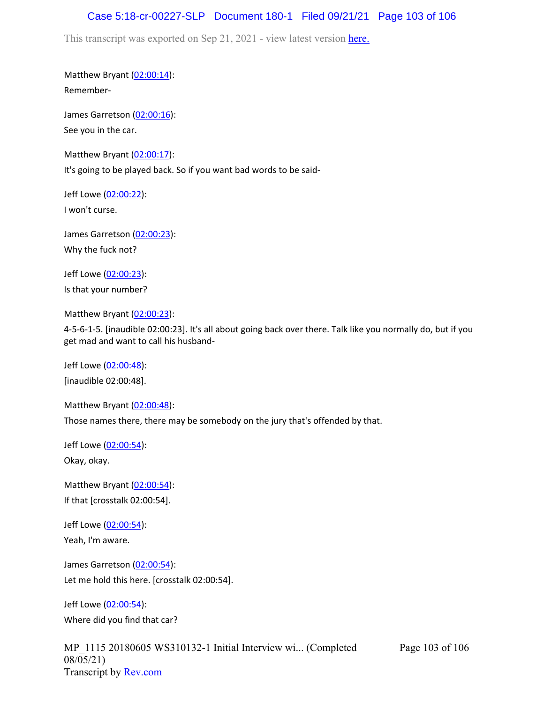#### Case 5:18-cr-00227-SLP Document 180-1 Filed 09/21/21 Page 103 of 106

This transcript was exported on Sep 21, 2021 - view latest version [here.](https://www.rev.com/transcript-editor/Edit?token=amZQ9HHFTut_NOLFoO1lSR86cptioQiBp-VVq9f_BePwrTlAl64zFPqcRkwVvmM6GaAv4S7BniclRE4xdf7JBzULLcE&loadFrom=DocumentHeaderDeepLink)

Matthew Bryant ([02:00:14](https://www.rev.com/transcript-editor/Edit?token=SQKA2Rt01kdHA9EscmLMuOxe43-XlzHXQYmJwWEZut9L0Vqwi88gCxsSIYR0imEwuvO0y5mmSPh9gXOHD1jkxzlz9jI&loadFrom=DocumentDeeplink&ts=7214.97)): Remember-

James Garretson ([02:00:16\)](https://www.rev.com/transcript-editor/Edit?token=lPXZl-FVVOCvSUgWaZGUrEYKUKjYTP5R2Qrg2FdncNTtWVe95m2oX7QluGz1e0PkXY8Ntc96cDxM2L48Qd1g8p_48jg&loadFrom=DocumentDeeplink&ts=7216.26): See you in the car.

Matthew Bryant ([02:00:17](https://www.rev.com/transcript-editor/Edit?token=tcrOdbE4cc4rMIz3b-1n8rvDih48FrpSwLDHkPZzAY3iZMYxUwz2zEsSLMfr1yLesea4WKmSQGavtFwuqi1z_noUUMw&loadFrom=DocumentDeeplink&ts=7217.58)): It's going to be played back. So if you want bad words to be said-

Jeff Lowe ([02:00:22](https://www.rev.com/transcript-editor/Edit?token=axbQkSkfz7F252eqj2c050KK9a4ep3QUxXK746nm2nq8pUz6qTvc_MciOmug1SHa4SLzA1kDk3uJolp9YHQtiUTT5Uk&loadFrom=DocumentDeeplink&ts=7222.84)): I won't curse.

James Garretson ([02:00:23\)](https://www.rev.com/transcript-editor/Edit?token=cuWeIug4jvRjnBFTV2TT11546XOFhMant1Ht8Wq-z1Ck5atRw_OCb5Rjq_sSVmqkLNYnJuTQegx8r9xzBdGkb7DO_WA&loadFrom=DocumentDeeplink&ts=7223.13): Why the fuck not?

Jeff Lowe ([02:00:23](https://www.rev.com/transcript-editor/Edit?token=yByrMRBOFv9HEtWlTCgk2nsHG05f7garkoHMm8KKJDc7LMplqcc2zG25u8Fy1RQvZMMPmpWB-ji7lGEJPV4A2c1Jx3g&loadFrom=DocumentDeeplink&ts=7223.13)): Is that your number?

Matthew Bryant ([02:00:23](https://www.rev.com/transcript-editor/Edit?token=QEwWhHVyTLEpn10doPtpZkjI16XNI211-Vsk4cKTapbqnR0zO-Q9_IVbBVkzyQd7BfhAgCpFqkKgl_ZB67QjAY-j7d0&loadFrom=DocumentDeeplink&ts=7223.13)):

4-5-6-1-5. [inaudible 02:00:23]. It's all about going back over there. Talk like you normally do, but if you get mad and want to call his husband-

Jeff Lowe ([02:00:48](https://www.rev.com/transcript-editor/Edit?token=ppa8D2MejWz8fOWLZgNQK0zYl2UwvTeWZWaw9dAdMWLh7zweBkD2X4Ana5szmgrgETcaa9P6Ixzzhv-m-4cnWXfdWn8&loadFrom=DocumentDeeplink&ts=7248)): [inaudible 02:00:48].

Matthew Bryant ([02:00:48](https://www.rev.com/transcript-editor/Edit?token=HfOKQggFWfElK5fOWH05ObPc56Y6ryS0lJJ3mvy1DZ4z5f8tZi3REorkHW9avvB630EytXA8dWJ0__LdHsl_o43-gAY&loadFrom=DocumentDeeplink&ts=7248.6)): Those names there, there may be somebody on the jury that's offended by that.

Jeff Lowe ([02:00:54](https://www.rev.com/transcript-editor/Edit?token=TMg-7jMwBBGgeoTauOCyGomj5__7y8LQCIl8_d95VGJdRLbd2-0tHsoMe1fQRv4Km-x7ZFTW1oRtXhfPFIAJID4Rgg4&loadFrom=DocumentDeeplink&ts=7254.44)):

Okay, okay.

Matthew Bryant ([02:00:54](https://www.rev.com/transcript-editor/Edit?token=xPH_VHqBSaWy1Bqq1yIyEz-lUl7juUpaBC4xBfNPf_qnviFoO4CStMrEwhLuJ_EgWhu2HtesfkYe9458RQvxR_kPGuE&loadFrom=DocumentDeeplink&ts=7254.44)): If that [crosstalk 02:00:54].

Jeff Lowe ([02:00:54](https://www.rev.com/transcript-editor/Edit?token=HRktHspDw-ww8VYLin9PwuHr4cRPyvQbUpFfGp5N5jvknquErGf9HyyqjI0Tj_35f3vDSWq640n6ToG0aW3v11znBi0&loadFrom=DocumentDeeplink&ts=7254.44)): Yeah, I'm aware.

James Garretson ([02:00:54\)](https://www.rev.com/transcript-editor/Edit?token=yOFNyt3xukpeB2Ml_EuyWOOHhtFG0-yUdSneE9L01Vh3K495GRAnCvcyvqLtYQJYbX_2EFxp2gm9wEa5GYIV3hDjuSQ&loadFrom=DocumentDeeplink&ts=7254.44): Let me hold this here. [crosstalk 02:00:54].

Jeff Lowe ([02:00:54](https://www.rev.com/transcript-editor/Edit?token=nVDXXft9ZHF8L7pIODxTiNdZaAKg29WvU2XtFZ-_ZwEsxbtJc6HlHP3ZdytmKQAkU9q8hCIITYY0fUEsH3Is7TYGHM0&loadFrom=DocumentDeeplink&ts=7254.44)): Where did you find that car?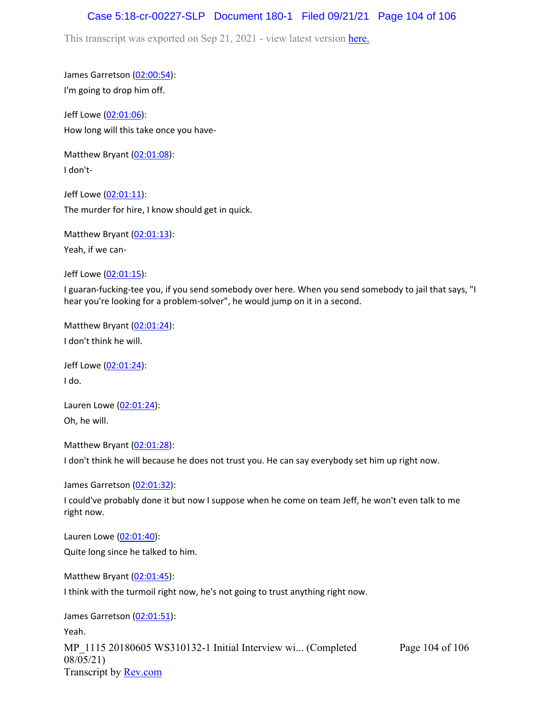#### Case 5:18-cr-00227-SLP Document 180-1 Filed 09/21/21 Page 104 of 106

This transcript was exported on Sep 21, 2021 - view latest version [here.](https://www.rev.com/transcript-editor/Edit?token=amZQ9HHFTut_NOLFoO1lSR86cptioQiBp-VVq9f_BePwrTlAl64zFPqcRkwVvmM6GaAv4S7BniclRE4xdf7JBzULLcE&loadFrom=DocumentHeaderDeepLink)

James Garretson ([02:00:54\)](https://www.rev.com/transcript-editor/Edit?token=-PcCw0sK6eic5p_615DaqqhNHZNIY1rU9pGiJn2S5xEcDxTIPLYNqo5vjKwMZWv3mpqA9axex6_DFNyqBltE9IDS01M&loadFrom=DocumentDeeplink&ts=7254.44): I'm going to drop him off.

Jeff Lowe ([02:01:06](https://www.rev.com/transcript-editor/Edit?token=D1hSHJPw-PHnXbPDIWne_iwEF-LqsWuy3lxqIt4165FsYO-3deX-t1eJZ1hrk3SC3SL0Lo6Ni8O2bDPN94Z0LgASaLg&loadFrom=DocumentDeeplink&ts=7266.37)): How long will this take once you have-

Matthew Bryant ([02:01:08](https://www.rev.com/transcript-editor/Edit?token=Q8vlrHe6kYNE3lRm_FeIuxc4EmZSqTod7nE1k_v_LUx34yUTRYUOH2m_js2UjZKlkTala0hQNcPr-Q7FAG5XG3_uRyE&loadFrom=DocumentDeeplink&ts=7268.38)): I don't-

Jeff Lowe ([02:01:11](https://www.rev.com/transcript-editor/Edit?token=V7vJGayeshasr9vGZfuX0_IQKUao37BIYJs47K-uuCRwJFbJJKt9r_QN-nptw0U82wtCf2NDb7_-VzJqdxxPoXnqtz4&loadFrom=DocumentDeeplink&ts=7271.04)): The murder for hire, I know should get in quick.

Matthew Bryant ([02:01:13](https://www.rev.com/transcript-editor/Edit?token=EEtDgRw5dR73VnEy1o8huVI_Ht92H-VmFi1tYvC17ESjICRRTQMfaOOY-BCisj3JMA-L8OQzQOsKHom657OvKzIwNOw&loadFrom=DocumentDeeplink&ts=7273.47)):

Yeah, if we can-

Jeff Lowe ([02:01:15](https://www.rev.com/transcript-editor/Edit?token=d87kBEcmsQMCAXhJ7V3VPPonn_5SQJURbMbRPtmRUPutrFvrRXs5FN9EMy21cYz9VN5JTad-zv99dRnVY10zeR5XxGM&loadFrom=DocumentDeeplink&ts=7275.56)):

I guaran-fucking-tee you, if you send somebody over here. When you send somebody to jail that says, "I hear you're looking for a problem-solver", he would jump on it in a second.

Matthew Bryant ([02:01:24](https://www.rev.com/transcript-editor/Edit?token=N6cGalCWVUqPLD_qrtANQl9sDPIf8sLrEVmOx2bf_E7eLkBlJ0c6fbPz5jS6jnAfvS3R68I_4spP8RTsf6YgmR53KMg&loadFrom=DocumentDeeplink&ts=7284.65)): I don't think he will.

Jeff Lowe ([02:01:24](https://www.rev.com/transcript-editor/Edit?token=L2iNU-ptueZFkjpi-RdCIDBdLNg43TTcYSq2tBBBABLpgVdtBSSN89Wxgc7DSw9AaGVrNaWlpx9xn88Oy40TWjuAK0Q&loadFrom=DocumentDeeplink&ts=7284.66)): I do.

Lauren Lowe ([02:01:24](https://www.rev.com/transcript-editor/Edit?token=Oo2EwglIgf7xiKhv4bcMYoyIV81JzorMFpc2yvukCCdhWLUPlJllnoK76eydowwnlF2F08HhzllFXWhPeazPLtvolaw&loadFrom=DocumentDeeplink&ts=7284.66)): Oh, he will.

Matthew Bryant ([02:01:28](https://www.rev.com/transcript-editor/Edit?token=d9HFwemzy3svwPtaTaKZ8Ch2mLOj5kfGKodYm5yqp8N5kb9YkiFDQ9w-pvcSy3qH9qlBe4uoHxOxQbZwwcwIGva6ODc&loadFrom=DocumentDeeplink&ts=7288.53)):

I don't think he will because he does not trust you. He can say everybody set him up right now.

James Garretson ([02:01:32\)](https://www.rev.com/transcript-editor/Edit?token=zoaUtpgiUUhbywgJbgmJFuo8LCft1aoV43Fo5VKOUBCwP86j4ny4yxGYXWXeG66OrEgyfwQzwBrK_1Mx_12VNkHEm1U&loadFrom=DocumentDeeplink&ts=7292.21):

I could've probably done it but now I suppose when he come on team Jeff, he won't even talk to me right now.

Lauren Lowe ([02:01:40](https://www.rev.com/transcript-editor/Edit?token=spRhhmcys4QX_B8l7lVrZg0p8EGJpip1gXBfPGYYFNSVGkY6Ydu5Xha7-S0ENAqYs737EmcnrmjvH9jUGOupHKf71MI&loadFrom=DocumentDeeplink&ts=7300.64)): Quite long since he talked to him.

Matthew Bryant ([02:01:45](https://www.rev.com/transcript-editor/Edit?token=K_NSJkWphxyX9DHhitziQiOWTt5C4lHacciS8b0Gdgo05zryIyVIuWyfX5xaMzOQCH08-b_HWgW_7b9JvlsEfn_f1Pc&loadFrom=DocumentDeeplink&ts=7305.88)):

I think with the turmoil right now, he's not going to trust anything right now.

James Garretson ([02:01:51\)](https://www.rev.com/transcript-editor/Edit?token=DRkOSmxhYszANbUqXH7bf2En8rKtrtFr_W4pAeNgNx5w6xDghHZ1_x9copZAgZ-R1r1_1U6XaAxFGWnNDo6Ebyhjdrw&loadFrom=DocumentDeeplink&ts=7311.01):

MP\_1115 20180605 WS310132-1 Initial Interview wi... (Completed 08/05/21) Transcript by [Rev.com](https://www.rev.com/) Page 104 of 106 Yeah.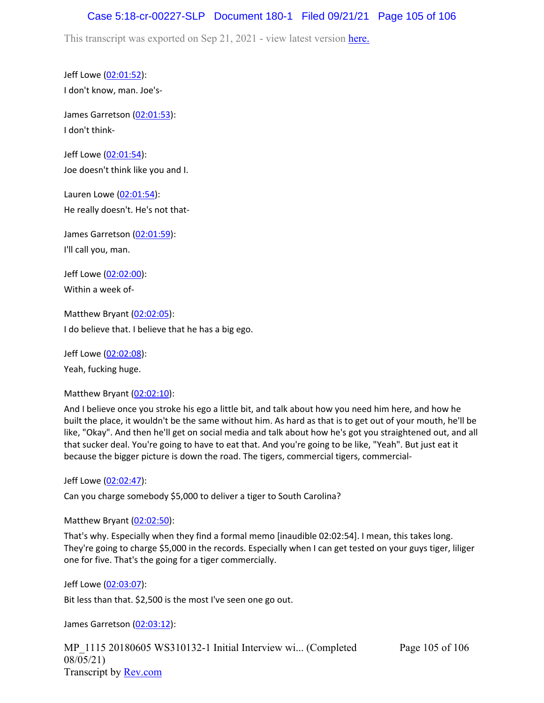## Case 5:18-cr-00227-SLP Document 180-1 Filed 09/21/21 Page 105 of 106

This transcript was exported on Sep 21, 2021 - view latest version [here.](https://www.rev.com/transcript-editor/Edit?token=amZQ9HHFTut_NOLFoO1lSR86cptioQiBp-VVq9f_BePwrTlAl64zFPqcRkwVvmM6GaAv4S7BniclRE4xdf7JBzULLcE&loadFrom=DocumentHeaderDeepLink)

Jeff Lowe ([02:01:52](https://www.rev.com/transcript-editor/Edit?token=TKEyzCBi3_7t4AiyJosLvIjjesG3JmGWdEThLlUJSO-DoPwo8zA_dbklu1LP35bXTRKOHQRelyvg9rEYKyGHvDJrsG0&loadFrom=DocumentDeeplink&ts=7312.71)): I don't know, man. Joe's-

James Garretson ([02:01:53\)](https://www.rev.com/transcript-editor/Edit?token=u9wEootfuxTRgQsoGi2zJc0n8swmgyLUylVr1oRdgXwtuuWrSR_ZCZpQAru99U1H-QiWbvtwEJK8eyK7oYENTd-T7wU&loadFrom=DocumentDeeplink&ts=7313.64): I don't think-

Jeff Lowe ([02:01:54](https://www.rev.com/transcript-editor/Edit?token=SFNs06YDRBIQp-6uIBOAOHYFrBeRpfmEpdD7RvLdT6-gsgCnSUH4U0HxN_Qw0c5xD4vV6sEQHRkuinEFyKrgHIjSrpA&loadFrom=DocumentDeeplink&ts=7314.37)): Joe doesn't think like you and I.

Lauren Lowe ([02:01:54](https://www.rev.com/transcript-editor/Edit?token=ng3HISneszHl6oa4d1nWsJeuw0iU4PimQ9hphWMEZN0qliIUWofU5zCXkhaN1jWA4vJEVgAjNWa9i03OS-U76gQYWK8&loadFrom=DocumentDeeplink&ts=7314.53)): He really doesn't. He's not that-

James Garretson ([02:01:59\)](https://www.rev.com/transcript-editor/Edit?token=OpGMdA7rd_pT0qfRJT89qjwj-Z7fTDN1nVT7VRw0CnaRkNux6-8TOXMwttz6lnb6IyHxxal-dNTUaiITVDiiPB9ReEM&loadFrom=DocumentDeeplink&ts=7319.64): I'll call you, man.

Jeff Lowe ([02:02:00](https://www.rev.com/transcript-editor/Edit?token=nNkwkUys99YIFuHKT8yQUfZKiIqFdrCXJ3ErNVy29T_PfG4UWmGXgcZNlRfhoQhVpF0EZA_YLX7foVzt8Osexbb2iK8&loadFrom=DocumentDeeplink&ts=7320.05)): Within a week of-

Matthew Bryant ([02:02:05](https://www.rev.com/transcript-editor/Edit?token=8rE7HW1jBlb0FVfbh8BR5j4b1PvXere81Q_teVVNgaEpfs53J3_hYMaiulR6WP0Tpn0mtN_9ZogJUr7Abx_vpzB0SVU&loadFrom=DocumentDeeplink&ts=7325.55)): I do believe that. I believe that he has a big ego.

Jeff Lowe ([02:02:08](https://www.rev.com/transcript-editor/Edit?token=ZFTb8JBO2tlhyK3wN9xkBlr3zBX2gGqbdsm7clOUMixZ56C2luTGoSAQU7XKHM1F4xcVSn7DPfTGaylzb2yOF-HVtu8&loadFrom=DocumentDeeplink&ts=7328.96)): Yeah, fucking huge.

Matthew Bryant ([02:02:10](https://www.rev.com/transcript-editor/Edit?token=ldu7YuI1rdgJtc6U9edS-3ZzGm8FNRfzJ5qGlpwfo1JviReIOm2zfy9uk6GfniM9b3cpPD7I8Q7tcobWWBoyH-a4y_c&loadFrom=DocumentDeeplink&ts=7330.01)):

And I believe once you stroke his ego a little bit, and talk about how you need him here, and how he built the place, it wouldn't be the same without him. As hard as that is to get out of your mouth, he'll be like, "Okay". And then he'll get on social media and talk about how he's got you straightened out, and all that sucker deal. You're going to have to eat that. And you're going to be like, "Yeah". But just eat it because the bigger picture is down the road. The tigers, commercial tigers, commercial-

Jeff Lowe ([02:02:47](https://www.rev.com/transcript-editor/Edit?token=3SJxdvcTredYT9BOafCSZwPVE_1BRVfg3qW2HOi9KuXaM0-scU2ZKkGJdXRcd2SnfmzH1xl4zdMRM_MsVdkY9cWDA8I&loadFrom=DocumentDeeplink&ts=7367.2)):

Can you charge somebody \$5,000 to deliver a tiger to South Carolina?

Matthew Bryant ([02:02:50](https://www.rev.com/transcript-editor/Edit?token=BR5JAxnlilzNiAyFHGLt8welyBId7fqY35aN_fIQD7s58CT0RAfVsv_HJxuWryXJEnNcpLHUIkEY2h7mW2qoz_DxeV8&loadFrom=DocumentDeeplink&ts=7370.73)):

That's why. Especially when they find a formal memo [inaudible 02:02:54]. I mean, this takes long. They're going to charge \$5,000 in the records. Especially when I can get tested on your guys tiger, liliger one for five. That's the going for a tiger commercially.

```
Jeff Lowe (02:03:07):
```
Bit less than that. \$2,500 is the most I've seen one go out.

James Garretson ([02:03:12\)](https://www.rev.com/transcript-editor/Edit?token=0FjZ_1jYUixAQOHrkbGde0L-4h9P2piV13BGJL7FmC-x4RBJGy3QxEdtC1-Cgh5vpIkA6jWQr7mCwaET6R5J_Sjwk3I&loadFrom=DocumentDeeplink&ts=7392.34):

MP\_1115 20180605 WS310132-1 Initial Interview wi... (Completed 08/05/21) Transcript by [Rev.com](https://www.rev.com/)